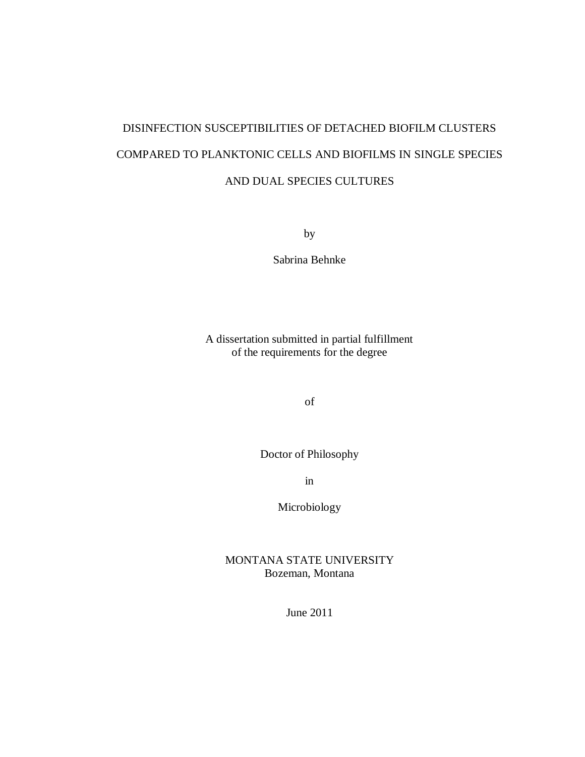# DISINFECTION SUSCEPTIBILITIES OF DETACHED BIOFILM CLUSTERS COMPARED TO PLANKTONIC CELLS AND BIOFILMS IN SINGLE SPECIES AND DUAL SPECIES CULTURES

by

Sabrina Behnke

A dissertation submitted in partial fulfillment of the requirements for the degree

of

Doctor of Philosophy

in

Microbiology

MONTANA STATE UNIVERSITY Bozeman, Montana

June 2011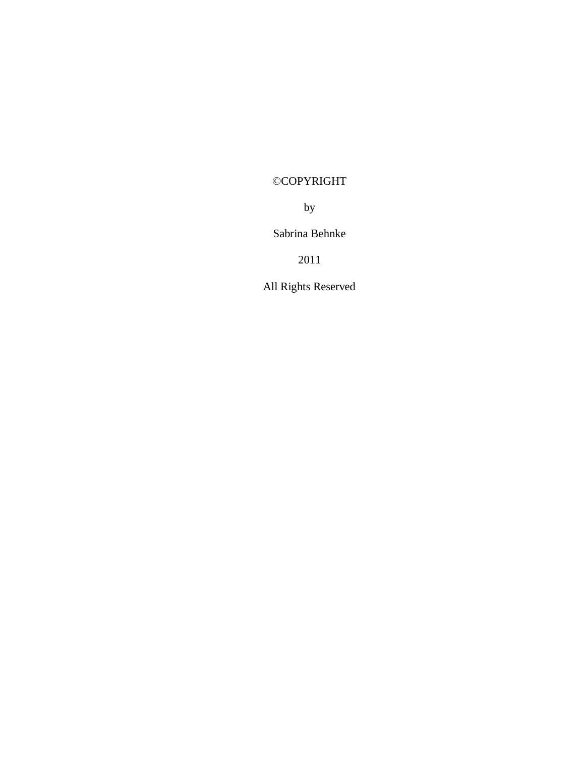# ©COPYRIGHT

by

Sabrina Behnke

2011

All Rights Reserved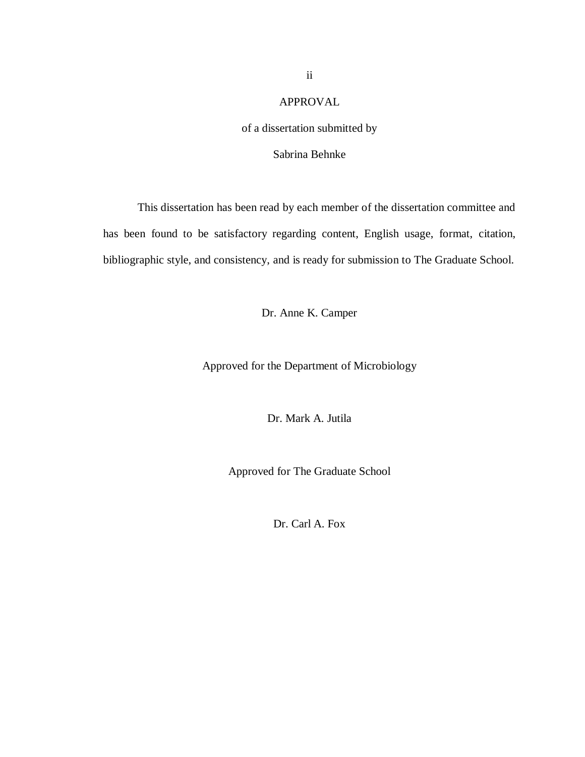### APPROVAL

### of a dissertation submitted by

### Sabrina Behnke

This dissertation has been read by each member of the dissertation committee and has been found to be satisfactory regarding content, English usage, format, citation, bibliographic style, and consistency, and is ready for submission to The Graduate School.

Dr. Anne K. Camper

Approved for the Department of Microbiology

Dr. Mark A. Jutila

Approved for The Graduate School

Dr. Carl A. Fox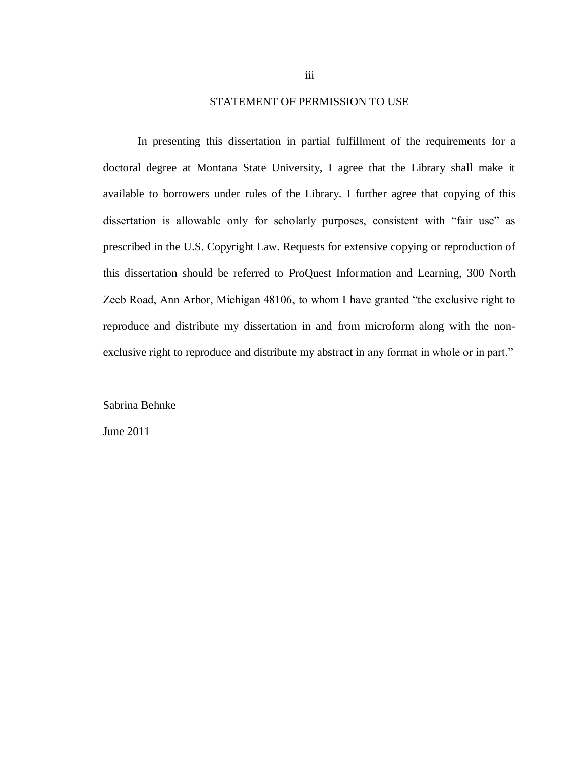### STATEMENT OF PERMISSION TO USE

In presenting this dissertation in partial fulfillment of the requirements for a doctoral degree at Montana State University, I agree that the Library shall make it available to borrowers under rules of the Library. I further agree that copying of this dissertation is allowable only for scholarly purposes, consistent with "fair use" as prescribed in the U.S. Copyright Law. Requests for extensive copying or reproduction of this dissertation should be referred to ProQuest Information and Learning, 300 North Zeeb Road, Ann Arbor, Michigan 48106, to whom I have granted "the exclusive right to reproduce and distribute my dissertation in and from microform along with the nonexclusive right to reproduce and distribute my abstract in any format in whole or in part."

Sabrina Behnke

June 2011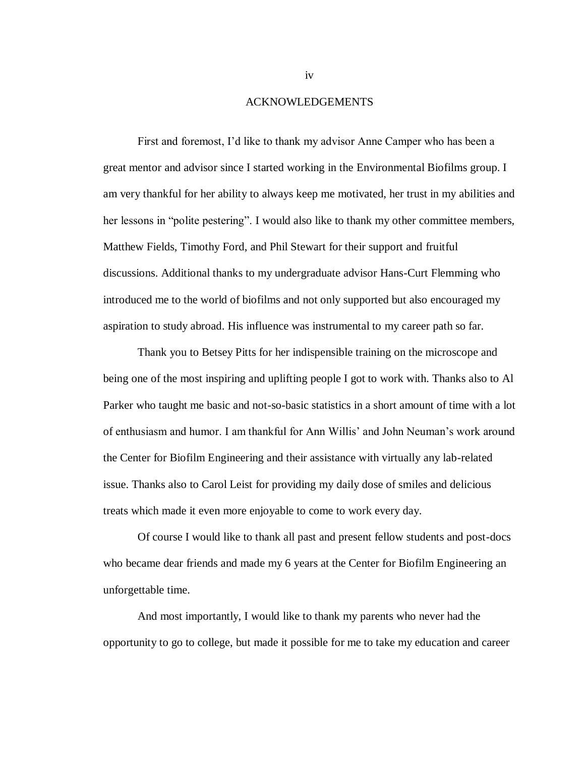#### ACKNOWLEDGEMENTS

First and foremost, I'd like to thank my advisor Anne Camper who has been a great mentor and advisor since I started working in the Environmental Biofilms group. I am very thankful for her ability to always keep me motivated, her trust in my abilities and her lessons in "polite pestering". I would also like to thank my other committee members, Matthew Fields, Timothy Ford, and Phil Stewart for their support and fruitful discussions. Additional thanks to my undergraduate advisor Hans-Curt Flemming who introduced me to the world of biofilms and not only supported but also encouraged my aspiration to study abroad. His influence was instrumental to my career path so far.

Thank you to Betsey Pitts for her indispensible training on the microscope and being one of the most inspiring and uplifting people I got to work with. Thanks also to Al Parker who taught me basic and not-so-basic statistics in a short amount of time with a lot of enthusiasm and humor. I am thankful for Ann Willis' and John Neuman's work around the Center for Biofilm Engineering and their assistance with virtually any lab-related issue. Thanks also to Carol Leist for providing my daily dose of smiles and delicious treats which made it even more enjoyable to come to work every day.

Of course I would like to thank all past and present fellow students and post-docs who became dear friends and made my 6 years at the Center for Biofilm Engineering an unforgettable time.

And most importantly, I would like to thank my parents who never had the opportunity to go to college, but made it possible for me to take my education and career

iv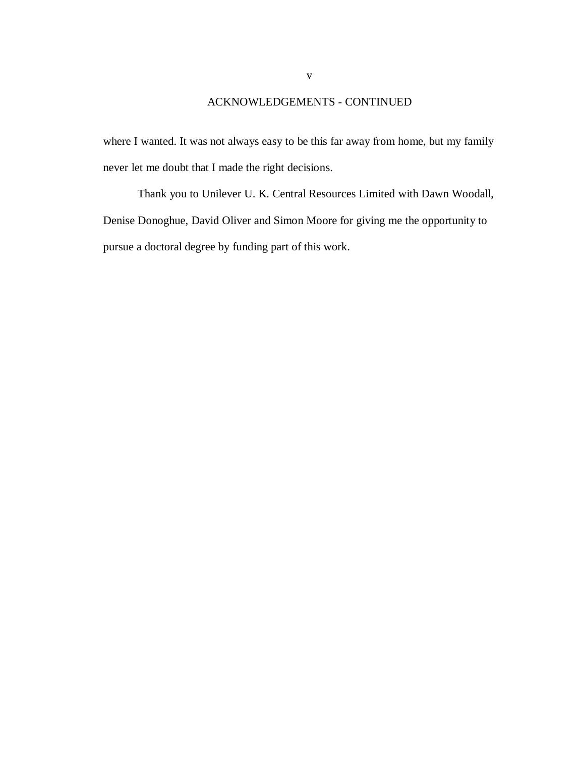### ACKNOWLEDGEMENTS - CONTINUED

where I wanted. It was not always easy to be this far away from home, but my family never let me doubt that I made the right decisions.

Thank you to Unilever U. K. Central Resources Limited with Dawn Woodall, Denise Donoghue, David Oliver and Simon Moore for giving me the opportunity to pursue a doctoral degree by funding part of this work.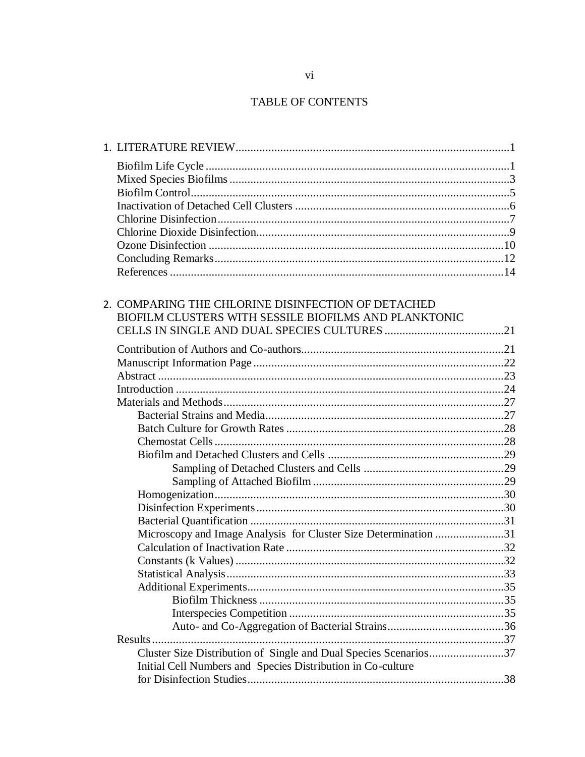# TABLE OF CONTENTS

| 2. COMPARING THE CHLORINE DISINFECTION OF DETACHED               |  |
|------------------------------------------------------------------|--|
| BIOFILM CLUSTERS WITH SESSILE BIOFILMS AND PLANKTONIC            |  |
|                                                                  |  |
|                                                                  |  |
|                                                                  |  |
|                                                                  |  |
|                                                                  |  |
|                                                                  |  |
|                                                                  |  |
|                                                                  |  |
|                                                                  |  |
|                                                                  |  |
|                                                                  |  |
|                                                                  |  |
|                                                                  |  |
|                                                                  |  |
|                                                                  |  |
| Microscopy and Image Analysis for Cluster Size Determination 31  |  |
|                                                                  |  |
|                                                                  |  |
|                                                                  |  |
|                                                                  |  |
|                                                                  |  |
|                                                                  |  |
|                                                                  |  |
|                                                                  |  |
| Cluster Size Distribution of Single and Dual Species Scenarios37 |  |
| Initial Cell Numbers and Species Distribution in Co-culture      |  |
|                                                                  |  |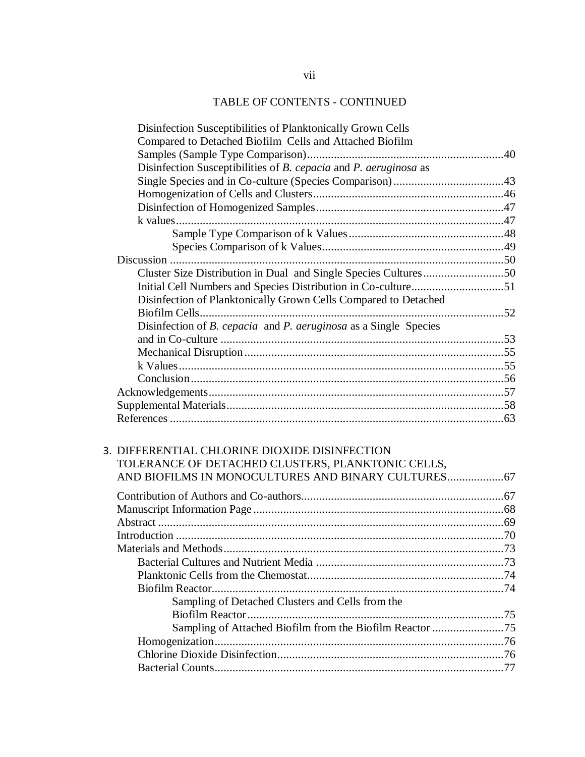# TABLE OF CONTENTS - CONTINUED

|  | Disinfection Susceptibilities of Planktonically Grown Cells                    |  |
|--|--------------------------------------------------------------------------------|--|
|  | Compared to Detached Biofilm Cells and Attached Biofilm                        |  |
|  |                                                                                |  |
|  | Disinfection Susceptibilities of B. cepacia and P. aeruginosa as               |  |
|  |                                                                                |  |
|  |                                                                                |  |
|  |                                                                                |  |
|  |                                                                                |  |
|  |                                                                                |  |
|  |                                                                                |  |
|  |                                                                                |  |
|  | Cluster Size Distribution in Dual and Single Species Cultures50                |  |
|  |                                                                                |  |
|  | Disinfection of Planktonically Grown Cells Compared to Detached                |  |
|  |                                                                                |  |
|  | Disinfection of <i>B. cepacia</i> and <i>P. aeruginosa</i> as a Single Species |  |
|  |                                                                                |  |
|  |                                                                                |  |
|  |                                                                                |  |
|  |                                                                                |  |
|  |                                                                                |  |
|  |                                                                                |  |
|  |                                                                                |  |
|  |                                                                                |  |
|  | 3. DIFFERENTIAL CHLORINE DIOXIDE DISINFECTION                                  |  |
|  | TOLERANCE OF DETACHED CLUSTERS, PLANKTONIC CELLS,                              |  |
|  |                                                                                |  |
|  |                                                                                |  |
|  |                                                                                |  |
|  |                                                                                |  |
|  |                                                                                |  |
|  |                                                                                |  |
|  |                                                                                |  |
|  |                                                                                |  |
|  |                                                                                |  |
|  |                                                                                |  |
|  | Sampling of Detached Clusters and Cells from the                               |  |
|  |                                                                                |  |
|  | Sampling of Attached Biofilm from the Biofilm Reactor 75                       |  |
|  |                                                                                |  |
|  |                                                                                |  |
|  |                                                                                |  |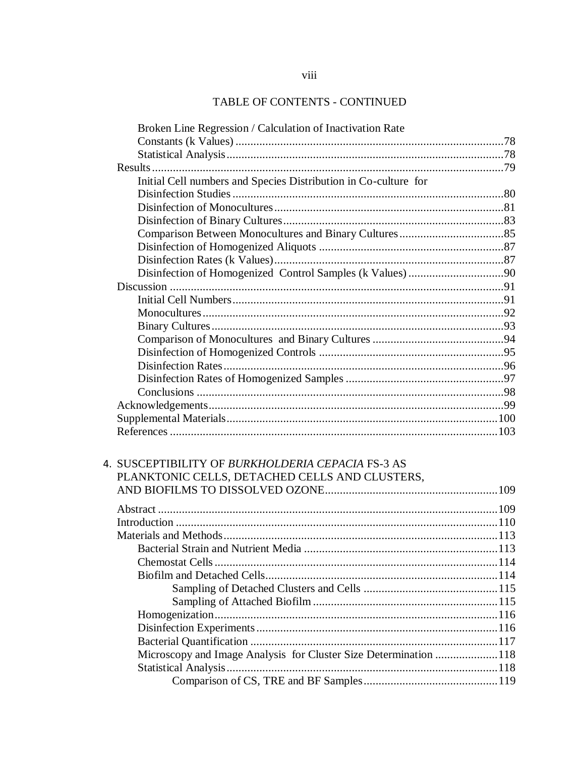# TABLE OF CONTENTS - CONTINUED

| Broken Line Regression / Calculation of Inactivation Rate        |  |
|------------------------------------------------------------------|--|
|                                                                  |  |
|                                                                  |  |
|                                                                  |  |
| Initial Cell numbers and Species Distribution in Co-culture for  |  |
|                                                                  |  |
|                                                                  |  |
|                                                                  |  |
|                                                                  |  |
|                                                                  |  |
|                                                                  |  |
|                                                                  |  |
|                                                                  |  |
|                                                                  |  |
|                                                                  |  |
|                                                                  |  |
|                                                                  |  |
|                                                                  |  |
|                                                                  |  |
|                                                                  |  |
|                                                                  |  |
|                                                                  |  |
|                                                                  |  |
|                                                                  |  |
| 4. SUSCEPTIBILITY OF BURKHOLDERIA CEPACIA FS-3 AS                |  |
|                                                                  |  |
| PLANKTONIC CELLS, DETACHED CELLS AND CLUSTERS,                   |  |
|                                                                  |  |
|                                                                  |  |
|                                                                  |  |
|                                                                  |  |
|                                                                  |  |
|                                                                  |  |
|                                                                  |  |
|                                                                  |  |
|                                                                  |  |
|                                                                  |  |
|                                                                  |  |
|                                                                  |  |
| Microscopy and Image Analysis for Cluster Size Determination 118 |  |
|                                                                  |  |
|                                                                  |  |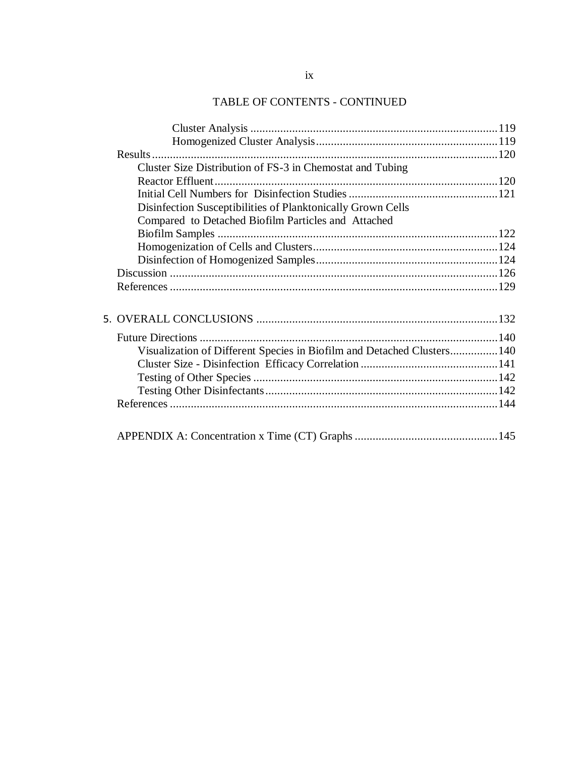# TABLE OF CONTENTS - CONTINUED

| Cluster Size Distribution of FS-3 in Chemostat and Tubing              |  |
|------------------------------------------------------------------------|--|
|                                                                        |  |
|                                                                        |  |
| Disinfection Susceptibilities of Planktonically Grown Cells            |  |
| Compared to Detached Biofilm Particles and Attached                    |  |
|                                                                        |  |
|                                                                        |  |
|                                                                        |  |
|                                                                        |  |
|                                                                        |  |
|                                                                        |  |
|                                                                        |  |
|                                                                        |  |
| Visualization of Different Species in Biofilm and Detached Clusters140 |  |
|                                                                        |  |
|                                                                        |  |
|                                                                        |  |
|                                                                        |  |
|                                                                        |  |
|                                                                        |  |
|                                                                        |  |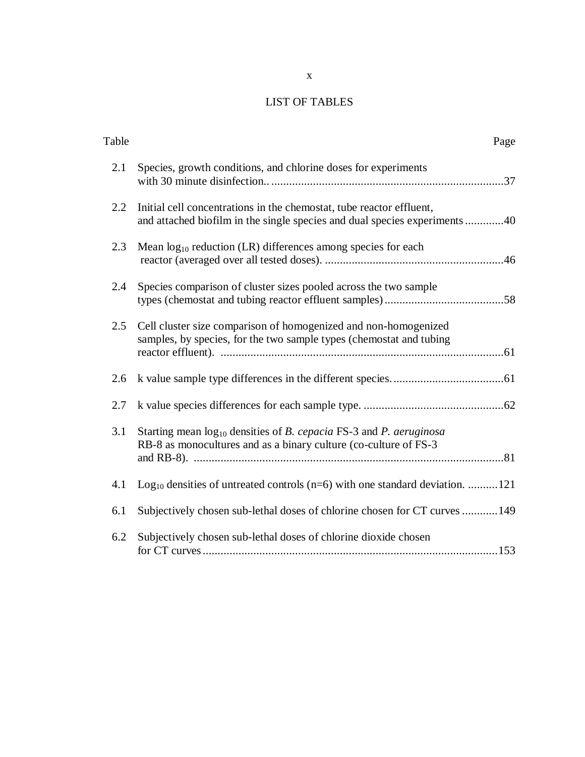## LIST OF TABLES

|                                                                                                                                                    | Page |
|----------------------------------------------------------------------------------------------------------------------------------------------------|------|
| Species, growth conditions, and chlorine doses for experiments                                                                                     |      |
| Initial cell concentrations in the chemostat, tube reactor effluent,<br>and attached biofilm in the single species and dual species experiments 40 |      |
| Mean $log_{10}$ reduction (LR) differences among species for each                                                                                  |      |
| Species comparison of cluster sizes pooled across the two sample                                                                                   |      |
| Cell cluster size comparison of homogenized and non-homogenized<br>samples, by species, for the two sample types (chemostat and tubing             |      |
|                                                                                                                                                    |      |
|                                                                                                                                                    |      |
| Starting mean $log_{10}$ densities of B. cepacia FS-3 and P. aeruginosa<br>RB-8 as monocultures and as a binary culture (co-culture of FS-3)       |      |
| $Log10$ densities of untreated controls (n=6) with one standard deviation. 121                                                                     |      |
| Subjectively chosen sub-lethal doses of chlorine chosen for CT curves 149                                                                          |      |
| Subjectively chosen sub-lethal doses of chlorine dioxide chosen                                                                                    |      |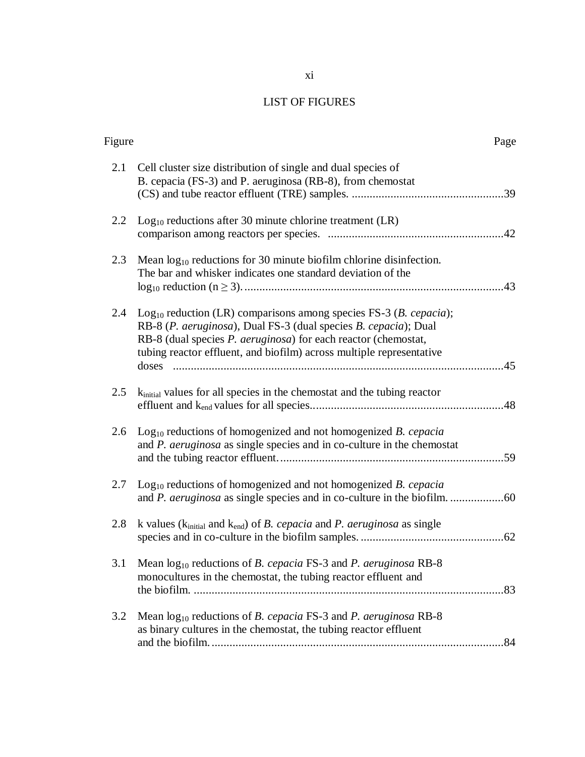# LIST OF FIGURES

| Figure |                                                                                                                                                                                                                                                                                           | Page |
|--------|-------------------------------------------------------------------------------------------------------------------------------------------------------------------------------------------------------------------------------------------------------------------------------------------|------|
| 2.1    | Cell cluster size distribution of single and dual species of<br>B. cepacia (FS-3) and P. aeruginosa (RB-8), from chemostat                                                                                                                                                                |      |
| 2.2    | $Log10$ reductions after 30 minute chlorine treatment (LR)                                                                                                                                                                                                                                |      |
| 2.3    | Mean $log_{10}$ reductions for 30 minute biofilm chlorine disinfection.<br>The bar and whisker indicates one standard deviation of the                                                                                                                                                    |      |
| 2.4    | $Log10$ reduction (LR) comparisons among species FS-3 ( <i>B. cepacia</i> );<br>RB-8 (P. aeruginosa), Dual FS-3 (dual species B. cepacia); Dual<br>RB-8 (dual species P. aeruginosa) for each reactor (chemostat,<br>tubing reactor effluent, and biofilm) across multiple representative |      |
| 2.5    | k <sub>initial</sub> values for all species in the chemostat and the tubing reactor                                                                                                                                                                                                       |      |
| 2.6    | $Log10$ reductions of homogenized and not homogenized B. cepacia<br>and P. aeruginosa as single species and in co-culture in the chemostat                                                                                                                                                |      |
| 2.7    | $Log10$ reductions of homogenized and not homogenized B. cepacia                                                                                                                                                                                                                          |      |
| 2.8    | k values ( $k_{initial}$ and $k_{end}$ ) of <i>B. cepacia</i> and <i>P. aeruginosa</i> as single                                                                                                                                                                                          |      |
|        | 3.1 Mean $log_{10}$ reductions of <i>B. cepacia</i> FS-3 and <i>P. aeruginosa</i> RB-8<br>monocultures in the chemostat, the tubing reactor effluent and                                                                                                                                  |      |
| 3.2    | Mean $log_{10}$ reductions of B. cepacia FS-3 and P. aeruginosa RB-8<br>as binary cultures in the chemostat, the tubing reactor effluent                                                                                                                                                  | 84   |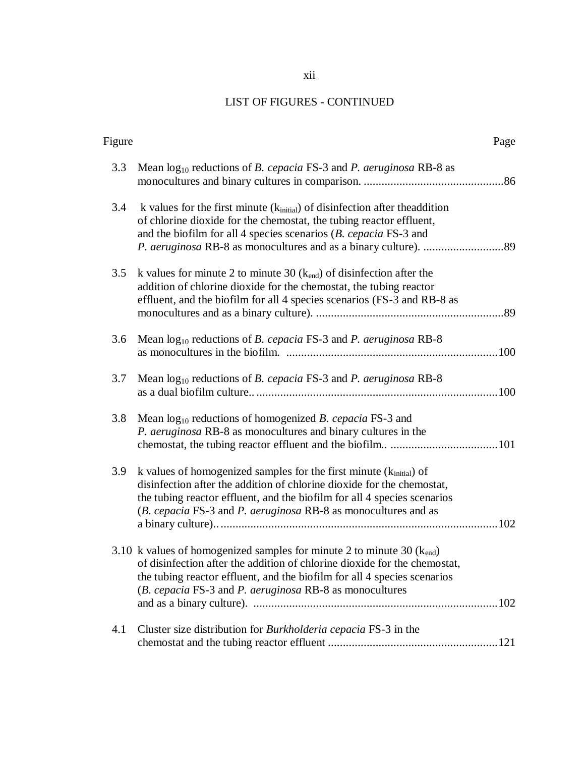# LIST OF FIGURES - CONTINUED

| Figure |                                                                                                                                                                                                                                                                                                 | Page |
|--------|-------------------------------------------------------------------------------------------------------------------------------------------------------------------------------------------------------------------------------------------------------------------------------------------------|------|
| 3.3    | Mean $log_{10}$ reductions of <i>B. cepacia</i> FS-3 and <i>P. aeruginosa</i> RB-8 as                                                                                                                                                                                                           |      |
| 3.4    | k values for the first minute $(k_{initial})$ of disinfection after the addition<br>of chlorine dioxide for the chemostat, the tubing reactor effluent,<br>and the biofilm for all 4 species scenarios $(B. cepacia FS-3$ and                                                                   |      |
| 3.5    | k values for minute 2 to minute 30 $(k_{\text{end}})$ of disinfection after the<br>addition of chlorine dioxide for the chemostat, the tubing reactor<br>effluent, and the biofilm for all 4 species scenarios (FS-3 and RB-8 as                                                                |      |
| 3.6    | Mean $log_{10}$ reductions of <i>B. cepacia</i> FS-3 and <i>P. aeruginosa</i> RB-8                                                                                                                                                                                                              |      |
| 3.7    | Mean $log_{10}$ reductions of <i>B. cepacia</i> FS-3 and <i>P. aeruginosa</i> RB-8                                                                                                                                                                                                              |      |
| 3.8    | Mean $log_{10}$ reductions of homogenized B. cepacia FS-3 and<br>P. aeruginosa RB-8 as monocultures and binary cultures in the                                                                                                                                                                  |      |
| 3.9    | k values of homogenized samples for the first minute $(k_{initial})$ of<br>disinfection after the addition of chlorine dioxide for the chemostat,<br>the tubing reactor effluent, and the biofilm for all 4 species scenarios<br>(B. cepacia FS-3 and P. aeruginosa RB-8 as monocultures and as |      |
|        | 3.10 k values of homogenized samples for minute 2 to minute 30 $(k_{end})$<br>of disinfection after the addition of chlorine dioxide for the chemostat.<br>the tubing reactor effluent, and the biofilm for all 4 species scenarios<br>(B. cepacia FS-3 and P. aeruginosa RB-8 as monocultures  |      |
| 4.1    | Cluster size distribution for Burkholderia cepacia FS-3 in the                                                                                                                                                                                                                                  |      |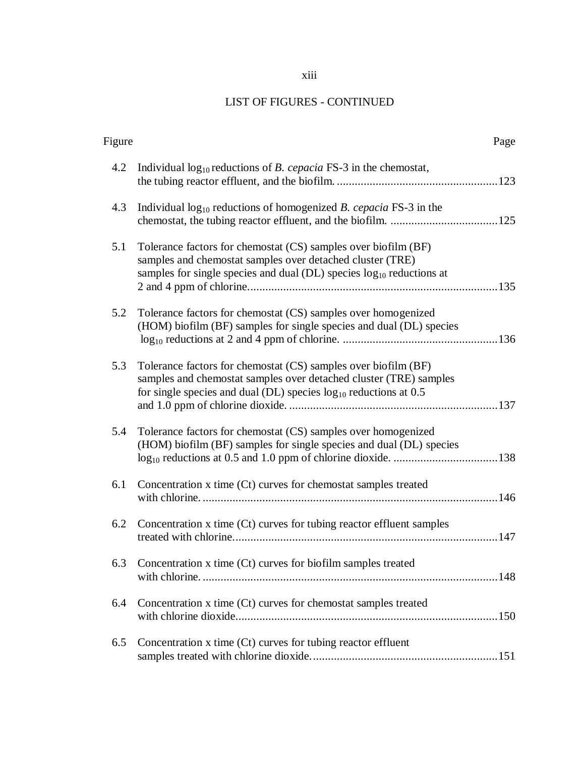### xiii

# LIST OF FIGURES - CONTINUED

| Figure |                                                                                                                                                                                                              | Page |
|--------|--------------------------------------------------------------------------------------------------------------------------------------------------------------------------------------------------------------|------|
| 4.2    | Individual $log_{10}$ reductions of <i>B. cepacia</i> FS-3 in the chemostat,                                                                                                                                 |      |
| 4.3    | Individual $log_{10}$ reductions of homogenized B. cepacia FS-3 in the                                                                                                                                       |      |
| 5.1    | Tolerance factors for chemostat (CS) samples over biofilm (BF)<br>samples and chemostat samples over detached cluster (TRE)<br>samples for single species and dual $(DL)$ species $log_{10}$ reductions at   |      |
| 5.2    | Tolerance factors for chemostat (CS) samples over homogenized<br>(HOM) biofilm (BF) samples for single species and dual (DL) species                                                                         |      |
| 5.3    | Tolerance factors for chemostat (CS) samples over biofilm (BF)<br>samples and chemostat samples over detached cluster (TRE) samples<br>for single species and dual (DL) species $log_{10}$ reductions at 0.5 |      |
| 5.4    | Tolerance factors for chemostat (CS) samples over homogenized<br>(HOM) biofilm (BF) samples for single species and dual (DL) species                                                                         |      |
| 6.1    | Concentration x time (Ct) curves for chemostat samples treated                                                                                                                                               |      |
| 6.2    | Concentration x time (Ct) curves for tubing reactor effluent samples                                                                                                                                         |      |
| 6.3    | Concentration x time (Ct) curves for biofilm samples treated                                                                                                                                                 |      |
| 6.4    | Concentration x time (Ct) curves for chemostat samples treated                                                                                                                                               |      |
| 6.5    | Concentration x time (Ct) curves for tubing reactor effluent                                                                                                                                                 |      |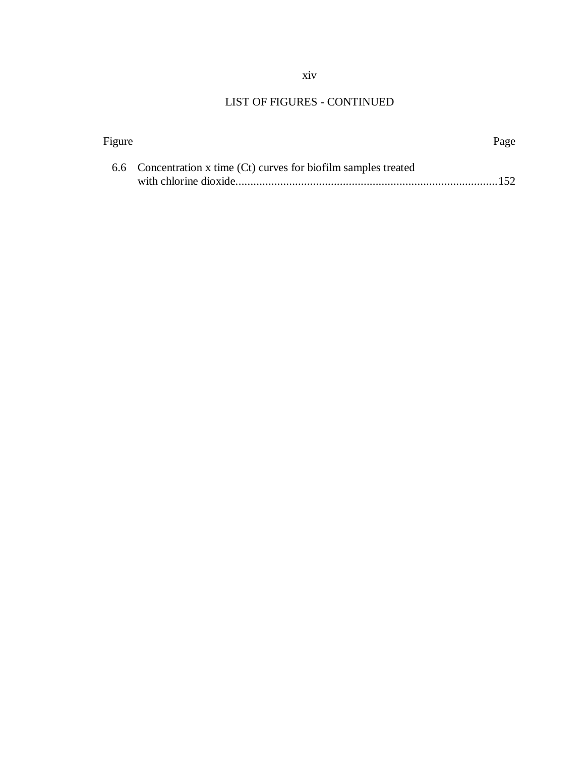### xiv

# LIST OF FIGURES - CONTINUED

|                                                                  | Page |
|------------------------------------------------------------------|------|
| 6.6 Concentration x time (Ct) curves for biofilm samples treated |      |
|                                                                  |      |
|                                                                  |      |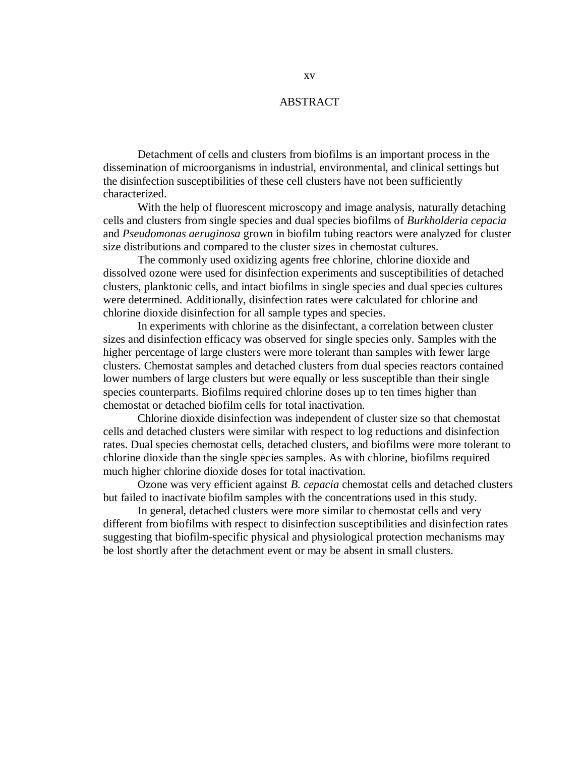### ABSTRACT

Detachment of cells and clusters from biofilms is an important process in the dissemination of microorganisms in industrial, environmental, and clinical settings but the disinfection susceptibilities of these cell clusters have not been sufficiently characterized.

With the help of fluorescent microscopy and image analysis, naturally detaching cells and clusters from single species and dual species biofilms of *Burkholderia cepacia* and *Pseudomonas aeruginosa* grown in biofilm tubing reactors were analyzed for cluster size distributions and compared to the cluster sizes in chemostat cultures.

The commonly used oxidizing agents free chlorine, chlorine dioxide and dissolved ozone were used for disinfection experiments and susceptibilities of detached clusters, planktonic cells, and intact biofilms in single species and dual species cultures were determined. Additionally, disinfection rates were calculated for chlorine and chlorine dioxide disinfection for all sample types and species.

In experiments with chlorine as the disinfectant, a correlation between cluster sizes and disinfection efficacy was observed for single species only. Samples with the higher percentage of large clusters were more tolerant than samples with fewer large clusters. Chemostat samples and detached clusters from dual species reactors contained lower numbers of large clusters but were equally or less susceptible than their single species counterparts. Biofilms required chlorine doses up to ten times higher than chemostat or detached biofilm cells for total inactivation.

Chlorine dioxide disinfection was independent of cluster size so that chemostat cells and detached clusters were similar with respect to log reductions and disinfection rates. Dual species chemostat cells, detached clusters, and biofilms were more tolerant to chlorine dioxide than the single species samples. As with chlorine, biofilms required much higher chlorine dioxide doses for total inactivation.

Ozone was very efficient against *B. cepacia* chemostat cells and detached clusters but failed to inactivate biofilm samples with the concentrations used in this study.

In general, detached clusters were more similar to chemostat cells and very different from biofilms with respect to disinfection susceptibilities and disinfection rates suggesting that biofilm-specific physical and physiological protection mechanisms may be lost shortly after the detachment event or may be absent in small clusters.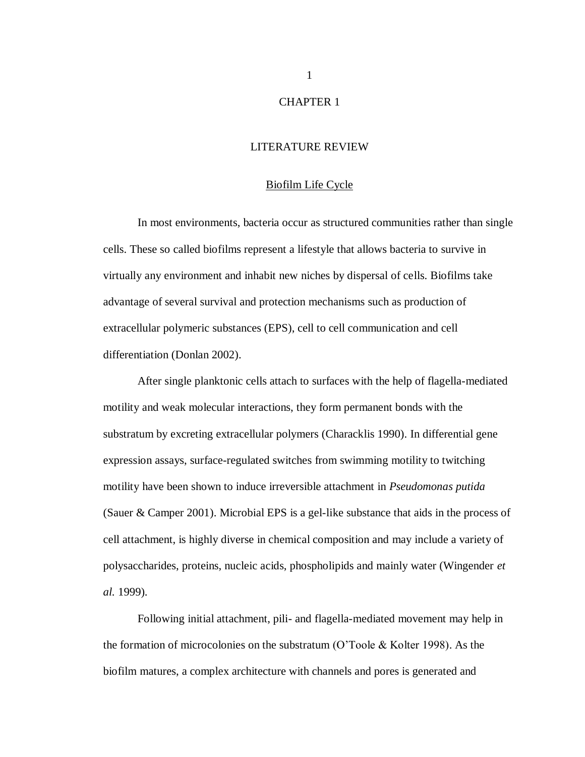### CHAPTER 1

### LITERATURE REVIEW

#### Biofilm Life Cycle

<span id="page-16-1"></span><span id="page-16-0"></span>In most environments, bacteria occur as structured communities rather than single cells. These so called biofilms represent a lifestyle that allows bacteria to survive in virtually any environment and inhabit new niches by dispersal of cells. Biofilms take advantage of several survival and protection mechanisms such as production of extracellular polymeric substances (EPS), cell to cell communication and cell differentiation (Donlan 2002).

After single planktonic cells attach to surfaces with the help of flagella-mediated motility and weak molecular interactions, they form permanent bonds with the substratum by excreting extracellular polymers (Characklis 1990). In differential gene expression assays, surface-regulated switches from swimming motility to twitching motility have been shown to induce irreversible attachment in *Pseudomonas putida* (Sauer & Camper 2001). Microbial EPS is a gel-like substance that aids in the process of cell attachment, is highly diverse in chemical composition and may include a variety of polysaccharides, proteins, nucleic acids, phospholipids and mainly water (Wingender *et al.* 1999).

Following initial attachment, pili- and flagella-mediated movement may help in the formation of microcolonies on the substratum (O'Toole & Kolter 1998). As the biofilm matures, a complex architecture with channels and pores is generated and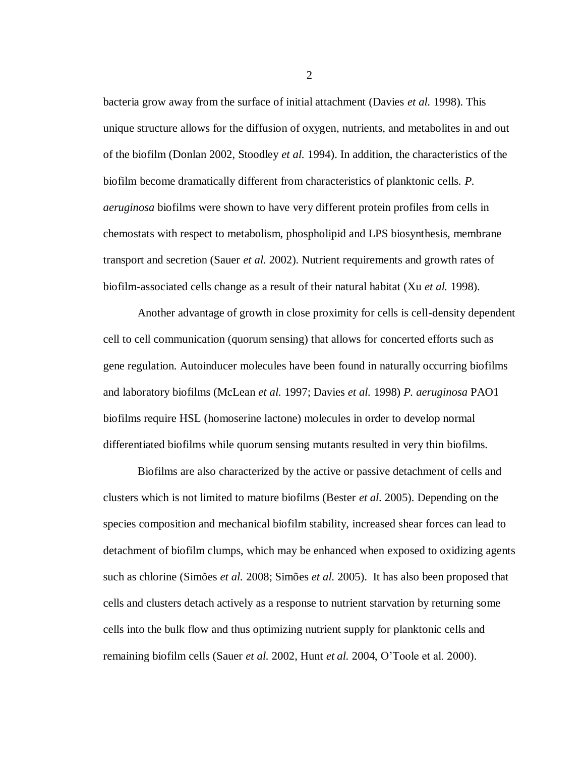bacteria grow away from the surface of initial attachment (Davies *et al.* 1998). This unique structure allows for the diffusion of oxygen, nutrients, and metabolites in and out of the biofilm (Donlan 2002, Stoodley *et al.* 1994). In addition, the characteristics of the biofilm become dramatically different from characteristics of planktonic cells. *P. aeruginosa* biofilms were shown to have very different protein profiles from cells in chemostats with respect to metabolism, phospholipid and LPS biosynthesis, membrane transport and secretion (Sauer *et al.* 2002). Nutrient requirements and growth rates of biofilm-associated cells change as a result of their natural habitat (Xu *et al.* 1998).

Another advantage of growth in close proximity for cells is cell-density dependent cell to cell communication (quorum sensing) that allows for concerted efforts such as gene regulation. Autoinducer molecules have been found in naturally occurring biofilms and laboratory biofilms (McLean *et al.* 1997; Davies *et al.* 1998) *P. aeruginosa* PAO1 biofilms require HSL (homoserine lactone) molecules in order to develop normal differentiated biofilms while quorum sensing mutants resulted in very thin biofilms.

Biofilms are also characterized by the active or passive detachment of cells and clusters which is not limited to mature biofilms (Bester *et al.* 2005). Depending on the species composition and mechanical biofilm stability, increased shear forces can lead to detachment of biofilm clumps, which may be enhanced when exposed to oxidizing agents such as chlorine (Simões *et al.* 2008; Simões *et al.* 2005). It has also been proposed that cells and clusters detach actively as a response to nutrient starvation by returning some cells into the bulk flow and thus optimizing nutrient supply for planktonic cells and remaining biofilm cells (Sauer *et al.* 2002, Hunt *et al.* 2004, O'Toole et al. 2000).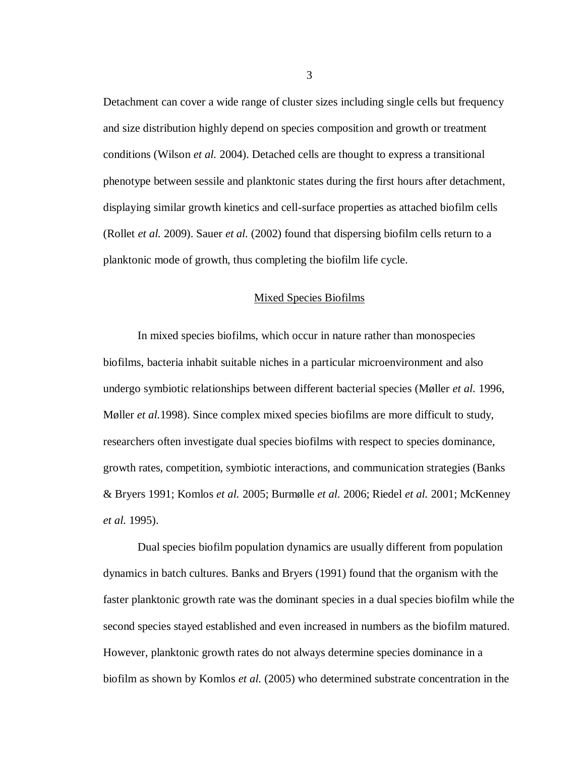Detachment can cover a wide range of cluster sizes including single cells but frequency and size distribution highly depend on species composition and growth or treatment conditions (Wilson *et al.* 2004). Detached cells are thought to express a transitional phenotype between sessile and planktonic states during the first hours after detachment, displaying similar growth kinetics and cell-surface properties as attached biofilm cells (Rollet *et al.* 2009). Sauer *et al.* (2002) found that dispersing biofilm cells return to a planktonic mode of growth, thus completing the biofilm life cycle.

### Mixed Species Biofilms

<span id="page-18-0"></span>In mixed species biofilms, which occur in nature rather than monospecies biofilms, bacteria inhabit suitable niches in a particular microenvironment and also undergo symbiotic relationships between different bacterial species (Møller *et al.* 1996, Møller *et al.*1998). Since complex mixed species biofilms are more difficult to study, researchers often investigate dual species biofilms with respect to species dominance, growth rates, competition, symbiotic interactions, and communication strategies (Banks & Bryers 1991; Komlos *et al.* 2005; Burmølle *et al.* 2006; Riedel *et al.* 2001; McKenney *et al.* 1995).

Dual species biofilm population dynamics are usually different from population dynamics in batch cultures. Banks and Bryers (1991) found that the organism with the faster planktonic growth rate was the dominant species in a dual species biofilm while the second species stayed established and even increased in numbers as the biofilm matured. However, planktonic growth rates do not always determine species dominance in a biofilm as shown by Komlos *et al.* (2005) who determined substrate concentration in the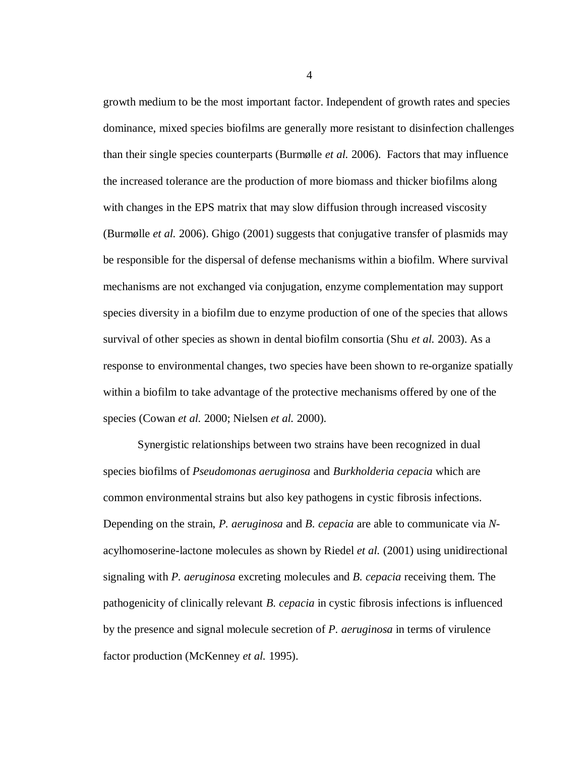growth medium to be the most important factor. Independent of growth rates and species dominance, mixed species biofilms are generally more resistant to disinfection challenges than their single species counterparts (Burmølle *et al.* 2006). Factors that may influence the increased tolerance are the production of more biomass and thicker biofilms along with changes in the EPS matrix that may slow diffusion through increased viscosity (Burmølle *et al.* 2006). Ghigo (2001) suggests that conjugative transfer of plasmids may be responsible for the dispersal of defense mechanisms within a biofilm. Where survival mechanisms are not exchanged via conjugation, enzyme complementation may support species diversity in a biofilm due to enzyme production of one of the species that allows survival of other species as shown in dental biofilm consortia (Shu *et al.* 2003). As a response to environmental changes, two species have been shown to re-organize spatially within a biofilm to take advantage of the protective mechanisms offered by one of the species (Cowan *et al.* 2000; Nielsen *et al.* 2000).

Synergistic relationships between two strains have been recognized in dual species biofilms of *Pseudomonas aeruginosa* and *Burkholderia cepacia* which are common environmental strains but also key pathogens in cystic fibrosis infections. Depending on the strain, *P. aeruginosa* and *B. cepacia* are able to communicate via *N*acylhomoserine-lactone molecules as shown by Riedel *et al.* (2001) using unidirectional signaling with *P. aeruginosa* excreting molecules and *B. cepacia* receiving them. The pathogenicity of clinically relevant *B. cepacia* in cystic fibrosis infections is influenced by the presence and signal molecule secretion of *P. aeruginosa* in terms of virulence factor production (McKenney *et al.* 1995).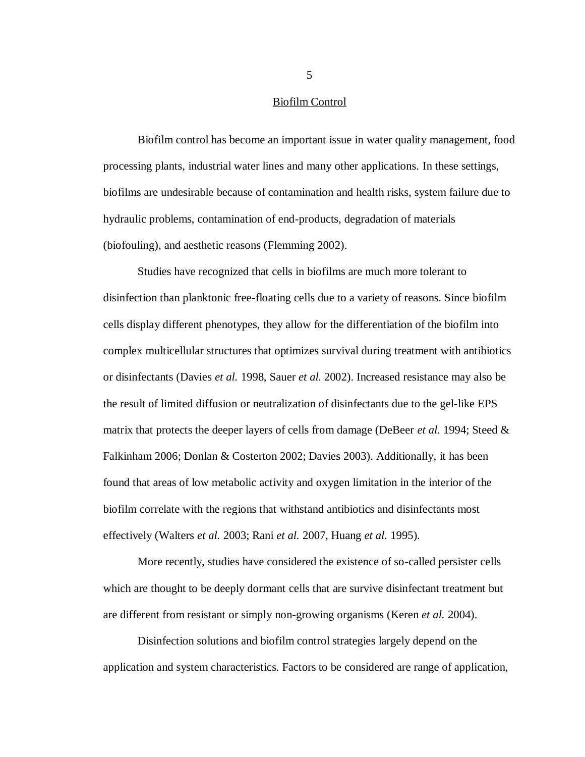#### Biofilm Control

<span id="page-20-0"></span>Biofilm control has become an important issue in water quality management, food processing plants, industrial water lines and many other applications. In these settings, biofilms are undesirable because of contamination and health risks, system failure due to hydraulic problems, contamination of end-products, degradation of materials (biofouling), and aesthetic reasons (Flemming 2002).

Studies have recognized that cells in biofilms are much more tolerant to disinfection than planktonic free-floating cells due to a variety of reasons. Since biofilm cells display different phenotypes, they allow for the differentiation of the biofilm into complex multicellular structures that optimizes survival during treatment with antibiotics or disinfectants (Davies *et al.* 1998, Sauer *et al.* 2002). Increased resistance may also be the result of limited diffusion or neutralization of disinfectants due to the gel-like EPS matrix that protects the deeper layers of cells from damage (DeBeer *et al.* 1994; Steed & Falkinham 2006; Donlan & Costerton 2002; Davies 2003). Additionally, it has been found that areas of low metabolic activity and oxygen limitation in the interior of the biofilm correlate with the regions that withstand antibiotics and disinfectants most effectively (Walters *et al.* 2003; Rani *et al.* 2007, Huang *et al.* 1995).

More recently, studies have considered the existence of so-called persister cells which are thought to be deeply dormant cells that are survive disinfectant treatment but are different from resistant or simply non-growing organisms (Keren *et al.* 2004).

Disinfection solutions and biofilm control strategies largely depend on the application and system characteristics. Factors to be considered are range of application,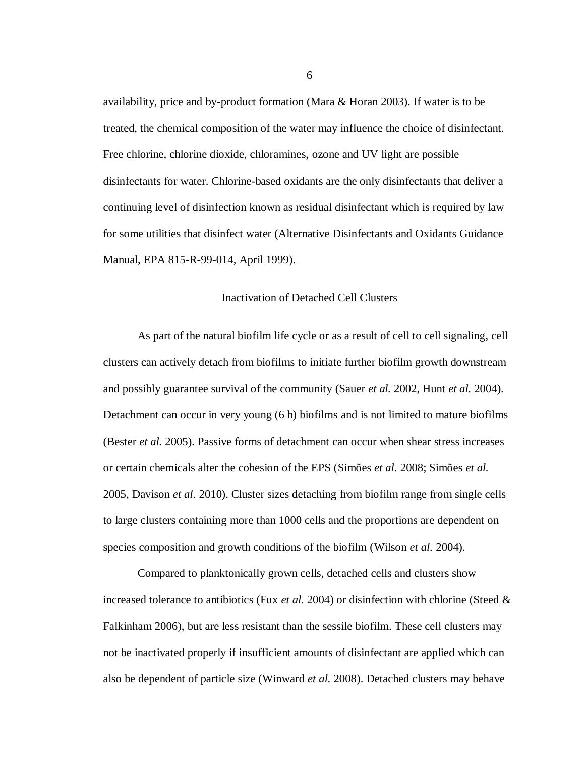availability, price and by-product formation (Mara & Horan 2003). If water is to be treated, the chemical composition of the water may influence the choice of disinfectant. Free chlorine, chlorine dioxide, chloramines, ozone and UV light are possible disinfectants for water. Chlorine-based oxidants are the only disinfectants that deliver a continuing level of disinfection known as residual disinfectant which is required by law for some utilities that disinfect water (Alternative Disinfectants and Oxidants Guidance Manual, EPA 815-R-99-014, April 1999).

### Inactivation of Detached Cell Clusters

<span id="page-21-0"></span>As part of the natural biofilm life cycle or as a result of cell to cell signaling, cell clusters can actively detach from biofilms to initiate further biofilm growth downstream and possibly guarantee survival of the community (Sauer *et al.* 2002, Hunt *et al.* 2004). Detachment can occur in very young (6 h) biofilms and is not limited to mature biofilms (Bester *et al.* 2005). Passive forms of detachment can occur when shear stress increases or certain chemicals alter the cohesion of the EPS (Simões *et al.* 2008; Simões *et al.* 2005, Davison *et al.* 2010). Cluster sizes detaching from biofilm range from single cells to large clusters containing more than 1000 cells and the proportions are dependent on species composition and growth conditions of the biofilm (Wilson *et al.* 2004).

Compared to planktonically grown cells, detached cells and clusters show increased tolerance to antibiotics (Fux *et al.* 2004) or disinfection with chlorine (Steed & Falkinham 2006), but are less resistant than the sessile biofilm. These cell clusters may not be inactivated properly if insufficient amounts of disinfectant are applied which can also be dependent of particle size (Winward *et al.* 2008). Detached clusters may behave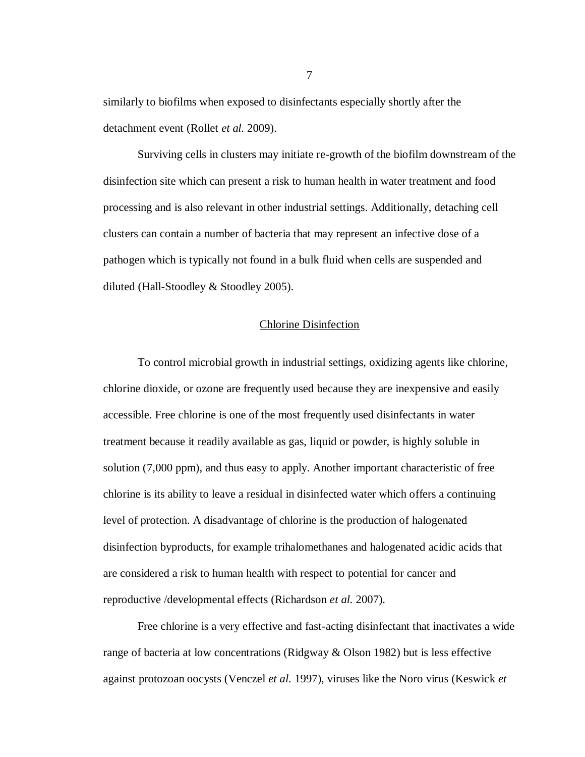similarly to biofilms when exposed to disinfectants especially shortly after the detachment event (Rollet *et al.* 2009).

Surviving cells in clusters may initiate re-growth of the biofilm downstream of the disinfection site which can present a risk to human health in water treatment and food processing and is also relevant in other industrial settings. Additionally, detaching cell clusters can contain a number of bacteria that may represent an infective dose of a pathogen which is typically not found in a bulk fluid when cells are suspended and diluted (Hall-Stoodley & Stoodley 2005).

### Chlorine Disinfection

<span id="page-22-0"></span>To control microbial growth in industrial settings, oxidizing agents like chlorine, chlorine dioxide, or ozone are frequently used because they are inexpensive and easily accessible. Free chlorine is one of the most frequently used disinfectants in water treatment because it readily available as gas, liquid or powder, is highly soluble in solution (7,000 ppm), and thus easy to apply. Another important characteristic of free chlorine is its ability to leave a residual in disinfected water which offers a continuing level of protection. A disadvantage of chlorine is the production of halogenated disinfection byproducts, for example trihalomethanes and halogenated acidic acids that are considered a risk to human health with respect to potential for cancer and reproductive /developmental effects (Richardson *et al.* 2007).

Free chlorine is a very effective and fast-acting disinfectant that inactivates a wide range of bacteria at low concentrations (Ridgway & Olson 1982) but is less effective against protozoan oocysts (Venczel *et al.* 1997), viruses like the Noro virus (Keswick *et*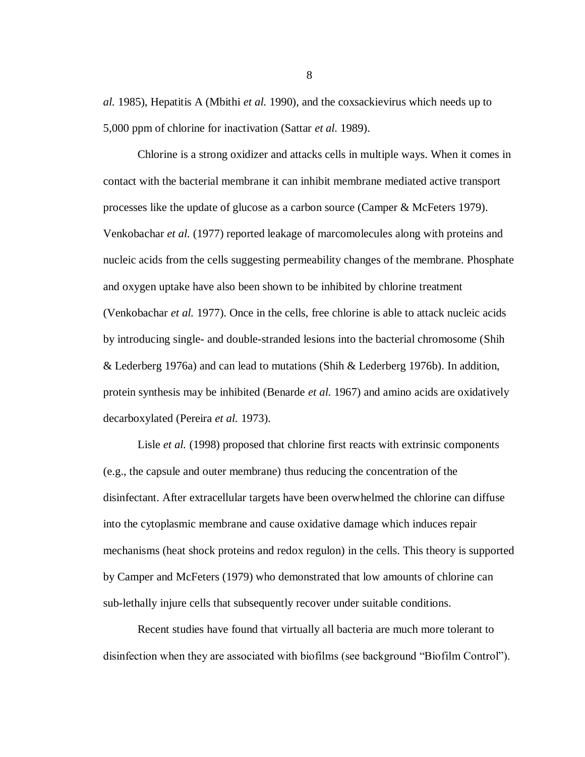*al.* 1985), Hepatitis A (Mbithi *et al.* 1990), and the coxsackievirus which needs up to 5,000 ppm of chlorine for inactivation (Sattar *et al.* 1989).

Chlorine is a strong oxidizer and attacks cells in multiple ways. When it comes in contact with the bacterial membrane it can inhibit membrane mediated active transport processes like the update of glucose as a carbon source (Camper & McFeters 1979). Venkobachar *et al.* (1977) reported leakage of marcomolecules along with proteins and nucleic acids from the cells suggesting permeability changes of the membrane. Phosphate and oxygen uptake have also been shown to be inhibited by chlorine treatment (Venkobachar *et al.* 1977). Once in the cells, free chlorine is able to attack nucleic acids by introducing single- and double-stranded lesions into the bacterial chromosome (Shih & Lederberg 1976a) and can lead to mutations (Shih & Lederberg 1976b). In addition, protein synthesis may be inhibited (Benarde *et al.* 1967) and amino acids are oxidatively decarboxylated (Pereira *et al.* 1973).

Lisle *et al.* (1998) proposed that chlorine first reacts with extrinsic components (e.g., the capsule and outer membrane) thus reducing the concentration of the disinfectant. After extracellular targets have been overwhelmed the chlorine can diffuse into the cytoplasmic membrane and cause oxidative damage which induces repair mechanisms (heat shock proteins and redox regulon) in the cells. This theory is supported by Camper and McFeters (1979) who demonstrated that low amounts of chlorine can sub-lethally injure cells that subsequently recover under suitable conditions.

Recent studies have found that virtually all bacteria are much more tolerant to disinfection when they are associated with biofilms (see background "Biofilm Control").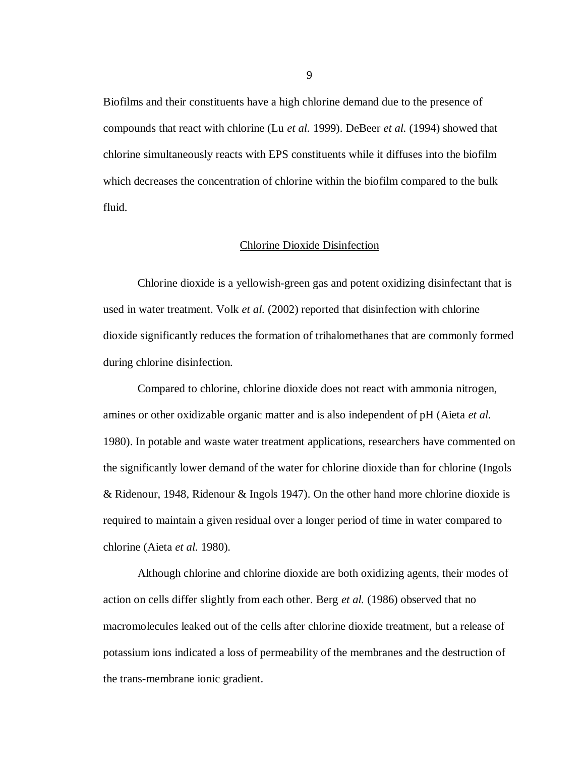Biofilms and their constituents have a high chlorine demand due to the presence of compounds that react with chlorine (Lu *et al.* 1999). DeBeer *et al.* (1994) showed that chlorine simultaneously reacts with EPS constituents while it diffuses into the biofilm which decreases the concentration of chlorine within the biofilm compared to the bulk fluid.

#### Chlorine Dioxide Disinfection

<span id="page-24-0"></span>Chlorine dioxide is a yellowish-green gas and potent oxidizing disinfectant that is used in water treatment. Volk *et al.* (2002) reported that disinfection with chlorine dioxide significantly reduces the formation of trihalomethanes that are commonly formed during chlorine disinfection.

Compared to chlorine, chlorine dioxide does not react with ammonia nitrogen, amines or other oxidizable organic matter and is also independent of pH (Aieta *et al.* 1980). In potable and waste water treatment applications, researchers have commented on the significantly lower demand of the water for chlorine dioxide than for chlorine (Ingols & Ridenour, 1948, Ridenour & Ingols 1947). On the other hand more chlorine dioxide is required to maintain a given residual over a longer period of time in water compared to chlorine (Aieta *et al.* 1980).

Although chlorine and chlorine dioxide are both oxidizing agents, their modes of action on cells differ slightly from each other. Berg *et al.* (1986) observed that no macromolecules leaked out of the cells after chlorine dioxide treatment, but a release of potassium ions indicated a loss of permeability of the membranes and the destruction of the trans-membrane ionic gradient.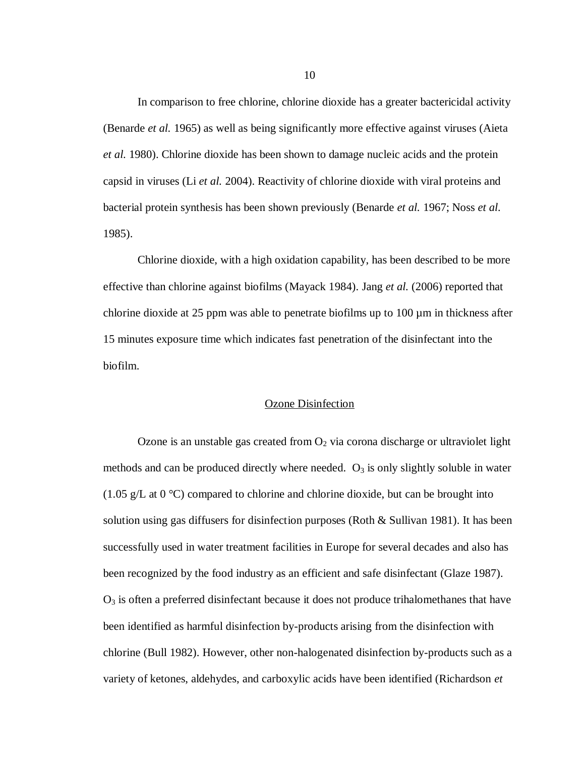In comparison to free chlorine, chlorine dioxide has a greater bactericidal activity (Benarde *et al.* 1965) as well as being significantly more effective against viruses (Aieta *et al.* 1980). Chlorine dioxide has been shown to damage nucleic acids and the protein capsid in viruses (Li *et al.* 2004). Reactivity of chlorine dioxide with viral proteins and bacterial protein synthesis has been shown previously (Benarde *et al.* 1967; Noss *et al.* 1985).

Chlorine dioxide, with a high oxidation capability, has been described to be more effective than chlorine against biofilms (Mayack 1984). Jang *et al.* (2006) reported that chlorine dioxide at 25 ppm was able to penetrate biofilms up to  $100 \mu m$  in thickness after 15 minutes exposure time which indicates fast penetration of the disinfectant into the biofilm.

#### Ozone Disinfection

<span id="page-25-0"></span>Ozone is an unstable gas created from  $O_2$  via corona discharge or ultraviolet light methods and can be produced directly where needed.  $O_3$  is only slightly soluble in water (1.05 g/L at  $0^{\circ}$ C) compared to chlorine and chlorine dioxide, but can be brought into solution using gas diffusers for disinfection purposes (Roth & Sullivan 1981). It has been successfully used in water treatment facilities in Europe for several decades and also has been recognized by the food industry as an efficient and safe disinfectant (Glaze 1987).  $O<sub>3</sub>$  is often a preferred disinfectant because it does not produce trihalomethanes that have been identified as harmful disinfection by-products arising from the disinfection with chlorine (Bull 1982). However, other non-halogenated disinfection by-products such as a variety of ketones, aldehydes, and carboxylic acids have been identified (Richardson *et*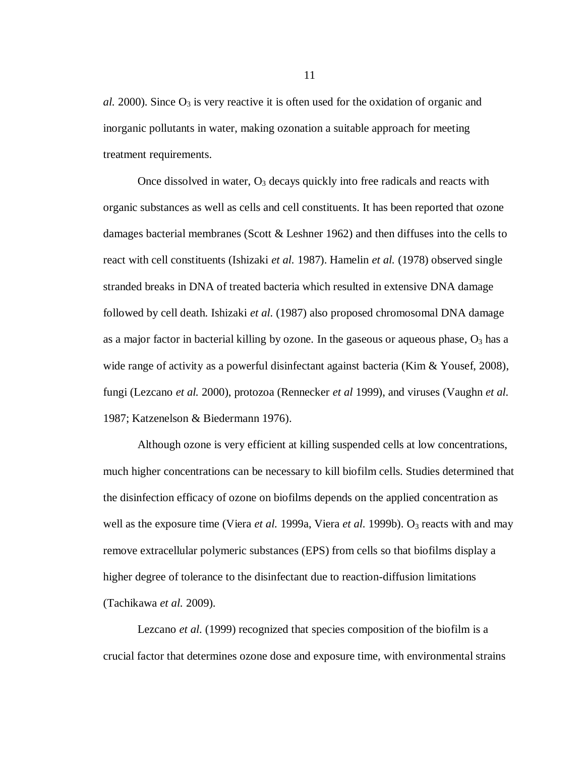$al. 2000$ ). Since  $O_3$  is very reactive it is often used for the oxidation of organic and inorganic pollutants in water, making ozonation a suitable approach for meeting treatment requirements.

Once dissolved in water,  $O_3$  decays quickly into free radicals and reacts with organic substances as well as cells and cell constituents. It has been reported that ozone damages bacterial membranes (Scott & Leshner 1962) and then diffuses into the cells to react with cell constituents (Ishizaki *et al.* 1987). Hamelin *et al.* (1978) observed single stranded breaks in DNA of treated bacteria which resulted in extensive DNA damage followed by cell death. Ishizaki *et al.* (1987) also proposed chromosomal DNA damage as a major factor in bacterial killing by ozone. In the gaseous or aqueous phase,  $O_3$  has a wide range of activity as a powerful disinfectant against bacteria (Kim & Yousef, 2008), fungi (Lezcano *et al.* 2000), protozoa (Rennecker *et al* 1999), and viruses (Vaughn *et al.* 1987; Katzenelson & Biedermann 1976).

Although ozone is very efficient at killing suspended cells at low concentrations, much higher concentrations can be necessary to kill biofilm cells. Studies determined that the disinfection efficacy of ozone on biofilms depends on the applied concentration as well as the exposure time (Viera *et al.* 1999a, Viera *et al.* 1999b). O<sub>3</sub> reacts with and may remove extracellular polymeric substances (EPS) from cells so that biofilms display a higher degree of tolerance to the disinfectant due to reaction-diffusion limitations (Tachikawa *et al.* 2009).

Lezcano *et al.* (1999) recognized that species composition of the biofilm is a crucial factor that determines ozone dose and exposure time, with environmental strains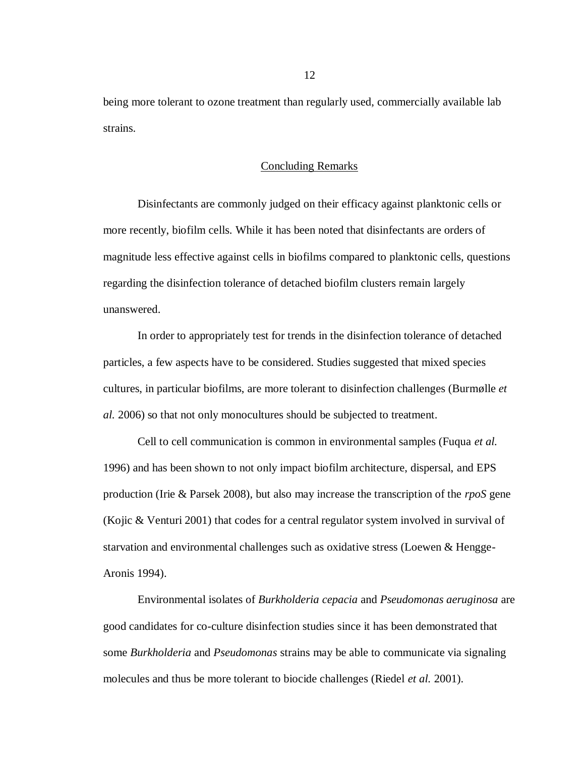<span id="page-27-0"></span>being more tolerant to ozone treatment than regularly used, commercially available lab strains.

### Concluding Remarks

Disinfectants are commonly judged on their efficacy against planktonic cells or more recently, biofilm cells. While it has been noted that disinfectants are orders of magnitude less effective against cells in biofilms compared to planktonic cells, questions regarding the disinfection tolerance of detached biofilm clusters remain largely unanswered.

In order to appropriately test for trends in the disinfection tolerance of detached particles, a few aspects have to be considered. Studies suggested that mixed species cultures, in particular biofilms, are more tolerant to disinfection challenges (Burmølle *et al.* 2006) so that not only monocultures should be subjected to treatment.

Cell to cell communication is common in environmental samples (Fuqua *et al.* 1996) and has been shown to not only impact biofilm architecture, dispersal, and EPS production (Irie & Parsek 2008), but also may increase the transcription of the *rpoS* gene (Kojic & Venturi 2001) that codes for a central regulator system involved in survival of starvation and environmental challenges such as oxidative stress (Loewen & Hengge-Aronis 1994).

Environmental isolates of *Burkholderia cepacia* and *Pseudomonas aeruginosa* are good candidates for co-culture disinfection studies since it has been demonstrated that some *Burkholderia* and *Pseudomonas* strains may be able to communicate via signaling molecules and thus be more tolerant to biocide challenges (Riedel *et al.* 2001).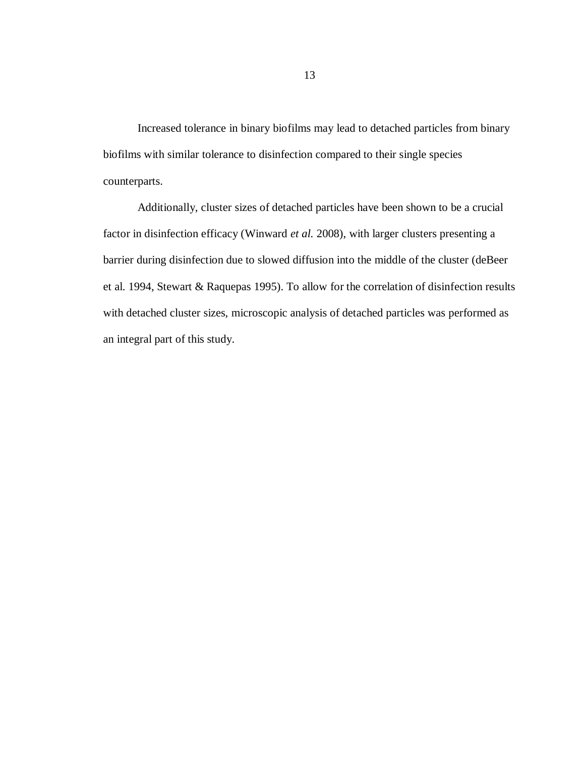Increased tolerance in binary biofilms may lead to detached particles from binary biofilms with similar tolerance to disinfection compared to their single species counterparts.

Additionally, cluster sizes of detached particles have been shown to be a crucial factor in disinfection efficacy (Winward *et al.* 2008), with larger clusters presenting a barrier during disinfection due to slowed diffusion into the middle of the cluster (deBeer et al. 1994, Stewart & Raquepas 1995). To allow for the correlation of disinfection results with detached cluster sizes, microscopic analysis of detached particles was performed as an integral part of this study.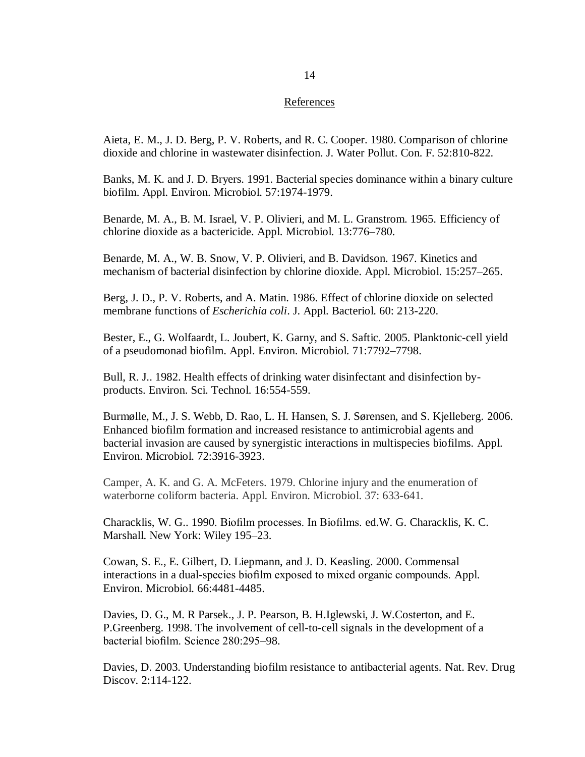### References

<span id="page-29-0"></span>Aieta, E. M., J. D. Berg, P. V. Roberts, and R. C. Cooper. 1980. Comparison of chlorine dioxide and chlorine in wastewater disinfection. J. Water Pollut. Con. F. 52:810-822.

Banks, M. K. and J. D. Bryers. 1991. Bacterial species dominance within a binary culture biofilm. Appl. Environ. Microbiol. 57:1974-1979.

Benarde, M. A., B. M. Israel, V. P. Olivieri, and M. L. Granstrom. 1965. Efficiency of chlorine dioxide as a bactericide. Appl. Microbiol. 13:776–780.

Benarde, M. A., W. B. Snow, V. P. Olivieri, and B. Davidson. 1967. Kinetics and mechanism of bacterial disinfection by chlorine dioxide. Appl. Microbiol. 15:257–265.

Berg, J. D., P. V. Roberts, and A. Matin. 1986. Effect of chlorine dioxide on selected membrane functions of *Escherichia coli*. J. Appl. Bacteriol. 60: 213-220.

Bester, E., G. Wolfaardt, L. Joubert, K. Garny, and S. Saftic. 2005. Planktonic-cell yield of a pseudomonad biofilm. Appl. Environ. Microbiol. 71:7792–7798.

Bull, R. J.. 1982. Health effects of drinking water disinfectant and disinfection byproducts. Environ. Sci. Technol. 16:554-559.

Burmølle, M., J. S. Webb, D. Rao, L. H. Hansen, S. J. Sørensen, and S. Kjelleberg. 2006. Enhanced biofilm formation and increased resistance to antimicrobial agents and bacterial invasion are caused by synergistic interactions in multispecies biofilms. Appl. Environ. Microbiol. 72:3916-3923.

Camper, A. K. and G. A. McFeters. 1979. Chlorine injury and the enumeration of waterborne coliform bacteria. Appl. Environ. Microbiol. 37: 633-641.

Characklis, W. G.. 1990. Biofilm processes. In Biofilms. ed.W. G. Characklis, K. C. Marshall. New York: Wiley 195–23.

Cowan, S. E., E. Gilbert, D. Liepmann, and J. D. Keasling. 2000. Commensal interactions in a dual-species biofilm exposed to mixed organic compounds. Appl. Environ. Microbiol. 66:4481-4485.

Davies, D. G., M. R Parsek., J. P. Pearson, B. H.Iglewski, J. W.Costerton, and E. P.Greenberg. 1998. The involvement of cell-to-cell signals in the development of a bacterial biofilm. Science 280:295–98.

Davies, D. 2003. Understanding biofilm resistance to antibacterial agents. Nat. Rev. Drug Discov. 2:114-122.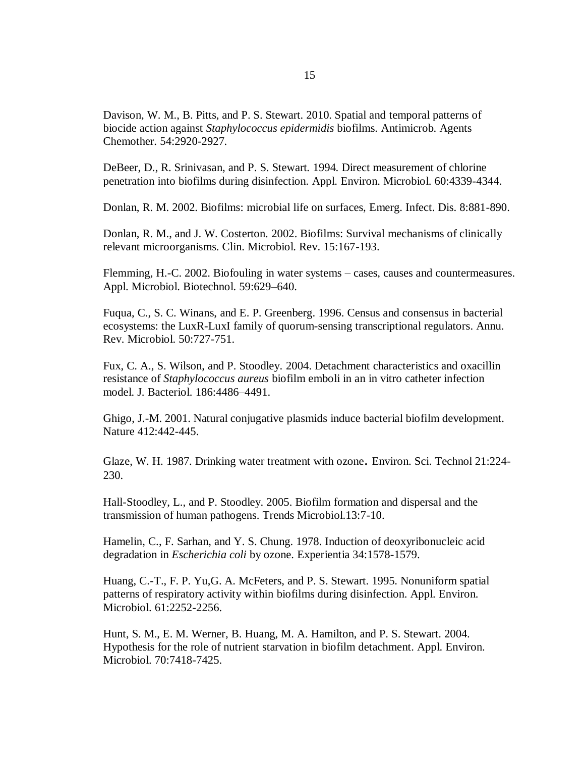Davison, W. M., B. Pitts, and P. S. Stewart. 2010. Spatial and temporal patterns of biocide action against *Staphylococcus epidermidis* biofilms. Antimicrob. Agents Chemother. 54:2920-2927.

DeBeer, D., R. Srinivasan, and P. S. Stewart*.* 1994. Direct measurement of chlorine penetration into biofilms during disinfection*.* Appl. Environ. Microbiol. 60:4339-4344.

Donlan, R. M. 2002. Biofilms: microbial life on surfaces, Emerg. Infect. Dis. 8:881-890.

Donlan, R. M., and J. W. Costerton. 2002. Biofilms: Survival mechanisms of clinically relevant microorganisms. Clin. Microbiol. Rev. 15:167-193.

Flemming, H.-C. 2002. Biofouling in water systems – cases, causes and countermeasures. Appl. Microbiol. Biotechnol. 59:629–640.

Fuqua, C., S. C. Winans, and E. P. Greenberg. 1996. Census and consensus in bacterial ecosystems: the LuxR-LuxI family of quorum-sensing transcriptional regulators. Annu. Rev. Microbiol. 50:727-751.

Fux, C. A., S. Wilson, and P. Stoodley. 2004. Detachment characteristics and oxacillin resistance of *Staphylococcus aureus* biofilm emboli in an in vitro catheter infection model. J. Bacteriol. 186:4486–4491.

Ghigo, J.-M. 2001. Natural conjugative plasmids induce bacterial biofilm development. Nature 412:442-445.

Glaze, W. H. 1987. Drinking water treatment with ozone. Environ. Sci. Technol 21:224- 230.

Hall-Stoodley, L., and P. Stoodley. 2005. Biofilm formation and dispersal and the transmission of human pathogens. Trends Microbiol.13:7-10.

Hamelin, C., F. Sarhan, and Y. S. Chung. 1978. Induction of deoxyribonucleic acid degradation in *Escherichia coli* by ozone. Experientia 34:1578-1579.

Huang, C.-T., F. P. Yu,G. A. McFeters, and P. S. Stewart. 1995. Nonuniform spatial patterns of respiratory activity within biofilms during disinfection. Appl. Environ. Microbiol. 61:2252-2256.

Hunt, S. M., E. M. Werner, B. Huang, M. A. Hamilton, and P. S. Stewart. 2004. Hypothesis for the role of nutrient starvation in biofilm detachment. Appl. Environ. Microbiol. 70:7418-7425.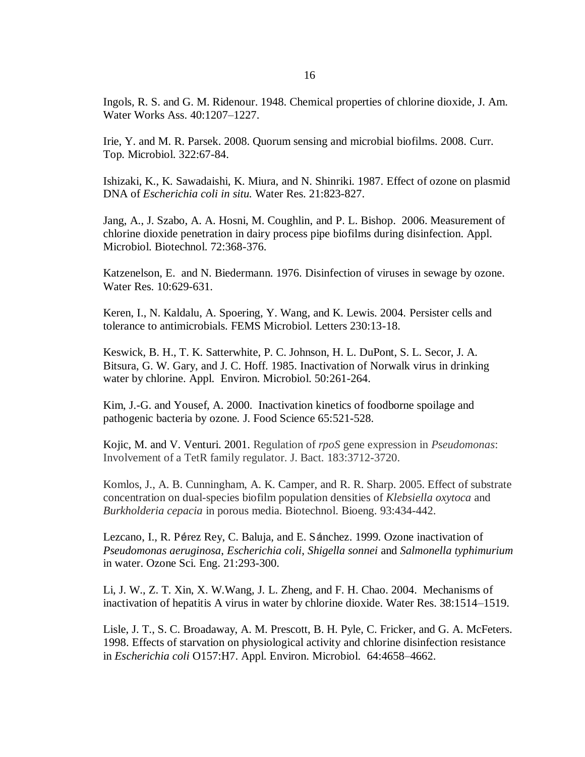Ingols*,* R. S. and G. M. Ridenour. 1948. Chemical properties of chlorine dioxide*,* J. Am. Water Works Ass. 40:1207–1227.

Irie, Y. and M. R. Parsek. 2008. Quorum sensing and microbial biofilms. 2008. Curr. Top. Microbiol. 322:67-84.

Ishizaki, K., K. Sawadaishi, K. Miura, and N. Shinriki. 1987. Effect of ozone on plasmid DNA of *Escherichia coli in situ.* Water Res. 21:823-827.

Jang, A., J. Szabo, A. A. Hosni, M. Coughlin, and P. L. Bishop. 2006. Measurement of chlorine dioxide penetration in dairy process pipe biofilms during disinfection. Appl. Microbiol. Biotechnol. 72:368-376.

Katzenelson, E. and N. Biedermann. 1976. Disinfection of viruses in sewage by ozone. Water Res. 10:629-631.

Keren, I., N. Kaldalu, A. Spoering, Y. Wang, and K. Lewis. 2004. Persister cells and tolerance to antimicrobials. FEMS Microbiol. Letters 230:13-18.

Keswick, B. H., T. K. Satterwhite, P. C. Johnson, H. L. DuPont, S. L. Secor, J. A. Bitsura, G. W. Gary, and J. C. Hoff. 1985. Inactivation of Norwalk virus in drinking water by chlorine. Appl. Environ. Microbiol. 50:261-264.

Kim, J.-G. and Yousef, A. 2000. Inactivation kinetics of foodborne spoilage and pathogenic bacteria by ozone*.* J. Food Science 65:521-528.

Kojic, M. and V. Venturi. 2001. Regulation of *rpoS* gene expression in *Pseudomonas*: Involvement of a TetR family regulator. J. Bact. 183:3712-3720.

Komlos, J., A. B. Cunningham, A. K. Camper, and R. R. Sharp. 2005. Effect of substrate concentration on dual-species biofilm population densities of *Klebsiella oxytoca* and *Burkholderia cepacia* in porous media. Biotechnol. Bioeng. 93:434-442.

Lezcano, I., R. Pérez Rey, C. Baluja, and E. Sánchez. 1999. Ozone inactivation of *Pseudomonas aeruginosa*, *Escherichia coli*, *Shigella sonnei* and *Salmonella typhimurium* in water. Ozone Sci. Eng. 21:293-300.

Li, J. W., Z. T. Xin, X. W.Wang, J. L. Zheng, and F. H. Chao. 2004. Mechanisms of inactivation of hepatitis A virus in water by chlorine dioxide. Water Res. 38:1514–1519.

Lisle, J. T., S. C. Broadaway, A. M. Prescott, B. H. Pyle, C. Fricker, and G. A. McFeters. 1998. Effects of starvation on physiological activity and chlorine disinfection resistance in *Escherichia coli* O157:H7. Appl. Environ. Microbiol. 64:4658–4662.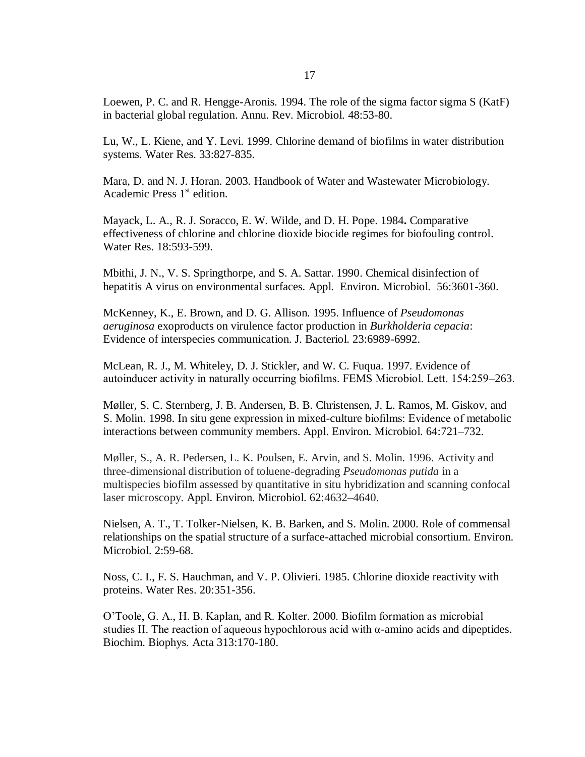Loewen, P. C. and R. Hengge-Aronis. 1994. The role of the sigma factor sigma S (KatF) in bacterial global regulation. Annu. Rev. Microbiol. 48:53-80.

Lu, W., L. Kiene, and Y. Levi. 1999. Chlorine demand of biofilms in water distribution systems. Water Res. 33:827-835.

Mara, D. and N. J. Horan. 2003. Handbook of Water and Wastewater Microbiology. Academic Press  $1<sup>st</sup>$  edition.

Mayack, L. A., R. J. Soracco, E. W. Wilde, and D. H. Pope. 1984**.** Comparative effectiveness of chlorine and chlorine dioxide biocide regimes for biofouling control. Water Res. 18:593-599.

Mbithi, J. N., V. S. Springthorpe, and S. A. Sattar. 1990. Chemical disinfection of hepatitis A virus on environmental surfaces. Appl. Environ. Microbiol. 56:3601-360.

McKenney, K., E. Brown, and D. G. Allison. 1995. Influence of *Pseudomonas aeruginosa* exoproducts on virulence factor production in *Burkholderia cepacia*: Evidence of interspecies communication. J. Bacteriol. 23:6989-6992.

McLean, R. J., M. Whiteley, D. J. Stickler, and W. C. Fuqua. 1997. Evidence of autoinducer activity in naturally occurring biofilms. FEMS Microbiol. Lett. 154:259–263.

Møller, S. C. Sternberg, J. B. Andersen, B. B. Christensen, J. L. Ramos, M. Giskov, and S. Molin. 1998. In situ gene expression in mixed-culture biofilms: Evidence of metabolic interactions between community members. Appl. Environ. Microbiol. 64:721–732.

Møller, S., A. R. Pedersen, L. K. Poulsen, E. Arvin, and S. Molin. 1996. Activity and three-dimensional distribution of toluene-degrading *Pseudomonas putida* in a multispecies biofilm assessed by quantitative in situ hybridization and scanning confocal laser microscopy. Appl. Environ. Microbiol. 62:4632–4640.

Nielsen, A. T., T. Tolker-Nielsen, K. B. Barken, and S. Molin. 2000. Role of commensal relationships on the spatial structure of a surface-attached microbial consortium. Environ. Microbiol. 2:59-68.

Noss, C. I., F. S. Hauchman, and V. P. Olivieri. 1985. Chlorine dioxide reactivity with proteins. Water Res. 20:351-356.

O'Toole, G. A., H. B. Kaplan, and R. Kolter. 2000. Biofilm formation as microbial studies II. The reaction of aqueous hypochlorous acid with  $\alpha$ -amino acids and dipeptides. Biochim. Biophys. Acta 313:170-180.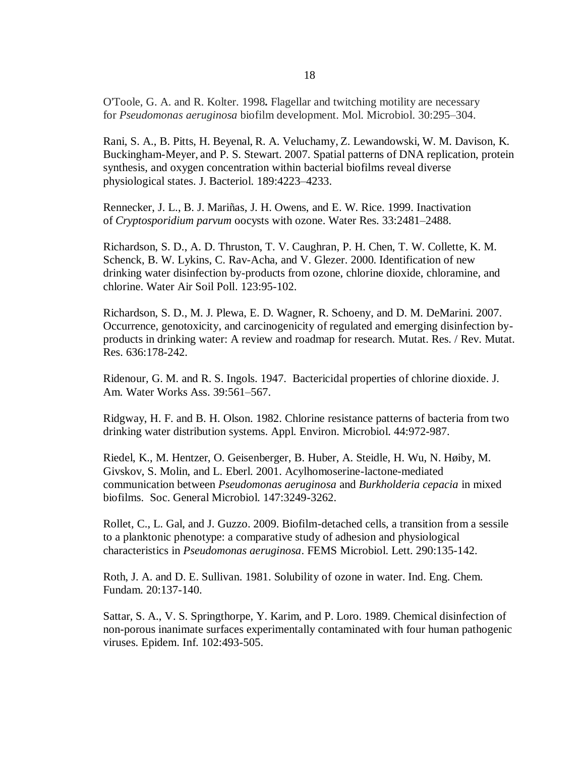O'Toole, G. A. and R. Kolter. 1998**.** Flagellar and twitching motility are necessary for *Pseudomonas aeruginosa* biofilm development. Mol. Microbiol. 30:295–304.

Rani, S. A., B. Pitts, H. Beyenal, R. A. Veluchamy, Z. Lewandowski, W. M. Davison, K. Buckingham-Meyer, and P. S. Stewart. 2007. Spatial patterns of DNA replication, protein synthesis, and oxygen concentration within bacterial biofilms reveal diverse physiological states. J. Bacteriol. 189:4223–4233.

Rennecker, J. L., B. J. Mariñas, J. H. Owens, and E. W. Rice. 1999. Inactivation of *Cryptosporidium parvum* oocysts with ozone. Water Res. 33:2481–2488.

Richardson, S. D., A. D. [Thruston,](http://www.springerlink.com/content/?Author=A.+D.+Thruston) T. V. [Caughran,](http://www.springerlink.com/content/?Author=T.+V.+Caughran) P. H. [Chen,](http://www.springerlink.com/content/?Author=P.+H.+Chen) T. W. [Collette,](http://www.springerlink.com/content/?Author=T.+W.+Collette) K. [M.](http://www.springerlink.com/content/?Author=K.+M.+Schenck) [Schenck,](http://www.springerlink.com/content/?Author=K.+M.+Schenck) B. W. [Lykins,](http://www.springerlink.com/content/?Author=B.+W.+Lykins) C. [Rav-Acha,](http://www.springerlink.com/content/?Author=C.+Rav-Acha) and V. [Glezer.](http://www.springerlink.com/content/?Author=V.+Glezer) 2000. Identification of new drinking water disinfection by-products from ozone, chlorine dioxide, chloramine, and chlorine. Water Air Soil Poll. 123:95-102.

Richardson, S. D., M. J. Plewa, E. D. Wagner, R. Schoeny, and D. M. DeMarini. 2007. Occurrence, genotoxicity, and carcinogenicity of regulated and emerging disinfection byproducts in drinking water: A review and roadmap for research. Mutat. Res. / Rev. Mutat. Res. 636:178-242.

Ridenour*,* G. M. and R. S. Ingols. 1947. Bactericidal properties of chlorine dioxide. J. Am. Water Works Ass. 39:561–567.

Ridgway, H. F. and B. H. Olson. 1982. Chlorine resistance patterns of bacteria from two drinking water distribution systems. Appl. Environ. Microbiol. 44:972-987.

Riedel, K., M. Hentzer, O. Geisenberger, B. Huber, A. Steidle, H. Wu, N. Høiby, M. Givskov, S. Molin, and L. Eberl. 2001. Acylhomoserine-lactone-mediated communication between *Pseudomonas aeruginosa* and *Burkholderia cepacia* in mixed biofilms. Soc. General Microbiol. 147:3249-3262.

Rollet, C., L. Gal, and J. Guzzo. 2009. Biofilm-detached cells, a transition from a sessile to a planktonic phenotype: a comparative study of adhesion and physiological characteristics in *Pseudomonas aeruginosa*. FEMS Microbiol. Lett. 290:135-142.

Roth, J. A. and D. E. Sullivan. 1981. Solubility of ozone in water. Ind. Eng. Chem. Fundam. 20:137-140.

Sattar, S. A., V. S. Springthorpe, Y. Karim, and P. Loro. 1989. Chemical disinfection of non-porous inanimate surfaces experimentally contaminated with four human pathogenic viruses. Epidem. Inf. 102:493-505.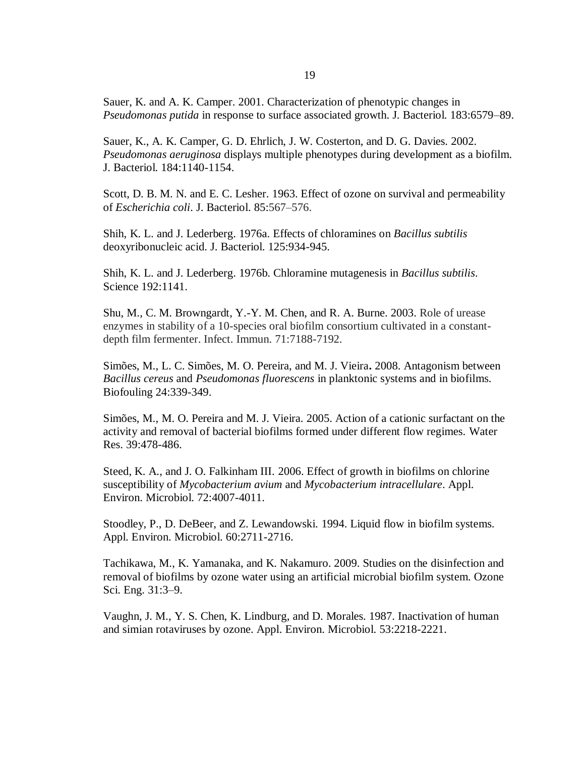Sauer, K. and A. K. Camper. 2001. Characterization of phenotypic changes in *Pseudomonas putida* in response to surface associated growth. J. Bacteriol. 183:6579–89.

Sauer, K., A. K. Camper, G. D. Ehrlich, J. W. Costerton, and D. G. Davies. 2002. *Pseudomonas aeruginosa* displays multiple phenotypes during development as a biofilm. J. Bacteriol. 184:1140-1154.

Scott, D. B. M. N. and E. C. Lesher. 1963. Effect of ozone on survival and permeability of *Escherichia coli*. J. Bacteriol. 85:567–576.

Shih, K. L. and J. Lederberg. 1976a. Effects of chloramines on *Bacillus subtilis* deoxyribonucleic acid. J. Bacteriol. 125:934-945.

Shih, K. L. and J. Lederberg. 1976b. Chloramine mutagenesis in *Bacillus subtilis*. Science 192:1141.

Shu, M., C. M. Browngardt, Y.-Y. M. Chen, and R. A. Burne. 2003. Role of urease enzymes in stability of a 10-species oral biofilm consortium cultivated in a constantdepth film fermenter. Infect. Immun. 71:7188-7192.

Simões, M., L. C. Simões, M. O. Pereira, and M. J. Vieira**.** 2008. Antagonism between *Bacillus cereus* and *Pseudomonas fluorescens* in planktonic systems and in biofilms. Biofouling 24:339-349.

Simões, M., M. O. Pereira and M. J. Vieira. 2005. Action of a cationic surfactant on the activity and removal of bacterial biofilms formed under different flow regimes. Water Res. 39:478-486.

Steed, K. A., and J. O. Falkinham III. 2006. Effect of growth in biofilms on chlorine susceptibility of *Mycobacterium avium* and *Mycobacterium intracellulare*. Appl. Environ. Microbiol. 72:4007-4011.

Stoodley, P., D. DeBeer, and Z. Lewandowski. 1994. Liquid flow in biofilm systems. Appl. Environ. Microbiol. 60:2711-2716.

Tachikawa, M., K. Yamanaka, and K. Nakamuro. 2009. Studies on the disinfection and removal of biofilms by ozone water using an artificial microbial biofilm system. Ozone Sci. Eng. 31:3–9.

Vaughn, J. M., Y. S. Chen, K. Lindburg, and D. Morales. 1987. Inactivation of human and simian rotaviruses by ozone. Appl. Environ. Microbiol. 53:2218-2221.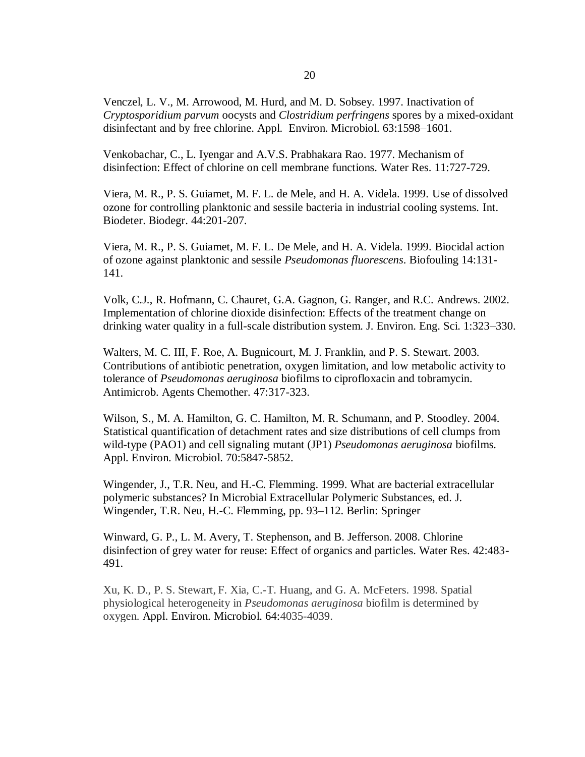Venczel, L. V., M. Arrowood, M. Hurd, and M. D. Sobsey. 1997. Inactivation of *Cryptosporidium parvum* oocysts and *Clostridium perfringens* spores by a mixed-oxidant disinfectant and by free chlorine. Appl. Environ. Microbiol. 63:1598–1601.

Venkobachar, C., L. Iyengar and A.V.S. Prabhakara Rao. 1977. Mechanism of disinfection: Effect of chlorine on cell membrane functions. Water Res. 11:727-729.

Viera, M. R., P. S. Guiamet, M. F. L. de Mele, and H. A. Videla. 1999. Use of dissolved ozone for controlling planktonic and sessile bacteria in industrial cooling systems. Int. Biodeter. Biodegr. 44:201-207.

Viera, M. R., P. S. Guiamet, M. F. L. De Mele, and H. A. Videla. 1999. Biocidal action of ozone against planktonic and sessile *Pseudomonas fluorescens*. Biofouling 14:131- 141.

Volk, C.J., R. Hofmann, C. Chauret, G.A. Gagnon, G. Ranger, and R.C. Andrews. 2002. Implementation of chlorine dioxide disinfection: Effects of the treatment change on drinking water quality in a full-scale distribution system. J. Environ. Eng. Sci. 1:323–330.

Walters, M. C. III, F. Roe, A. Bugnicourt, M. J. Franklin, and P. S. Stewart. 2003. Contributions of antibiotic penetration, oxygen limitation, and low metabolic activity to tolerance of *Pseudomonas aeruginosa* biofilms to ciprofloxacin and tobramycin. Antimicrob. Agents Chemother. 47:317-323.

Wilson, S., M. A. Hamilton, G. C. Hamilton, M. R. Schumann, and P. Stoodley. 2004. Statistical quantification of detachment rates and size distributions of cell clumps from wild-type (PAO1) and cell signaling mutant (JP1) *Pseudomonas aeruginosa* biofilms. Appl. Environ. Microbiol. 70:5847-5852.

Wingender, J., T.R. Neu, and H.-C. Flemming. 1999. What are bacterial extracellular polymeric substances? In Microbial Extracellular Polymeric Substances, ed. J. Wingender, T.R. Neu, H.-C. Flemming, pp. 93–112. Berlin: Springer

Winward, G. P., L. M. Avery, T. Stephenson, and B. Jefferson. 2008. Chlorine disinfection of grey water for reuse: Effect of organics and particles. Water Res. 42:483- 491.

Xu, K. D., P. S. Stewart, F. Xia, C.-T. Huang, and G. A. McFeters. 1998. Spatial physiological heterogeneity in *Pseudomonas aeruginosa* biofilm is determined by oxygen. Appl. Environ. Microbiol. 64:4035-4039.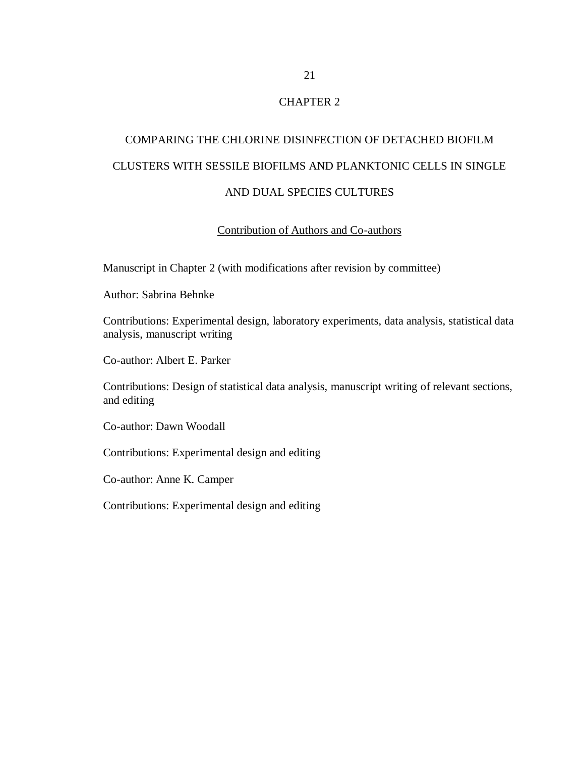# CHAPTER 2

# COMPARING THE CHLORINE DISINFECTION OF DETACHED BIOFILM CLUSTERS WITH SESSILE BIOFILMS AND PLANKTONIC CELLS IN SINGLE AND DUAL SPECIES CULTURES

## Contribution of Authors and Co-authors

Manuscript in Chapter 2 (with modifications after revision by committee)

Author: Sabrina Behnke

Contributions: Experimental design, laboratory experiments, data analysis, statistical data analysis, manuscript writing

Co-author: Albert E. Parker

Contributions: Design of statistical data analysis, manuscript writing of relevant sections, and editing

Co-author: Dawn Woodall

Contributions: Experimental design and editing

Co-author: Anne K. Camper

Contributions: Experimental design and editing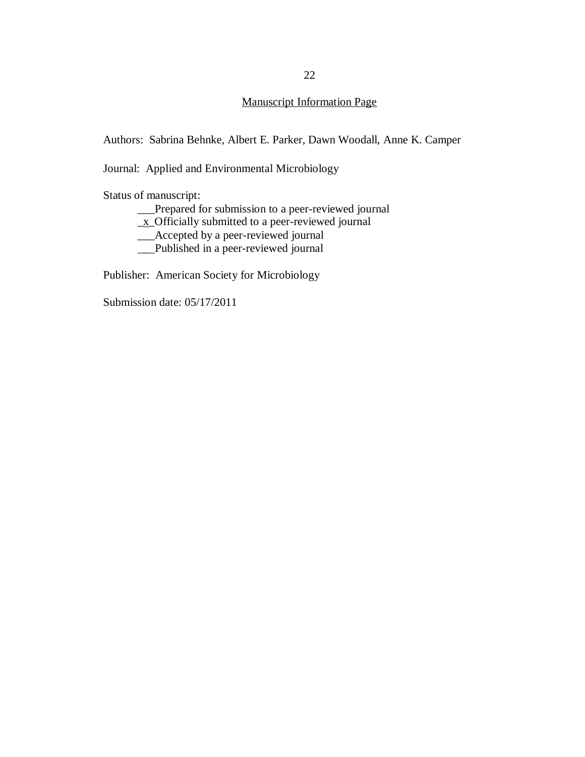# Manuscript Information Page

Authors: Sabrina Behnke, Albert E. Parker, Dawn Woodall, Anne K. Camper

Journal: Applied and Environmental Microbiology

Status of manuscript:

\_\_\_Prepared for submission to a peer-reviewed journal

\_x\_Officially submitted to a peer-reviewed journal

\_\_\_Accepted by a peer-reviewed journal

\_ Published in a peer-reviewed journal

Publisher: American Society for Microbiology

Submission date: 05/17/2011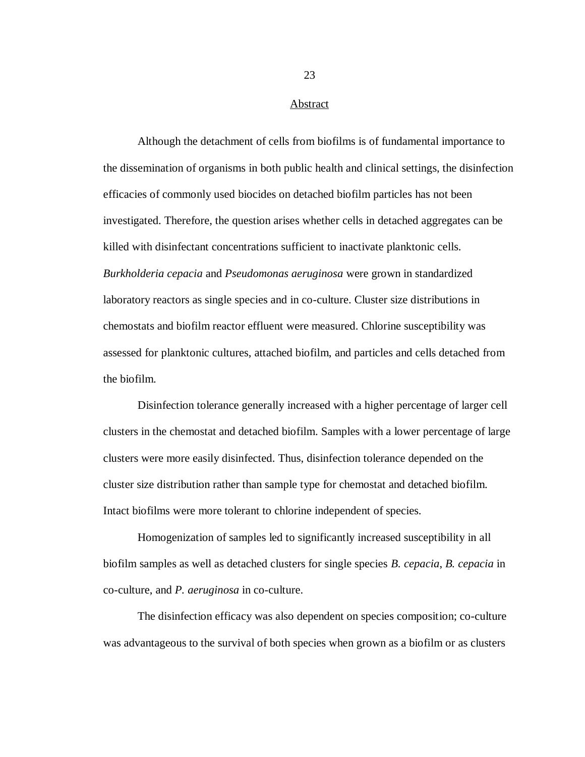#### Abstract

Although the detachment of cells from biofilms is of fundamental importance to the dissemination of organisms in both public health and clinical settings, the disinfection efficacies of commonly used biocides on detached biofilm particles has not been investigated. Therefore, the question arises whether cells in detached aggregates can be killed with disinfectant concentrations sufficient to inactivate planktonic cells. *Burkholderia cepacia* and *Pseudomonas aeruginosa* were grown in standardized laboratory reactors as single species and in co-culture. Cluster size distributions in chemostats and biofilm reactor effluent were measured. Chlorine susceptibility was assessed for planktonic cultures, attached biofilm, and particles and cells detached from the biofilm.

Disinfection tolerance generally increased with a higher percentage of larger cell clusters in the chemostat and detached biofilm. Samples with a lower percentage of large clusters were more easily disinfected. Thus, disinfection tolerance depended on the cluster size distribution rather than sample type for chemostat and detached biofilm. Intact biofilms were more tolerant to chlorine independent of species.

Homogenization of samples led to significantly increased susceptibility in all biofilm samples as well as detached clusters for single species *B. cepacia*, *B. cepacia* in co-culture, and *P. aeruginosa* in co-culture.

The disinfection efficacy was also dependent on species composition; co-culture was advantageous to the survival of both species when grown as a biofilm or as clusters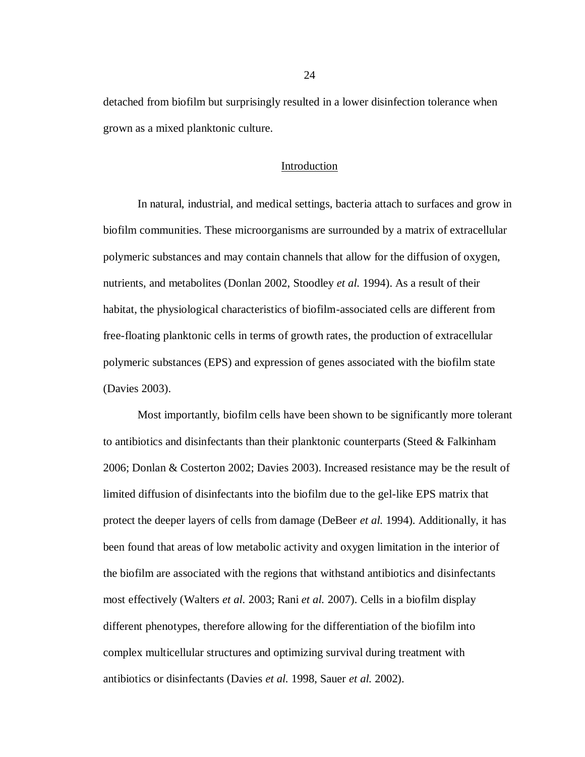detached from biofilm but surprisingly resulted in a lower disinfection tolerance when grown as a mixed planktonic culture.

### Introduction

In natural, industrial, and medical settings, bacteria attach to surfaces and grow in biofilm communities. These microorganisms are surrounded by a matrix of extracellular polymeric substances and may contain channels that allow for the diffusion of oxygen, nutrients, and metabolites (Donlan 2002, Stoodley *et al.* 1994). As a result of their habitat, the physiological characteristics of biofilm-associated cells are different from free-floating planktonic cells in terms of growth rates, the production of extracellular polymeric substances (EPS) and expression of genes associated with the biofilm state (Davies 2003).

Most importantly, biofilm cells have been shown to be significantly more tolerant to antibiotics and disinfectants than their planktonic counterparts (Steed & Falkinham 2006; Donlan & Costerton 2002; Davies 2003). Increased resistance may be the result of limited diffusion of disinfectants into the biofilm due to the gel-like EPS matrix that protect the deeper layers of cells from damage (DeBeer *et al.* 1994). Additionally, it has been found that areas of low metabolic activity and oxygen limitation in the interior of the biofilm are associated with the regions that withstand antibiotics and disinfectants most effectively (Walters *et al.* 2003; Rani *et al.* 2007). Cells in a biofilm display different phenotypes, therefore allowing for the differentiation of the biofilm into complex multicellular structures and optimizing survival during treatment with antibiotics or disinfectants (Davies *et al.* 1998, Sauer *et al.* 2002).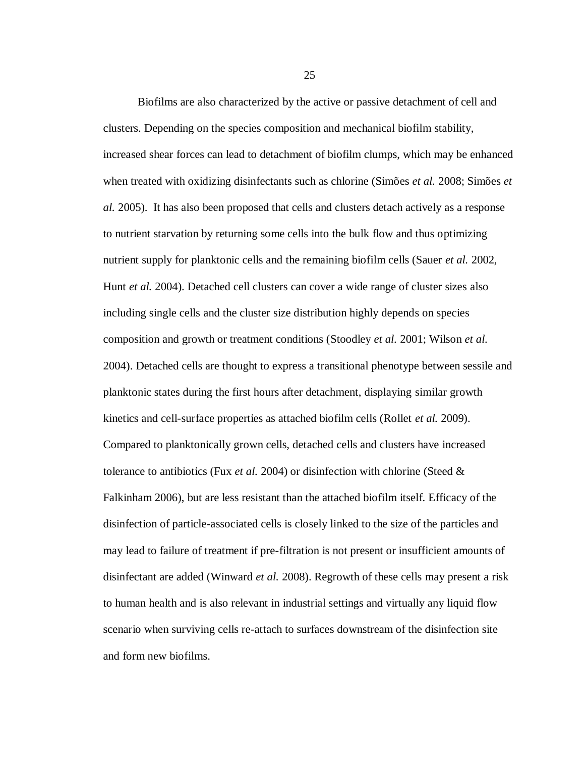Biofilms are also characterized by the active or passive detachment of cell and clusters. Depending on the species composition and mechanical biofilm stability, increased shear forces can lead to detachment of biofilm clumps, which may be enhanced when treated with oxidizing disinfectants such as chlorine (Simões *et al.* 2008; Simões *et al.* 2005). It has also been proposed that cells and clusters detach actively as a response to nutrient starvation by returning some cells into the bulk flow and thus optimizing nutrient supply for planktonic cells and the remaining biofilm cells (Sauer *et al.* 2002, Hunt *et al.* 2004). Detached cell clusters can cover a wide range of cluster sizes also including single cells and the cluster size distribution highly depends on species composition and growth or treatment conditions (Stoodley *et al.* 2001; Wilson *et al.* 2004). Detached cells are thought to express a transitional phenotype between sessile and planktonic states during the first hours after detachment, displaying similar growth kinetics and cell-surface properties as attached biofilm cells (Rollet *et al.* 2009). Compared to planktonically grown cells, detached cells and clusters have increased tolerance to antibiotics (Fux *et al.* 2004) or disinfection with chlorine (Steed & Falkinham 2006), but are less resistant than the attached biofilm itself. Efficacy of the disinfection of particle-associated cells is closely linked to the size of the particles and may lead to failure of treatment if pre-filtration is not present or insufficient amounts of disinfectant are added (Winward *et al.* 2008). Regrowth of these cells may present a risk to human health and is also relevant in industrial settings and virtually any liquid flow scenario when surviving cells re-attach to surfaces downstream of the disinfection site and form new biofilms.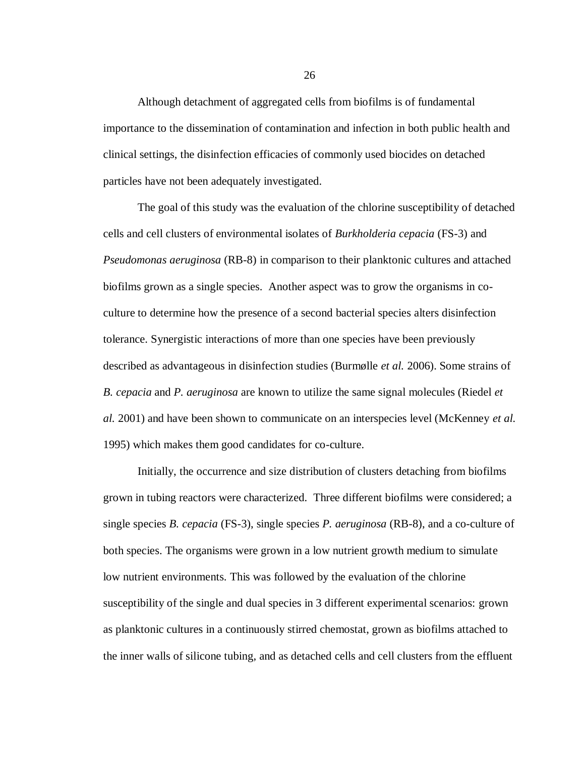Although detachment of aggregated cells from biofilms is of fundamental importance to the dissemination of contamination and infection in both public health and clinical settings, the disinfection efficacies of commonly used biocides on detached particles have not been adequately investigated.

The goal of this study was the evaluation of the chlorine susceptibility of detached cells and cell clusters of environmental isolates of *Burkholderia cepacia* (FS-3) and *Pseudomonas aeruginosa* (RB-8) in comparison to their planktonic cultures and attached biofilms grown as a single species. Another aspect was to grow the organisms in coculture to determine how the presence of a second bacterial species alters disinfection tolerance. Synergistic interactions of more than one species have been previously described as advantageous in disinfection studies (Burmølle *et al.* 2006). Some strains of *B. cepacia* and *P. aeruginosa* are known to utilize the same signal molecules (Riedel *et al.* 2001) and have been shown to communicate on an interspecies level (McKenney *et al.* 1995) which makes them good candidates for co-culture.

Initially, the occurrence and size distribution of clusters detaching from biofilms grown in tubing reactors were characterized. Three different biofilms were considered; a single species *B. cepacia* (FS-3), single species *P. aeruginosa* (RB-8), and a co-culture of both species. The organisms were grown in a low nutrient growth medium to simulate low nutrient environments. This was followed by the evaluation of the chlorine susceptibility of the single and dual species in 3 different experimental scenarios: grown as planktonic cultures in a continuously stirred chemostat, grown as biofilms attached to the inner walls of silicone tubing, and as detached cells and cell clusters from the effluent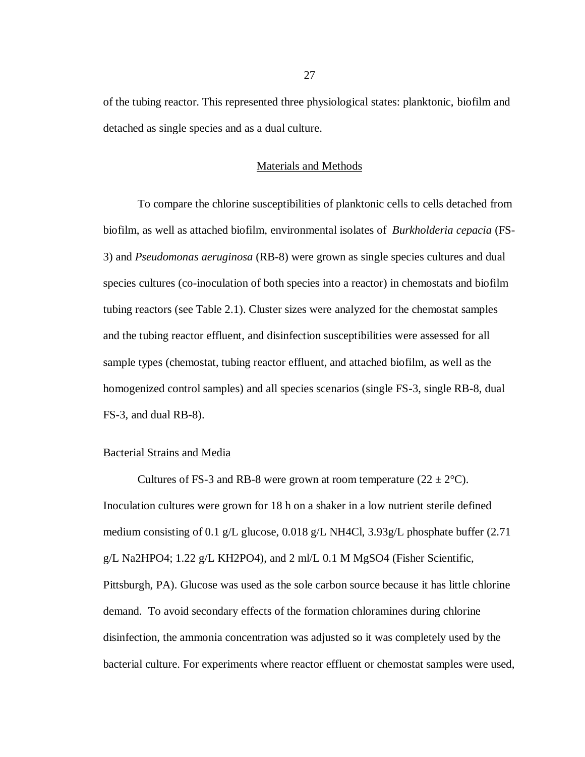of the tubing reactor. This represented three physiological states: planktonic, biofilm and detached as single species and as a dual culture.

### Materials and Methods

To compare the chlorine susceptibilities of planktonic cells to cells detached from biofilm, as well as attached biofilm, environmental isolates of *Burkholderia cepacia* (FS-3) and *Pseudomonas aeruginosa* (RB-8) were grown as single species cultures and dual species cultures (co-inoculation of both species into a reactor) in chemostats and biofilm tubing reactors (see Table 2.1). Cluster sizes were analyzed for the chemostat samples and the tubing reactor effluent, and disinfection susceptibilities were assessed for all sample types (chemostat, tubing reactor effluent, and attached biofilm, as well as the homogenized control samples) and all species scenarios (single FS-3, single RB-8, dual FS-3, and dual RB-8).

## Bacterial Strains and Media

Cultures of FS-3 and RB-8 were grown at room temperature  $(22 \pm 2^{\circ}C)$ . Inoculation cultures were grown for 18 h on a shaker in a low nutrient sterile defined medium consisting of 0.1 g/L glucose, 0.018 g/L NH4Cl, 3.93g/L phosphate buffer (2.71 g/L Na2HPO4;  $1.22$  g/L KH2PO4), and  $2 \text{ ml/L } 0.1 \text{ M MgSO4}$  (Fisher Scientific, Pittsburgh, PA). Glucose was used as the sole carbon source because it has little chlorine demand. To avoid secondary effects of the formation chloramines during chlorine disinfection, the ammonia concentration was adjusted so it was completely used by the bacterial culture. For experiments where reactor effluent or chemostat samples were used,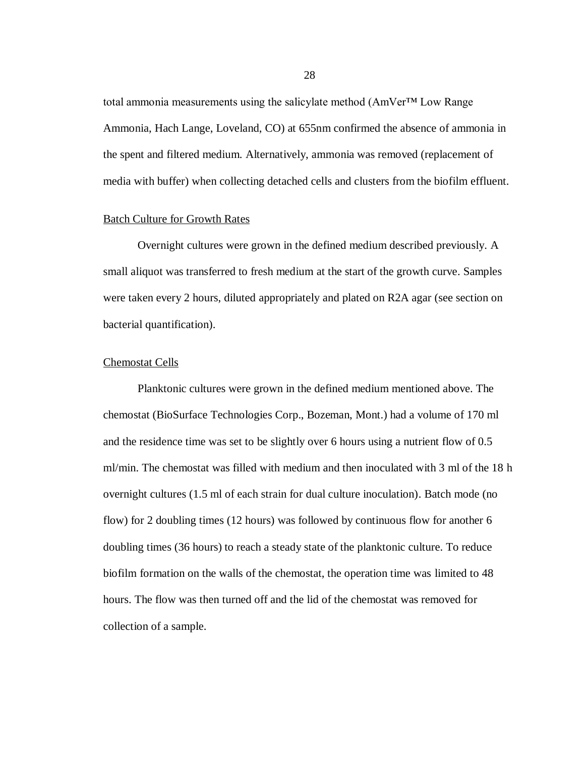total ammonia measurements using the salicylate method (AmVer™ Low Range Ammonia, Hach Lange, Loveland, CO) at 655nm confirmed the absence of ammonia in the spent and filtered medium. Alternatively, ammonia was removed (replacement of media with buffer) when collecting detached cells and clusters from the biofilm effluent.

## Batch Culture for Growth Rates

Overnight cultures were grown in the defined medium described previously. A small aliquot was transferred to fresh medium at the start of the growth curve. Samples were taken every 2 hours, diluted appropriately and plated on R2A agar (see section on bacterial quantification).

# Chemostat Cells

Planktonic cultures were grown in the defined medium mentioned above. The chemostat (BioSurface Technologies Corp., Bozeman, Mont.) had a volume of 170 ml and the residence time was set to be slightly over 6 hours using a nutrient flow of 0.5 ml/min. The chemostat was filled with medium and then inoculated with 3 ml of the 18 h overnight cultures (1.5 ml of each strain for dual culture inoculation). Batch mode (no flow) for 2 doubling times (12 hours) was followed by continuous flow for another 6 doubling times (36 hours) to reach a steady state of the planktonic culture. To reduce biofilm formation on the walls of the chemostat, the operation time was limited to 48 hours. The flow was then turned off and the lid of the chemostat was removed for collection of a sample.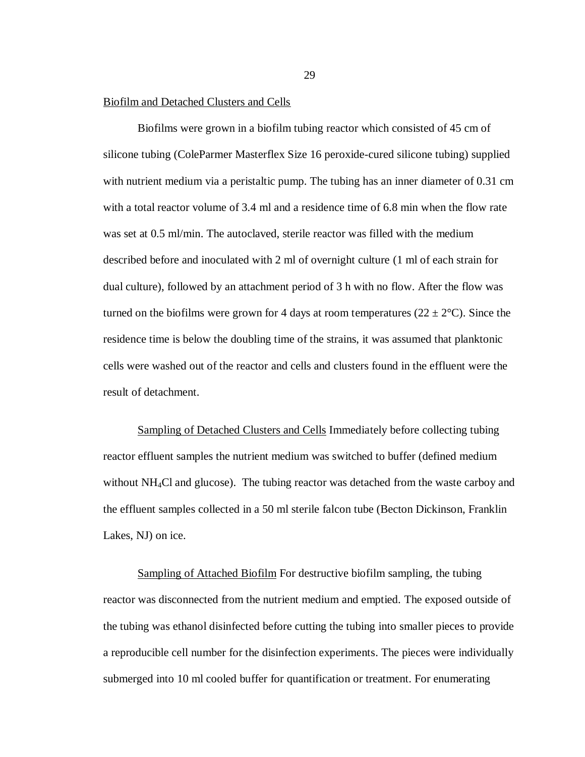#### Biofilm and Detached Clusters and Cells

Biofilms were grown in a biofilm tubing reactor which consisted of 45 cm of silicone tubing (ColeParmer Masterflex Size 16 peroxide-cured silicone tubing) supplied with nutrient medium via a peristaltic pump. The tubing has an inner diameter of 0.31 cm with a total reactor volume of 3.4 ml and a residence time of 6.8 min when the flow rate was set at 0.5 ml/min. The autoclaved, sterile reactor was filled with the medium described before and inoculated with 2 ml of overnight culture (1 ml of each strain for dual culture), followed by an attachment period of 3 h with no flow. After the flow was turned on the biofilms were grown for 4 days at room temperatures ( $22 \pm 2$ °C). Since the residence time is below the doubling time of the strains, it was assumed that planktonic cells were washed out of the reactor and cells and clusters found in the effluent were the result of detachment.

Sampling of Detached Clusters and Cells Immediately before collecting tubing reactor effluent samples the nutrient medium was switched to buffer (defined medium without NH<sub>4</sub>Cl and glucose). The tubing reactor was detached from the waste carboy and the effluent samples collected in a 50 ml sterile falcon tube (Becton Dickinson, Franklin Lakes, NJ) on ice.

Sampling of Attached Biofilm For destructive biofilm sampling, the tubing reactor was disconnected from the nutrient medium and emptied. The exposed outside of the tubing was ethanol disinfected before cutting the tubing into smaller pieces to provide a reproducible cell number for the disinfection experiments. The pieces were individually submerged into 10 ml cooled buffer for quantification or treatment. For enumerating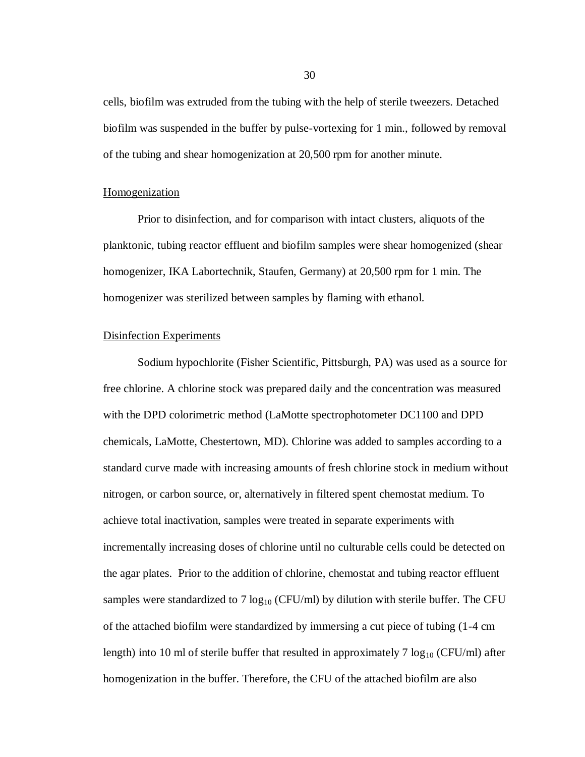cells, biofilm was extruded from the tubing with the help of sterile tweezers. Detached biofilm was suspended in the buffer by pulse-vortexing for 1 min., followed by removal of the tubing and shear homogenization at 20,500 rpm for another minute.

#### **Homogenization**

Prior to disinfection, and for comparison with intact clusters, aliquots of the planktonic, tubing reactor effluent and biofilm samples were shear homogenized (shear homogenizer, IKA Labortechnik, Staufen, Germany) at 20,500 rpm for 1 min. The homogenizer was sterilized between samples by flaming with ethanol.

## Disinfection Experiments

Sodium hypochlorite (Fisher Scientific, Pittsburgh, PA) was used as a source for free chlorine. A chlorine stock was prepared daily and the concentration was measured with the DPD colorimetric method (LaMotte spectrophotometer DC1100 and DPD chemicals, LaMotte, Chestertown, MD). Chlorine was added to samples according to a standard curve made with increasing amounts of fresh chlorine stock in medium without nitrogen, or carbon source, or, alternatively in filtered spent chemostat medium. To achieve total inactivation, samples were treated in separate experiments with incrementally increasing doses of chlorine until no culturable cells could be detected on the agar plates. Prior to the addition of chlorine, chemostat and tubing reactor effluent samples were standardized to 7  $log_{10}$  (CFU/ml) by dilution with sterile buffer. The CFU of the attached biofilm were standardized by immersing a cut piece of tubing (1-4 cm length) into 10 ml of sterile buffer that resulted in approximately 7  $log_{10}$  (CFU/ml) after homogenization in the buffer. Therefore, the CFU of the attached biofilm are also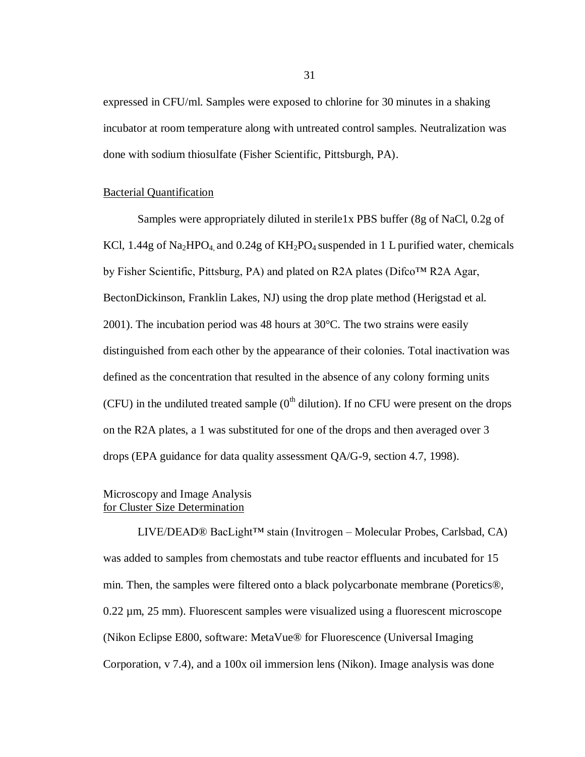expressed in CFU/ml. Samples were exposed to chlorine for 30 minutes in a shaking incubator at room temperature along with untreated control samples. Neutralization was done with sodium thiosulfate (Fisher Scientific, Pittsburgh, PA).

#### Bacterial Quantification

Samples were appropriately diluted in sterile1x PBS buffer (8g of NaCl, 0.2g of KCl, 1.44g of Na<sub>2</sub>HPO<sub>4</sub>, and 0.24g of  $KH_2PO_4$  suspended in 1 L purified water, chemicals by Fisher Scientific, Pittsburg, PA) and plated on R2A plates (Difco™ R2A Agar, BectonDickinson, Franklin Lakes, NJ) using the drop plate method (Herigstad et al. 2001). The incubation period was 48 hours at  $30^{\circ}$ C. The two strains were easily distinguished from each other by the appearance of their colonies. Total inactivation was defined as the concentration that resulted in the absence of any colony forming units (CFU) in the undiluted treated sample  $(0<sup>th</sup>$  dilution). If no CFU were present on the drops on the R2A plates, a 1 was substituted for one of the drops and then averaged over 3 drops (EPA guidance for data quality assessment QA/G-9, section 4.7, 1998).

## Microscopy and Image Analysis for Cluster Size Determination

LIVE/DEAD® BacLight™ stain (Invitrogen – Molecular Probes, Carlsbad, CA) was added to samples from chemostats and tube reactor effluents and incubated for 15 min. Then, the samples were filtered onto a black polycarbonate membrane (Poretics®, 0.22 µm, 25 mm). Fluorescent samples were visualized using a fluorescent microscope (Nikon Eclipse E800, software: MetaVue® for Fluorescence (Universal Imaging Corporation, v 7.4), and a 100x oil immersion lens (Nikon). Image analysis was done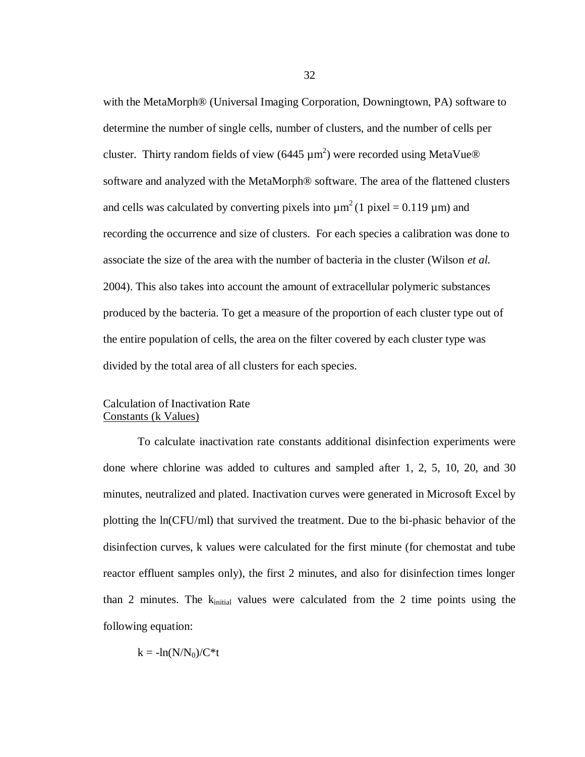with the MetaMorph® (Universal Imaging Corporation, Downingtown, PA) software to determine the number of single cells, number of clusters, and the number of cells per cluster. Thirty random fields of view (6445  $\mu$ m<sup>2</sup>) were recorded using MetaVue® software and analyzed with the MetaMorph® software. The area of the flattened clusters and cells was calculated by converting pixels into  $\mu$ m<sup>2</sup>(1 pixel = 0.119  $\mu$ m) and recording the occurrence and size of clusters. For each species a calibration was done to associate the size of the area with the number of bacteria in the cluster (Wilson *et al.* 2004). This also takes into account the amount of extracellular polymeric substances produced by the bacteria. To get a measure of the proportion of each cluster type out of the entire population of cells, the area on the filter covered by each cluster type was divided by the total area of all clusters for each species.

# Calculation of Inactivation Rate Constants (k Values)

To calculate inactivation rate constants additional disinfection experiments were done where chlorine was added to cultures and sampled after 1, 2, 5, 10, 20, and 30 minutes, neutralized and plated. Inactivation curves were generated in Microsoft Excel by plotting the ln(CFU/ml) that survived the treatment. Due to the bi-phasic behavior of the disinfection curves, k values were calculated for the first minute (for chemostat and tube reactor effluent samples only), the first 2 minutes, and also for disinfection times longer than 2 minutes. The  $k_{initial}$  values were calculated from the 2 time points using the following equation:

 $k = -ln(N/N_0)/C*t$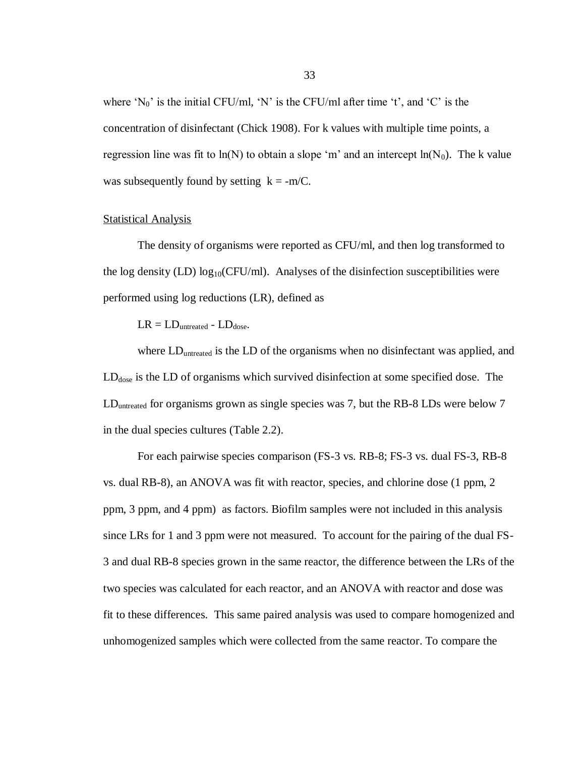where  $'N_0'$  is the initial CFU/ml, 'N' is the CFU/ml after time 't', and 'C' is the concentration of disinfectant (Chick 1908). For k values with multiple time points, a regression line was fit to  $ln(N)$  to obtain a slope 'm' and an intercept  $ln(N_0)$ . The k value was subsequently found by setting  $k = -m/C$ .

#### Statistical Analysis

The density of organisms were reported as CFU/ml, and then log transformed to the log density (LD)  $log_{10}(CFU/ml)$ . Analyses of the disinfection susceptibilities were performed using log reductions (LR), defined as

 $LR = LD_{untreated} - LD_{dose}.$ 

where LD<sub>untreated</sub> is the LD of the organisms when no disinfectant was applied, and  $LD<sub>dose</sub>$  is the LD of organisms which survived disinfection at some specified dose. The LD<sub>untreated</sub> for organisms grown as single species was 7, but the RB-8 LDs were below 7 in the dual species cultures (Table 2.2).

For each pairwise species comparison (FS-3 vs. RB-8; FS-3 vs. dual FS-3, RB-8 vs. dual RB-8), an ANOVA was fit with reactor, species, and chlorine dose (1 ppm, 2 ppm, 3 ppm, and 4 ppm) as factors. Biofilm samples were not included in this analysis since LRs for 1 and 3 ppm were not measured. To account for the pairing of the dual FS-3 and dual RB-8 species grown in the same reactor, the difference between the LRs of the two species was calculated for each reactor, and an ANOVA with reactor and dose was fit to these differences. This same paired analysis was used to compare homogenized and unhomogenized samples which were collected from the same reactor. To compare the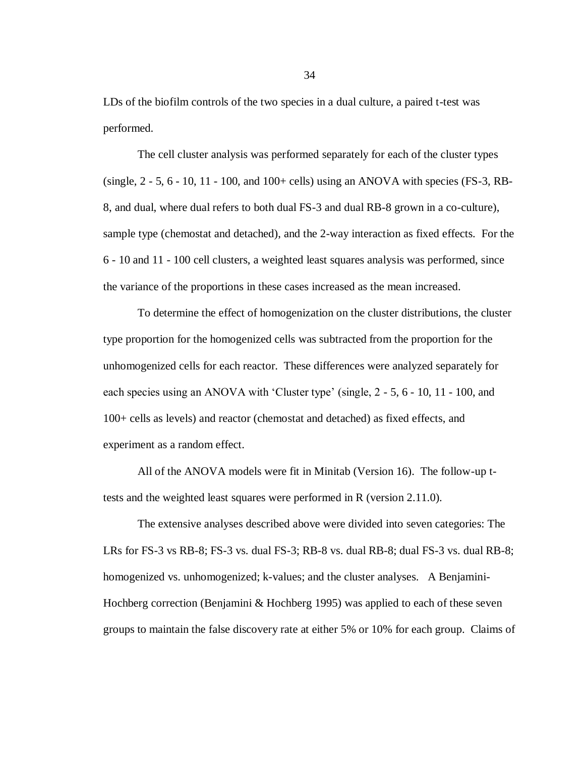LDs of the biofilm controls of the two species in a dual culture, a paired t-test was performed.

The cell cluster analysis was performed separately for each of the cluster types (single,  $2 - 5$ ,  $6 - 10$ ,  $11 - 100$ , and  $100 +$  cells) using an ANOVA with species (FS-3, RB-8, and dual, where dual refers to both dual FS-3 and dual RB-8 grown in a co-culture), sample type (chemostat and detached), and the 2-way interaction as fixed effects. For the 6 - 10 and 11 - 100 cell clusters, a weighted least squares analysis was performed, since the variance of the proportions in these cases increased as the mean increased.

To determine the effect of homogenization on the cluster distributions, the cluster type proportion for the homogenized cells was subtracted from the proportion for the unhomogenized cells for each reactor. These differences were analyzed separately for each species using an ANOVA with 'Cluster type' (single, 2 - 5, 6 - 10, 11 - 100, and 100+ cells as levels) and reactor (chemostat and detached) as fixed effects, and experiment as a random effect.

All of the ANOVA models were fit in Minitab (Version 16). The follow-up ttests and the weighted least squares were performed in R (version 2.11.0).

The extensive analyses described above were divided into seven categories: The LRs for FS-3 vs RB-8; FS-3 vs. dual FS-3; RB-8 vs. dual RB-8; dual FS-3 vs. dual RB-8; homogenized vs. unhomogenized; k-values; and the cluster analyses. A Benjamini-Hochberg correction (Benjamini & Hochberg 1995) was applied to each of these seven groups to maintain the false discovery rate at either 5% or 10% for each group. Claims of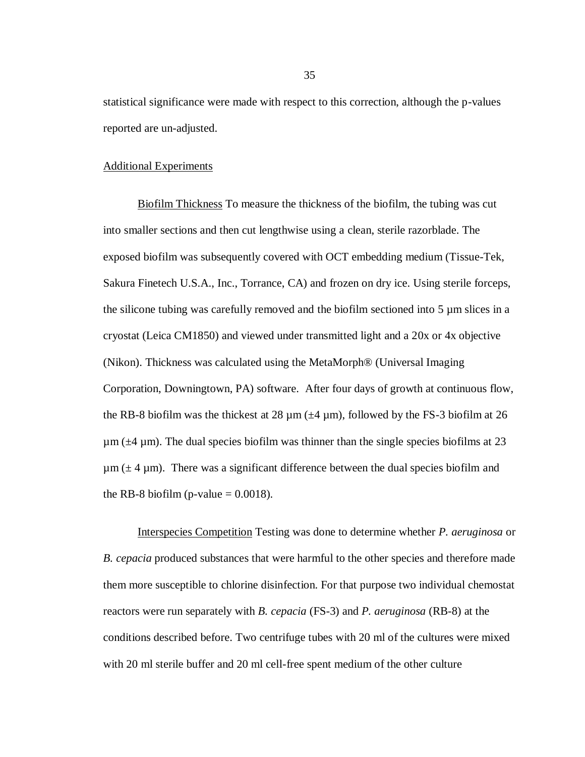statistical significance were made with respect to this correction, although the p-values reported are un-adjusted.

## Additional Experiments

Biofilm Thickness To measure the thickness of the biofilm, the tubing was cut into smaller sections and then cut lengthwise using a clean, sterile razorblade. The exposed biofilm was subsequently covered with OCT embedding medium (Tissue-Tek, Sakura Finetech U.S.A., Inc., Torrance, CA) and frozen on dry ice. Using sterile forceps, the silicone tubing was carefully removed and the biofilm sectioned into 5 µm slices in a cryostat (Leica CM1850) and viewed under transmitted light and a 20x or 4x objective (Nikon). Thickness was calculated using the MetaMorph® (Universal Imaging Corporation, Downingtown, PA) software. After four days of growth at continuous flow, the RB-8 biofilm was the thickest at 28  $\mu$ m ( $\pm$ 4  $\mu$ m), followed by the FS-3 biofilm at 26  $\mu$ m ( $\pm$ 4  $\mu$ m). The dual species biofilm was thinner than the single species biofilms at 23  $\mu$ m ( $\pm$  4  $\mu$ m). There was a significant difference between the dual species biofilm and the RB-8 biofilm (p-value  $= 0.0018$ ).

Interspecies Competition Testing was done to determine whether *P. aeruginosa* or *B. cepacia* produced substances that were harmful to the other species and therefore made them more susceptible to chlorine disinfection. For that purpose two individual chemostat reactors were run separately with *B. cepacia* (FS-3) and *P. aeruginosa* (RB-8) at the conditions described before. Two centrifuge tubes with 20 ml of the cultures were mixed with 20 ml sterile buffer and 20 ml cell-free spent medium of the other culture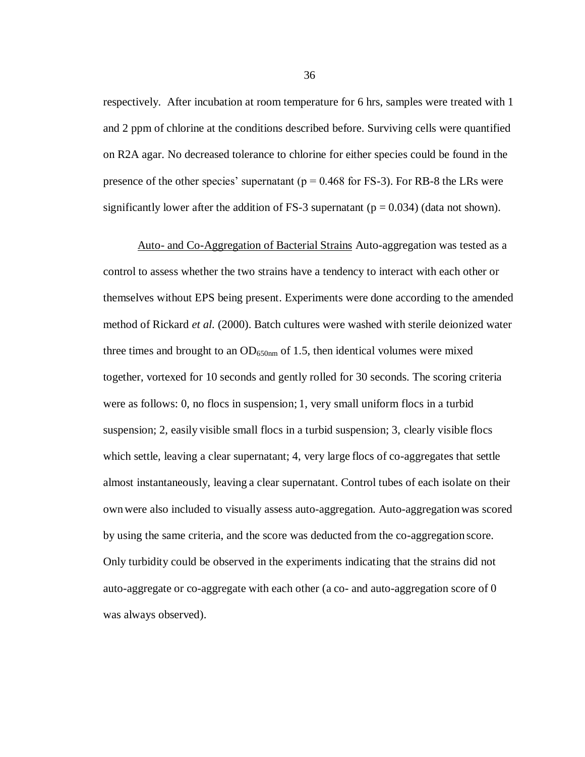respectively. After incubation at room temperature for 6 hrs, samples were treated with 1 and 2 ppm of chlorine at the conditions described before. Surviving cells were quantified on R2A agar. No decreased tolerance to chlorine for either species could be found in the presence of the other species' supernatant ( $p = 0.468$  for FS-3). For RB-8 the LRs were significantly lower after the addition of FS-3 supernatant ( $p = 0.034$ ) (data not shown).

Auto- and Co-Aggregation of Bacterial Strains Auto-aggregation was tested as a control to assess whether the two strains have a tendency to interact with each other or themselves without EPS being present. Experiments were done according to the amended method of Rickard *et al.* (2000). Batch cultures were washed with sterile deionized water three times and brought to an  $OD_{650nm}$  of 1.5, then identical volumes were mixed together, vortexed for 10 seconds and gently rolled for 30 seconds. The scoring criteria were as follows: 0, no flocs in suspension; 1, very small uniform flocs in a turbid suspension; 2, easily visible small flocs in a turbid suspension; 3, clearly visible flocs which settle, leaving a clear supernatant; 4, very large flocs of co-aggregates that settle almost instantaneously, leaving a clear supernatant. Control tubes of each isolate on their ownwere also included to visually assess auto-aggregation. Auto-aggregationwas scored by using the same criteria, and the score was deducted from the co-aggregation score. Only turbidity could be observed in the experiments indicating that the strains did not auto-aggregate or co-aggregate with each other (a co- and auto-aggregation score of 0 was always observed).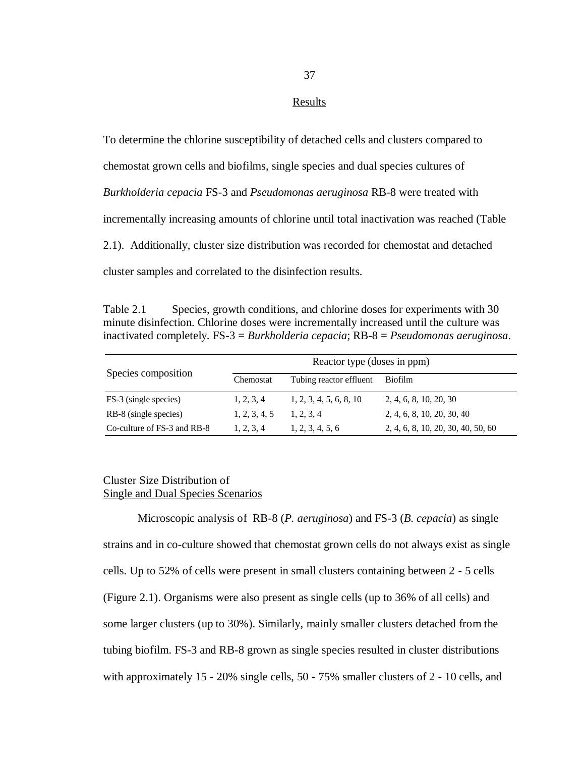### Results

To determine the chlorine susceptibility of detached cells and clusters compared to chemostat grown cells and biofilms, single species and dual species cultures of *Burkholderia cepacia* FS-3 and *Pseudomonas aeruginosa* RB-8 were treated with incrementally increasing amounts of chlorine until total inactivation was reached (Table 2.1). Additionally, cluster size distribution was recorded for chemostat and detached cluster samples and correlated to the disinfection results.

Table 2.1 Species, growth conditions, and chlorine doses for experiments with 30 minute disinfection. Chlorine doses were incrementally increased until the culture was inactivated completely. FS-3 = *Burkholderia cepacia*; RB-8 = *Pseudomonas aeruginosa*.

| Species composition         | Reactor type (doses in ppm) |                         |                                    |  |
|-----------------------------|-----------------------------|-------------------------|------------------------------------|--|
|                             | Chemostat                   | Tubing reactor effluent | <b>Biofilm</b>                     |  |
| FS-3 (single species)       | 1, 2, 3, 4                  | 1, 2, 3, 4, 5, 6, 8, 10 | 2, 4, 6, 8, 10, 20, 30             |  |
| RB-8 (single species)       | 1, 2, 3, 4, 5               | 1, 2, 3, 4              | 2, 4, 6, 8, 10, 20, 30, 40         |  |
| Co-culture of FS-3 and RB-8 | 1, 2, 3, 4                  | 1, 2, 3, 4, 5, 6        | 2, 4, 6, 8, 10, 20, 30, 40, 50, 60 |  |

# Cluster Size Distribution of Single and Dual Species Scenarios

Microscopic analysis of RB-8 (*P. aeruginosa*) and FS-3 (*B. cepacia*) as single strains and in co-culture showed that chemostat grown cells do not always exist as single cells. Up to 52% of cells were present in small clusters containing between 2 - 5 cells (Figure 2.1). Organisms were also present as single cells (up to 36% of all cells) and some larger clusters (up to 30%). Similarly, mainly smaller clusters detached from the tubing biofilm. FS-3 and RB-8 grown as single species resulted in cluster distributions with approximately 15 - 20% single cells, 50 - 75% smaller clusters of 2 - 10 cells, and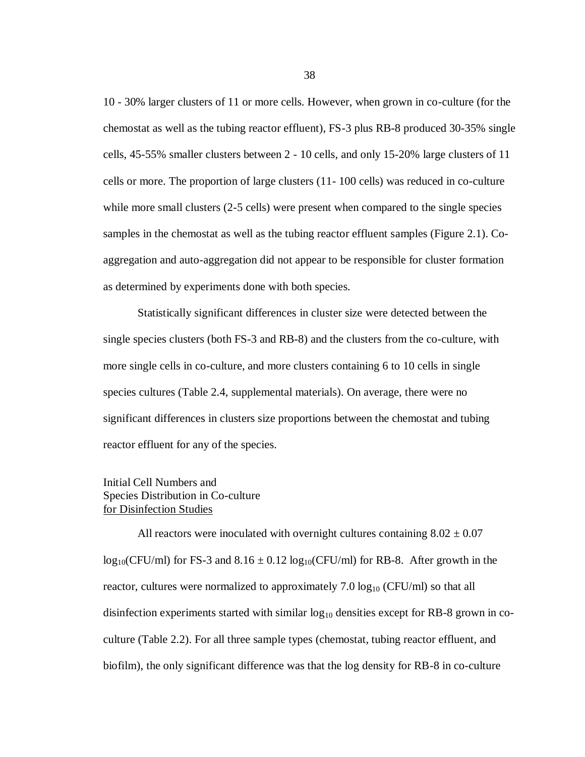10 - 30% larger clusters of 11 or more cells. However, when grown in co-culture (for the chemostat as well as the tubing reactor effluent), FS-3 plus RB-8 produced 30-35% single cells, 45-55% smaller clusters between 2 - 10 cells, and only 15-20% large clusters of 11 cells or more. The proportion of large clusters (11- 100 cells) was reduced in co-culture while more small clusters  $(2-5$  cells) were present when compared to the single species samples in the chemostat as well as the tubing reactor effluent samples (Figure 2.1). Coaggregation and auto-aggregation did not appear to be responsible for cluster formation as determined by experiments done with both species.

Statistically significant differences in cluster size were detected between the single species clusters (both FS-3 and RB-8) and the clusters from the co-culture, with more single cells in co-culture, and more clusters containing 6 to 10 cells in single species cultures (Table 2.4, supplemental materials). On average, there were no significant differences in clusters size proportions between the chemostat and tubing reactor effluent for any of the species.

# Initial Cell Numbers and Species Distribution in Co-culture for Disinfection Studies

All reactors were inoculated with overnight cultures containing  $8.02 \pm 0.07$  $log_{10}(CFU/ml)$  for FS-3 and  $8.16 \pm 0.12 log_{10}(CFU/ml)$  for RB-8. After growth in the reactor, cultures were normalized to approximately 7.0  $log_{10}$  (CFU/ml) so that all disinfection experiments started with similar  $log_{10}$  densities except for RB-8 grown in coculture (Table 2.2). For all three sample types (chemostat, tubing reactor effluent, and biofilm), the only significant difference was that the log density for RB-8 in co-culture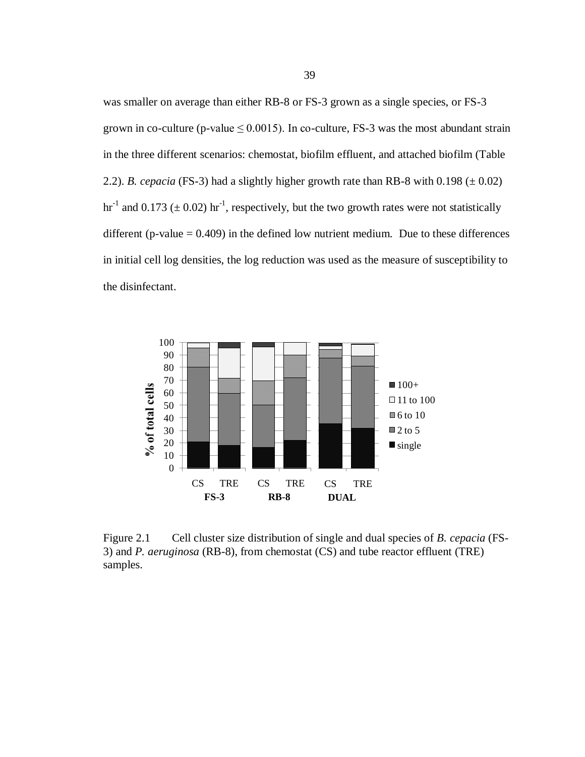was smaller on average than either RB-8 or FS-3 grown as a single species, or FS-3 grown in co-culture (p-value  $\leq 0.0015$ ). In co-culture, FS-3 was the most abundant strain in the three different scenarios: chemostat, biofilm effluent, and attached biofilm (Table 2.2). *B. cepacia* (FS-3) had a slightly higher growth rate than RB-8 with  $0.198 \pm 0.02$ ) hr<sup>-1</sup> and 0.173 ( $\pm$  0.02) hr<sup>-1</sup>, respectively, but the two growth rates were not statistically different (p-value  $= 0.409$ ) in the defined low nutrient medium. Due to these differences in initial cell log densities, the log reduction was used as the measure of susceptibility to the disinfectant.



Figure 2.1 Cell cluster size distribution of single and dual species of *B. cepacia* (FS-3) and *P. aeruginosa* (RB-8), from chemostat (CS) and tube reactor effluent (TRE) samples.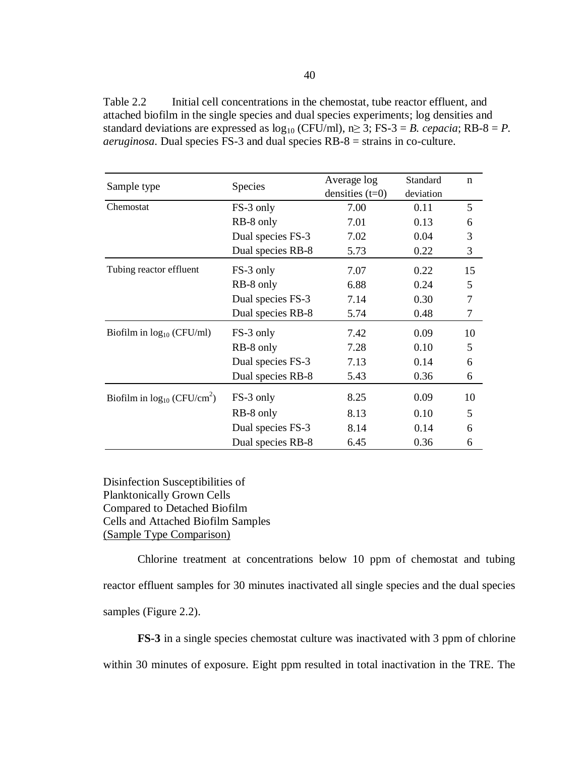Table 2.2 Initial cell concentrations in the chemostat, tube reactor effluent, and attached biofilm in the single species and dual species experiments; log densities and standard deviations are expressed as  $log_{10}$  (CFU/ml),  $n \ge 3$ ; FS-3 = *B. cepacia*; RB-8 = *P. aeruginosa*. Dual species FS-3 and dual species RB-8 = strains in co-culture.

|                                              | Species           | Average log       | Standard  | $\mathbf n$    |
|----------------------------------------------|-------------------|-------------------|-----------|----------------|
| Sample type                                  |                   | densities $(t=0)$ | deviation |                |
| Chemostat                                    | FS-3 only         | 7.00              | 0.11      | 5              |
|                                              | RB-8 only         | 7.01              | 0.13      | 6              |
|                                              | Dual species FS-3 | 7.02              | 0.04      | 3              |
|                                              | Dual species RB-8 | 5.73              | 0.22      | $\mathfrak{Z}$ |
| Tubing reactor effluent                      | FS-3 only         | 7.07              | 0.22      | 15             |
|                                              | RB-8 only         | 6.88              | 0.24      | 5              |
|                                              | Dual species FS-3 | 7.14              | 0.30      | 7              |
|                                              | Dual species RB-8 | 5.74              | 0.48      | 7              |
| Biofilm in $log_{10}$ (CFU/ml)               | FS-3 only         | 7.42              | 0.09      | 10             |
|                                              | RB-8 only         | 7.28              | 0.10      | 5              |
|                                              | Dual species FS-3 | 7.13              | 0.14      | 6              |
|                                              | Dual species RB-8 | 5.43              | 0.36      | 6              |
| Biofilm in $log_{10}$ (CFU/cm <sup>2</sup> ) | FS-3 only         | 8.25              | 0.09      | 10             |
|                                              | RB-8 only         | 8.13              | 0.10      | 5              |
|                                              | Dual species FS-3 | 8.14              | 0.14      | 6              |
|                                              | Dual species RB-8 | 6.45              | 0.36      | 6              |

Disinfection Susceptibilities of Planktonically Grown Cells Compared to Detached Biofilm Cells and Attached Biofilm Samples (Sample Type Comparison)

Chlorine treatment at concentrations below 10 ppm of chemostat and tubing reactor effluent samples for 30 minutes inactivated all single species and the dual species samples (Figure 2.2).

**FS-3** in a single species chemostat culture was inactivated with 3 ppm of chlorine within 30 minutes of exposure. Eight ppm resulted in total inactivation in the TRE. The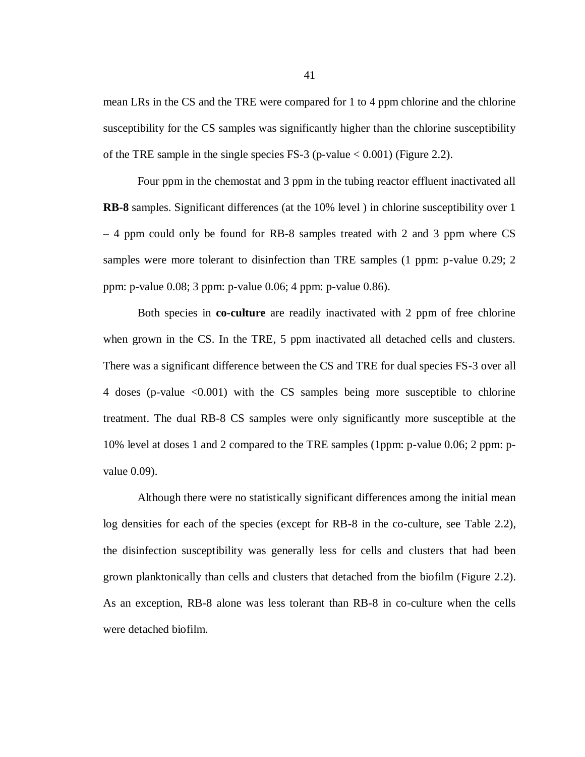mean LRs in the CS and the TRE were compared for 1 to 4 ppm chlorine and the chlorine susceptibility for the CS samples was significantly higher than the chlorine susceptibility of the TRE sample in the single species FS-3 (p-value  $< 0.001$ ) (Figure 2.2).

Four ppm in the chemostat and 3 ppm in the tubing reactor effluent inactivated all **RB-8** samples. Significant differences (at the 10% level ) in chlorine susceptibility over 1 – 4 ppm could only be found for RB-8 samples treated with 2 and 3 ppm where CS samples were more tolerant to disinfection than TRE samples (1 ppm: p-value 0.29; 2 ppm: p-value 0.08; 3 ppm: p-value 0.06; 4 ppm: p-value 0.86).

Both species in **co-culture** are readily inactivated with 2 ppm of free chlorine when grown in the CS. In the TRE, 5 ppm inactivated all detached cells and clusters. There was a significant difference between the CS and TRE for dual species FS-3 over all 4 doses (p-value <0.001) with the CS samples being more susceptible to chlorine treatment. The dual RB-8 CS samples were only significantly more susceptible at the 10% level at doses 1 and 2 compared to the TRE samples (1ppm: p-value 0.06; 2 ppm: pvalue 0.09).

Although there were no statistically significant differences among the initial mean log densities for each of the species (except for RB-8 in the co-culture, see Table 2.2), the disinfection susceptibility was generally less for cells and clusters that had been grown planktonically than cells and clusters that detached from the biofilm (Figure 2.2). As an exception, RB-8 alone was less tolerant than RB-8 in co-culture when the cells were detached biofilm.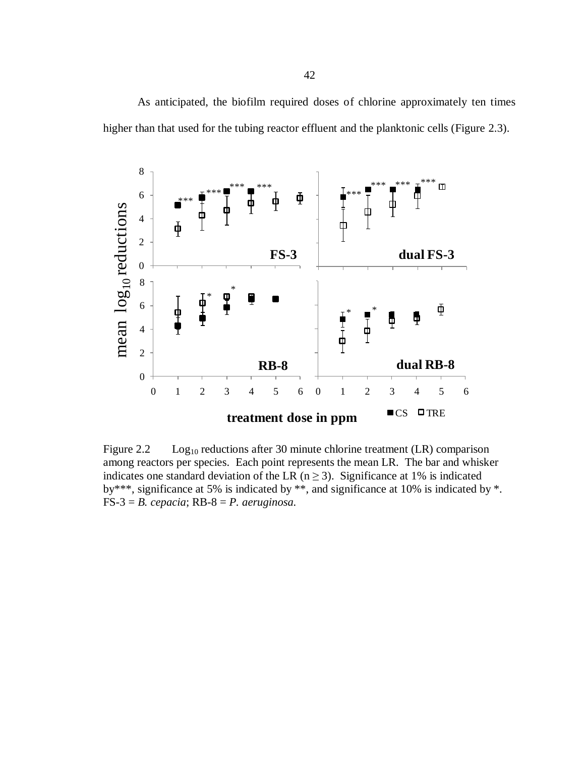As anticipated, the biofilm required doses of chlorine approximately ten times higher than that used for the tubing reactor effluent and the planktonic cells (Figure 2.3).



Figure 2.2 Log<sub>10</sub> reductions after 30 minute chlorine treatment (LR) comparison among reactors per species. Each point represents the mean LR. The bar and whisker indicates one standard deviation of the LR ( $n \ge 3$ ). Significance at 1% is indicated by\*\*\*, significance at 5% is indicated by \*\*, and significance at 10% is indicated by \*.  $FS-3 = B. cepacia; RB-8 = P. aeruginosa.$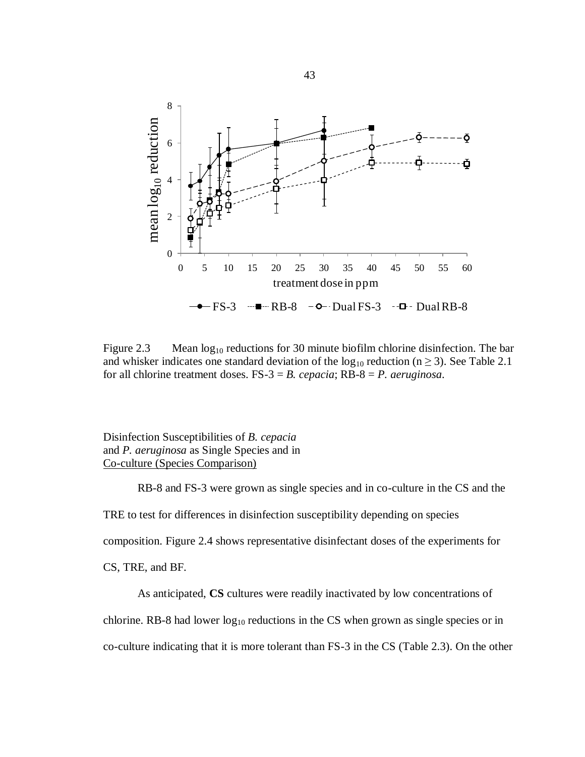

Figure 2.3 Mean  $log_{10}$  reductions for 30 minute biofilm chlorine disinfection. The bar and whisker indicates one standard deviation of the  $log_{10}$  reduction (n  $\geq$  3). See Table 2.1 for all chlorine treatment doses. FS-3 = *B. cepacia*; RB-8 = *P. aeruginosa*.

Disinfection Susceptibilities of *B. cepacia* and *P. aeruginosa* as Single Species and in Co-culture (Species Comparison)

RB-8 and FS-3 were grown as single species and in co-culture in the CS and the

TRE to test for differences in disinfection susceptibility depending on species

composition. Figure 2.4 shows representative disinfectant doses of the experiments for

CS, TRE, and BF.

As anticipated, **CS** cultures were readily inactivated by low concentrations of

chlorine. RB-8 had lower  $log_{10}$  reductions in the CS when grown as single species or in

co-culture indicating that it is more tolerant than FS-3 in the CS (Table 2.3). On the other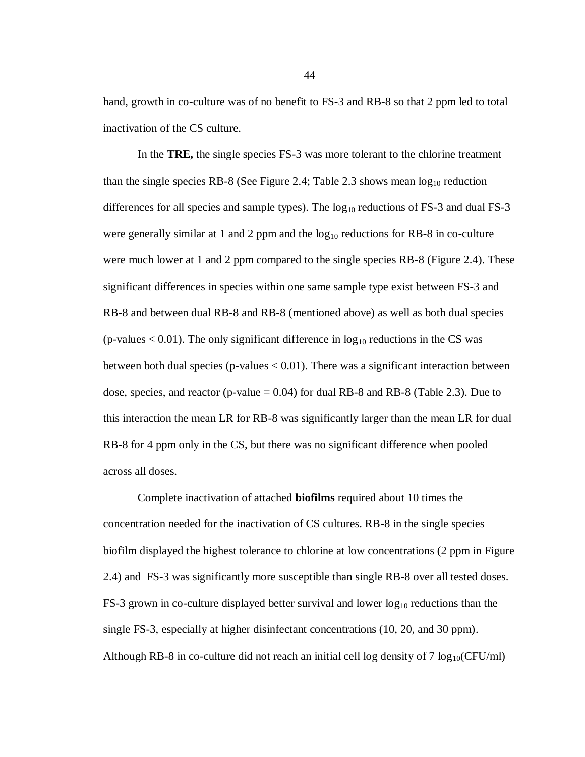hand, growth in co-culture was of no benefit to FS-3 and RB-8 so that 2 ppm led to total inactivation of the CS culture.

In the **TRE,** the single species FS-3 was more tolerant to the chlorine treatment than the single species RB-8 (See Figure 2.4; Table 2.3 shows mean  $log_{10}$  reduction differences for all species and sample types). The  $log_{10}$  reductions of FS-3 and dual FS-3 were generally similar at 1 and 2 ppm and the  $log_{10}$  reductions for RB-8 in co-culture were much lower at 1 and 2 ppm compared to the single species RB-8 (Figure 2.4). These significant differences in species within one same sample type exist between FS-3 and RB-8 and between dual RB-8 and RB-8 (mentioned above) as well as both dual species (p-values  $< 0.01$ ). The only significant difference in  $log_{10}$  reductions in the CS was between both dual species (p-values < 0.01). There was a significant interaction between dose, species, and reactor (p-value  $= 0.04$ ) for dual RB-8 and RB-8 (Table 2.3). Due to this interaction the mean LR for RB-8 was significantly larger than the mean LR for dual RB-8 for 4 ppm only in the CS, but there was no significant difference when pooled across all doses.

Complete inactivation of attached **biofilms** required about 10 times the concentration needed for the inactivation of CS cultures. RB-8 in the single species biofilm displayed the highest tolerance to chlorine at low concentrations (2 ppm in Figure 2.4) and FS-3 was significantly more susceptible than single RB-8 over all tested doses. FS-3 grown in co-culture displayed better survival and lower  $log_{10}$  reductions than the single FS-3, especially at higher disinfectant concentrations (10, 20, and 30 ppm). Although RB-8 in co-culture did not reach an initial cell log density of 7  $\log_{10}(CFU/ml)$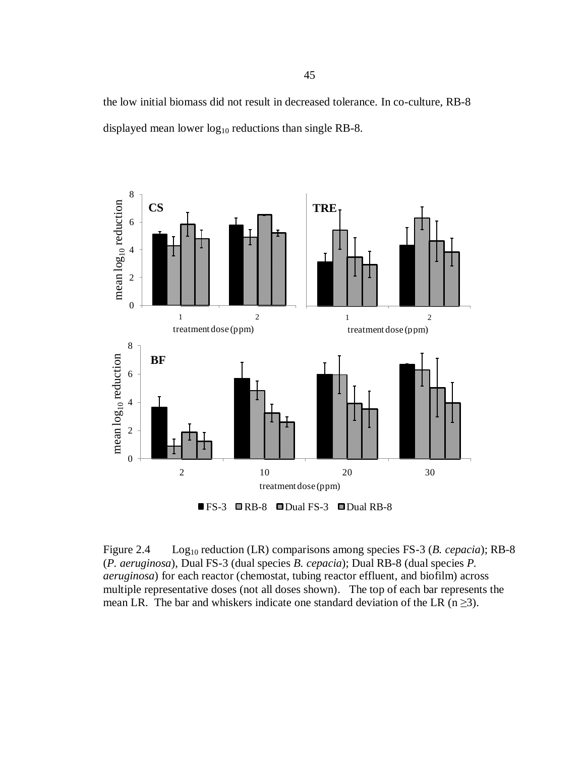the low initial biomass did not result in decreased tolerance. In co-culture, RB-8 displayed mean lower  $log_{10}$  reductions than single RB-8.



Figure 2.4 Log<sub>10</sub> reduction (LR) comparisons among species FS-3 (*B. cepacia*); RB-8 (*P. aeruginosa*), Dual FS-3 (dual species *B. cepacia*); Dual RB-8 (dual species *P. aeruginosa*) for each reactor (chemostat, tubing reactor effluent, and biofilm) across multiple representative doses (not all doses shown). The top of each bar represents the mean LR. The bar and whiskers indicate one standard deviation of the LR (n  $\geq$ 3).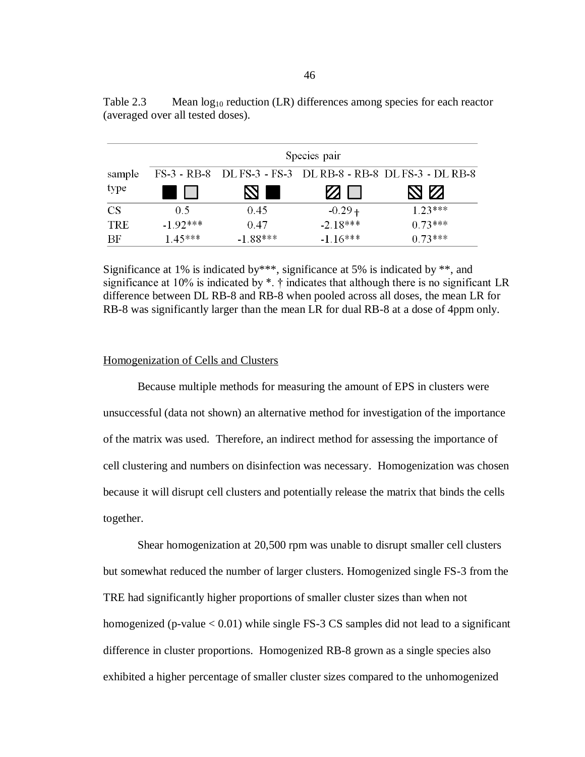|            | Species pair |            |               |                                                             |  |  |
|------------|--------------|------------|---------------|-------------------------------------------------------------|--|--|
| sample     |              |            |               | FS-3 - RB-8 DL FS-3 - FS-3 DL RB-8 - RB-8 DL FS-3 - DL RB-8 |  |  |
| type       |              |            | $\mathcal{L}$ | 8 M                                                         |  |  |
| <b>CS</b>  | 0.5          | 0.45       | $-0.29 +$     | $1.23***$                                                   |  |  |
| <b>TRE</b> | $-1.92***$   | 0.47       | $-2.18***$    | $0.73***$                                                   |  |  |
| BF         | $1.45***$    | $-1.88***$ | $-1.16***$    | $0.73***$                                                   |  |  |

Table 2.3 Mean  $log_{10}$  reduction (LR) differences among species for each reactor (averaged over all tested doses).

Significance at 1% is indicated by \*\*\*, significance at 5% is indicated by \*\*, and significance at 10% is indicated by \*. † indicates that although there is no significant LR difference between DL RB-8 and RB-8 when pooled across all doses, the mean LR for RB-8 was significantly larger than the mean LR for dual RB-8 at a dose of 4ppm only.

#### Homogenization of Cells and Clusters

Because multiple methods for measuring the amount of EPS in clusters were unsuccessful (data not shown) an alternative method for investigation of the importance of the matrix was used. Therefore, an indirect method for assessing the importance of cell clustering and numbers on disinfection was necessary. Homogenization was chosen because it will disrupt cell clusters and potentially release the matrix that binds the cells together.

Shear homogenization at 20,500 rpm was unable to disrupt smaller cell clusters but somewhat reduced the number of larger clusters. Homogenized single FS-3 from the TRE had significantly higher proportions of smaller cluster sizes than when not homogenized (p-value  $< 0.01$ ) while single FS-3 CS samples did not lead to a significant difference in cluster proportions. Homogenized RB-8 grown as a single species also exhibited a higher percentage of smaller cluster sizes compared to the unhomogenized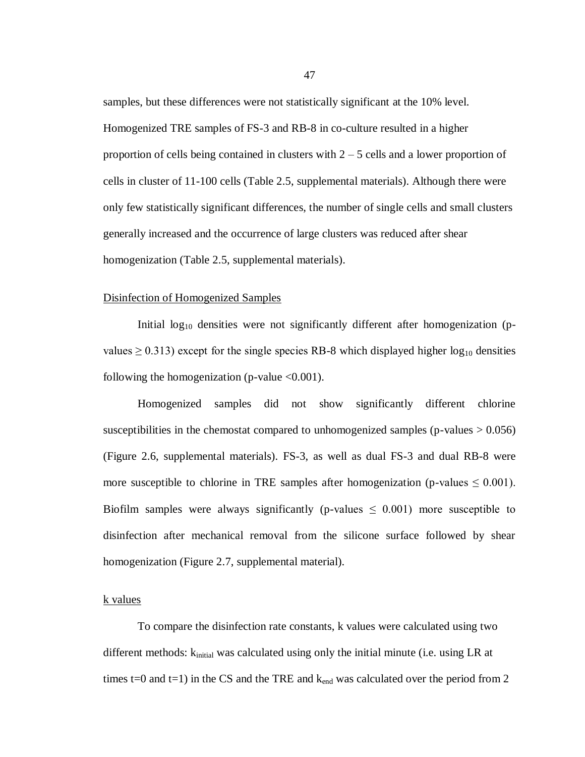samples, but these differences were not statistically significant at the 10% level. Homogenized TRE samples of FS-3 and RB-8 in co-culture resulted in a higher proportion of cells being contained in clusters with  $2 - 5$  cells and a lower proportion of cells in cluster of 11-100 cells (Table 2.5, supplemental materials). Although there were only few statistically significant differences, the number of single cells and small clusters generally increased and the occurrence of large clusters was reduced after shear homogenization (Table 2.5, supplemental materials).

#### Disinfection of Homogenized Samples

Initial  $log_{10}$  densities were not significantly different after homogenization (pvalues  $\geq$  0.313) except for the single species RB-8 which displayed higher log<sub>10</sub> densities following the homogenization (p-value  $\leq 0.001$ ).

Homogenized samples did not show significantly different chlorine susceptibilities in the chemostat compared to unhomogenized samples ( $p$ -values  $> 0.056$ ) (Figure 2.6, supplemental materials). FS-3, as well as dual FS-3 and dual RB-8 were more susceptible to chlorine in TRE samples after homogenization (p-values  $\leq 0.001$ ). Biofilm samples were always significantly (p-values  $\leq 0.001$ ) more susceptible to disinfection after mechanical removal from the silicone surface followed by shear homogenization (Figure 2.7, supplemental material).

## k values

To compare the disinfection rate constants, k values were calculated using two different methods:  $k_{initial}$  was calculated using only the initial minute (i.e. using LR at times t=0 and t=1) in the CS and the TRE and  $k_{end}$  was calculated over the period from 2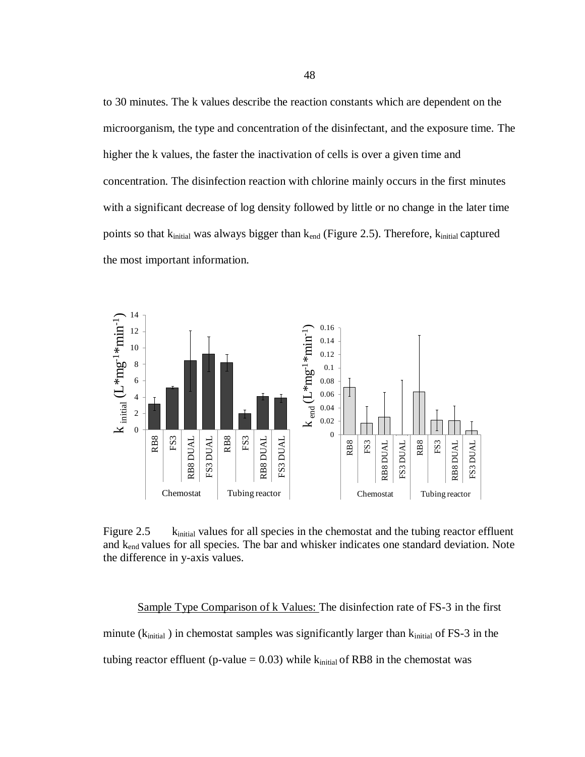to 30 minutes. The k values describe the reaction constants which are dependent on the microorganism, the type and concentration of the disinfectant, and the exposure time. The higher the k values, the faster the inactivation of cells is over a given time and concentration. The disinfection reaction with chlorine mainly occurs in the first minutes with a significant decrease of log density followed by little or no change in the later time points so that kinitial was always bigger than k<sub>end</sub> (Figure 2.5). Therefore, kinitial captured the most important information.



Figure 2.5 kinitial values for all species in the chemostat and the tubing reactor effluent and kend values for all species. The bar and whisker indicates one standard deviation. Note the difference in y-axis values.

Sample Type Comparison of k Values: The disinfection rate of FS-3 in the first minute ( $k_{initial}$ ) in chemostat samples was significantly larger than  $k_{initial}$  of FS-3 in the tubing reactor effluent (p-value =  $0.03$ ) while  $k_{initial}$  of RB8 in the chemostat was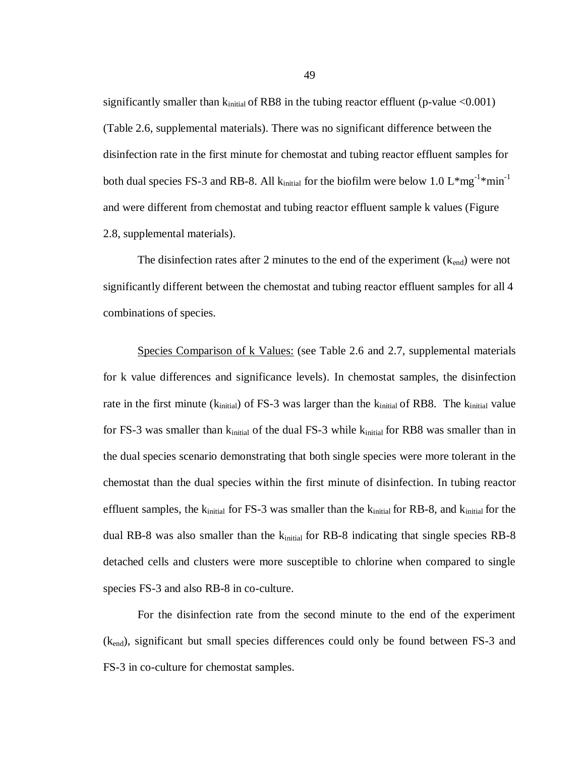significantly smaller than  $k_{initial}$  of RB8 in the tubing reactor effluent (p-value <0.001) (Table 2.6, supplemental materials). There was no significant difference between the disinfection rate in the first minute for chemostat and tubing reactor effluent samples for both dual species FS-3 and RB-8. All  $k_{initial}$  for the biofilm were below 1.0 L\*mg<sup>-1\*</sup>min<sup>-1</sup> and were different from chemostat and tubing reactor effluent sample k values (Figure 2.8, supplemental materials).

The disinfection rates after 2 minutes to the end of the experiment  $(k_{end})$  were not significantly different between the chemostat and tubing reactor effluent samples for all 4 combinations of species.

Species Comparison of k Values: (see Table 2.6 and 2.7, supplemental materials for k value differences and significance levels). In chemostat samples, the disinfection rate in the first minute ( $k_{initial}$ ) of FS-3 was larger than the  $k_{initial}$  of RB8. The  $k_{initial}$  value for FS-3 was smaller than  $k_{initial}$  of the dual FS-3 while  $k_{initial}$  for RB8 was smaller than in the dual species scenario demonstrating that both single species were more tolerant in the chemostat than the dual species within the first minute of disinfection. In tubing reactor effluent samples, the  $k_{initial}$  for FS-3 was smaller than the  $k_{initial}$  for RB-8, and  $k_{initial}$  for the dual RB-8 was also smaller than the  $k_{initial}$  for RB-8 indicating that single species RB-8 detached cells and clusters were more susceptible to chlorine when compared to single species FS-3 and also RB-8 in co-culture.

For the disinfection rate from the second minute to the end of the experiment (kend), significant but small species differences could only be found between FS-3 and FS-3 in co-culture for chemostat samples.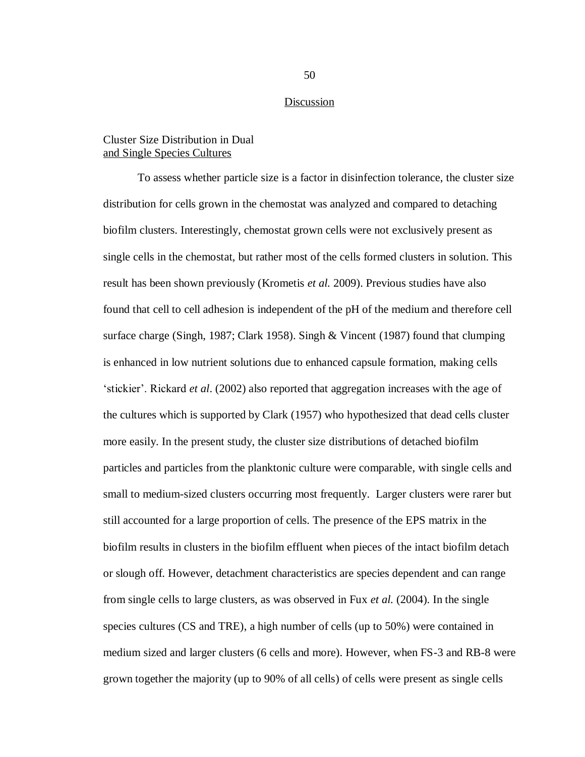### Discussion

## Cluster Size Distribution in Dual and Single Species Cultures

To assess whether particle size is a factor in disinfection tolerance, the cluster size distribution for cells grown in the chemostat was analyzed and compared to detaching biofilm clusters. Interestingly, chemostat grown cells were not exclusively present as single cells in the chemostat, but rather most of the cells formed clusters in solution. This result has been shown previously (Krometis *et al.* 2009). Previous studies have also found that cell to cell adhesion is independent of the pH of the medium and therefore cell surface charge (Singh, 1987; Clark 1958). Singh & Vincent (1987) found that clumping is enhanced in low nutrient solutions due to enhanced capsule formation, making cells ‗stickier'. Rickard *et al*. (2002) also reported that aggregation increases with the age of the cultures which is supported by Clark (1957) who hypothesized that dead cells cluster more easily. In the present study, the cluster size distributions of detached biofilm particles and particles from the planktonic culture were comparable, with single cells and small to medium-sized clusters occurring most frequently. Larger clusters were rarer but still accounted for a large proportion of cells. The presence of the EPS matrix in the biofilm results in clusters in the biofilm effluent when pieces of the intact biofilm detach or slough off. However, detachment characteristics are species dependent and can range from single cells to large clusters, as was observed in Fux *et al.* (2004). In the single species cultures (CS and TRE), a high number of cells (up to 50%) were contained in medium sized and larger clusters (6 cells and more). However, when FS-3 and RB-8 were grown together the majority (up to 90% of all cells) of cells were present as single cells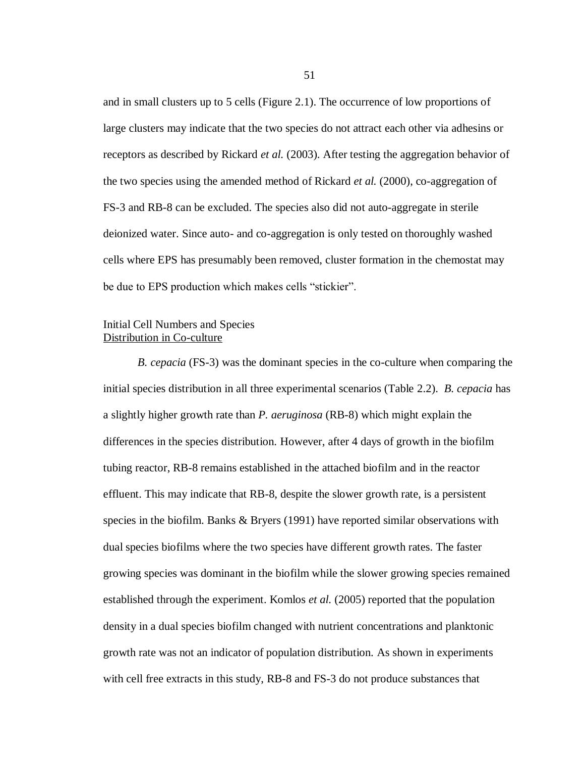and in small clusters up to 5 cells (Figure 2.1). The occurrence of low proportions of large clusters may indicate that the two species do not attract each other via adhesins or receptors as described by Rickard *et al.* (2003). After testing the aggregation behavior of the two species using the amended method of Rickard *et al.* (2000), co-aggregation of FS-3 and RB-8 can be excluded. The species also did not auto-aggregate in sterile deionized water. Since auto- and co-aggregation is only tested on thoroughly washed cells where EPS has presumably been removed, cluster formation in the chemostat may be due to EPS production which makes cells "stickier".

# Initial Cell Numbers and Species Distribution in Co-culture

*B. cepacia* (FS-3) was the dominant species in the co-culture when comparing the initial species distribution in all three experimental scenarios (Table 2.2). *B. cepacia* has a slightly higher growth rate than *P. aeruginosa* (RB-8) which might explain the differences in the species distribution. However, after 4 days of growth in the biofilm tubing reactor, RB-8 remains established in the attached biofilm and in the reactor effluent. This may indicate that RB-8, despite the slower growth rate, is a persistent species in the biofilm. Banks & Bryers (1991) have reported similar observations with dual species biofilms where the two species have different growth rates. The faster growing species was dominant in the biofilm while the slower growing species remained established through the experiment. Komlos *et al.* (2005) reported that the population density in a dual species biofilm changed with nutrient concentrations and planktonic growth rate was not an indicator of population distribution. As shown in experiments with cell free extracts in this study, RB-8 and FS-3 do not produce substances that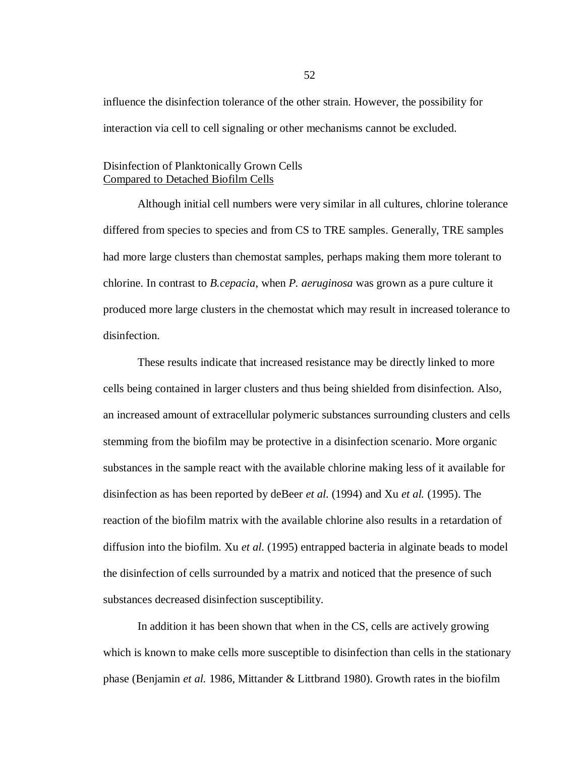influence the disinfection tolerance of the other strain. However, the possibility for interaction via cell to cell signaling or other mechanisms cannot be excluded.

# Disinfection of Planktonically Grown Cells Compared to Detached Biofilm Cells

Although initial cell numbers were very similar in all cultures, chlorine tolerance differed from species to species and from CS to TRE samples. Generally, TRE samples had more large clusters than chemostat samples, perhaps making them more tolerant to chlorine. In contrast to *B.cepacia*, when *P. aeruginosa* was grown as a pure culture it produced more large clusters in the chemostat which may result in increased tolerance to disinfection.

These results indicate that increased resistance may be directly linked to more cells being contained in larger clusters and thus being shielded from disinfection. Also, an increased amount of extracellular polymeric substances surrounding clusters and cells stemming from the biofilm may be protective in a disinfection scenario. More organic substances in the sample react with the available chlorine making less of it available for disinfection as has been reported by deBeer *et al.* (1994) and Xu *et al.* (1995). The reaction of the biofilm matrix with the available chlorine also results in a retardation of diffusion into the biofilm. Xu *et al.* (1995) entrapped bacteria in alginate beads to model the disinfection of cells surrounded by a matrix and noticed that the presence of such substances decreased disinfection susceptibility.

In addition it has been shown that when in the CS, cells are actively growing which is known to make cells more susceptible to disinfection than cells in the stationary phase (Benjamin *et al.* 1986, Mittander & Littbrand 1980). Growth rates in the biofilm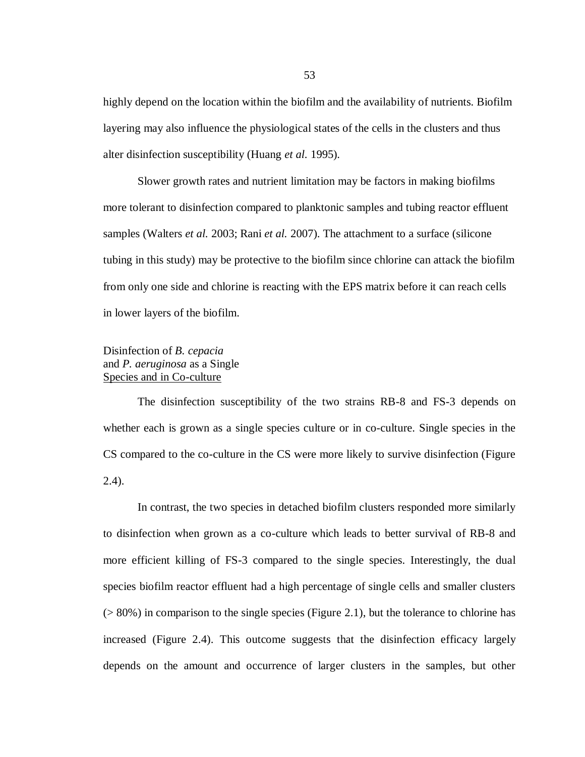highly depend on the location within the biofilm and the availability of nutrients. Biofilm layering may also influence the physiological states of the cells in the clusters and thus alter disinfection susceptibility (Huang *et al.* 1995).

Slower growth rates and nutrient limitation may be factors in making biofilms more tolerant to disinfection compared to planktonic samples and tubing reactor effluent samples (Walters *et al.* 2003; Rani *et al.* 2007). The attachment to a surface (silicone tubing in this study) may be protective to the biofilm since chlorine can attack the biofilm from only one side and chlorine is reacting with the EPS matrix before it can reach cells in lower layers of the biofilm.

# Disinfection of *B. cepacia* and *P. aeruginosa* as a Single Species and in Co-culture

The disinfection susceptibility of the two strains RB-8 and FS-3 depends on whether each is grown as a single species culture or in co-culture. Single species in the CS compared to the co-culture in the CS were more likely to survive disinfection (Figure 2.4).

In contrast, the two species in detached biofilm clusters responded more similarly to disinfection when grown as a co-culture which leads to better survival of RB-8 and more efficient killing of FS-3 compared to the single species. Interestingly, the dual species biofilm reactor effluent had a high percentage of single cells and smaller clusters  $(> 80\%)$  in comparison to the single species (Figure 2.1), but the tolerance to chlorine has increased (Figure 2.4). This outcome suggests that the disinfection efficacy largely depends on the amount and occurrence of larger clusters in the samples, but other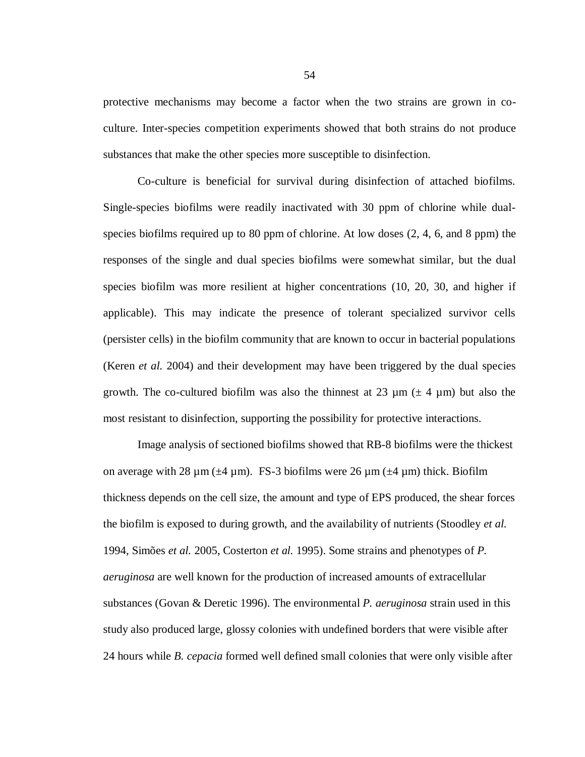protective mechanisms may become a factor when the two strains are grown in coculture. Inter-species competition experiments showed that both strains do not produce substances that make the other species more susceptible to disinfection.

Co-culture is beneficial for survival during disinfection of attached biofilms. Single-species biofilms were readily inactivated with 30 ppm of chlorine while dualspecies biofilms required up to 80 ppm of chlorine. At low doses (2, 4, 6, and 8 ppm) the responses of the single and dual species biofilms were somewhat similar, but the dual species biofilm was more resilient at higher concentrations (10, 20, 30, and higher if applicable). This may indicate the presence of tolerant specialized survivor cells (persister cells) in the biofilm community that are known to occur in bacterial populations (Keren *et al.* 2004) and their development may have been triggered by the dual species growth. The co-cultured biofilm was also the thinnest at 23  $\mu$ m ( $\pm$  4  $\mu$ m) but also the most resistant to disinfection, supporting the possibility for protective interactions.

Image analysis of sectioned biofilms showed that RB-8 biofilms were the thickest on average with 28  $\mu$ m ( $\pm$ 4  $\mu$ m). FS-3 biofilms were 26  $\mu$ m ( $\pm$ 4  $\mu$ m) thick. Biofilm thickness depends on the cell size, the amount and type of EPS produced, the shear forces the biofilm is exposed to during growth, and the availability of nutrients (Stoodley *et al.* 1994, Simões *et al.* 2005, Costerton *et al.* 1995). Some strains and phenotypes of *P. aeruginosa* are well known for the production of increased amounts of extracellular substances (Govan & Deretic 1996). The environmental *P. aeruginosa* strain used in this study also produced large, glossy colonies with undefined borders that were visible after 24 hours while *B. cepacia* formed well defined small colonies that were only visible after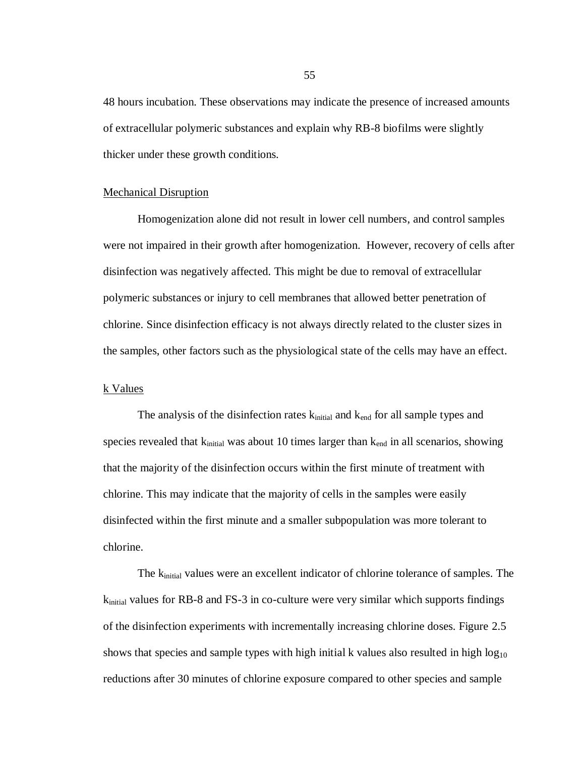48 hours incubation. These observations may indicate the presence of increased amounts of extracellular polymeric substances and explain why RB-8 biofilms were slightly thicker under these growth conditions.

#### Mechanical Disruption

Homogenization alone did not result in lower cell numbers, and control samples were not impaired in their growth after homogenization. However, recovery of cells after disinfection was negatively affected. This might be due to removal of extracellular polymeric substances or injury to cell membranes that allowed better penetration of chlorine. Since disinfection efficacy is not always directly related to the cluster sizes in the samples, other factors such as the physiological state of the cells may have an effect.

## k Values

The analysis of the disinfection rates  $k_{initial}$  and  $k_{end}$  for all sample types and species revealed that  $k_{initial}$  was about 10 times larger than  $k_{end}$  in all scenarios, showing that the majority of the disinfection occurs within the first minute of treatment with chlorine. This may indicate that the majority of cells in the samples were easily disinfected within the first minute and a smaller subpopulation was more tolerant to chlorine.

The k<sub>initial</sub> values were an excellent indicator of chlorine tolerance of samples. The  $k_{initial}$  values for RB-8 and FS-3 in co-culture were very similar which supports findings of the disinfection experiments with incrementally increasing chlorine doses. Figure 2.5 shows that species and sample types with high initial k values also resulted in high  $log_{10}$ reductions after 30 minutes of chlorine exposure compared to other species and sample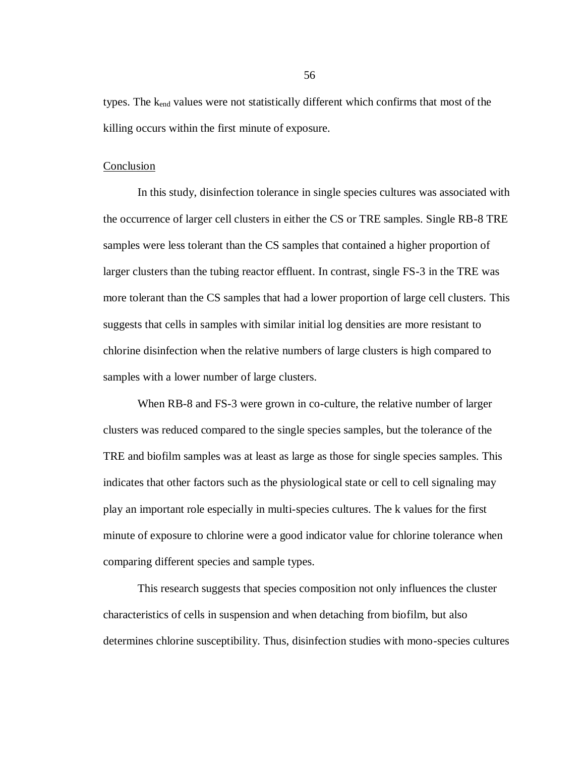types. The  $k_{end}$  values were not statistically different which confirms that most of the killing occurs within the first minute of exposure.

#### Conclusion

In this study, disinfection tolerance in single species cultures was associated with the occurrence of larger cell clusters in either the CS or TRE samples. Single RB-8 TRE samples were less tolerant than the CS samples that contained a higher proportion of larger clusters than the tubing reactor effluent. In contrast, single FS-3 in the TRE was more tolerant than the CS samples that had a lower proportion of large cell clusters. This suggests that cells in samples with similar initial log densities are more resistant to chlorine disinfection when the relative numbers of large clusters is high compared to samples with a lower number of large clusters.

When RB-8 and FS-3 were grown in co-culture, the relative number of larger clusters was reduced compared to the single species samples, but the tolerance of the TRE and biofilm samples was at least as large as those for single species samples. This indicates that other factors such as the physiological state or cell to cell signaling may play an important role especially in multi-species cultures. The k values for the first minute of exposure to chlorine were a good indicator value for chlorine tolerance when comparing different species and sample types.

This research suggests that species composition not only influences the cluster characteristics of cells in suspension and when detaching from biofilm, but also determines chlorine susceptibility. Thus, disinfection studies with mono-species cultures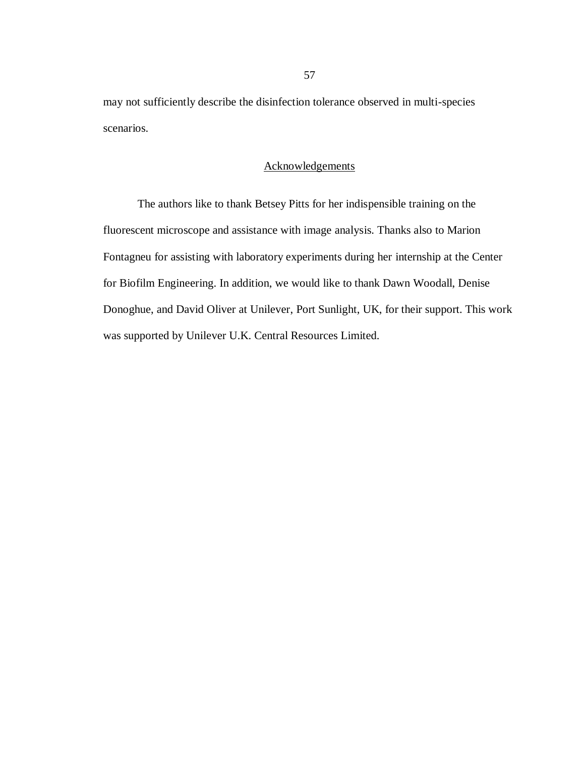may not sufficiently describe the disinfection tolerance observed in multi-species scenarios.

## Acknowledgements

The authors like to thank Betsey Pitts for her indispensible training on the fluorescent microscope and assistance with image analysis. Thanks also to Marion Fontagneu for assisting with laboratory experiments during her internship at the Center for Biofilm Engineering. In addition, we would like to thank Dawn Woodall, Denise Donoghue, and David Oliver at Unilever, Port Sunlight, UK, for their support. This work was supported by Unilever U.K. Central Resources Limited.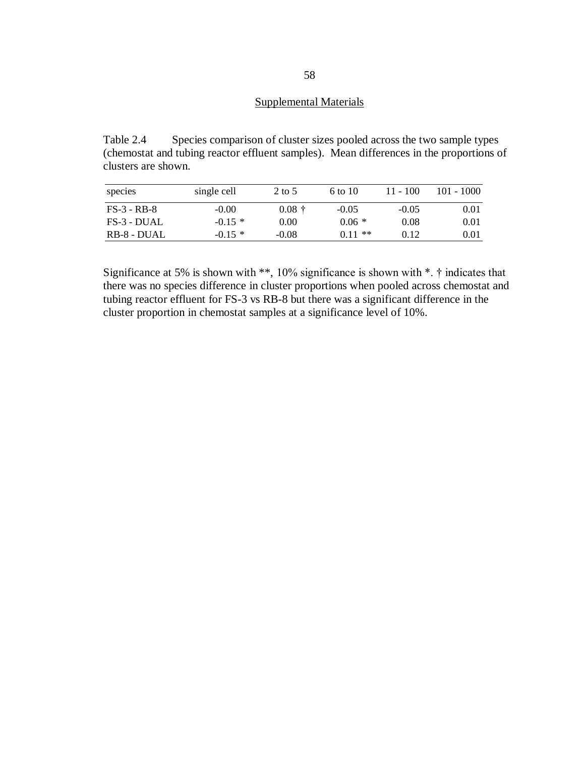## Supplemental Materials

Table 2.4 Species comparison of cluster sizes pooled across the two sample types (chemostat and tubing reactor effluent samples). Mean differences in the proportions of clusters are shown.

| species       | single cell | 2 to 5   | 6 to 10        | $11 - 100$ | $101 - 1000$ |
|---------------|-------------|----------|----------------|------------|--------------|
| $FS-3 - RB-8$ | $-0.00$     | $0.08 +$ | $-0.05$        | $-0.05$    | 0.01         |
| $FS-3$ - DUAL | $-0.15*$    | 0.00     | $0.06*$        | 0.08       | 0.01         |
| $RB-8-DUAL$   | $-0.15*$    | $-0.08$  | $***$<br>0 1 1 | 0.12       | 0.01         |

Significance at 5% is shown with \*\*, 10% significance is shown with \*. † indicates that there was no species difference in cluster proportions when pooled across chemostat and tubing reactor effluent for FS-3 vs RB-8 but there was a significant difference in the cluster proportion in chemostat samples at a significance level of 10%.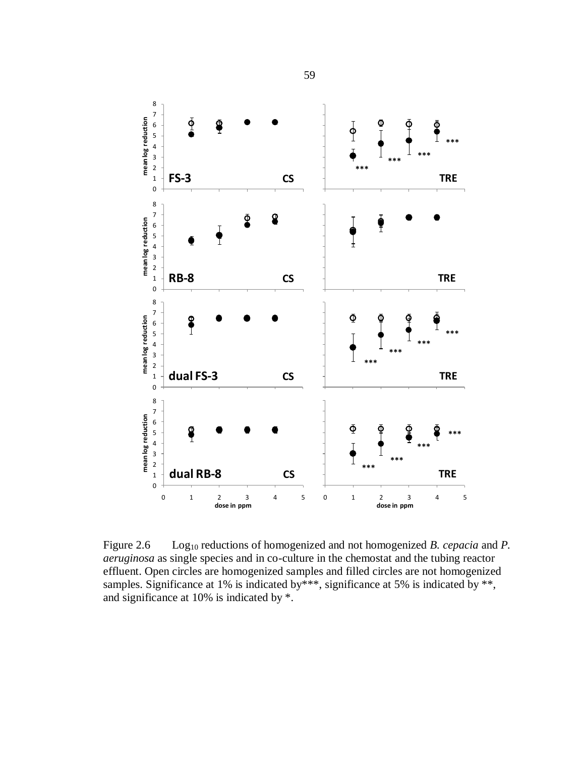

Figure 2.6 Log<sub>10</sub> reductions of homogenized and not homogenized *B. cepacia* and *P. aeruginosa* as single species and in co-culture in the chemostat and the tubing reactor effluent. Open circles are homogenized samples and filled circles are not homogenized samples. Significance at 1% is indicated by \*\*\*, significance at 5% is indicated by \*\*, and significance at 10% is indicated by \*.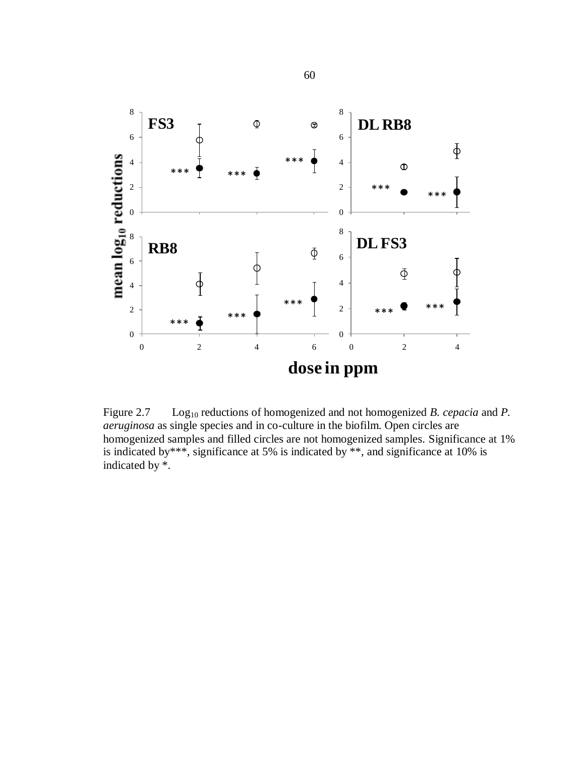

Figure 2.7 Log<sub>10</sub> reductions of homogenized and not homogenized *B. cepacia* and *P. aeruginosa* as single species and in co-culture in the biofilm. Open circles are homogenized samples and filled circles are not homogenized samples. Significance at 1% is indicated by\*\*\*, significance at 5% is indicated by \*\*, and significance at 10% is indicated by \*.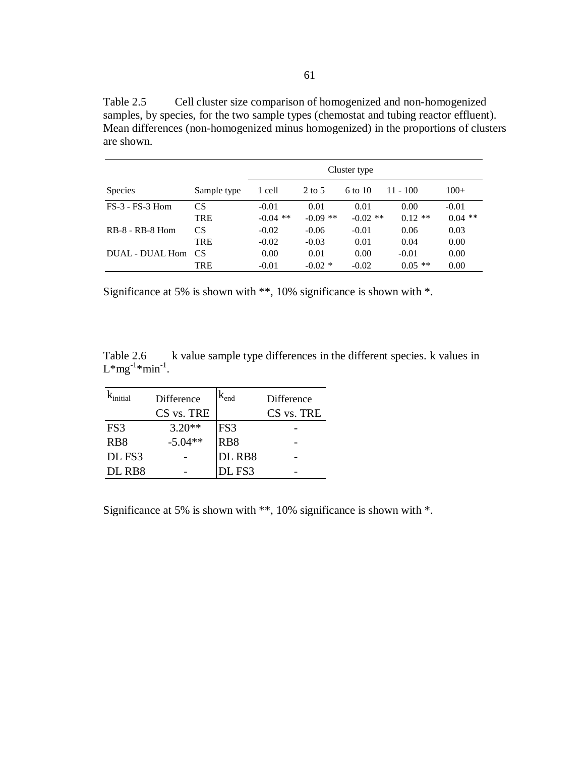Table 2.5 Cell cluster size comparison of homogenized and non-homogenized samples, by species, for the two sample types (chemostat and tubing reactor effluent). Mean differences (non-homogenized minus homogenized) in the proportions of clusters are shown.

|                     |                 | Cluster type |            |            |            |           |
|---------------------|-----------------|--------------|------------|------------|------------|-----------|
| <b>Species</b>      | Sample type     | 1 cell       | $2$ to 5   | 6 to 10    | $11 - 100$ | $100+$    |
| $FS-3$ - $FS-3$ Hom | <b>CS</b>       | $-0.01$      | 0.01       | 0.01       | 0.00       | $-0.01$   |
|                     | <b>TRE</b>      | $-0.04$ **   | $-0.09$ ** | $-0.02$ ** | $0.12**$   | $0.04$ ** |
| $RB-8 - RB-8$ Hom   | <b>CS</b>       | $-0.02$      | $-0.06$    | $-0.01$    | 0.06       | 0.03      |
|                     | <b>TRE</b>      | $-0.02$      | $-0.03$    | 0.01       | 0.04       | 0.00      |
| DUAL - DUAL Hom     | CS <sup>-</sup> | 0.00         | 0.01       | 0.00       | $-0.01$    | 0.00      |
|                     | TRE             | $-0.01$      | $-0.02$ *  | $-0.02$    | $0.05$ **  | 0.00      |

Significance at 5% is shown with \*\*, 10% significance is shown with \*.

Table 2.6 k value sample type differences in the different species. k values in  $L^*mg^{-1}*min^{-1}$ .

|                  | Difference | $K_{end}$       | Difference |
|------------------|------------|-----------------|------------|
|                  | CS vs. TRE |                 | CS vs. TRE |
| FS3              | $3.20**$   | FS3             |            |
| R <sub>B</sub> 8 | $-5.04**$  | RB <sub>8</sub> |            |
| DL FS3           |            | DL RB8          |            |
| DL RB8           |            | DL FS3          |            |

Significance at 5% is shown with \*\*, 10% significance is shown with \*.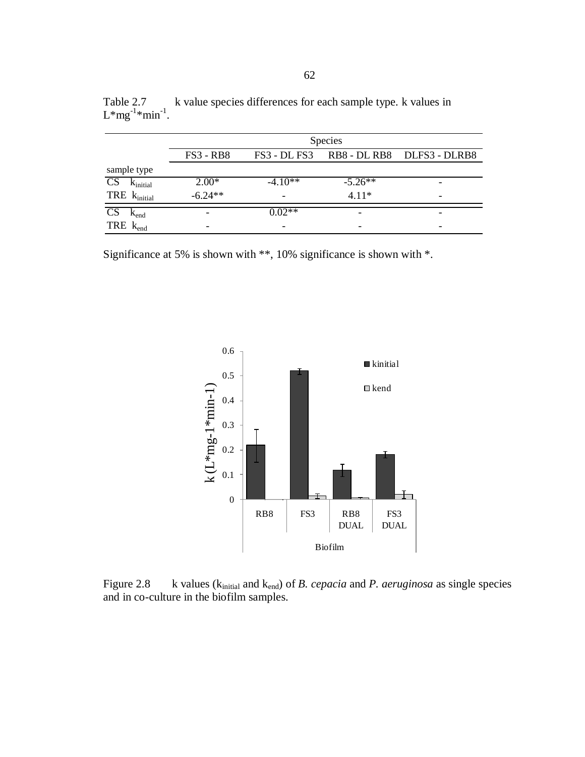|                                         | <b>Species</b>   |                          |                          |                            |  |
|-----------------------------------------|------------------|--------------------------|--------------------------|----------------------------|--|
|                                         | <b>FS3 - RB8</b> | FS3 - DL FS3             |                          | RB8 - DL RB8 DLFS3 - DLRB8 |  |
| sample type                             |                  |                          |                          |                            |  |
| $\overline{\text{CS}}$<br>$K_{initial}$ | $2.00*$          | $-4.10**$                | $-5.26**$                |                            |  |
| TRE $k_{initial}$                       | $-6.24**$        | $\overline{\phantom{0}}$ | $4.11*$                  | -                          |  |
| $K_{end}$                               | -                | $0.02**$                 | -                        |                            |  |
| TRE $k_{end}$                           | -                | $\overline{\phantom{a}}$ | $\overline{\phantom{0}}$ | -                          |  |

k value species differences for each sample type. k values in  $L^*mg^{-1}*min^{-1}.$ 

Significance at 5% is shown with \*\*, 10% significance is shown with \*.



Figure 2.8 k values (k<sub>initial</sub> and k<sub>end</sub>) of *B. cepacia* and *P. aeruginosa* as single species and in co-culture in the biofilm samples.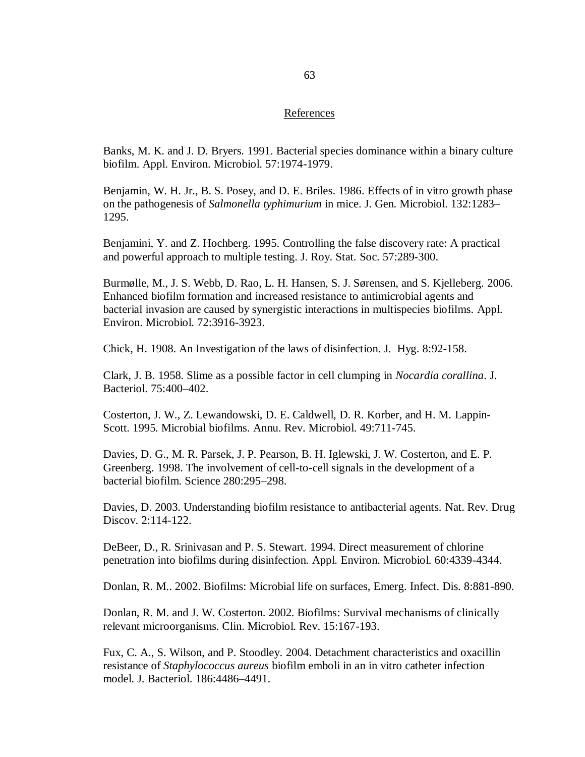#### References

Banks, M. K. and J. D. Bryers. 1991. Bacterial species dominance within a binary culture biofilm. Appl. Environ. Microbiol. 57:1974-1979.

Benjamin, W. H. Jr., B. S. Posey, and D. E. Briles. 1986*.* Effects of in vitro growth phase on the pathogenesis of *Salmonella typhimurium* in mice. J. Gen. Microbiol. 132:1283– 1295.

Benjamini, Y. and Z. Hochberg. 1995. Controlling the false discovery rate: A practical and powerful approach to multiple testing. J. Roy. Stat. Soc. 57:289-300.

Burmølle, M., J. S. Webb, D. Rao, L. H. Hansen, S. J. Sørensen, and S. Kjelleberg. 2006. Enhanced biofilm formation and increased resistance to antimicrobial agents and bacterial invasion are caused by synergistic interactions in multispecies biofilms. Appl. Environ. Microbiol. 72:3916-3923.

Chick, H. 1908. An Investigation of the laws of disinfection. J. Hyg. 8:92-158.

Clark, J. B. 1958. Slime as a possible factor in cell clumping in *Nocardia corallina*. J. Bacteriol. 75:400–402.

Costerton, J. W., Z. Lewandowski, D. E. Caldwell, D. R. Korber, and H. M. Lappin-Scott. 1995. Microbial biofilms. Annu. Rev. Microbiol. 49:711-745.

Davies, D. G., M. R. Parsek, J. P. Pearson, B. H. Iglewski, J. W. Costerton, and E. P. Greenberg. 1998. The involvement of cell-to-cell signals in the development of a bacterial biofilm. Science 280:295–298.

Davies, D. 2003. Understanding biofilm resistance to antibacterial agents. Nat. Rev. Drug Discov. 2:114-122.

DeBeer*,* D., R. Srinivasan and P. S. Stewart*.* 1994. Direct measurement of chlorine penetration into biofilms during disinfection*.* Appl. Environ. Microbiol. 60:4339-4344.

Donlan, R. M.. 2002. Biofilms: Microbial life on surfaces, Emerg. Infect. Dis. 8:881-890.

Donlan, R. M. and J. W. Costerton. 2002. Biofilms: Survival mechanisms of clinically relevant microorganisms. Clin. Microbiol. Rev. 15:167-193.

Fux, C. A., S. Wilson, and P. Stoodley. 2004. Detachment characteristics and oxacillin resistance of *Staphylococcus aureus* biofilm emboli in an in vitro catheter infection model. J. Bacteriol. 186:4486–4491.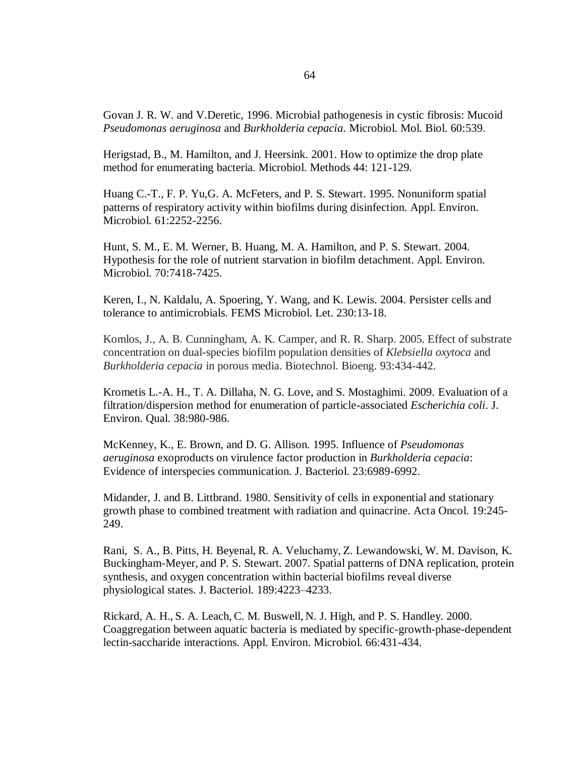Govan J. R. W. and V.Deretic, 1996. Microbial pathogenesis in cystic fibrosis: Mucoid *Pseudomonas aeruginosa* and *Burkholderia cepacia.* Microbiol. Mol. Biol. 60:539.

Herigstad, B., M. Hamilton, and J. Heersink. 2001. How to optimize the drop plate method for enumerating bacteria. Microbiol. Methods 44: 121-129.

Huang C.-T., F. P. Yu,G. A. McFeters, and P. S. Stewart. 1995. Nonuniform spatial patterns of respiratory activity within biofilms during disinfection. Appl. Environ. Microbiol. 61:2252-2256.

Hunt, S. M., E. M. Werner, B. Huang, M. A. Hamilton, and P. S. Stewart. 2004. Hypothesis for the role of nutrient starvation in biofilm detachment. Appl. Environ. Microbiol. 70:7418-7425.

Keren, I., N. Kaldalu, A. Spoering, Y. Wang, and K. Lewis. 2004. Persister cells and tolerance to antimicrobials. FEMS Microbiol. Let. 230:13-18.

Komlos, J., A. B. Cunningham, A. K. Camper, and R. R. Sharp. 2005. Effect of substrate concentration on dual-species biofilm population densities of *Klebsiella oxytoca* and *Burkholderia cepacia* in porous media. Biotechnol. Bioeng. 93:434-442.

Krometis L.-A. H., T. A. Dillaha, N. G. Love, and S. Mostaghimi. 2009. Evaluation of a filtration/dispersion method for enumeration of particle-associated *Escherichia coli*. J. Environ. Qual. 38:980-986.

McKenney, K., E. Brown, and D. G. Allison. 1995. Influence of *Pseudomonas aeruginosa* exoproducts on virulence factor production in *Burkholderia cepacia*: Evidence of interspecies communication. J. Bacteriol. 23:6989-6992.

Midander, J. and B. Littbrand. 1980. Sensitivity of cells in exponential and stationary growth phase to combined treatment with radiation and quinacrine. Acta Oncol. 19:245- 249.

Rani, S. A., B. Pitts, H. Beyenal, R. A. Veluchamy, Z. Lewandowski, W. M. Davison, K. Buckingham-Meyer, and P. S. Stewart. 2007. Spatial patterns of DNA replication, protein synthesis, and oxygen concentration within bacterial biofilms reveal diverse physiological states. J. Bacteriol. 189:4223–4233.

Rickard, A. H., S. A. Leach, C. M. Buswell, N. J. High, and P. S. Handley. 2000. Coaggregation between aquatic bacteria is mediated by specific-growth-phase-dependent lectin-saccharide interactions. Appl. Environ. Microbiol. 66:431-434.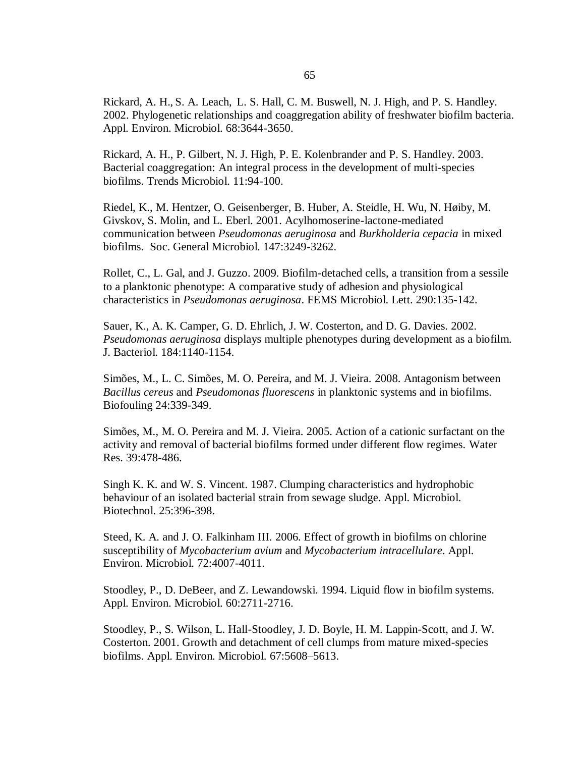Rickard, A. H., S. A. Leach, L. S. Hall, C. M. Buswell, N. J. High, and P. S. Handley. 2002. Phylogenetic relationships and coaggregation ability of freshwater biofilm bacteria. Appl. Environ. Microbiol. 68:3644-3650.

Rickard, A. H., P. Gilbert, N. J. High, P. E. Kolenbrander and P. S. Handley. 2003. Bacterial coaggregation: An integral process in the development of multi-species biofilms. Trends Microbiol. 11:94-100.

Riedel, K., M. Hentzer, O. Geisenberger, B. Huber, A. Steidle, H. Wu, N. Høiby, M. Givskov, S. Molin, and L. Eberl. 2001. Acylhomoserine-lactone-mediated communication between *Pseudomonas aeruginosa* and *Burkholderia cepacia* in mixed biofilms. Soc. General Microbiol. 147:3249-3262.

Rollet, C., L. Gal, and J. Guzzo. 2009. Biofilm-detached cells, a transition from a sessile to a planktonic phenotype: A comparative study of adhesion and physiological characteristics in *Pseudomonas aeruginosa*. FEMS Microbiol. Lett. 290:135-142.

Sauer, K., A. K. Camper, G. D. Ehrlich, J. W. Costerton, and D. G. Davies. 2002. *Pseudomonas aeruginosa* displays multiple phenotypes during development as a biofilm. J. Bacteriol. 184:1140-1154.

Simões, M., L. C. Simões, M. O. Pereira, and M. J. Vieira. 2008. Antagonism between *Bacillus cereus* and *Pseudomonas fluorescens* in planktonic systems and in biofilms. Biofouling 24:339-349.

Simões, M., M. O. Pereira and M. J. Vieira. 2005. Action of a cationic surfactant on the activity and removal of bacterial biofilms formed under different flow regimes. Water Res. 39:478-486.

Singh K. K. and W. S. Vincent. 1987. Clumping characteristics and hydrophobic behaviour of an isolated bacterial strain from sewage sludge. Appl. Microbiol. Biotechnol. 25:396-398.

Steed, K. A. and J. O. Falkinham III. 2006. Effect of growth in biofilms on chlorine susceptibility of *Mycobacterium avium* and *Mycobacterium intracellulare*. Appl. Environ. Microbiol. 72:4007-4011.

Stoodley, P., D. DeBeer, and Z. Lewandowski. 1994. Liquid flow in biofilm systems. Appl. Environ. Microbiol. 60:2711-2716.

Stoodley, P., S. Wilson, L. Hall-Stoodley, J. D. Boyle, H. M. Lappin-Scott, and J. W. Costerton. 2001. Growth and detachment of cell clumps from mature mixed-species biofilms. Appl. Environ. Microbiol. 67:5608–5613.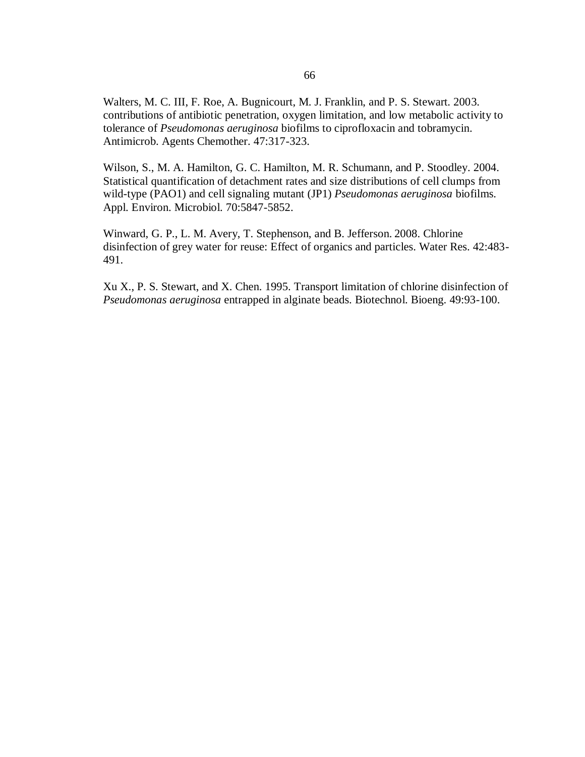Walters, M. C. III, F. Roe, A. Bugnicourt, M. J. Franklin, and P. S. Stewart. 2003. contributions of antibiotic penetration, oxygen limitation, and low metabolic activity to tolerance of *Pseudomonas aeruginosa* biofilms to ciprofloxacin and tobramycin. Antimicrob. Agents Chemother. 47:317-323.

Wilson, S., M. A. Hamilton, G. C. Hamilton, M. R. Schumann, and P. Stoodley. 2004. Statistical quantification of detachment rates and size distributions of cell clumps from wild-type (PAO1) and cell signaling mutant (JP1) *Pseudomonas aeruginosa* biofilms. Appl. Environ. Microbiol. 70:5847-5852.

Winward, G. P., L. M. Avery, T. Stephenson, and B. Jefferson. 2008. Chlorine disinfection of grey water for reuse: Effect of organics and particles. Water Res. 42:483- 491.

Xu X., P. S. Stewart, and X. Chen. 1995. Transport limitation of chlorine disinfection of *Pseudomonas aeruginosa* entrapped in alginate beads. Biotechnol. Bioeng. 49:93-100.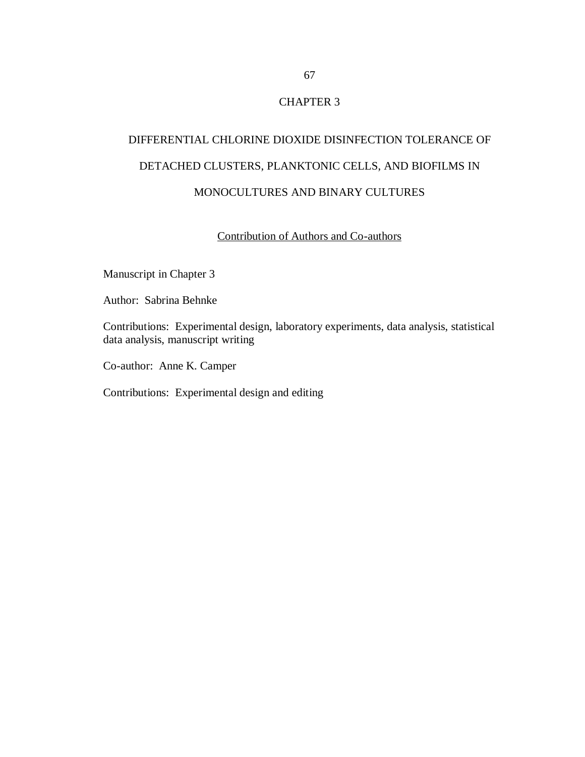# CHAPTER 3

# DIFFERENTIAL CHLORINE DIOXIDE DISINFECTION TOLERANCE OF DETACHED CLUSTERS, PLANKTONIC CELLS, AND BIOFILMS IN MONOCULTURES AND BINARY CULTURES

# Contribution of Authors and Co-authors

Manuscript in Chapter 3

Author: Sabrina Behnke

Contributions: Experimental design, laboratory experiments, data analysis, statistical data analysis, manuscript writing

Co-author: Anne K. Camper

Contributions: Experimental design and editing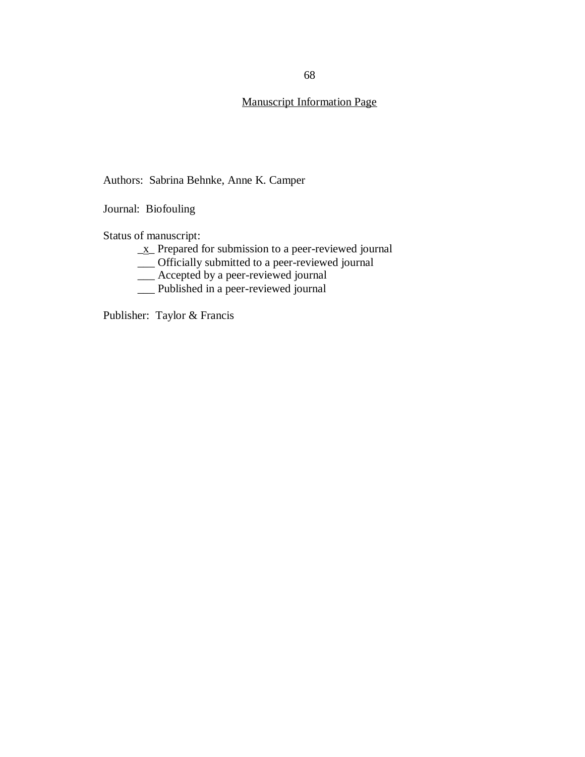# Manuscript Information Page

Authors: Sabrina Behnke, Anne K. Camper

Journal: Biofouling

Status of manuscript:

- \_x\_ Prepared for submission to a peer-reviewed journal
- \_\_\_ Officially submitted to a peer-reviewed journal
- \_\_\_ Accepted by a peer-reviewed journal
- \_\_\_ Published in a peer-reviewed journal

Publisher: Taylor & Francis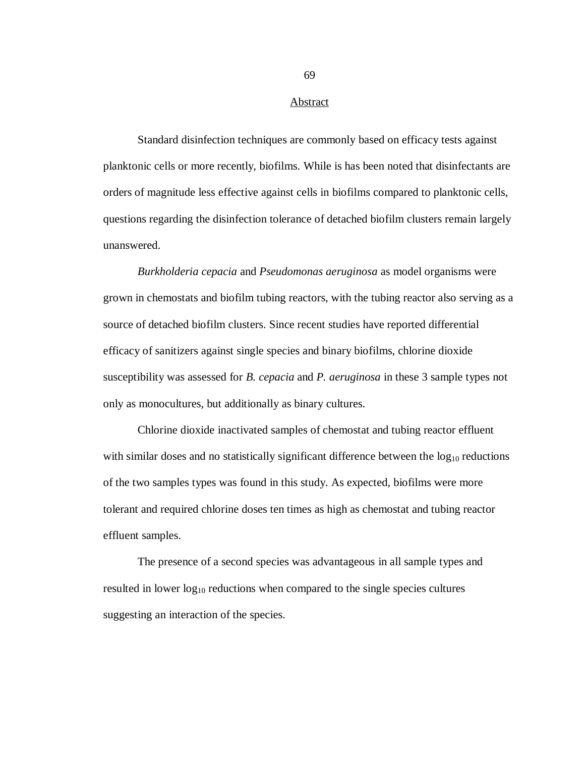#### Abstract

Standard disinfection techniques are commonly based on efficacy tests against planktonic cells or more recently, biofilms. While is has been noted that disinfectants are orders of magnitude less effective against cells in biofilms compared to planktonic cells, questions regarding the disinfection tolerance of detached biofilm clusters remain largely unanswered.

*Burkholderia cepacia* and *Pseudomonas aeruginosa* as model organisms were grown in chemostats and biofilm tubing reactors, with the tubing reactor also serving as a source of detached biofilm clusters. Since recent studies have reported differential efficacy of sanitizers against single species and binary biofilms, chlorine dioxide susceptibility was assessed for *B. cepacia* and *P. aeruginosa* in these 3 sample types not only as monocultures, but additionally as binary cultures.

Chlorine dioxide inactivated samples of chemostat and tubing reactor effluent with similar doses and no statistically significant difference between the  $log_{10}$  reductions of the two samples types was found in this study. As expected, biofilms were more tolerant and required chlorine doses ten times as high as chemostat and tubing reactor effluent samples.

The presence of a second species was advantageous in all sample types and resulted in lower  $log_{10}$  reductions when compared to the single species cultures suggesting an interaction of the species.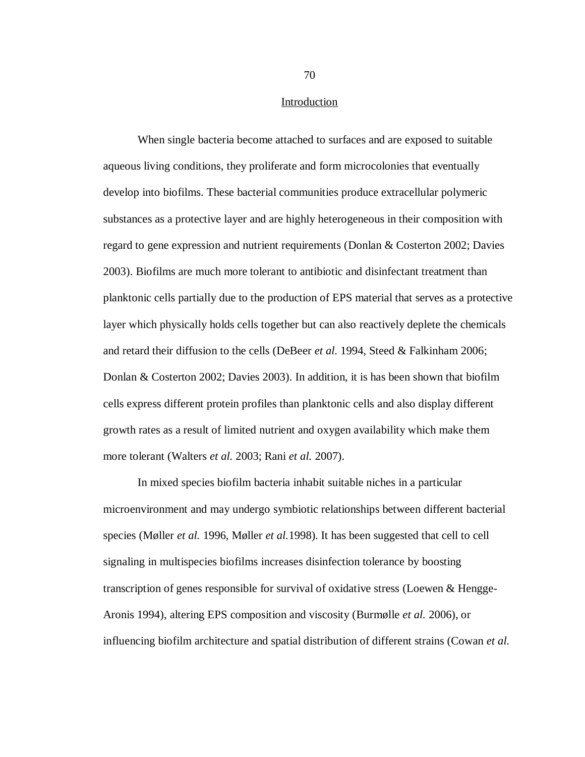#### Introduction

When single bacteria become attached to surfaces and are exposed to suitable aqueous living conditions, they proliferate and form microcolonies that eventually develop into biofilms. These bacterial communities produce extracellular polymeric substances as a protective layer and are highly heterogeneous in their composition with regard to gene expression and nutrient requirements (Donlan & Costerton 2002; Davies 2003). Biofilms are much more tolerant to antibiotic and disinfectant treatment than planktonic cells partially due to the production of EPS material that serves as a protective layer which physically holds cells together but can also reactively deplete the chemicals and retard their diffusion to the cells (DeBeer *et al.* 1994, Steed & Falkinham 2006; Donlan & Costerton 2002; Davies 2003). In addition, it is has been shown that biofilm cells express different protein profiles than planktonic cells and also display different growth rates as a result of limited nutrient and oxygen availability which make them more tolerant (Walters *et al.* 2003; Rani *et al.* 2007).

In mixed species biofilm bacteria inhabit suitable niches in a particular microenvironment and may undergo symbiotic relationships between different bacterial species (Møller *et al.* 1996, Møller *et al.*1998). It has been suggested that cell to cell signaling in multispecies biofilms increases disinfection tolerance by boosting transcription of genes responsible for survival of oxidative stress (Loewen & Hengge-Aronis 1994), altering EPS composition and viscosity (Burmølle *et al.* 2006), or influencing biofilm architecture and spatial distribution of different strains (Cowan *et al.*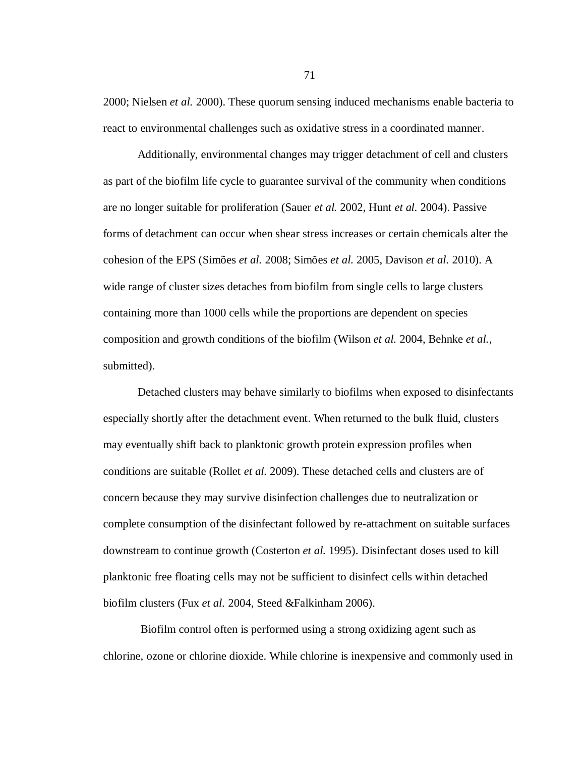2000; Nielsen *et al.* 2000). These quorum sensing induced mechanisms enable bacteria to react to environmental challenges such as oxidative stress in a coordinated manner.

Additionally, environmental changes may trigger detachment of cell and clusters as part of the biofilm life cycle to guarantee survival of the community when conditions are no longer suitable for proliferation (Sauer *et al.* 2002, Hunt *et al.* 2004). Passive forms of detachment can occur when shear stress increases or certain chemicals alter the cohesion of the EPS (Simões *et al.* 2008; Simões *et al.* 2005, Davison *et al.* 2010). A wide range of cluster sizes detaches from biofilm from single cells to large clusters containing more than 1000 cells while the proportions are dependent on species composition and growth conditions of the biofilm (Wilson *et al.* 2004, Behnke *et al.*, submitted).

Detached clusters may behave similarly to biofilms when exposed to disinfectants especially shortly after the detachment event. When returned to the bulk fluid, clusters may eventually shift back to planktonic growth protein expression profiles when conditions are suitable (Rollet *et al.* 2009). These detached cells and clusters are of concern because they may survive disinfection challenges due to neutralization or complete consumption of the disinfectant followed by re-attachment on suitable surfaces downstream to continue growth (Costerton *et al.* 1995). Disinfectant doses used to kill planktonic free floating cells may not be sufficient to disinfect cells within detached biofilm clusters (Fux *et al.* 2004, Steed &Falkinham 2006).

Biofilm control often is performed using a strong oxidizing agent such as chlorine, ozone or chlorine dioxide. While chlorine is inexpensive and commonly used in

71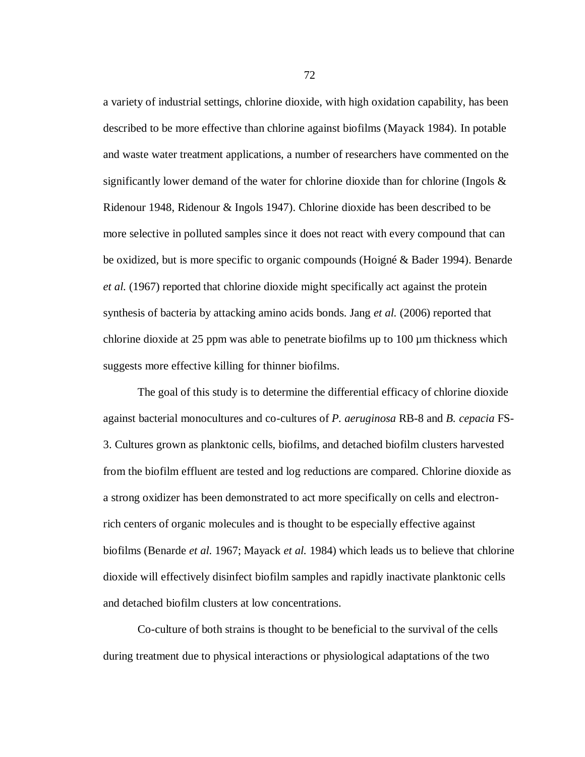a variety of industrial settings, chlorine dioxide, with high oxidation capability, has been described to be more effective than chlorine against biofilms (Mayack 1984). In potable and waste water treatment applications, a number of researchers have commented on the significantly lower demand of the water for chlorine dioxide than for chlorine (Ingols  $\&$ Ridenour 1948, Ridenour & Ingols 1947). Chlorine dioxide has been described to be more selective in polluted samples since it does not react with every compound that can be oxidized, but is more specific to organic compounds (Hoigné & Bader 1994). Benarde *et al.* (1967) reported that chlorine dioxide might specifically act against the protein synthesis of bacteria by attacking amino acids bonds. Jang *et al.* (2006) reported that chlorine dioxide at 25 ppm was able to penetrate biofilms up to 100 µm thickness which suggests more effective killing for thinner biofilms.

The goal of this study is to determine the differential efficacy of chlorine dioxide against bacterial monocultures and co-cultures of *P. aeruginosa* RB-8 and *B. cepacia* FS-3. Cultures grown as planktonic cells, biofilms, and detached biofilm clusters harvested from the biofilm effluent are tested and log reductions are compared. Chlorine dioxide as a strong oxidizer has been demonstrated to act more specifically on cells and electronrich centers of organic molecules and is thought to be especially effective against biofilms (Benarde *et al.* 1967; Mayack *et al.* 1984) which leads us to believe that chlorine dioxide will effectively disinfect biofilm samples and rapidly inactivate planktonic cells and detached biofilm clusters at low concentrations.

Co-culture of both strains is thought to be beneficial to the survival of the cells during treatment due to physical interactions or physiological adaptations of the two

72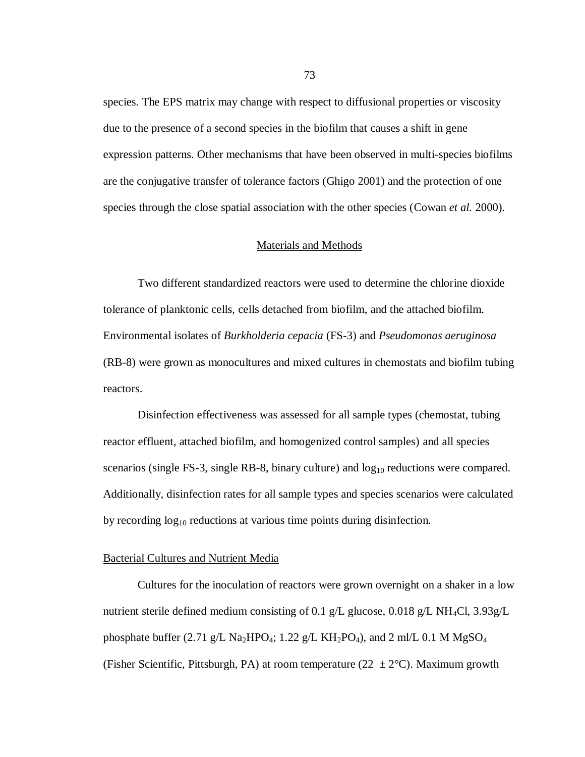species. The EPS matrix may change with respect to diffusional properties or viscosity due to the presence of a second species in the biofilm that causes a shift in gene expression patterns. Other mechanisms that have been observed in multi-species biofilms are the conjugative transfer of tolerance factors (Ghigo 2001) and the protection of one species through the close spatial association with the other species (Cowan *et al.* 2000).

#### Materials and Methods

Two different standardized reactors were used to determine the chlorine dioxide tolerance of planktonic cells, cells detached from biofilm, and the attached biofilm. Environmental isolates of *Burkholderia cepacia* (FS-3) and *Pseudomonas aeruginosa*  (RB-8) were grown as monocultures and mixed cultures in chemostats and biofilm tubing reactors.

Disinfection effectiveness was assessed for all sample types (chemostat, tubing reactor effluent, attached biofilm, and homogenized control samples) and all species scenarios (single FS-3, single RB-8, binary culture) and  $log_{10}$  reductions were compared. Additionally, disinfection rates for all sample types and species scenarios were calculated by recording  $log_{10}$  reductions at various time points during disinfection.

#### Bacterial Cultures and Nutrient Media

Cultures for the inoculation of reactors were grown overnight on a shaker in a low nutrient sterile defined medium consisting of 0.1 g/L glucose, 0.018 g/L NH<sub>4</sub>Cl,  $3.93g/L$ phosphate buffer (2.71 g/L Na<sub>2</sub>HPO<sub>4</sub>; 1.22 g/L KH<sub>2</sub>PO<sub>4</sub>), and 2 ml/L 0.1 M MgSO<sub>4</sub> (Fisher Scientific, Pittsburgh, PA) at room temperature ( $22 \pm 2$ °C). Maximum growth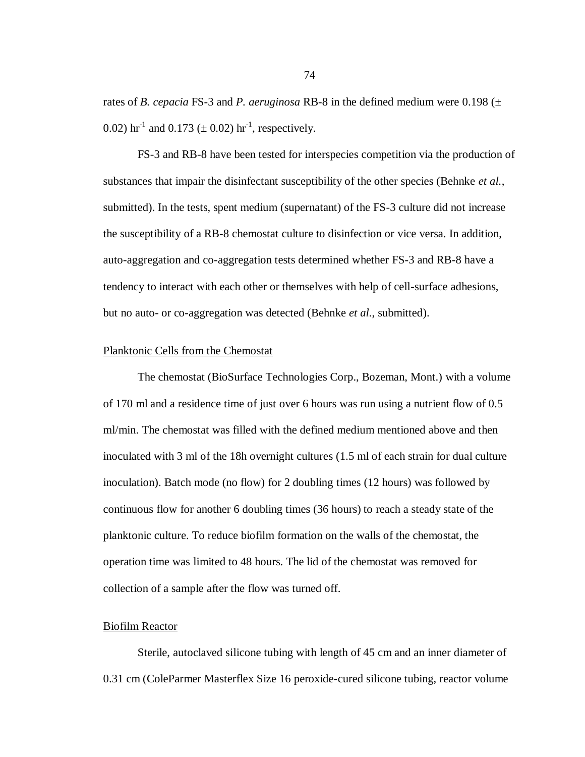rates of *B. cepacia* FS-3 and *P. aeruginosa* RB-8 in the defined medium were 0.198 (± 0.02) hr<sup>-1</sup> and 0.173 ( $\pm$  0.02) hr<sup>-1</sup>, respectively.

FS-3 and RB-8 have been tested for interspecies competition via the production of substances that impair the disinfectant susceptibility of the other species (Behnke *et al.*, submitted). In the tests, spent medium (supernatant) of the FS-3 culture did not increase the susceptibility of a RB-8 chemostat culture to disinfection or vice versa. In addition, auto-aggregation and co-aggregation tests determined whether FS-3 and RB-8 have a tendency to interact with each other or themselves with help of cell-surface adhesions, but no auto- or co-aggregation was detected (Behnke *et al.*, submitted).

#### Planktonic Cells from the Chemostat

The chemostat (BioSurface Technologies Corp., Bozeman, Mont.) with a volume of 170 ml and a residence time of just over 6 hours was run using a nutrient flow of 0.5 ml/min. The chemostat was filled with the defined medium mentioned above and then inoculated with 3 ml of the 18h overnight cultures (1.5 ml of each strain for dual culture inoculation). Batch mode (no flow) for 2 doubling times (12 hours) was followed by continuous flow for another 6 doubling times (36 hours) to reach a steady state of the planktonic culture. To reduce biofilm formation on the walls of the chemostat, the operation time was limited to 48 hours. The lid of the chemostat was removed for collection of a sample after the flow was turned off.

#### Biofilm Reactor

Sterile, autoclaved silicone tubing with length of 45 cm and an inner diameter of 0.31 cm (ColeParmer Masterflex Size 16 peroxide-cured silicone tubing, reactor volume

74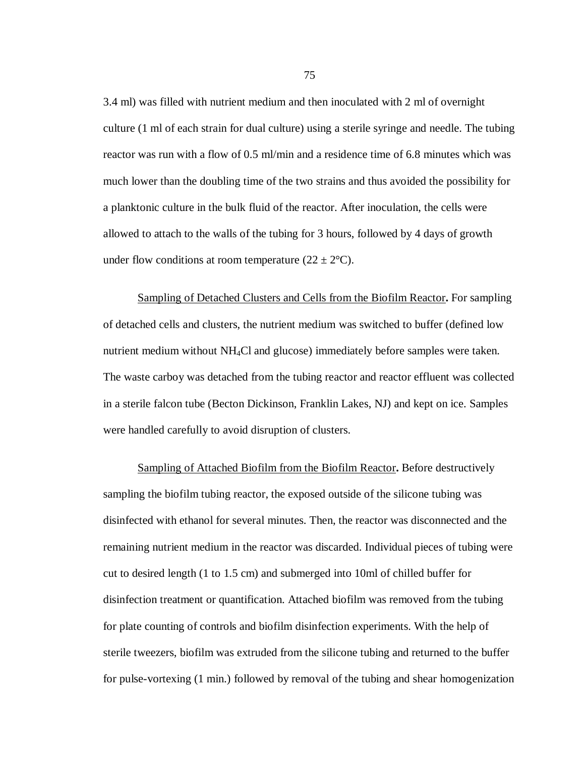3.4 ml) was filled with nutrient medium and then inoculated with 2 ml of overnight culture (1 ml of each strain for dual culture) using a sterile syringe and needle. The tubing reactor was run with a flow of 0.5 ml/min and a residence time of 6.8 minutes which was much lower than the doubling time of the two strains and thus avoided the possibility for a planktonic culture in the bulk fluid of the reactor. After inoculation, the cells were allowed to attach to the walls of the tubing for 3 hours, followed by 4 days of growth under flow conditions at room temperature  $(22 \pm 2^{\circ}C)$ .

Sampling of Detached Clusters and Cells from the Biofilm Reactor**.** For sampling of detached cells and clusters, the nutrient medium was switched to buffer (defined low nutrient medium without NH4Cl and glucose) immediately before samples were taken. The waste carboy was detached from the tubing reactor and reactor effluent was collected in a sterile falcon tube (Becton Dickinson, Franklin Lakes, NJ) and kept on ice. Samples were handled carefully to avoid disruption of clusters.

Sampling of Attached Biofilm from the Biofilm Reactor**.** Before destructively sampling the biofilm tubing reactor, the exposed outside of the silicone tubing was disinfected with ethanol for several minutes. Then, the reactor was disconnected and the remaining nutrient medium in the reactor was discarded. Individual pieces of tubing were cut to desired length (1 to 1.5 cm) and submerged into 10ml of chilled buffer for disinfection treatment or quantification. Attached biofilm was removed from the tubing for plate counting of controls and biofilm disinfection experiments. With the help of sterile tweezers, biofilm was extruded from the silicone tubing and returned to the buffer for pulse-vortexing (1 min.) followed by removal of the tubing and shear homogenization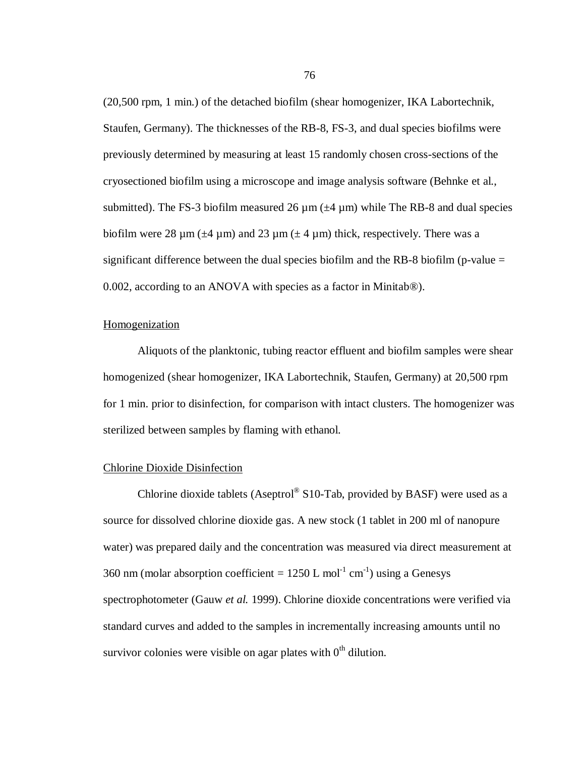(20,500 rpm, 1 min.) of the detached biofilm (shear homogenizer, IKA Labortechnik, Staufen, Germany). The thicknesses of the RB-8, FS-3, and dual species biofilms were previously determined by measuring at least 15 randomly chosen cross-sections of the cryosectioned biofilm using a microscope and image analysis software (Behnke et al., submitted). The FS-3 biofilm measured 26  $\mu$ m ( $\pm$ 4  $\mu$ m) while The RB-8 and dual species biofilm were 28  $\mu$ m ( $\pm$ 4  $\mu$ m) and 23  $\mu$ m ( $\pm$  4  $\mu$ m) thick, respectively. There was a significant difference between the dual species biofilm and the RB-8 biofilm (p-value  $=$ 0.002, according to an ANOVA with species as a factor in Minitab®).

#### Homogenization

Aliquots of the planktonic, tubing reactor effluent and biofilm samples were shear homogenized (shear homogenizer, IKA Labortechnik, Staufen, Germany) at 20,500 rpm for 1 min. prior to disinfection, for comparison with intact clusters. The homogenizer was sterilized between samples by flaming with ethanol.

#### Chlorine Dioxide Disinfection

Chlorine dioxide tablets (Aseptrol® S10-Tab, provided by BASF) were used as a source for dissolved chlorine dioxide gas. A new stock (1 tablet in 200 ml of nanopure water) was prepared daily and the concentration was measured via direct measurement at 360 nm (molar absorption coefficient =  $1250$  L mol<sup>-1</sup> cm<sup>-1</sup>) using a Genesys spectrophotometer (Gauw *et al.* 1999). Chlorine dioxide concentrations were verified via standard curves and added to the samples in incrementally increasing amounts until no survivor colonies were visible on agar plates with  $0<sup>th</sup>$  dilution.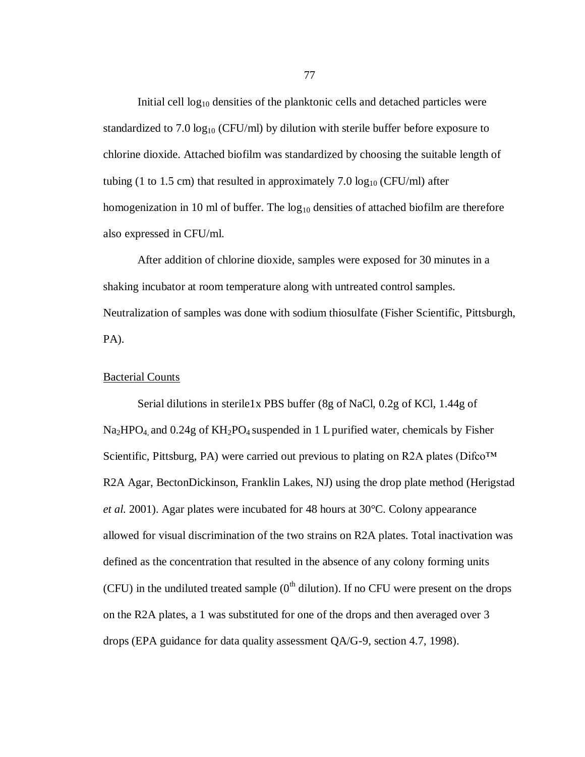Initial cell  $log_{10}$  densities of the planktonic cells and detached particles were standardized to 7.0  $log_{10}$  (CFU/ml) by dilution with sterile buffer before exposure to chlorine dioxide. Attached biofilm was standardized by choosing the suitable length of tubing (1 to 1.5 cm) that resulted in approximately 7.0  $log_{10}$  (CFU/ml) after homogenization in 10 ml of buffer. The  $log_{10}$  densities of attached biofilm are therefore also expressed in CFU/ml.

After addition of chlorine dioxide, samples were exposed for 30 minutes in a shaking incubator at room temperature along with untreated control samples. Neutralization of samples was done with sodium thiosulfate (Fisher Scientific, Pittsburgh, PA).

#### Bacterial Counts

Serial dilutions in sterile1x PBS buffer (8g of NaCl, 0.2g of KCl, 1.44g of  $Na<sub>2</sub>HPO<sub>4</sub>$  and 0.24g of  $KH<sub>2</sub>PO<sub>4</sub>$  suspended in 1 L purified water, chemicals by Fisher Scientific, Pittsburg, PA) were carried out previous to plating on R2A plates (Difco<sup>TM</sup> R2A Agar, BectonDickinson, Franklin Lakes, NJ) using the drop plate method (Herigstad *et al.* 2001). Agar plates were incubated for 48 hours at 30°C. Colony appearance allowed for visual discrimination of the two strains on R2A plates. Total inactivation was defined as the concentration that resulted in the absence of any colony forming units (CFU) in the undiluted treated sample  $(0<sup>th</sup>$  dilution). If no CFU were present on the drops on the R2A plates, a 1 was substituted for one of the drops and then averaged over 3 drops (EPA guidance for data quality assessment QA/G-9, section 4.7, 1998).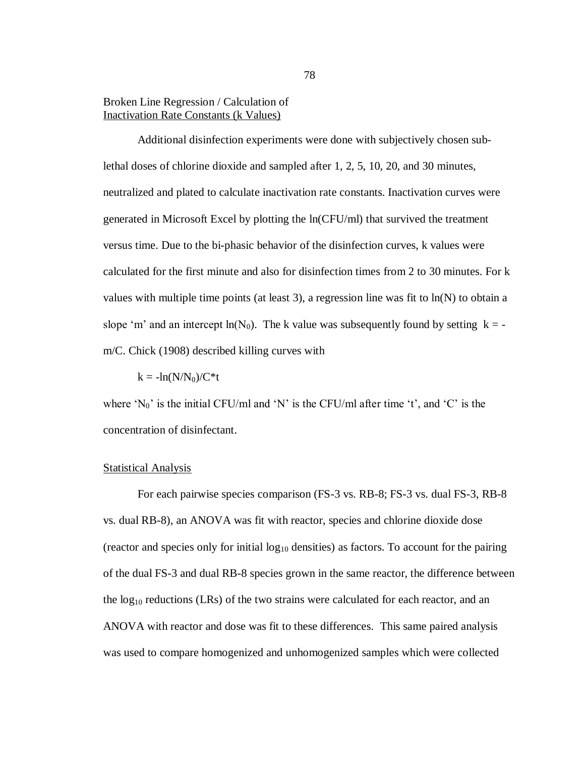## Broken Line Regression / Calculation of Inactivation Rate Constants (k Values)

Additional disinfection experiments were done with subjectively chosen sublethal doses of chlorine dioxide and sampled after 1, 2, 5, 10, 20, and 30 minutes, neutralized and plated to calculate inactivation rate constants. Inactivation curves were generated in Microsoft Excel by plotting the ln(CFU/ml) that survived the treatment versus time. Due to the bi-phasic behavior of the disinfection curves, k values were calculated for the first minute and also for disinfection times from 2 to 30 minutes. For k values with multiple time points (at least 3), a regression line was fit to  $ln(N)$  to obtain a slope 'm' and an intercept ln(N<sub>0</sub>). The k value was subsequently found by setting  $k =$ m/C. Chick (1908) described killing curves with

 $k = -\ln(N/N_0)/C*t$ 

where ' $N_0$ ' is the initial CFU/ml and 'N' is the CFU/ml after time 't', and 'C' is the concentration of disinfectant.

#### **Statistical Analysis**

For each pairwise species comparison (FS-3 vs. RB-8; FS-3 vs. dual FS-3, RB-8 vs. dual RB-8), an ANOVA was fit with reactor, species and chlorine dioxide dose (reactor and species only for initial  $log_{10}$  densities) as factors. To account for the pairing of the dual FS-3 and dual RB-8 species grown in the same reactor, the difference between the  $log_{10}$  reductions (LRs) of the two strains were calculated for each reactor, and an ANOVA with reactor and dose was fit to these differences. This same paired analysis was used to compare homogenized and unhomogenized samples which were collected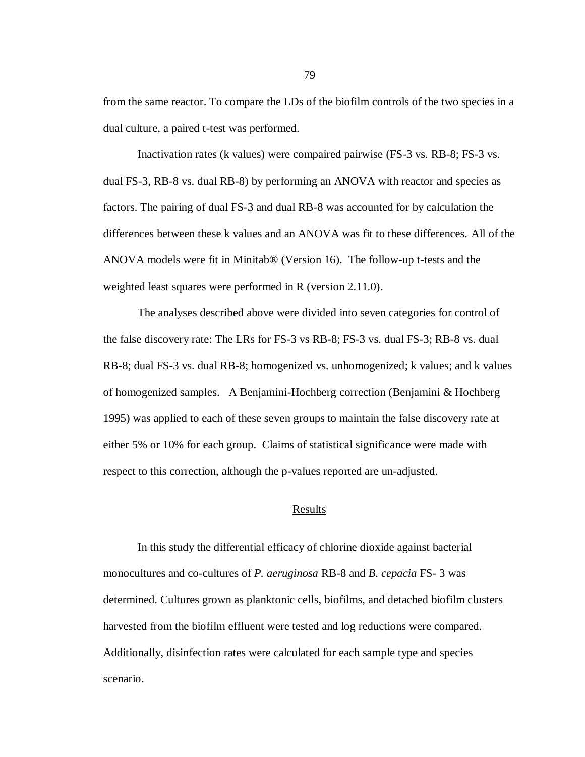from the same reactor. To compare the LDs of the biofilm controls of the two species in a dual culture, a paired t-test was performed.

Inactivation rates (k values) were compaired pairwise (FS-3 vs. RB-8; FS-3 vs. dual FS-3, RB-8 vs. dual RB-8) by performing an ANOVA with reactor and species as factors. The pairing of dual FS-3 and dual RB-8 was accounted for by calculation the differences between these k values and an ANOVA was fit to these differences. All of the ANOVA models were fit in Minitab® (Version 16). The follow-up t-tests and the weighted least squares were performed in R (version 2.11.0).

The analyses described above were divided into seven categories for control of the false discovery rate: The LRs for FS-3 vs RB-8; FS-3 vs. dual FS-3; RB-8 vs. dual RB-8; dual FS-3 vs. dual RB-8; homogenized vs. unhomogenized; k values; and k values of homogenized samples. A Benjamini-Hochberg correction (Benjamini & Hochberg 1995) was applied to each of these seven groups to maintain the false discovery rate at either 5% or 10% for each group. Claims of statistical significance were made with respect to this correction, although the p-values reported are un-adjusted.

#### Results

In this study the differential efficacy of chlorine dioxide against bacterial monocultures and co-cultures of *P. aeruginosa* RB-8 and *B. cepacia* FS- 3 was determined. Cultures grown as planktonic cells, biofilms, and detached biofilm clusters harvested from the biofilm effluent were tested and log reductions were compared. Additionally, disinfection rates were calculated for each sample type and species scenario.

79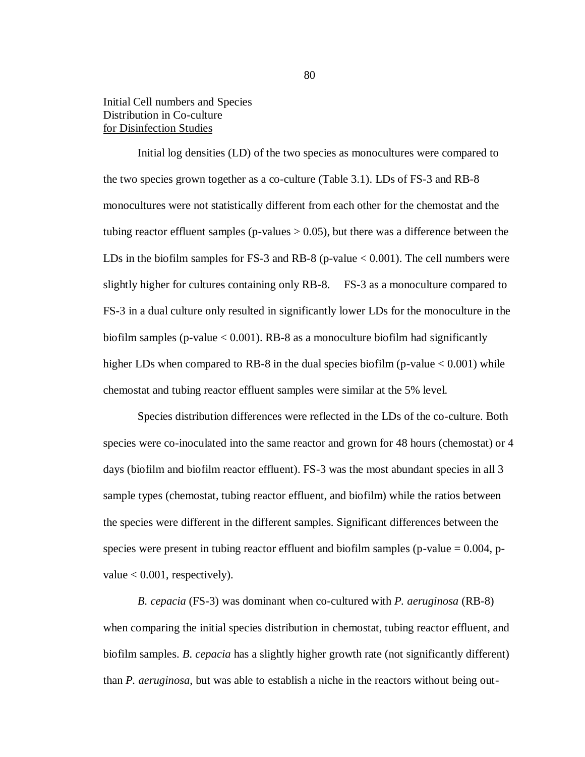# Initial Cell numbers and Species Distribution in Co-culture for Disinfection Studies

Initial log densities (LD) of the two species as monocultures were compared to the two species grown together as a co-culture (Table 3.1). LDs of FS-3 and RB-8 monocultures were not statistically different from each other for the chemostat and the tubing reactor effluent samples (p-values  $> 0.05$ ), but there was a difference between the LDs in the biofilm samples for FS-3 and RB-8 (p-value  $< 0.001$ ). The cell numbers were slightly higher for cultures containing only RB-8. FS-3 as a monoculture compared to FS-3 in a dual culture only resulted in significantly lower LDs for the monoculture in the biofilm samples (p-value  $< 0.001$ ). RB-8 as a monoculture biofilm had significantly higher LDs when compared to RB-8 in the dual species biofilm (p-value  $< 0.001$ ) while chemostat and tubing reactor effluent samples were similar at the 5% level.

Species distribution differences were reflected in the LDs of the co-culture. Both species were co-inoculated into the same reactor and grown for 48 hours (chemostat) or 4 days (biofilm and biofilm reactor effluent). FS-3 was the most abundant species in all 3 sample types (chemostat, tubing reactor effluent, and biofilm) while the ratios between the species were different in the different samples. Significant differences between the species were present in tubing reactor effluent and biofilm samples (p-value  $= 0.004$ , pvalue  $< 0.001$ , respectively).

*B. cepacia* (FS-3) was dominant when co-cultured with *P. aeruginosa* (RB-8) when comparing the initial species distribution in chemostat, tubing reactor effluent, and biofilm samples. *B. cepacia* has a slightly higher growth rate (not significantly different) than *P. aeruginosa*, but was able to establish a niche in the reactors without being out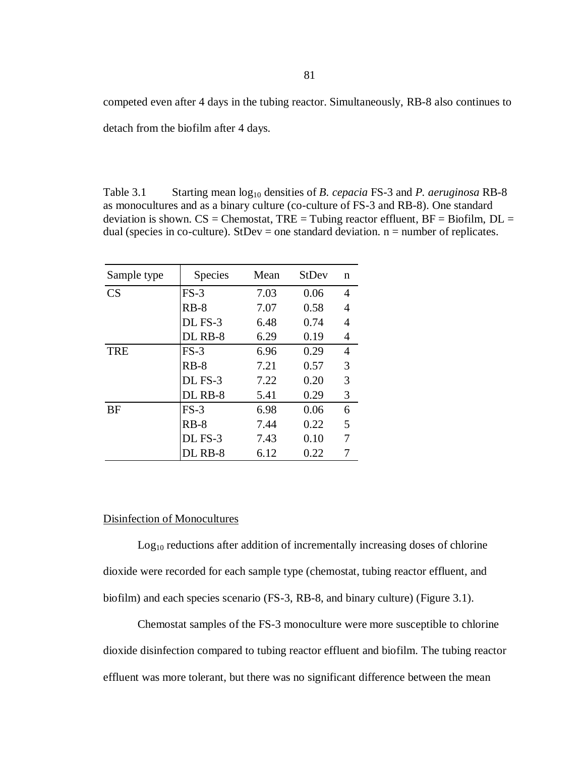competed even after 4 days in the tubing reactor. Simultaneously, RB-8 also continues to detach from the biofilm after 4 days.

Table 3.1 Starting mean  $log_{10}$  densities of *B. cepacia* FS-3 and *P. aeruginosa* RB-8 as monocultures and as a binary culture (co-culture of FS-3 and RB-8). One standard deviation is shown.  $CS =$  Chemostat, TRE = Tubing reactor effluent,  $BF =$  Biofilm,  $DL =$ dual (species in co-culture). StDev = one standard deviation.  $n =$  number of replicates.

| Sample type | <b>Species</b> | Mean | <b>StDev</b> | n |
|-------------|----------------|------|--------------|---|
| CS          | $FS-3$         | 7.03 | 0.06         | 4 |
|             | $RB-8$         | 7.07 | 0.58         | 4 |
|             | DL FS-3        | 6.48 | 0.74         | 4 |
|             | DL RB-8        | 6.29 | 0.19         | 4 |
| <b>TRE</b>  | $FS-3$         | 6.96 | 0.29         | 4 |
|             | $RB-8$         | 7.21 | 0.57         | 3 |
|             | DL FS-3        | 7.22 | 0.20         | 3 |
|             | DL RB-8        | 5.41 | 0.29         | 3 |
| <b>BF</b>   | $FS-3$         | 6.98 | 0.06         | 6 |
|             | $RB-8$         | 7.44 | 0.22         | 5 |
|             | DL FS-3        | 7.43 | 0.10         |   |
|             | DL RB-8        | 6.12 | 0.22         |   |

#### Disinfection of Monocultures

Log<sub>10</sub> reductions after addition of incrementally increasing doses of chlorine dioxide were recorded for each sample type (chemostat, tubing reactor effluent, and biofilm) and each species scenario (FS-3, RB-8, and binary culture) (Figure 3.1).

Chemostat samples of the FS-3 monoculture were more susceptible to chlorine dioxide disinfection compared to tubing reactor effluent and biofilm. The tubing reactor effluent was more tolerant, but there was no significant difference between the mean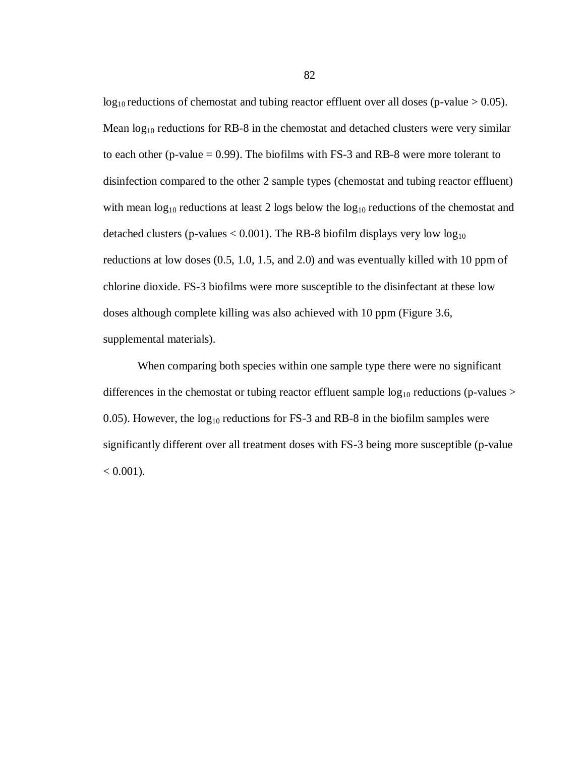$log_{10}$  reductions of chemostat and tubing reactor effluent over all doses (p-value  $> 0.05$ ). Mean  $log_{10}$  reductions for RB-8 in the chemostat and detached clusters were very similar to each other (p-value  $= 0.99$ ). The biofilms with FS-3 and RB-8 were more tolerant to disinfection compared to the other 2 sample types (chemostat and tubing reactor effluent) with mean  $log_{10}$  reductions at least 2 logs below the  $log_{10}$  reductions of the chemostat and detached clusters (p-values  $< 0.001$ ). The RB-8 biofilm displays very low  $log_{10}$ reductions at low doses (0.5, 1.0, 1.5, and 2.0) and was eventually killed with 10 ppm of chlorine dioxide. FS-3 biofilms were more susceptible to the disinfectant at these low doses although complete killing was also achieved with 10 ppm (Figure 3.6, supplemental materials).

When comparing both species within one sample type there were no significant differences in the chemostat or tubing reactor effluent sample  $log_{10}$  reductions (p-values > 0.05). However, the  $log_{10}$  reductions for FS-3 and RB-8 in the biofilm samples were significantly different over all treatment doses with FS-3 being more susceptible (p-value  $< 0.001$ ).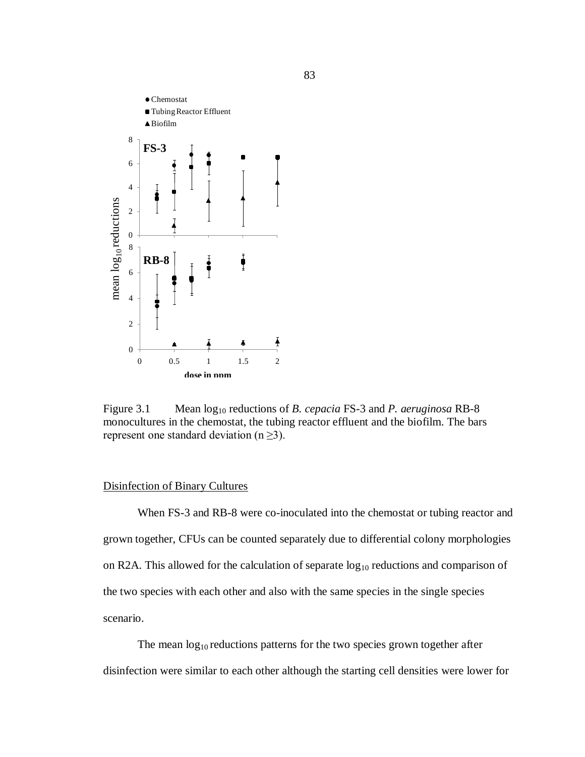

Figure 3.1 Mean  $log_{10}$  reductions of *B. cepacia* FS-3 and *P. aeruginosa* RB-8 monocultures in the chemostat, the tubing reactor effluent and the biofilm. The bars represent one standard deviation ( $n \geq 3$ ).

## Disinfection of Binary Cultures

When FS-3 and RB-8 were co-inoculated into the chemostat or tubing reactor and grown together, CFUs can be counted separately due to differential colony morphologies on R2A. This allowed for the calculation of separate  $log_{10}$  reductions and comparison of the two species with each other and also with the same species in the single species scenario.

The mean  $log_{10}$  reductions patterns for the two species grown together after disinfection were similar to each other although the starting cell densities were lower for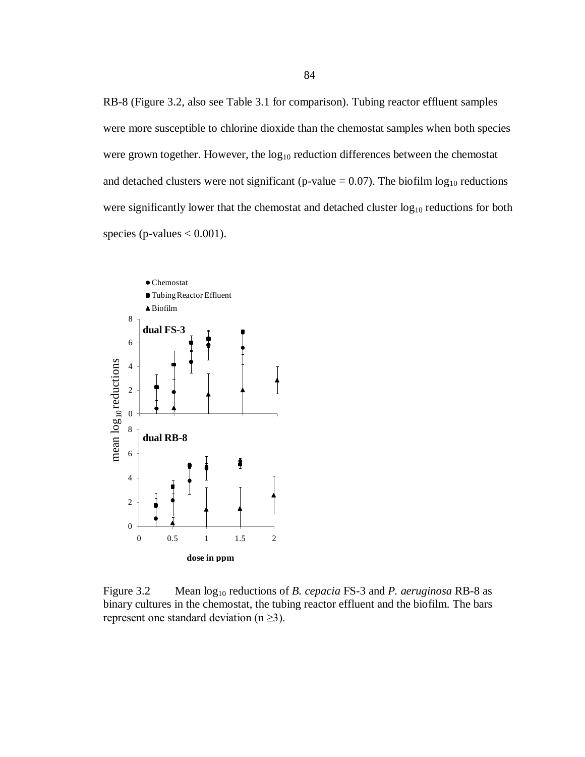RB-8 (Figure 3.2, also see Table 3.1 for comparison). Tubing reactor effluent samples were more susceptible to chlorine dioxide than the chemostat samples when both species were grown together. However, the  $log_{10}$  reduction differences between the chemostat and detached clusters were not significant (p-value =  $0.07$ ). The biofilm  $log_{10}$  reductions were significantly lower that the chemostat and detached cluster  $log_{10}$  reductions for both species (p-values  $< 0.001$ ).



Figure 3.2 Mean  $log_{10}$  reductions of *B. cepacia* FS-3 and *P. aeruginosa* RB-8 as binary cultures in the chemostat, the tubing reactor effluent and the biofilm. The bars represent one standard deviation ( $n \geq 3$ ).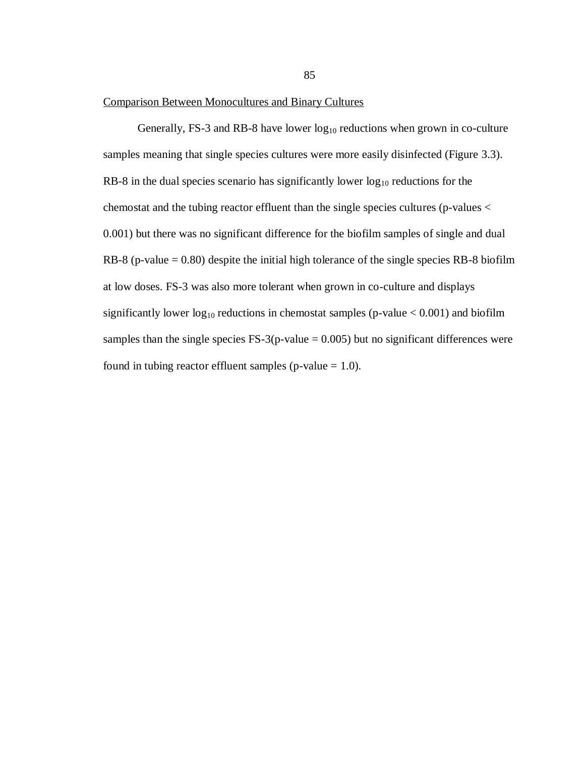#### Comparison Between Monocultures and Binary Cultures

Generally, FS-3 and RB-8 have lower  $log_{10}$  reductions when grown in co-culture samples meaning that single species cultures were more easily disinfected (Figure 3.3). RB-8 in the dual species scenario has significantly lower  $log_{10}$  reductions for the chemostat and the tubing reactor effluent than the single species cultures (p-values < 0.001) but there was no significant difference for the biofilm samples of single and dual RB-8 (p-value  $= 0.80$ ) despite the initial high tolerance of the single species RB-8 biofilm at low doses. FS-3 was also more tolerant when grown in co-culture and displays significantly lower  $log_{10}$  reductions in chemostat samples (p-value  $< 0.001$ ) and biofilm samples than the single species  $FS-3(p-value = 0.005)$  but no significant differences were found in tubing reactor effluent samples (p-value  $= 1.0$ ).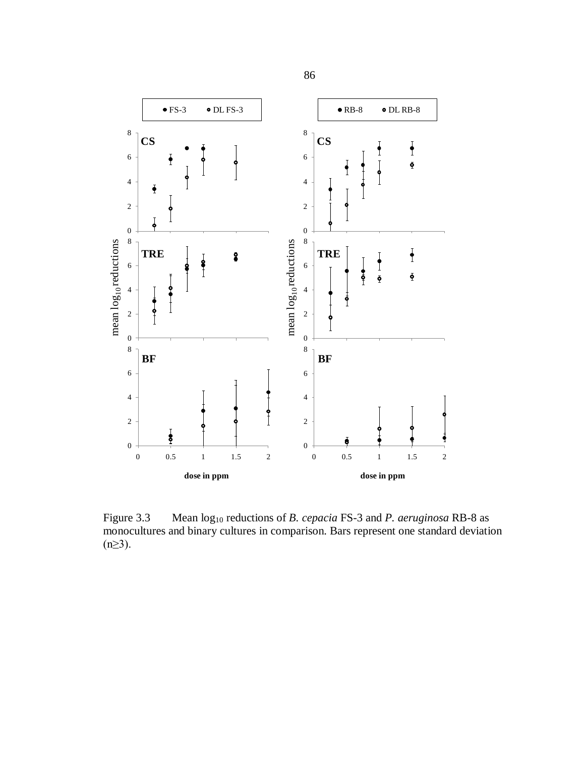

Figure 3.3 Mean log<sup>10</sup> reductions of *B. cepacia* FS-3 and *P. aeruginosa* RB-8 as monocultures and binary cultures in comparison. Bars represent one standard deviation  $(n≥3)$ .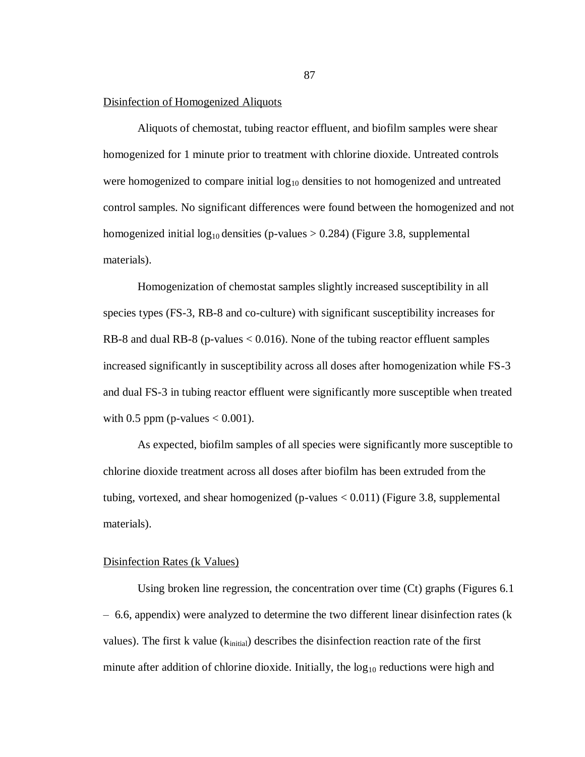#### Disinfection of Homogenized Aliquots

Aliquots of chemostat, tubing reactor effluent, and biofilm samples were shear homogenized for 1 minute prior to treatment with chlorine dioxide. Untreated controls were homogenized to compare initial  $log_{10}$  densities to not homogenized and untreated control samples. No significant differences were found between the homogenized and not homogenized initial  $log_{10}$  densities (p-values  $> 0.284$ ) (Figure 3.8, supplemental materials).

Homogenization of chemostat samples slightly increased susceptibility in all species types (FS-3, RB-8 and co-culture) with significant susceptibility increases for RB-8 and dual RB-8 (p-values < 0.016). None of the tubing reactor effluent samples increased significantly in susceptibility across all doses after homogenization while FS-3 and dual FS-3 in tubing reactor effluent were significantly more susceptible when treated with 0.5 ppm (p-values  $< 0.001$ ).

As expected, biofilm samples of all species were significantly more susceptible to chlorine dioxide treatment across all doses after biofilm has been extruded from the tubing, vortexed, and shear homogenized (p-values  $< 0.011$ ) (Figure 3.8, supplemental materials).

### Disinfection Rates (k Values)

Using broken line regression, the concentration over time (Ct) graphs (Figures 6.1 – 6.6, appendix) were analyzed to determine the two different linear disinfection rates (k values). The first k value  $(k<sub>initial</sub>)$  describes the disinfection reaction rate of the first minute after addition of chlorine dioxide. Initially, the  $log_{10}$  reductions were high and

87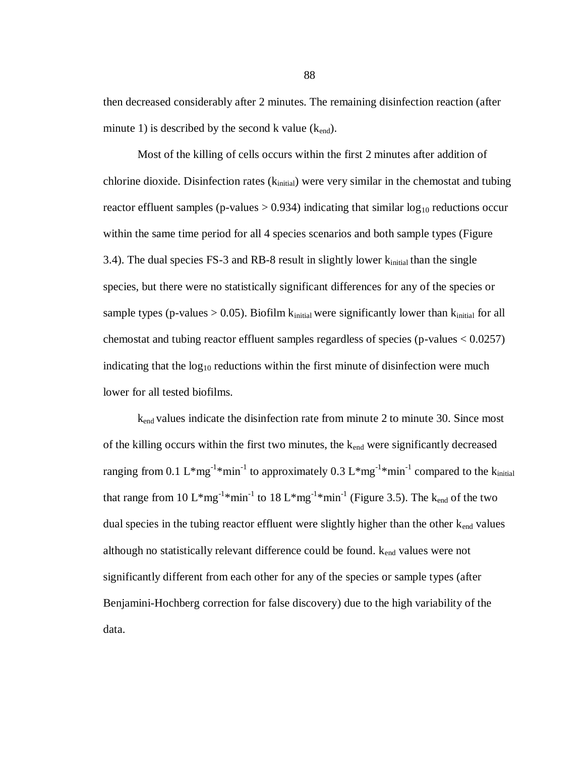then decreased considerably after 2 minutes. The remaining disinfection reaction (after minute 1) is described by the second k value  $(k_{end})$ .

Most of the killing of cells occurs within the first 2 minutes after addition of chlorine dioxide. Disinfection rates  $(k<sub>initial</sub>)$  were very similar in the chemostat and tubing reactor effluent samples (p-values  $> 0.934$ ) indicating that similar  $log_{10}$  reductions occur within the same time period for all 4 species scenarios and both sample types (Figure 3.4). The dual species  $FS-3$  and  $RB-8$  result in slightly lower  $k_{initial}$  than the single species, but there were no statistically significant differences for any of the species or sample types (p-values  $> 0.05$ ). Biofilm k<sub>initial</sub> were significantly lower than k<sub>initial</sub> for all chemostat and tubing reactor effluent samples regardless of species (p-values < 0.0257) indicating that the  $log_{10}$  reductions within the first minute of disinfection were much lower for all tested biofilms.

kend values indicate the disinfection rate from minute 2 to minute 30. Since most of the killing occurs within the first two minutes, the  $k_{end}$  were significantly decreased ranging from 0.1 L\*mg<sup>-1</sup>\*min<sup>-1</sup> to approximately 0.3 L\*mg<sup>-1</sup>\*min<sup>-1</sup> compared to the k<sub>initial</sub> that range from 10 L\*mg<sup>-1</sup>\*min<sup>-1</sup> to 18 L\*mg<sup>-1</sup>\*min<sup>-1</sup> (Figure 3.5). The k<sub>end</sub> of the two dual species in the tubing reactor effluent were slightly higher than the other  $k_{end}$  values although no statistically relevant difference could be found.  $k_{end}$  values were not significantly different from each other for any of the species or sample types (after Benjamini-Hochberg correction for false discovery) due to the high variability of the data.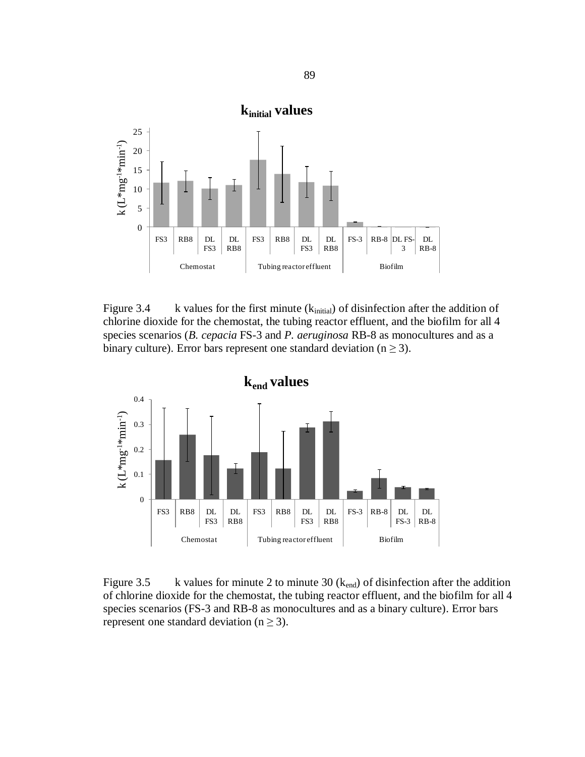

Figure 3.4 k values for the first minute  $(k<sub>initial</sub>)$  of disinfection after the addition of chlorine dioxide for the chemostat, the tubing reactor effluent, and the biofilm for all 4 species scenarios (*B. cepacia* FS-3 and *P. aeruginosa* RB-8 as monocultures and as a binary culture). Error bars represent one standard deviation ( $n \ge 3$ ).



Figure 3.5 k values for minute 2 to minute 30 ( $k_{end}$ ) of disinfection after the addition of chlorine dioxide for the chemostat, the tubing reactor effluent, and the biofilm for all 4 species scenarios (FS-3 and RB-8 as monocultures and as a binary culture). Error bars represent one standard deviation ( $n \geq 3$ ).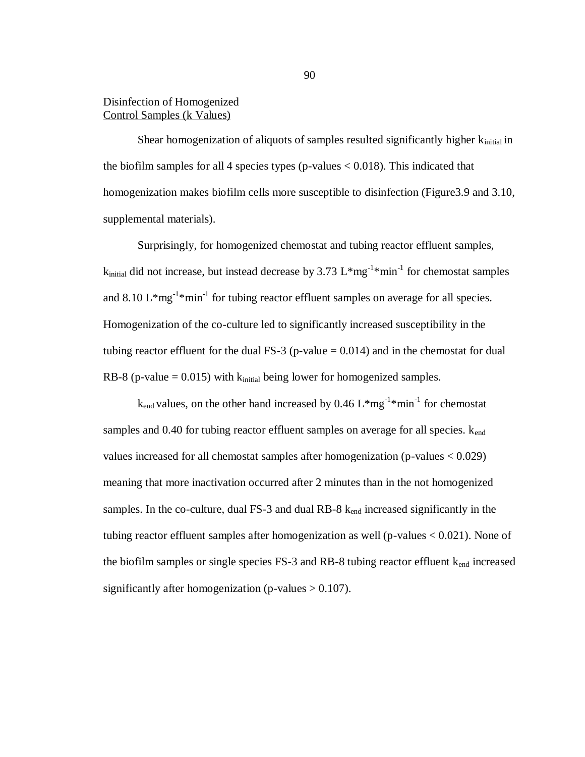# Disinfection of Homogenized Control Samples (k Values)

Shear homogenization of aliquots of samples resulted significantly higher  $k_{initial}$  in the biofilm samples for all 4 species types (p-values  $< 0.018$ ). This indicated that homogenization makes biofilm cells more susceptible to disinfection (Figure 3.9 and 3.10, supplemental materials).

Surprisingly, for homogenized chemostat and tubing reactor effluent samples,  $k_{initial}$  did not increase, but instead decrease by 3.73  $L*mg^{-1}*min^{-1}$  for chemostat samples and 8.10  $L^*mg^{-1*}$  min<sup>-1</sup> for tubing reactor effluent samples on average for all species. Homogenization of the co-culture led to significantly increased susceptibility in the tubing reactor effluent for the dual FS-3 (p-value  $= 0.014$ ) and in the chemostat for dual RB-8 (p-value  $= 0.015$ ) with  $k_{initial}$  being lower for homogenized samples.

 $k_{end}$  values, on the other hand increased by 0.46  $L*mg^{-1}*min^{-1}$  for chemostat samples and 0.40 for tubing reactor effluent samples on average for all species.  $k_{end}$ values increased for all chemostat samples after homogenization (p-values < 0.029) meaning that more inactivation occurred after 2 minutes than in the not homogenized samples. In the co-culture, dual FS-3 and dual RB-8  $k_{end}$  increased significantly in the tubing reactor effluent samples after homogenization as well (p-values < 0.021). None of the biofilm samples or single species  $FS-3$  and  $RB-8$  tubing reactor effluent  $k_{end}$  increased significantly after homogenization (p-values  $> 0.107$ ).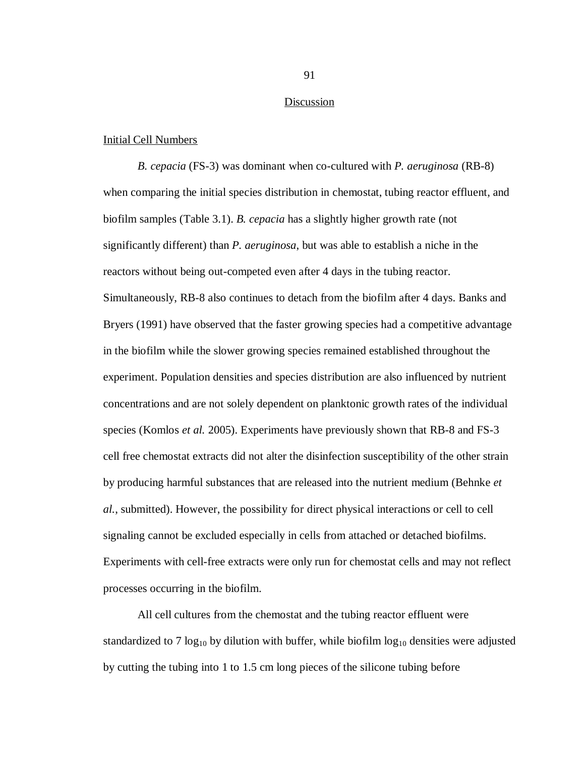#### Discussion

#### Initial Cell Numbers

*B. cepacia* (FS-3) was dominant when co-cultured with *P. aeruginosa* (RB-8) when comparing the initial species distribution in chemostat, tubing reactor effluent, and biofilm samples (Table 3.1). *B. cepacia* has a slightly higher growth rate (not significantly different) than *P. aeruginosa*, but was able to establish a niche in the reactors without being out-competed even after 4 days in the tubing reactor. Simultaneously, RB-8 also continues to detach from the biofilm after 4 days. Banks and Bryers (1991) have observed that the faster growing species had a competitive advantage in the biofilm while the slower growing species remained established throughout the experiment. Population densities and species distribution are also influenced by nutrient concentrations and are not solely dependent on planktonic growth rates of the individual species (Komlos *et al.* 2005). Experiments have previously shown that RB-8 and FS-3 cell free chemostat extracts did not alter the disinfection susceptibility of the other strain by producing harmful substances that are released into the nutrient medium (Behnke *et al.*, submitted). However, the possibility for direct physical interactions or cell to cell signaling cannot be excluded especially in cells from attached or detached biofilms. Experiments with cell-free extracts were only run for chemostat cells and may not reflect processes occurring in the biofilm.

All cell cultures from the chemostat and the tubing reactor effluent were standardized to 7  $log_{10}$  by dilution with buffer, while biofilm  $log_{10}$  densities were adjusted by cutting the tubing into 1 to 1.5 cm long pieces of the silicone tubing before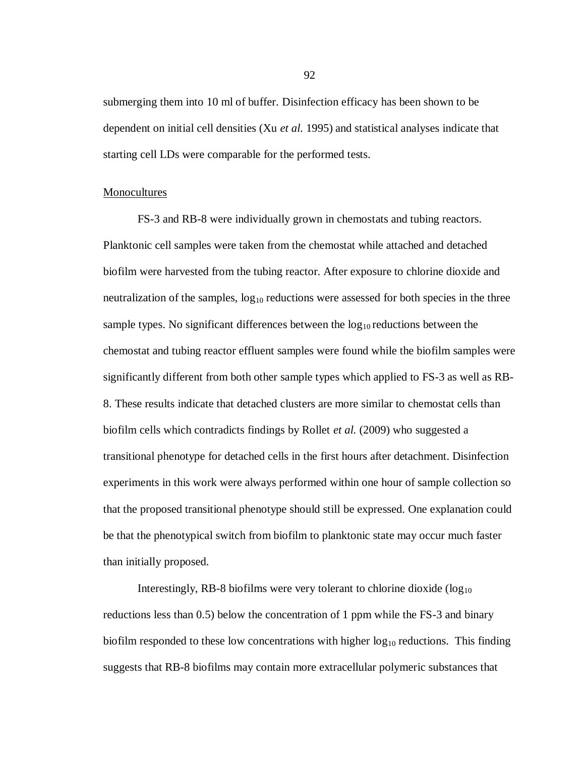submerging them into 10 ml of buffer. Disinfection efficacy has been shown to be dependent on initial cell densities (Xu *et al.* 1995) and statistical analyses indicate that starting cell LDs were comparable for the performed tests.

#### Monocultures

FS-3 and RB-8 were individually grown in chemostats and tubing reactors. Planktonic cell samples were taken from the chemostat while attached and detached biofilm were harvested from the tubing reactor. After exposure to chlorine dioxide and neutralization of the samples,  $log_{10}$  reductions were assessed for both species in the three sample types. No significant differences between the  $log_{10}$  reductions between the chemostat and tubing reactor effluent samples were found while the biofilm samples were significantly different from both other sample types which applied to FS-3 as well as RB-8. These results indicate that detached clusters are more similar to chemostat cells than biofilm cells which contradicts findings by Rollet *et al.* (2009) who suggested a transitional phenotype for detached cells in the first hours after detachment. Disinfection experiments in this work were always performed within one hour of sample collection so that the proposed transitional phenotype should still be expressed. One explanation could be that the phenotypical switch from biofilm to planktonic state may occur much faster than initially proposed.

Interestingly, RB-8 biofilms were very tolerant to chlorine dioxide  $(log_{10}$ reductions less than 0.5) below the concentration of 1 ppm while the FS-3 and binary biofilm responded to these low concentrations with higher  $log_{10}$  reductions. This finding suggests that RB-8 biofilms may contain more extracellular polymeric substances that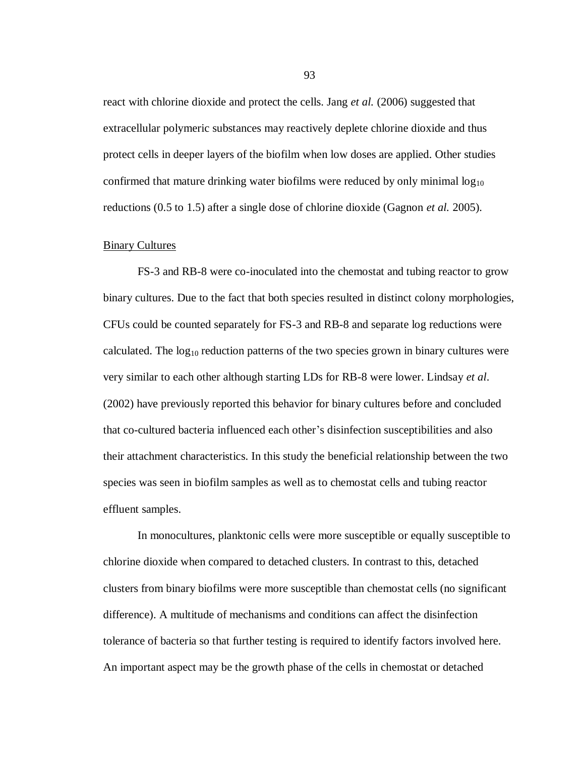react with chlorine dioxide and protect the cells. Jang *et al.* (2006) suggested that extracellular polymeric substances may reactively deplete chlorine dioxide and thus protect cells in deeper layers of the biofilm when low doses are applied. Other studies confirmed that mature drinking water biofilms were reduced by only minimal  $\log_{10}$ reductions (0.5 to 1.5) after a single dose of chlorine dioxide (Gagnon *et al.* 2005).

#### Binary Cultures

FS-3 and RB-8 were co-inoculated into the chemostat and tubing reactor to grow binary cultures. Due to the fact that both species resulted in distinct colony morphologies, CFUs could be counted separately for FS-3 and RB-8 and separate log reductions were calculated. The  $log_{10}$  reduction patterns of the two species grown in binary cultures were very similar to each other although starting LDs for RB-8 were lower. Lindsay *et al*. (2002) have previously reported this behavior for binary cultures before and concluded that co-cultured bacteria influenced each other's disinfection susceptibilities and also their attachment characteristics. In this study the beneficial relationship between the two species was seen in biofilm samples as well as to chemostat cells and tubing reactor effluent samples.

In monocultures, planktonic cells were more susceptible or equally susceptible to chlorine dioxide when compared to detached clusters. In contrast to this, detached clusters from binary biofilms were more susceptible than chemostat cells (no significant difference). A multitude of mechanisms and conditions can affect the disinfection tolerance of bacteria so that further testing is required to identify factors involved here. An important aspect may be the growth phase of the cells in chemostat or detached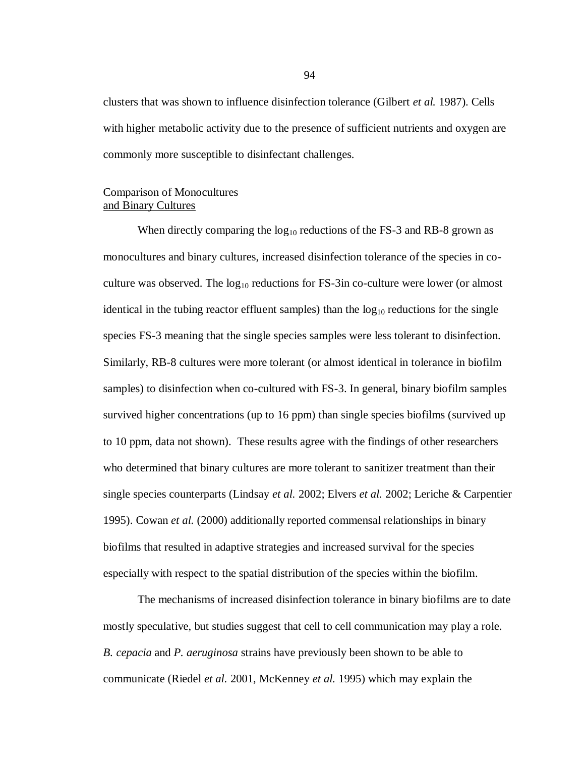clusters that was shown to influence disinfection tolerance (Gilbert *et al.* 1987). Cells with higher metabolic activity due to the presence of sufficient nutrients and oxygen are commonly more susceptible to disinfectant challenges.

## Comparison of Monocultures and Binary Cultures

When directly comparing the  $log_{10}$  reductions of the FS-3 and RB-8 grown as monocultures and binary cultures, increased disinfection tolerance of the species in coculture was observed. The  $log_{10}$  reductions for FS-3in co-culture were lower (or almost identical in the tubing reactor effluent samples) than the  $log_{10}$  reductions for the single species FS-3 meaning that the single species samples were less tolerant to disinfection. Similarly, RB-8 cultures were more tolerant (or almost identical in tolerance in biofilm samples) to disinfection when co-cultured with FS-3. In general, binary biofilm samples survived higher concentrations (up to 16 ppm) than single species biofilms (survived up to 10 ppm, data not shown). These results agree with the findings of other researchers who determined that binary cultures are more tolerant to sanitizer treatment than their single species counterparts (Lindsay *et al.* 2002; Elvers *et al.* 2002; Leriche & Carpentier 1995). Cowan *et al.* (2000) additionally reported commensal relationships in binary biofilms that resulted in adaptive strategies and increased survival for the species especially with respect to the spatial distribution of the species within the biofilm.

The mechanisms of increased disinfection tolerance in binary biofilms are to date mostly speculative, but studies suggest that cell to cell communication may play a role. *B. cepacia* and *P. aeruginosa* strains have previously been shown to be able to communicate (Riedel *et al.* 2001, McKenney *et al.* 1995) which may explain the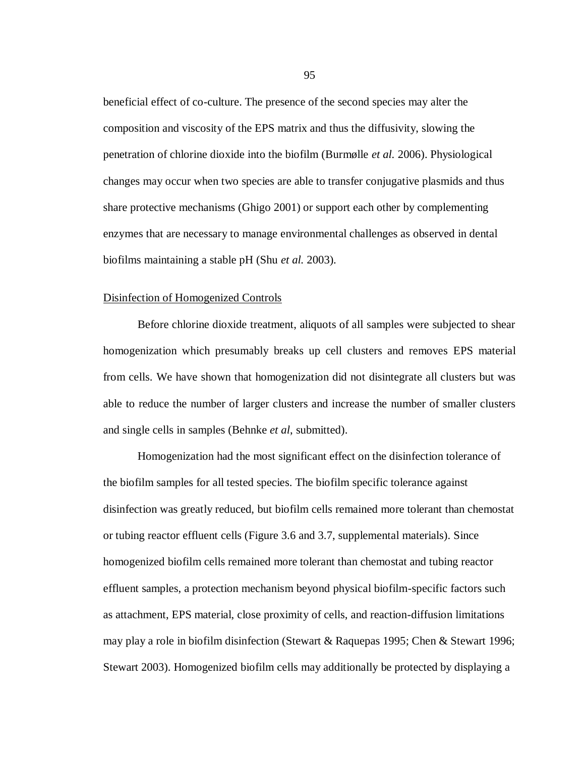beneficial effect of co-culture. The presence of the second species may alter the composition and viscosity of the EPS matrix and thus the diffusivity, slowing the penetration of chlorine dioxide into the biofilm (Burmølle *et al.* 2006). Physiological changes may occur when two species are able to transfer conjugative plasmids and thus share protective mechanisms (Ghigo 2001) or support each other by complementing enzymes that are necessary to manage environmental challenges as observed in dental biofilms maintaining a stable pH (Shu *et al.* 2003).

#### Disinfection of Homogenized Controls

Before chlorine dioxide treatment, aliquots of all samples were subjected to shear homogenization which presumably breaks up cell clusters and removes EPS material from cells. We have shown that homogenization did not disintegrate all clusters but was able to reduce the number of larger clusters and increase the number of smaller clusters and single cells in samples (Behnke *et al*, submitted).

Homogenization had the most significant effect on the disinfection tolerance of the biofilm samples for all tested species. The biofilm specific tolerance against disinfection was greatly reduced, but biofilm cells remained more tolerant than chemostat or tubing reactor effluent cells (Figure 3.6 and 3.7, supplemental materials). Since homogenized biofilm cells remained more tolerant than chemostat and tubing reactor effluent samples, a protection mechanism beyond physical biofilm-specific factors such as attachment, EPS material, close proximity of cells, and reaction-diffusion limitations may play a role in biofilm disinfection (Stewart & Raquepas 1995; Chen & Stewart 1996; Stewart 2003). Homogenized biofilm cells may additionally be protected by displaying a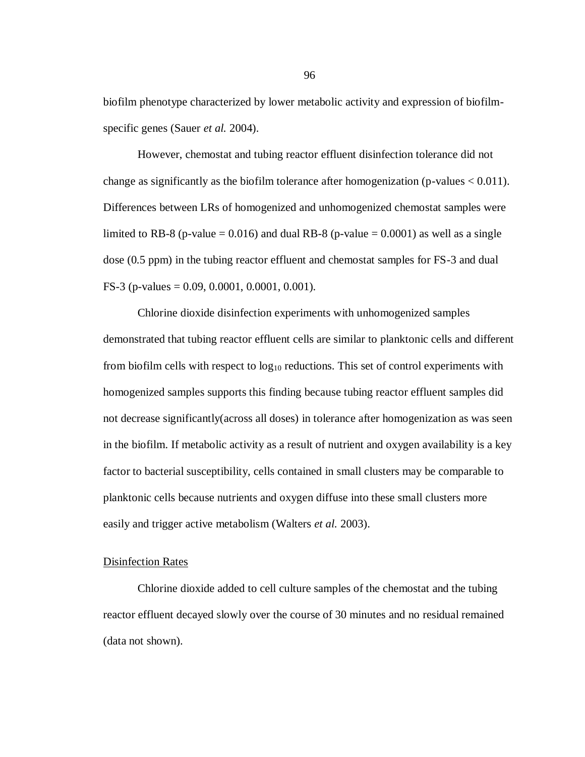biofilm phenotype characterized by lower metabolic activity and expression of biofilmspecific genes (Sauer *et al.* 2004).

However, chemostat and tubing reactor effluent disinfection tolerance did not change as significantly as the biofilm tolerance after homogenization (p-values  $< 0.011$ ). Differences between LRs of homogenized and unhomogenized chemostat samples were limited to RB-8 (p-value = 0.016) and dual RB-8 (p-value = 0.0001) as well as a single dose (0.5 ppm) in the tubing reactor effluent and chemostat samples for FS-3 and dual FS-3 (p-values = 0.09, 0.0001, 0.0001, 0.001).

Chlorine dioxide disinfection experiments with unhomogenized samples demonstrated that tubing reactor effluent cells are similar to planktonic cells and different from biofilm cells with respect to  $log_{10}$  reductions. This set of control experiments with homogenized samples supports this finding because tubing reactor effluent samples did not decrease significantly(across all doses) in tolerance after homogenization as was seen in the biofilm. If metabolic activity as a result of nutrient and oxygen availability is a key factor to bacterial susceptibility, cells contained in small clusters may be comparable to planktonic cells because nutrients and oxygen diffuse into these small clusters more easily and trigger active metabolism (Walters *et al.* 2003).

## Disinfection Rates

Chlorine dioxide added to cell culture samples of the chemostat and the tubing reactor effluent decayed slowly over the course of 30 minutes and no residual remained (data not shown).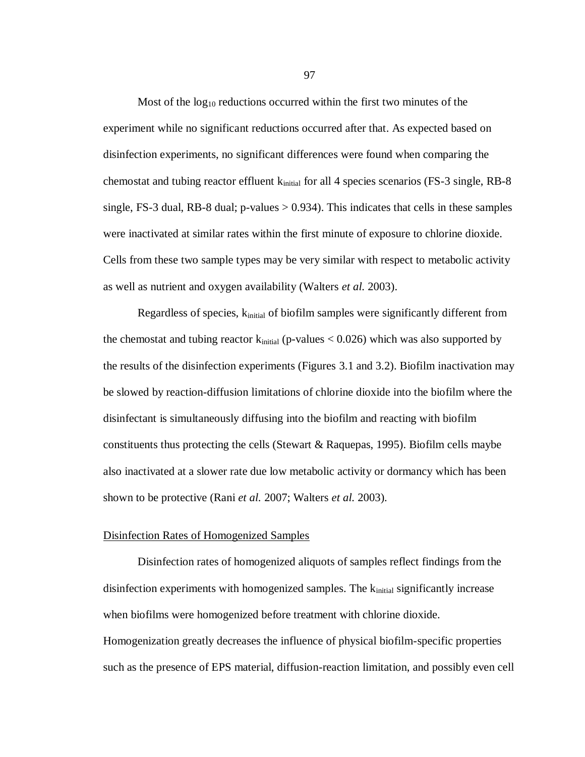Most of the  $log_{10}$  reductions occurred within the first two minutes of the experiment while no significant reductions occurred after that. As expected based on disinfection experiments, no significant differences were found when comparing the chemostat and tubing reactor effluent k<sub>initial</sub> for all 4 species scenarios (FS-3 single, RB-8 single, FS-3 dual, RB-8 dual;  $p$ -values  $> 0.934$ ). This indicates that cells in these samples were inactivated at similar rates within the first minute of exposure to chlorine dioxide. Cells from these two sample types may be very similar with respect to metabolic activity as well as nutrient and oxygen availability (Walters *et al.* 2003).

Regardless of species,  $k_{initial}$  of biofilm samples were significantly different from the chemostat and tubing reactor  $k_{initial}$  (p-values  $< 0.026$ ) which was also supported by the results of the disinfection experiments (Figures 3.1 and 3.2). Biofilm inactivation may be slowed by reaction-diffusion limitations of chlorine dioxide into the biofilm where the disinfectant is simultaneously diffusing into the biofilm and reacting with biofilm constituents thus protecting the cells (Stewart & Raquepas, 1995). Biofilm cells maybe also inactivated at a slower rate due low metabolic activity or dormancy which has been shown to be protective (Rani *et al.* 2007; Walters *et al.* 2003).

#### Disinfection Rates of Homogenized Samples

Disinfection rates of homogenized aliquots of samples reflect findings from the disinfection experiments with homogenized samples. The  $k_{initial}$  significantly increase when biofilms were homogenized before treatment with chlorine dioxide. Homogenization greatly decreases the influence of physical biofilm-specific properties such as the presence of EPS material, diffusion-reaction limitation, and possibly even cell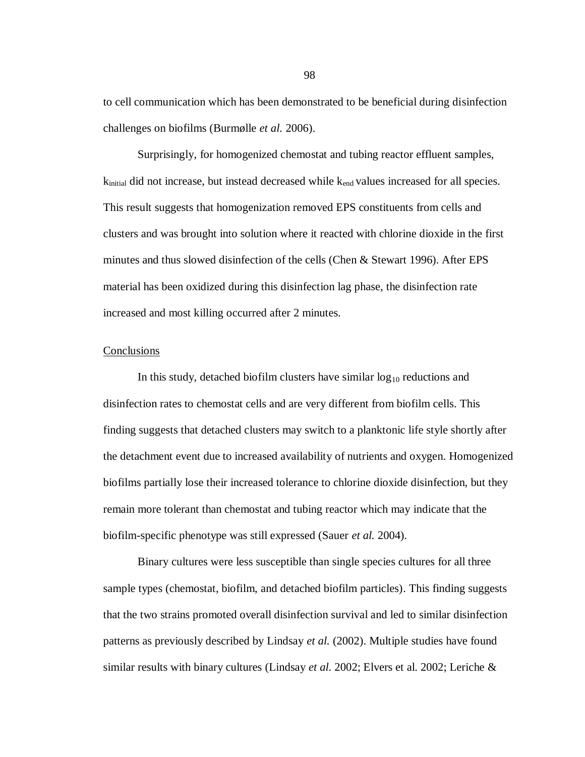to cell communication which has been demonstrated to be beneficial during disinfection challenges on biofilms (Burmølle *et al.* 2006).

Surprisingly, for homogenized chemostat and tubing reactor effluent samples,  $k_{initial}$  did not increase, but instead decreased while  $k_{end}$  values increased for all species. This result suggests that homogenization removed EPS constituents from cells and clusters and was brought into solution where it reacted with chlorine dioxide in the first minutes and thus slowed disinfection of the cells (Chen & Stewart 1996). After EPS material has been oxidized during this disinfection lag phase, the disinfection rate increased and most killing occurred after 2 minutes.

#### **Conclusions**

In this study, detached biofilm clusters have similar  $log_{10}$  reductions and disinfection rates to chemostat cells and are very different from biofilm cells. This finding suggests that detached clusters may switch to a planktonic life style shortly after the detachment event due to increased availability of nutrients and oxygen. Homogenized biofilms partially lose their increased tolerance to chlorine dioxide disinfection, but they remain more tolerant than chemostat and tubing reactor which may indicate that the biofilm-specific phenotype was still expressed (Sauer *et al.* 2004).

Binary cultures were less susceptible than single species cultures for all three sample types (chemostat, biofilm, and detached biofilm particles). This finding suggests that the two strains promoted overall disinfection survival and led to similar disinfection patterns as previously described by Lindsay *et al.* (2002). Multiple studies have found similar results with binary cultures (Lindsay *et al.* 2002; Elvers et al. 2002; Leriche &

98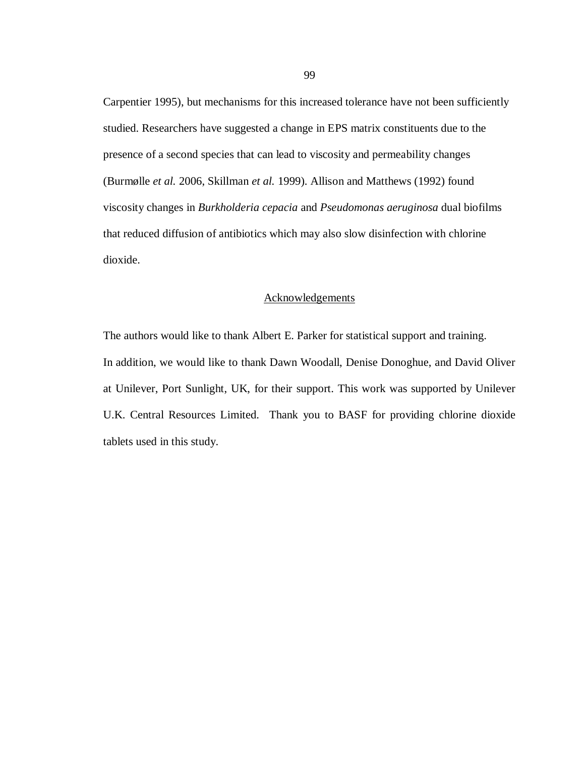Carpentier 1995), but mechanisms for this increased tolerance have not been sufficiently studied. Researchers have suggested a change in EPS matrix constituents due to the presence of a second species that can lead to viscosity and permeability changes (Burmølle *et al.* 2006, Skillman *et al.* 1999). Allison and Matthews (1992) found viscosity changes in *Burkholderia cepacia* and *Pseudomonas aeruginosa* dual biofilms that reduced diffusion of antibiotics which may also slow disinfection with chlorine dioxide.

## Acknowledgements

The authors would like to thank Albert E. Parker for statistical support and training. In addition, we would like to thank Dawn Woodall, Denise Donoghue, and David Oliver at Unilever, Port Sunlight, UK, for their support. This work was supported by Unilever U.K. Central Resources Limited. Thank you to BASF for providing chlorine dioxide tablets used in this study.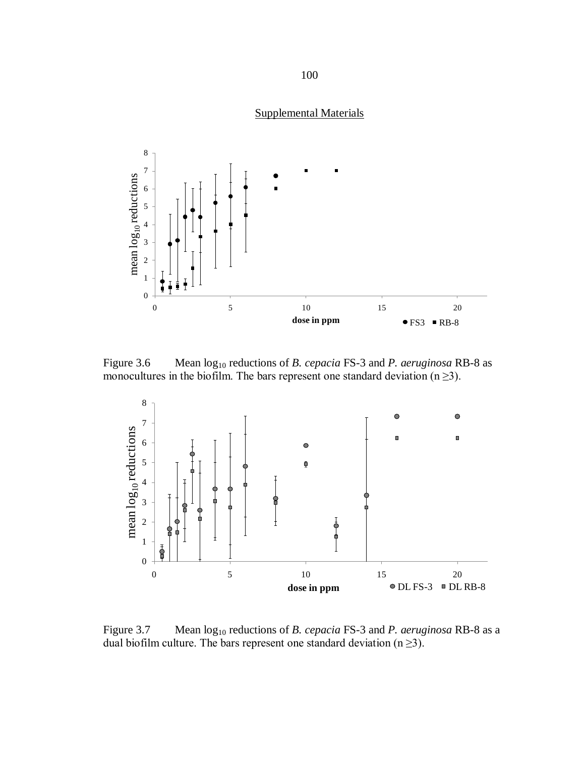# Supplemental Materials



Figure 3.6 Mean  $log_{10}$  reductions of *B. cepacia* FS-3 and *P. aeruginosa* RB-8 as monocultures in the biofilm. The bars represent one standard deviation  $(n \geq 3)$ .



Figure 3.7 Mean  $log_{10}$  reductions of *B. cepacia* FS-3 and *P. aeruginosa* RB-8 as a dual biofilm culture. The bars represent one standard deviation  $(n \ge 3)$ .

##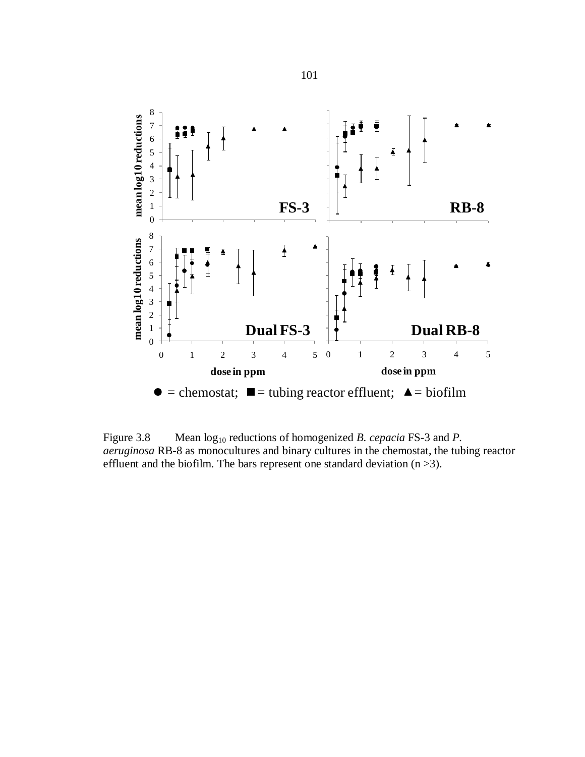

Figure 3.8 Mean  $log_{10}$  reductions of homogenized *B. cepacia* FS-3 and *P. aeruginosa* RB-8 as monocultures and binary cultures in the chemostat, the tubing reactor effluent and the biofilm. The bars represent one standard deviation  $(n > 3)$ .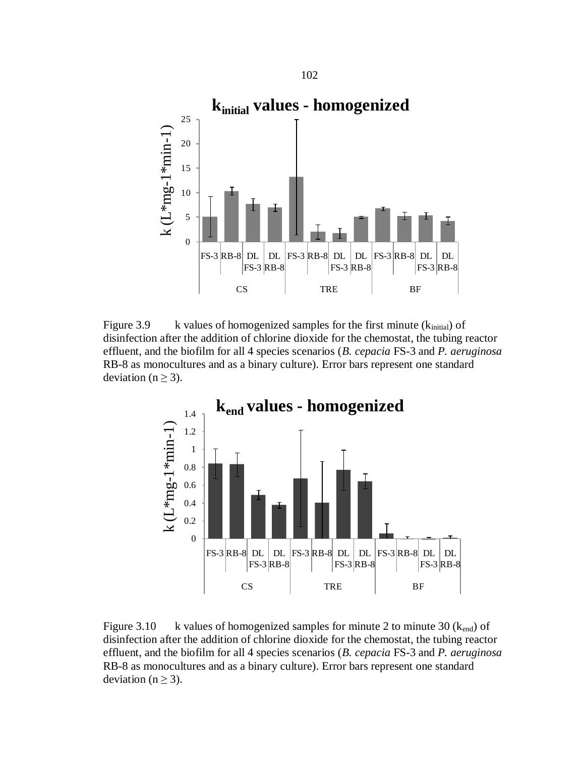

Figure 3.9 k values of homogenized samples for the first minute  $(k<sub>initial</sub>)$  of disinfection after the addition of chlorine dioxide for the chemostat, the tubing reactor effluent, and the biofilm for all 4 species scenarios (*B. cepacia* FS-3 and *P. aeruginosa* RB-8 as monocultures and as a binary culture). Error bars represent one standard deviation ( $n \geq 3$ ).



Figure 3.10 k values of homogenized samples for minute 2 to minute 30 ( $k_{end}$ ) of disinfection after the addition of chlorine dioxide for the chemostat, the tubing reactor effluent, and the biofilm for all 4 species scenarios (*B. cepacia* FS-3 and *P. aeruginosa* RB-8 as monocultures and as a binary culture). Error bars represent one standard deviation ( $n \geq 3$ ).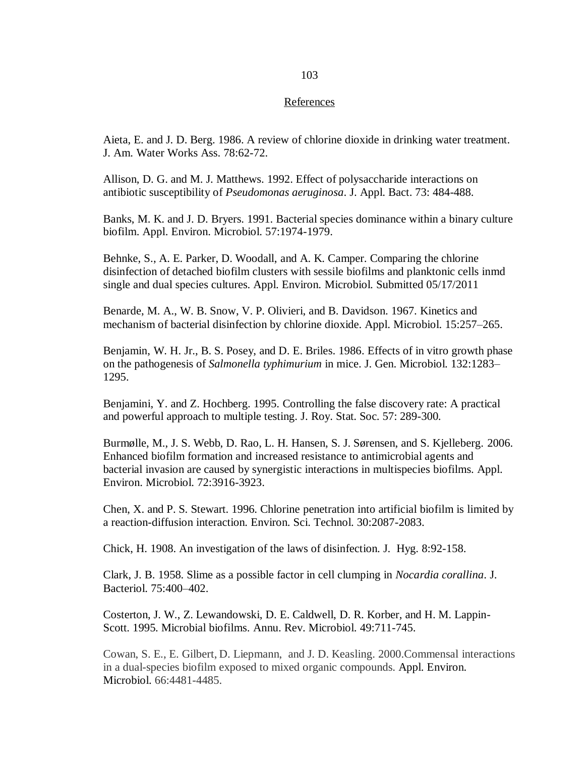#### References

Aieta, E. and J. D. Berg. 1986. A review of chlorine dioxide in drinking water treatment. J. Am. Water Works Ass. 78:62-72.

Allison, D. G. and M. J. Matthews. 1992. Effect of polysaccharide interactions on antibiotic susceptibility of *Pseudomonas aeruginosa*. J. Appl. Bact. 73: 484-488.

Banks, M. K. and J. D. Bryers. 1991. Bacterial species dominance within a binary culture biofilm. Appl. Environ. Microbiol. 57:1974-1979.

Behnke, S., A. E. Parker, D. Woodall, and A. K. Camper. Comparing the chlorine disinfection of detached biofilm clusters with sessile biofilms and planktonic cells inmd single and dual species cultures. Appl. Environ. Microbiol. Submitted 05/17/2011

Benarde, M. A., W. B. Snow, V. P. Olivieri, and B. Davidson. 1967. Kinetics and mechanism of bacterial disinfection by chlorine dioxide. Appl. Microbiol. 15:257–265.

Benjamin, W. H. Jr., B. S. Posey, and D. E. Briles. 1986*.* Effects of in vitro growth phase on the pathogenesis of *Salmonella typhimurium* in mice. J. Gen. Microbiol. 132:1283– 1295.

Benjamini, Y. and Z. Hochberg. 1995. Controlling the false discovery rate: A practical and powerful approach to multiple testing. J. Roy. Stat. Soc. 57: 289-300.

Burmølle, M., J. S. Webb, D. Rao, L. H. Hansen, S. J. Sørensen, and S. Kjelleberg. 2006. Enhanced biofilm formation and increased resistance to antimicrobial agents and bacterial invasion are caused by synergistic interactions in multispecies biofilms. Appl. Environ. Microbiol. 72:3916-3923.

Chen, X. and P. S. Stewart. 1996. Chlorine penetration into artificial biofilm is limited by a reaction-diffusion interaction. Environ. Sci. Technol. 30:2087-2083.

Chick, H. 1908. An investigation of the laws of disinfection. J. Hyg. 8:92-158.

Clark, J. B. 1958. Slime as a possible factor in cell clumping in *Nocardia corallina*. J. Bacteriol. 75:400–402.

Costerton, J. W., Z. Lewandowski, D. E. Caldwell, D. R. Korber, and H. M. Lappin-Scott. 1995. Microbial biofilms. Annu. Rev. Microbiol. 49:711-745.

Cowan, S. E., E. Gilbert, D. Liepmann, and J. D. Keasling. 2000.Commensal interactions in a dual-species biofilm exposed to mixed organic compounds. Appl. Environ. Microbiol. 66:4481-4485.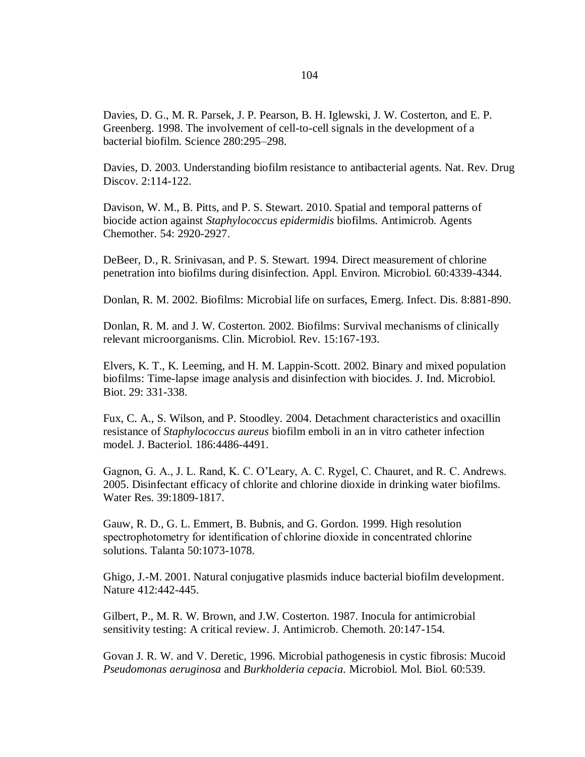Davies, D. G., M. R. Parsek, J. P. Pearson, B. H. Iglewski, J. W. Costerton, and E. P. Greenberg. 1998. The involvement of cell-to-cell signals in the development of a bacterial biofilm. Science 280:295–298.

Davies, D. 2003. Understanding biofilm resistance to antibacterial agents. Nat. Rev. Drug Discov. 2:114-122.

Davison, W. M., B. Pitts, and P. S. Stewart. 2010. Spatial and temporal patterns of biocide action against *Staphylococcus epidermidis* biofilms. Antimicrob. Agents Chemother. 54: 2920-2927.

DeBeer*,* D.*,* R. Srinivasan, and P. S. Stewart*.* 1994. Direct measurement of chlorine penetration into biofilms during disinfection*.* Appl. Environ. Microbiol. 60:4339-4344.

Donlan, R. M. 2002. Biofilms: Microbial life on surfaces, Emerg. Infect. Dis. 8:881-890.

Donlan, R. M. and J. W. Costerton. 2002. Biofilms: Survival mechanisms of clinically relevant microorganisms. Clin. Microbiol. Rev. 15:167-193.

Elvers, K. T., K. Leeming, and H. M. Lappin-Scott. 2002. Binary and mixed population biofilms: Time-lapse image analysis and disinfection with biocides. J. Ind. Microbiol. Biot. 29: 331-338.

Fux, C. A., S. Wilson, and P. Stoodley. 2004. Detachment characteristics and oxacillin resistance of *Staphylococcus aureus* biofilm emboli in an in vitro catheter infection model. J. Bacteriol. 186:4486-4491.

Gagnon, G. A., J. L. Rand, K. C. O'Leary, A. C. Rygel, C. Chauret, and R. C. Andrews. 2005. Disinfectant efficacy of chlorite and chlorine dioxide in drinking water biofilms. Water Res. 39:1809-1817.

Gauw, R. D., G. L. Emmert, B. Bubnis, and G. Gordon. 1999. High resolution spectrophotometry for identification of chlorine dioxide in concentrated chlorine solutions. Talanta 50:1073-1078.

Ghigo, J.-M. 2001. Natural conjugative plasmids induce bacterial biofilm development. Nature 412:442-445.

Gilbert, P., M. R. W. Brown, and J.W. Costerton. 1987. Inocula for antimicrobial sensitivity testing: A critical review. J. Antimicrob. Chemoth. 20:147-154.

Govan J. R. W. and V. Deretic, 1996. Microbial pathogenesis in cystic fibrosis: Mucoid *Pseudomonas aeruginosa* and *Burkholderia cepacia.* Microbiol. Mol. Biol. 60:539.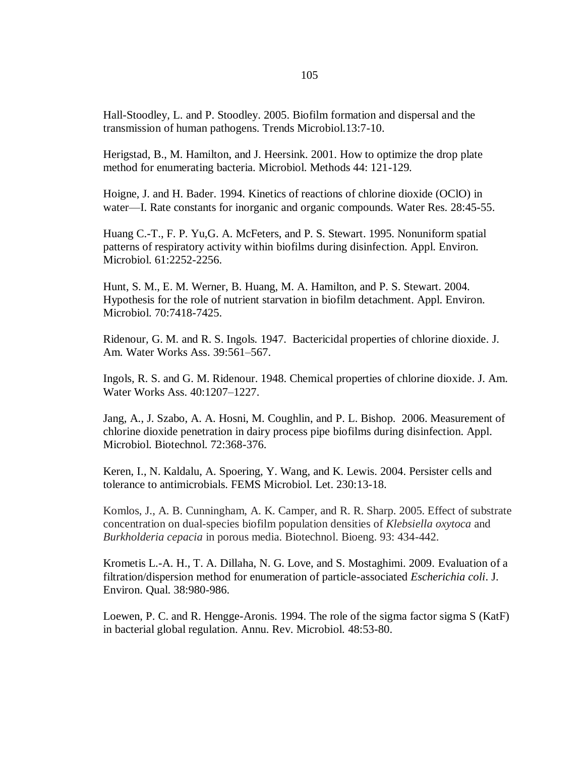Hall-Stoodley, L. and P. Stoodley. 2005. Biofilm formation and dispersal and the transmission of human pathogens. Trends Microbiol.13:7-10.

Herigstad, B., M. Hamilton, and J. Heersink. 2001. How to optimize the drop plate method for enumerating bacteria. Microbiol. Methods 44: 121-129.

Hoigne, J. and H. Bader. 1994. Kinetics of reactions of chlorine dioxide (OClO) in water—I. Rate constants for inorganic and organic compounds. Water Res. 28:45-55.

Huang C.-T., F. P. Yu,G. A. McFeters, and P. S. Stewart. 1995. Nonuniform spatial patterns of respiratory activity within biofilms during disinfection. Appl. Environ. Microbiol. 61:2252-2256.

Hunt, S. M., E. M. Werner, B. Huang, M. A. Hamilton, and P. S. Stewart. 2004. Hypothesis for the role of nutrient starvation in biofilm detachment. Appl. Environ. Microbiol. 70:7418-7425.

Ridenour*,* G. M. and R. S. Ingols*.* 1947. Bactericidal properties of chlorine dioxide. J. Am. Water Works Ass. 39:561–567.

Ingols*,* R. S. and G. M. Ridenour. 1948. Chemical properties of chlorine dioxide. J. Am. Water Works Ass. 40:1207–1227.

Jang, A., J. Szabo, A. A. Hosni, M. Coughlin, and P. L. Bishop*.* 2006. Measurement of chlorine dioxide penetration in dairy process pipe biofilms during disinfection. Appl. Microbiol. Biotechnol. 72:368-376.

Keren, I., N. Kaldalu, A. Spoering, Y. Wang, and K. Lewis. 2004. Persister cells and tolerance to antimicrobials. FEMS Microbiol. Let. 230:13-18.

Komlos, J., A. B. Cunningham, A. K. Camper, and R. R. Sharp. 2005. Effect of substrate concentration on dual-species biofilm population densities of *Klebsiella oxytoca* and *Burkholderia cepacia* in porous media. Biotechnol. Bioeng. 93: 434-442.

Krometis L.-A. H., T. A. Dillaha, N. G. Love, and S. Mostaghimi. 2009. Evaluation of a filtration/dispersion method for enumeration of particle-associated *Escherichia coli*. J. Environ. Qual. 38:980-986.

Loewen, P. C. and R. Hengge-Aronis. 1994. The role of the sigma factor sigma S (KatF) in bacterial global regulation. Annu. Rev. Microbiol. 48:53-80.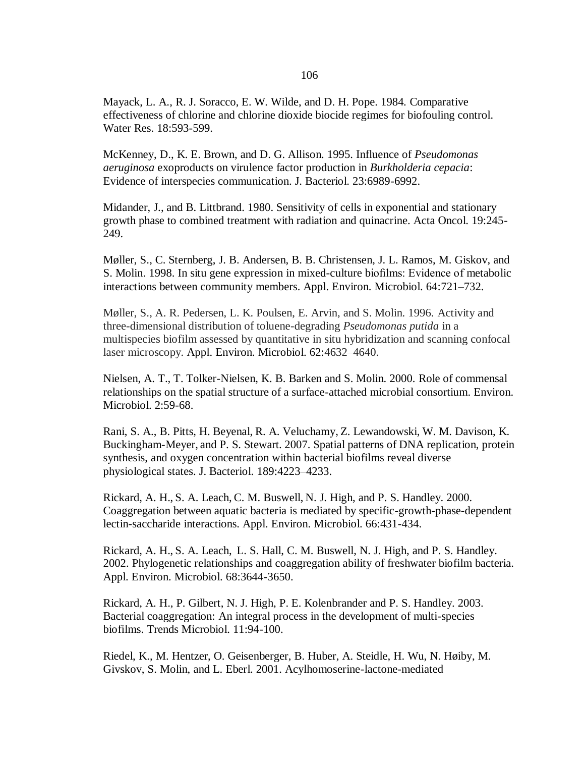Mayack, L. A., R. J. Soracco, E. W. Wilde, and D. H. Pope. 1984. Comparative effectiveness of chlorine and chlorine dioxide biocide regimes for biofouling control*.* Water Res. 18:593-599.

McKenney, D., K. E. Brown, and D. G. Allison. 1995. Influence of *Pseudomonas aeruginosa* exoproducts on virulence factor production in *Burkholderia cepacia*: Evidence of interspecies communication. J. Bacteriol. 23:6989-6992.

Midander, J., and B. Littbrand. 1980. Sensitivity of cells in exponential and stationary growth phase to combined treatment with radiation and quinacrine. Acta Oncol. 19:245- 249.

Møller, S., C. Sternberg, J. B. Andersen, B. B. Christensen, J. L. Ramos, M. Giskov, and S. Molin. 1998. In situ gene expression in mixed-culture biofilms: Evidence of metabolic interactions between community members. Appl. Environ. Microbiol. 64:721–732.

Møller, S., A. R. Pedersen, L. K. Poulsen, E. Arvin, and S. Molin. 1996. Activity and three-dimensional distribution of toluene-degrading *Pseudomonas putida* in a multispecies biofilm assessed by quantitative in situ hybridization and scanning confocal laser microscopy. Appl. Environ. Microbiol. 62:4632–4640.

Nielsen, A. T., T. Tolker-Nielsen, K. B. Barken and S. Molin. 2000. Role of commensal relationships on the spatial structure of a surface-attached microbial consortium. Environ. Microbiol. 2:59-68.

Rani, S. A., B. Pitts, H. Beyenal, R. A. Veluchamy, Z. Lewandowski, W. M. Davison, K. Buckingham-Meyer, and P. S. Stewart. 2007. Spatial patterns of DNA replication, protein synthesis, and oxygen concentration within bacterial biofilms reveal diverse physiological states. J. Bacteriol. 189:4223–4233.

Rickard, A. H., S. A. Leach, C. M. Buswell, N. J. High, and P. S. Handley. 2000. Coaggregation between aquatic bacteria is mediated by specific-growth-phase-dependent lectin-saccharide interactions. Appl. Environ. Microbiol. 66:431-434.

Rickard, A. H., S. A. Leach, L. S. Hall, C. M. Buswell, N. J. High, and P. S. Handley. 2002. Phylogenetic relationships and coaggregation ability of freshwater biofilm bacteria. Appl. Environ. Microbiol. 68:3644-3650.

Rickard, A. H., P. Gilbert, N. J. High, P. E. Kolenbrander and P. S. Handley. 2003. Bacterial coaggregation: An integral process in the development of multi-species biofilms. Trends Microbiol. 11:94-100.

Riedel, K., M. Hentzer, O. Geisenberger, B. Huber, A. Steidle, H. Wu, N. Høiby, M. Givskov, S. Molin, and L. Eberl. 2001. Acylhomoserine-lactone-mediated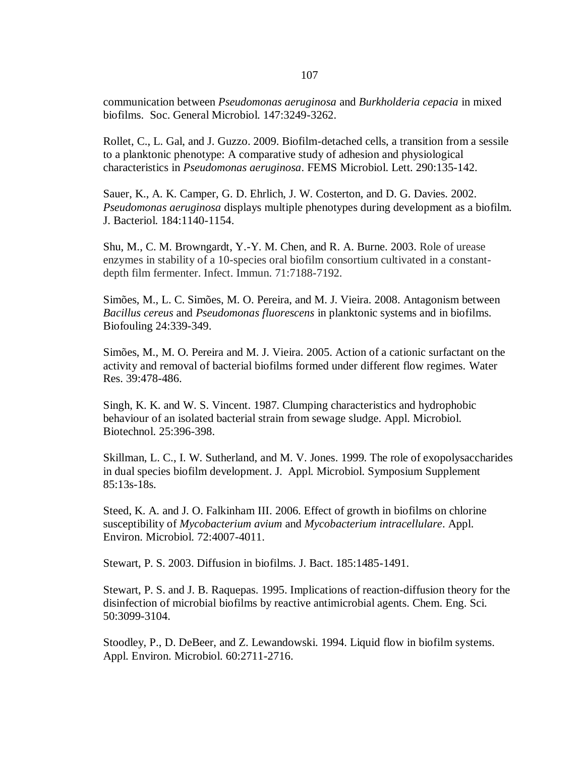communication between *Pseudomonas aeruginosa* and *Burkholderia cepacia* in mixed biofilms. Soc. General Microbiol. 147:3249-3262.

Rollet, C., L. Gal, and J. Guzzo. 2009. Biofilm-detached cells, a transition from a sessile to a planktonic phenotype: A comparative study of adhesion and physiological characteristics in *Pseudomonas aeruginosa*. FEMS Microbiol. Lett. 290:135-142.

Sauer, K., A. K. Camper, G. D. Ehrlich, J. W. Costerton, and D. G. Davies. 2002. *Pseudomonas aeruginosa* displays multiple phenotypes during development as a biofilm. J. Bacteriol. 184:1140-1154.

Shu, M., C. M. Browngardt, Y.-Y. M. Chen, and R. A. Burne. 2003. Role of urease enzymes in stability of a 10-species oral biofilm consortium cultivated in a constantdepth film fermenter. Infect. Immun. 71:7188-7192.

Simões, M., L. C. Simões, M. O. Pereira, and M. J. Vieira. 2008. Antagonism between *Bacillus cereus* and *Pseudomonas fluorescens* in planktonic systems and in biofilms. Biofouling 24:339-349.

Simões, M., M. O. Pereira and M. J. Vieira. 2005. Action of a cationic surfactant on the activity and removal of bacterial biofilms formed under different flow regimes. Water Res. 39:478-486.

Singh, K. K. and W. S. Vincent. 1987. Clumping characteristics and hydrophobic behaviour of an isolated bacterial strain from sewage sludge. Appl. Microbiol. Biotechnol. 25:396-398.

Skillman, L. C., I. W. Sutherland, and M. V. Jones. 1999. The role of exopolysaccharides in dual species biofilm development. J. Appl. Microbiol. Symposium Supplement 85:13s-18s.

Steed, K. A. and J. O. Falkinham III. 2006. Effect of growth in biofilms on chlorine susceptibility of *Mycobacterium avium* and *Mycobacterium intracellulare*. Appl. Environ. Microbiol. 72:4007-4011.

Stewart, P. S. 2003. Diffusion in biofilms. J. Bact. 185:1485-1491.

Stewart, P. S. and J. B. Raquepas. 1995. Implications of reaction-diffusion theory for the disinfection of microbial biofilms by reactive antimicrobial agents. Chem. Eng. Sci. 50:3099-3104.

Stoodley, P., D. DeBeer, and Z. Lewandowski. 1994. Liquid flow in biofilm systems. Appl. Environ. Microbiol. 60:2711-2716.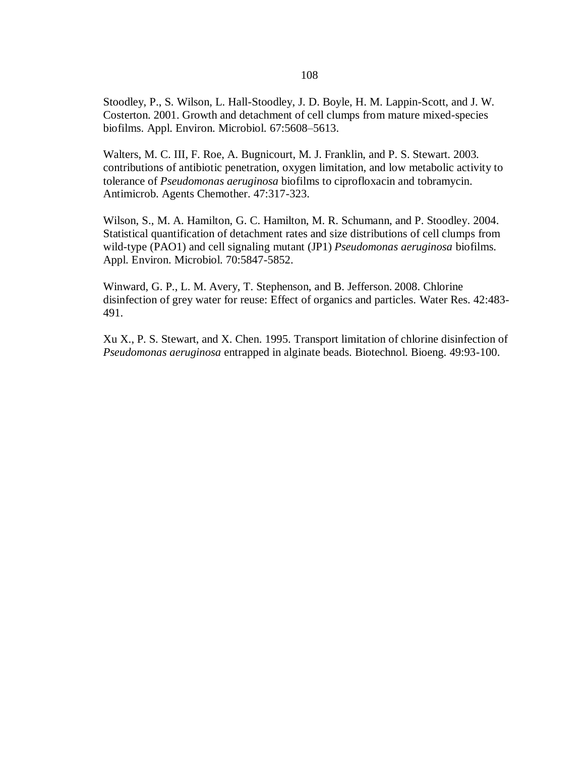Stoodley, P., S. Wilson, L. Hall-Stoodley, J. D. Boyle, H. M. Lappin-Scott, and J. W. Costerton. 2001. Growth and detachment of cell clumps from mature mixed-species biofilms. Appl. Environ. Microbiol. 67:5608–5613.

Walters, M. C. III, F. Roe, A. Bugnicourt, M. J. Franklin, and P. S. Stewart. 2003. contributions of antibiotic penetration, oxygen limitation, and low metabolic activity to tolerance of *Pseudomonas aeruginosa* biofilms to ciprofloxacin and tobramycin. Antimicrob. Agents Chemother. 47:317-323.

Wilson, S., M. A. Hamilton, G. C. Hamilton, M. R. Schumann, and P. Stoodley. 2004. Statistical quantification of detachment rates and size distributions of cell clumps from wild-type (PAO1) and cell signaling mutant (JP1) *Pseudomonas aeruginosa* biofilms. Appl. Environ. Microbiol. 70:5847-5852.

Winward, G. P., L. M. Avery, T. Stephenson, and B. Jefferson. 2008. Chlorine disinfection of grey water for reuse: Effect of organics and particles. Water Res. 42:483- 491.

Xu X., P. S. Stewart, and X. Chen. 1995. Transport limitation of chlorine disinfection of *Pseudomonas aeruginosa* entrapped in alginate beads. Biotechnol. Bioeng. 49:93-100.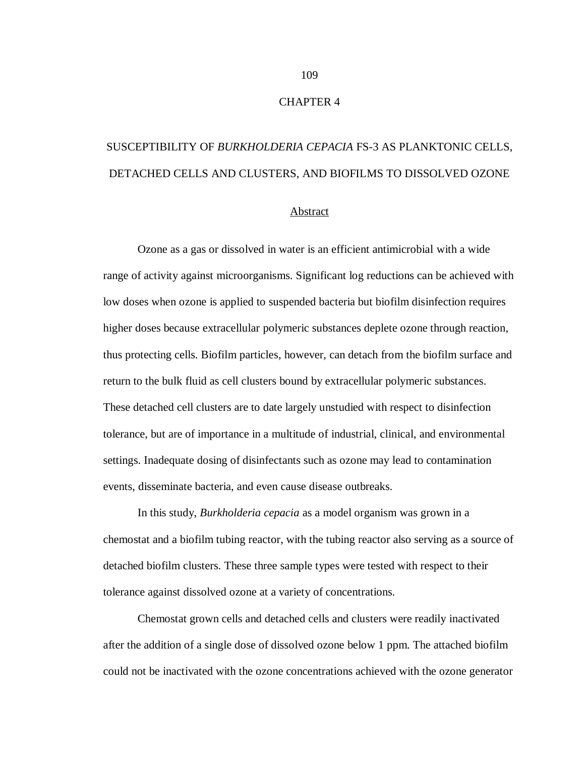#### CHAPTER 4

# SUSCEPTIBILITY OF *BURKHOLDERIA CEPACIA* FS-3 AS PLANKTONIC CELLS, DETACHED CELLS AND CLUSTERS, AND BIOFILMS TO DISSOLVED OZONE

#### Abstract

Ozone as a gas or dissolved in water is an efficient antimicrobial with a wide range of activity against microorganisms. Significant log reductions can be achieved with low doses when ozone is applied to suspended bacteria but biofilm disinfection requires higher doses because extracellular polymeric substances deplete ozone through reaction, thus protecting cells. Biofilm particles, however, can detach from the biofilm surface and return to the bulk fluid as cell clusters bound by extracellular polymeric substances. These detached cell clusters are to date largely unstudied with respect to disinfection tolerance, but are of importance in a multitude of industrial, clinical, and environmental settings. Inadequate dosing of disinfectants such as ozone may lead to contamination events, disseminate bacteria, and even cause disease outbreaks.

In this study, *Burkholderia cepacia* as a model organism was grown in a chemostat and a biofilm tubing reactor, with the tubing reactor also serving as a source of detached biofilm clusters. These three sample types were tested with respect to their tolerance against dissolved ozone at a variety of concentrations.

Chemostat grown cells and detached cells and clusters were readily inactivated after the addition of a single dose of dissolved ozone below 1 ppm. The attached biofilm could not be inactivated with the ozone concentrations achieved with the ozone generator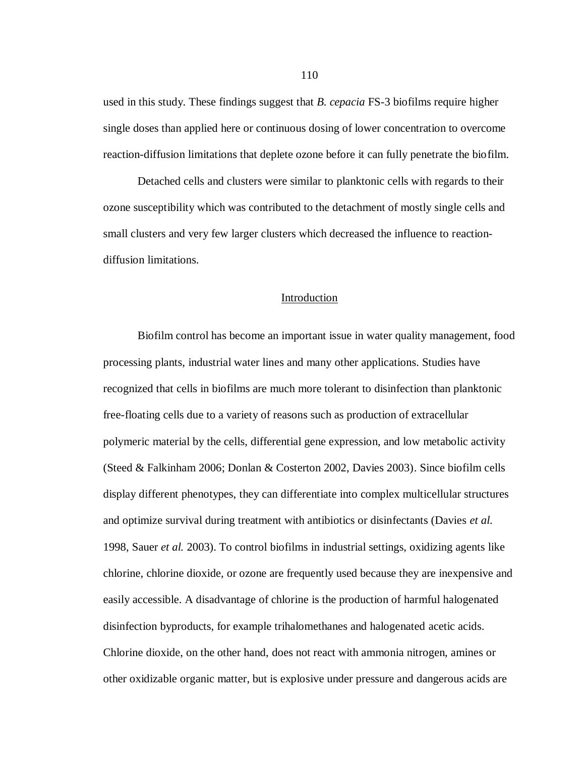used in this study. These findings suggest that *B. cepacia* FS-3 biofilms require higher single doses than applied here or continuous dosing of lower concentration to overcome reaction-diffusion limitations that deplete ozone before it can fully penetrate the biofilm.

Detached cells and clusters were similar to planktonic cells with regards to their ozone susceptibility which was contributed to the detachment of mostly single cells and small clusters and very few larger clusters which decreased the influence to reactiondiffusion limitations.

#### Introduction

Biofilm control has become an important issue in water quality management, food processing plants, industrial water lines and many other applications. Studies have recognized that cells in biofilms are much more tolerant to disinfection than planktonic free-floating cells due to a variety of reasons such as production of extracellular polymeric material by the cells, differential gene expression, and low metabolic activity (Steed & Falkinham 2006; Donlan & Costerton 2002, Davies 2003). Since biofilm cells display different phenotypes, they can differentiate into complex multicellular structures and optimize survival during treatment with antibiotics or disinfectants (Davies *et al.* 1998, Sauer *et al.* 2003). To control biofilms in industrial settings, oxidizing agents like chlorine, chlorine dioxide, or ozone are frequently used because they are inexpensive and easily accessible. A disadvantage of chlorine is the production of harmful halogenated disinfection byproducts, for example trihalomethanes and halogenated acetic acids. Chlorine dioxide, on the other hand, does not react with ammonia nitrogen, amines or other oxidizable organic matter, but is explosive under pressure and dangerous acids are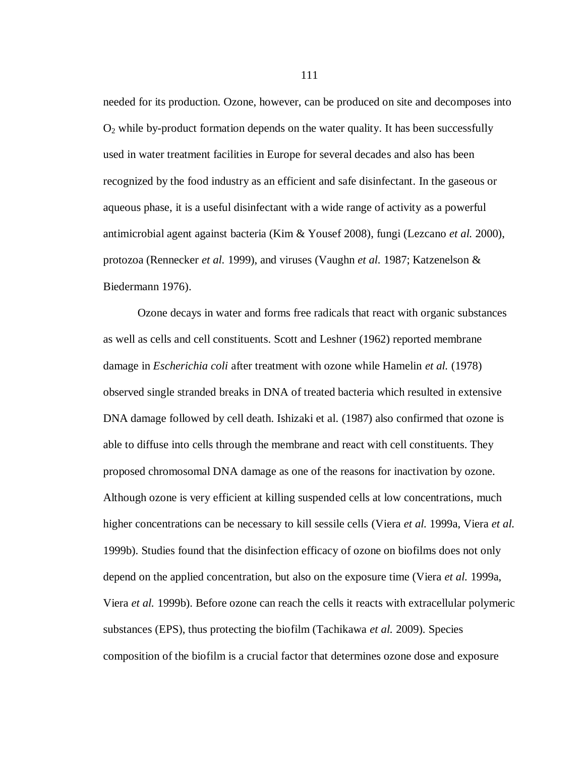needed for its production. Ozone, however, can be produced on site and decomposes into  $O<sub>2</sub>$  while by-product formation depends on the water quality. It has been successfully used in water treatment facilities in Europe for several decades and also has been recognized by the food industry as an efficient and safe disinfectant. In the gaseous or aqueous phase, it is a useful disinfectant with a wide range of activity as a powerful antimicrobial agent against bacteria (Kim & Yousef 2008), fungi (Lezcano *et al.* 2000), protozoa (Rennecker *et al.* 1999), and viruses (Vaughn *et al.* 1987; Katzenelson & Biedermann 1976).

Ozone decays in water and forms free radicals that react with organic substances as well as cells and cell constituents. Scott and Leshner (1962) reported membrane damage in *Escherichia coli* after treatment with ozone while Hamelin *et al.* (1978) observed single stranded breaks in DNA of treated bacteria which resulted in extensive DNA damage followed by cell death. Ishizaki et al. (1987) also confirmed that ozone is able to diffuse into cells through the membrane and react with cell constituents. They proposed chromosomal DNA damage as one of the reasons for inactivation by ozone. Although ozone is very efficient at killing suspended cells at low concentrations, much higher concentrations can be necessary to kill sessile cells (Viera *et al.* 1999a, Viera *et al.* 1999b). Studies found that the disinfection efficacy of ozone on biofilms does not only depend on the applied concentration, but also on the exposure time (Viera *et al.* 1999a, Viera *et al.* 1999b). Before ozone can reach the cells it reacts with extracellular polymeric substances (EPS), thus protecting the biofilm (Tachikawa *et al.* 2009). Species composition of the biofilm is a crucial factor that determines ozone dose and exposure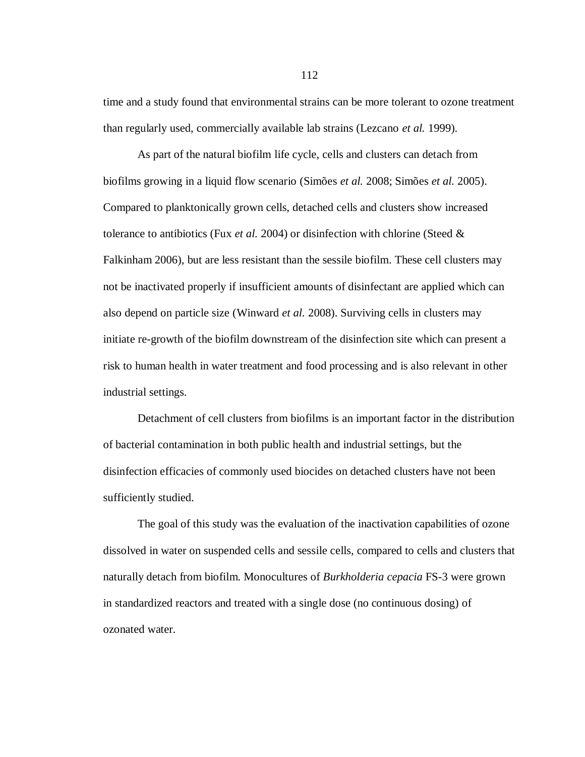time and a study found that environmental strains can be more tolerant to ozone treatment than regularly used, commercially available lab strains (Lezcano *et al.* 1999).

As part of the natural biofilm life cycle, cells and clusters can detach from biofilms growing in a liquid flow scenario (Simões *et al.* 2008; Simões *et al.* 2005). Compared to planktonically grown cells, detached cells and clusters show increased tolerance to antibiotics (Fux *et al.* 2004) or disinfection with chlorine (Steed & Falkinham 2006), but are less resistant than the sessile biofilm. These cell clusters may not be inactivated properly if insufficient amounts of disinfectant are applied which can also depend on particle size (Winward *et al.* 2008). Surviving cells in clusters may initiate re-growth of the biofilm downstream of the disinfection site which can present a risk to human health in water treatment and food processing and is also relevant in other industrial settings.

Detachment of cell clusters from biofilms is an important factor in the distribution of bacterial contamination in both public health and industrial settings, but the disinfection efficacies of commonly used biocides on detached clusters have not been sufficiently studied.

The goal of this study was the evaluation of the inactivation capabilities of ozone dissolved in water on suspended cells and sessile cells, compared to cells and clusters that naturally detach from biofilm. Monocultures of *Burkholderia cepacia* FS-3 were grown in standardized reactors and treated with a single dose (no continuous dosing) of ozonated water.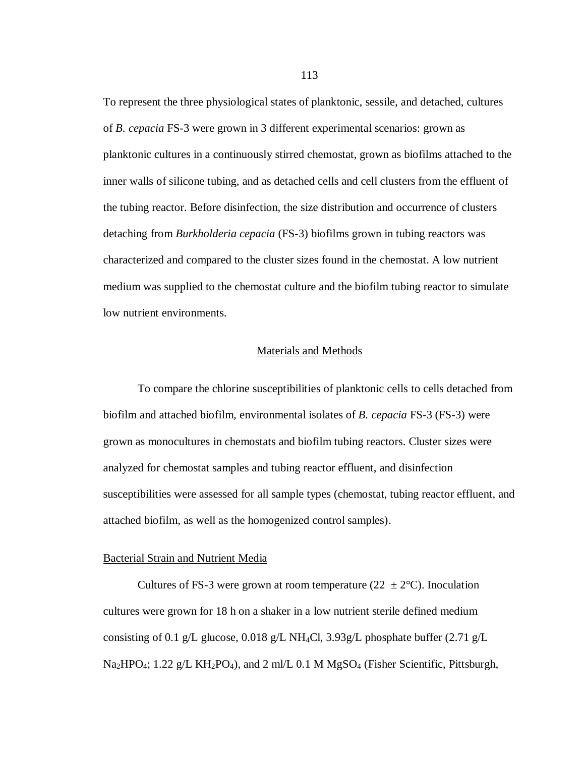To represent the three physiological states of planktonic, sessile, and detached, cultures of *B. cepacia* FS-3 were grown in 3 different experimental scenarios: grown as planktonic cultures in a continuously stirred chemostat, grown as biofilms attached to the inner walls of silicone tubing, and as detached cells and cell clusters from the effluent of the tubing reactor. Before disinfection, the size distribution and occurrence of clusters detaching from *Burkholderia cepacia* (FS-3) biofilms grown in tubing reactors was characterized and compared to the cluster sizes found in the chemostat. A low nutrient medium was supplied to the chemostat culture and the biofilm tubing reactor to simulate low nutrient environments.

#### Materials and Methods

To compare the chlorine susceptibilities of planktonic cells to cells detached from biofilm and attached biofilm, environmental isolates of *B. cepacia* FS-3 (FS-3) were grown as monocultures in chemostats and biofilm tubing reactors. Cluster sizes were analyzed for chemostat samples and tubing reactor effluent, and disinfection susceptibilities were assessed for all sample types (chemostat, tubing reactor effluent, and attached biofilm, as well as the homogenized control samples).

#### Bacterial Strain and Nutrient Media

Cultures of FS-3 were grown at room temperature ( $22 \pm 2^{\circ}$ C). Inoculation cultures were grown for 18 h on a shaker in a low nutrient sterile defined medium consisting of 0.1 g/L glucose, 0.018 g/L NH<sub>4</sub>Cl, 3.93g/L phosphate buffer (2.71 g/L  $Na<sub>2</sub>HPO<sub>4</sub>; 1.22 g/L KH<sub>2</sub>PO<sub>4</sub>$ ), and 2 ml/L 0.1 M MgSO<sub>4</sub> (Fisher Scientific, Pittsburgh,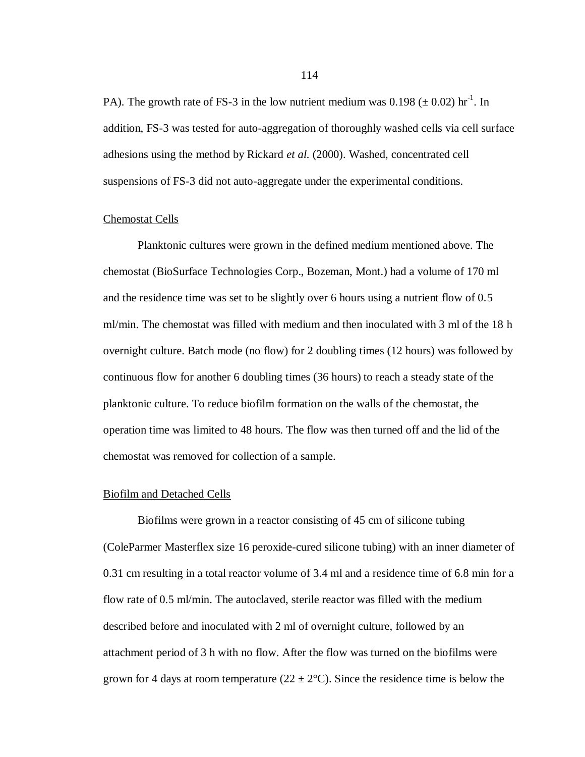PA). The growth rate of FS-3 in the low nutrient medium was  $0.198 \ (\pm 0.02) \ \text{hr}^{-1}$ . In addition, FS-3 was tested for auto-aggregation of thoroughly washed cells via cell surface adhesions using the method by Rickard *et al.* (2000). Washed, concentrated cell suspensions of FS-3 did not auto-aggregate under the experimental conditions.

#### Chemostat Cells

Planktonic cultures were grown in the defined medium mentioned above. The chemostat (BioSurface Technologies Corp., Bozeman, Mont.) had a volume of 170 ml and the residence time was set to be slightly over 6 hours using a nutrient flow of 0.5 ml/min. The chemostat was filled with medium and then inoculated with 3 ml of the 18 h overnight culture. Batch mode (no flow) for 2 doubling times (12 hours) was followed by continuous flow for another 6 doubling times (36 hours) to reach a steady state of the planktonic culture. To reduce biofilm formation on the walls of the chemostat, the operation time was limited to 48 hours. The flow was then turned off and the lid of the chemostat was removed for collection of a sample.

#### Biofilm and Detached Cells

Biofilms were grown in a reactor consisting of 45 cm of silicone tubing (ColeParmer Masterflex size 16 peroxide-cured silicone tubing) with an inner diameter of 0.31 cm resulting in a total reactor volume of 3.4 ml and a residence time of 6.8 min for a flow rate of 0.5 ml/min. The autoclaved, sterile reactor was filled with the medium described before and inoculated with 2 ml of overnight culture, followed by an attachment period of 3 h with no flow. After the flow was turned on the biofilms were grown for 4 days at room temperature ( $22 \pm 2$ °C). Since the residence time is below the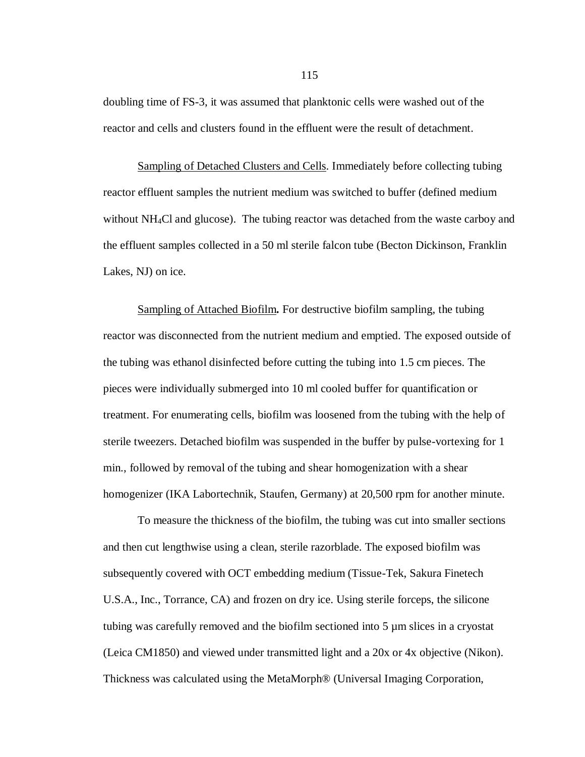doubling time of FS-3, it was assumed that planktonic cells were washed out of the reactor and cells and clusters found in the effluent were the result of detachment.

Sampling of Detached Clusters and Cells. Immediately before collecting tubing reactor effluent samples the nutrient medium was switched to buffer (defined medium without NH4Cl and glucose). The tubing reactor was detached from the waste carboy and the effluent samples collected in a 50 ml sterile falcon tube (Becton Dickinson, Franklin Lakes, NJ) on ice.

Sampling of Attached Biofilm**.** For destructive biofilm sampling, the tubing reactor was disconnected from the nutrient medium and emptied. The exposed outside of the tubing was ethanol disinfected before cutting the tubing into 1.5 cm pieces. The pieces were individually submerged into 10 ml cooled buffer for quantification or treatment. For enumerating cells, biofilm was loosened from the tubing with the help of sterile tweezers. Detached biofilm was suspended in the buffer by pulse-vortexing for 1 min., followed by removal of the tubing and shear homogenization with a shear homogenizer (IKA Labortechnik, Staufen, Germany) at 20,500 rpm for another minute.

To measure the thickness of the biofilm, the tubing was cut into smaller sections and then cut lengthwise using a clean, sterile razorblade. The exposed biofilm was subsequently covered with OCT embedding medium (Tissue-Tek, Sakura Finetech U.S.A., Inc., Torrance, CA) and frozen on dry ice. Using sterile forceps, the silicone tubing was carefully removed and the biofilm sectioned into 5 µm slices in a cryostat (Leica CM1850) and viewed under transmitted light and a 20x or 4x objective (Nikon). Thickness was calculated using the MetaMorph® (Universal Imaging Corporation,

115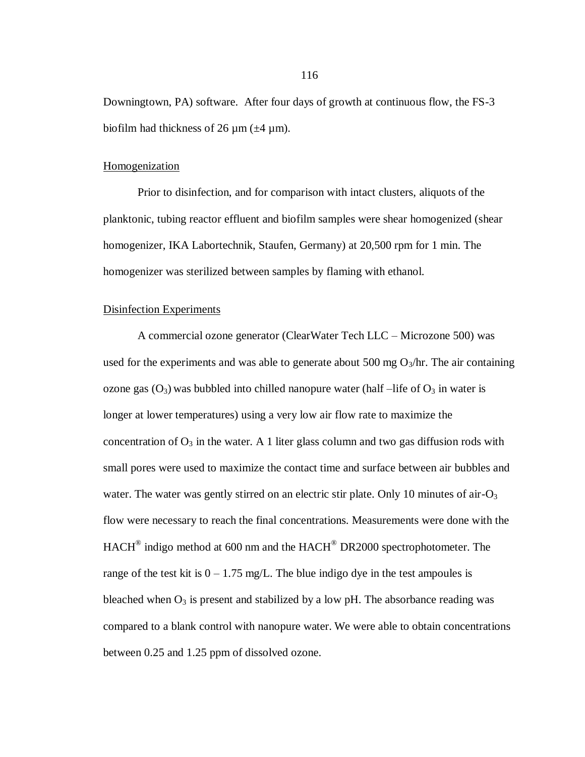Downingtown, PA) software. After four days of growth at continuous flow, the FS-3 biofilm had thickness of 26  $\mu$ m ( $\pm$ 4  $\mu$ m).

## Homogenization

Prior to disinfection, and for comparison with intact clusters, aliquots of the planktonic, tubing reactor effluent and biofilm samples were shear homogenized (shear homogenizer, IKA Labortechnik, Staufen, Germany) at 20,500 rpm for 1 min. The homogenizer was sterilized between samples by flaming with ethanol.

## Disinfection Experiments

A commercial ozone generator (ClearWater Tech LLC – Microzone 500) was used for the experiments and was able to generate about 500 mg  $O_3$ /hr. The air containing ozone gas  $(O_3)$  was bubbled into chilled nanopure water (half –life of  $O_3$  in water is longer at lower temperatures) using a very low air flow rate to maximize the concentration of  $O_3$  in the water. A 1 liter glass column and two gas diffusion rods with small pores were used to maximize the contact time and surface between air bubbles and water. The water was gently stirred on an electric stir plate. Only 10 minutes of air- $O<sub>3</sub>$ flow were necessary to reach the final concentrations. Measurements were done with the  $HACH^{\circledast}$  indigo method at 600 nm and the  $HACH^{\circledast}$  DR2000 spectrophotometer. The range of the test kit is  $0 - 1.75$  mg/L. The blue indigo dye in the test ampoules is bleached when  $O_3$  is present and stabilized by a low pH. The absorbance reading was compared to a blank control with nanopure water. We were able to obtain concentrations between 0.25 and 1.25 ppm of dissolved ozone.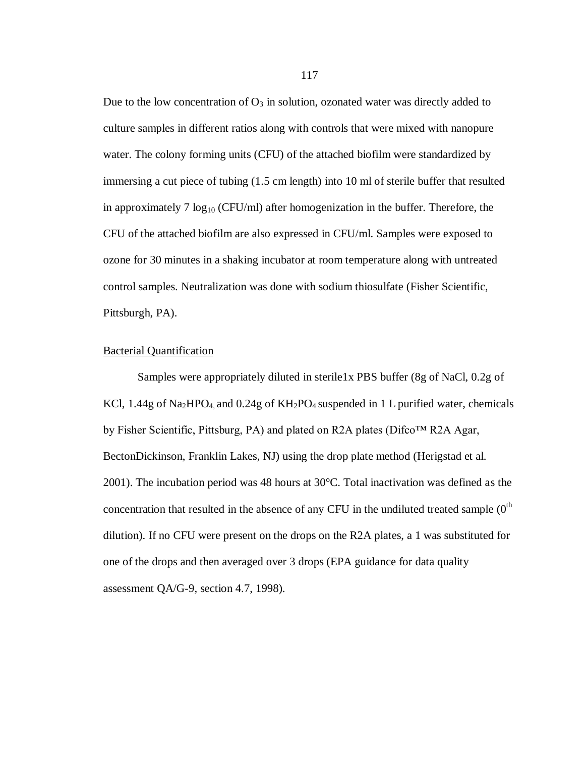Due to the low concentration of  $O_3$  in solution, ozonated water was directly added to culture samples in different ratios along with controls that were mixed with nanopure water. The colony forming units (CFU) of the attached biofilm were standardized by immersing a cut piece of tubing (1.5 cm length) into 10 ml of sterile buffer that resulted in approximately 7  $log_{10}$  (CFU/ml) after homogenization in the buffer. Therefore, the CFU of the attached biofilm are also expressed in CFU/ml. Samples were exposed to ozone for 30 minutes in a shaking incubator at room temperature along with untreated control samples. Neutralization was done with sodium thiosulfate (Fisher Scientific, Pittsburgh, PA).

#### Bacterial Quantification

Samples were appropriately diluted in sterile1x PBS buffer (8g of NaCl, 0.2g of KCl, 1.44g of Na<sub>2</sub>HPO<sub>4</sub>, and 0.24g of  $KH_2PO_4$  suspended in 1 L purified water, chemicals by Fisher Scientific, Pittsburg, PA) and plated on R2A plates (Difco™ R2A Agar, BectonDickinson, Franklin Lakes, NJ) using the drop plate method (Herigstad et al. 2001). The incubation period was 48 hours at 30°C. Total inactivation was defined as the concentration that resulted in the absence of any CFU in the undiluted treated sample  $(0^{\text{th}}$ dilution). If no CFU were present on the drops on the R2A plates, a 1 was substituted for one of the drops and then averaged over 3 drops (EPA guidance for data quality assessment QA/G-9, section 4.7, 1998).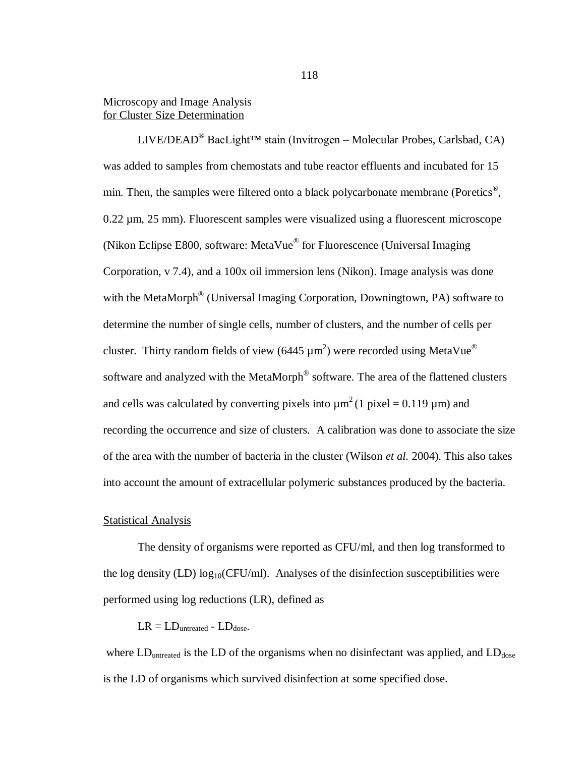## Microscopy and Image Analysis for Cluster Size Determination

LIVE/DEAD<sup>®</sup> BacLight<sup>™</sup> stain (Invitrogen – Molecular Probes, Carlsbad, CA) was added to samples from chemostats and tube reactor effluents and incubated for 15 min. Then, the samples were filtered onto a black polycarbonate membrane (Poretics<sup>®</sup>, 0.22 µm, 25 mm). Fluorescent samples were visualized using a fluorescent microscope (Nikon Eclipse E800, software: MetaVue® for Fluorescence (Universal Imaging Corporation, v 7.4), and a 100x oil immersion lens (Nikon). Image analysis was done with the MetaMorph<sup>®</sup> (Universal Imaging Corporation, Downingtown, PA) software to determine the number of single cells, number of clusters, and the number of cells per cluster. Thirty random fields of view (6445  $\mu$ m<sup>2</sup>) were recorded using MetaVue® software and analyzed with the MetaMorph<sup>®</sup> software. The area of the flattened clusters and cells was calculated by converting pixels into  $\mu$ m<sup>2</sup>(1 pixel = 0.119  $\mu$ m) and recording the occurrence and size of clusters. A calibration was done to associate the size of the area with the number of bacteria in the cluster (Wilson *et al.* 2004). This also takes into account the amount of extracellular polymeric substances produced by the bacteria.

#### Statistical Analysis

The density of organisms were reported as CFU/ml, and then log transformed to the log density (LD)  $log_{10}(CFU/ml)$ . Analyses of the disinfection susceptibilities were performed using log reductions (LR), defined as

## $LR = LD_{\text{untracted}} - LD_{\text{dose}}$ .

where  $LD_{\text{untracted}}$  is the LD of the organisms when no disinfectant was applied, and  $LD_{\text{dose}}$ is the LD of organisms which survived disinfection at some specified dose.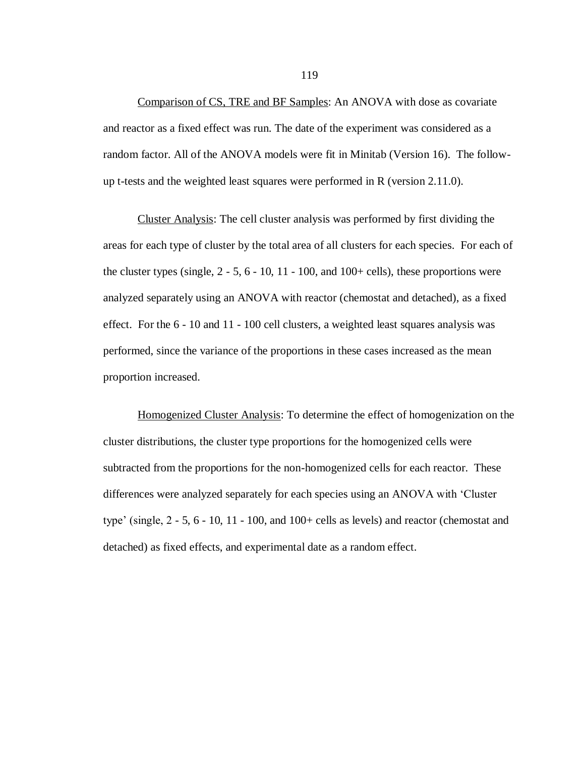Comparison of CS, TRE and BF Samples: An ANOVA with dose as covariate and reactor as a fixed effect was run. The date of the experiment was considered as a random factor. All of the ANOVA models were fit in Minitab (Version 16). The followup t-tests and the weighted least squares were performed in R (version 2.11.0).

Cluster Analysis: The cell cluster analysis was performed by first dividing the areas for each type of cluster by the total area of all clusters for each species. For each of the cluster types (single,  $2 - 5$ ,  $6 - 10$ ,  $11 - 100$ , and  $100 +$  cells), these proportions were analyzed separately using an ANOVA with reactor (chemostat and detached), as a fixed effect. For the 6 - 10 and 11 - 100 cell clusters, a weighted least squares analysis was performed, since the variance of the proportions in these cases increased as the mean proportion increased.

Homogenized Cluster Analysis: To determine the effect of homogenization on the cluster distributions, the cluster type proportions for the homogenized cells were subtracted from the proportions for the non-homogenized cells for each reactor. These differences were analyzed separately for each species using an ANOVA with 'Cluster type' (single,  $2 - 5$ ,  $6 - 10$ ,  $11 - 100$ , and  $100 +$  cells as levels) and reactor (chemostat and detached) as fixed effects, and experimental date as a random effect.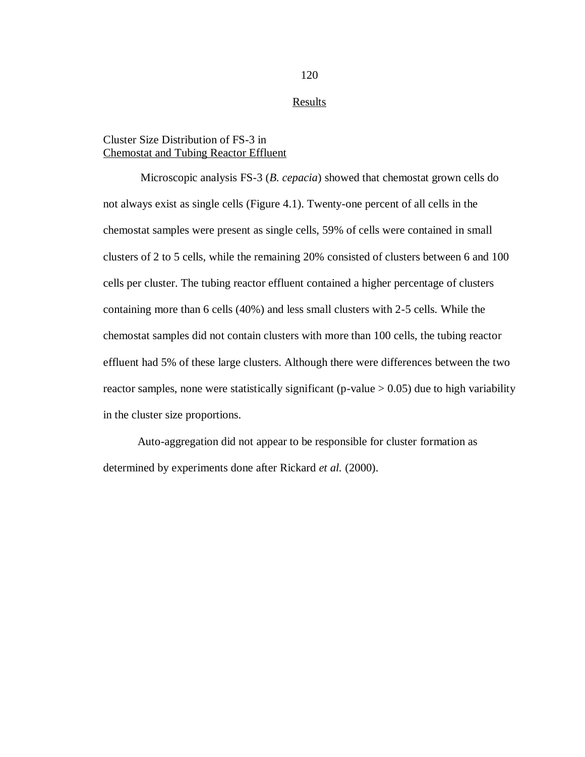**Results** 

## Cluster Size Distribution of FS-3 in Chemostat and Tubing Reactor Effluent

Microscopic analysis FS-3 (*B. cepacia*) showed that chemostat grown cells do not always exist as single cells (Figure 4.1). Twenty-one percent of all cells in the chemostat samples were present as single cells, 59% of cells were contained in small clusters of 2 to 5 cells, while the remaining 20% consisted of clusters between 6 and 100 cells per cluster. The tubing reactor effluent contained a higher percentage of clusters containing more than 6 cells (40%) and less small clusters with 2-5 cells. While the chemostat samples did not contain clusters with more than 100 cells, the tubing reactor effluent had 5% of these large clusters. Although there were differences between the two reactor samples, none were statistically significant (p-value  $> 0.05$ ) due to high variability in the cluster size proportions.

Auto-aggregation did not appear to be responsible for cluster formation as determined by experiments done after Rickard *et al.* (2000).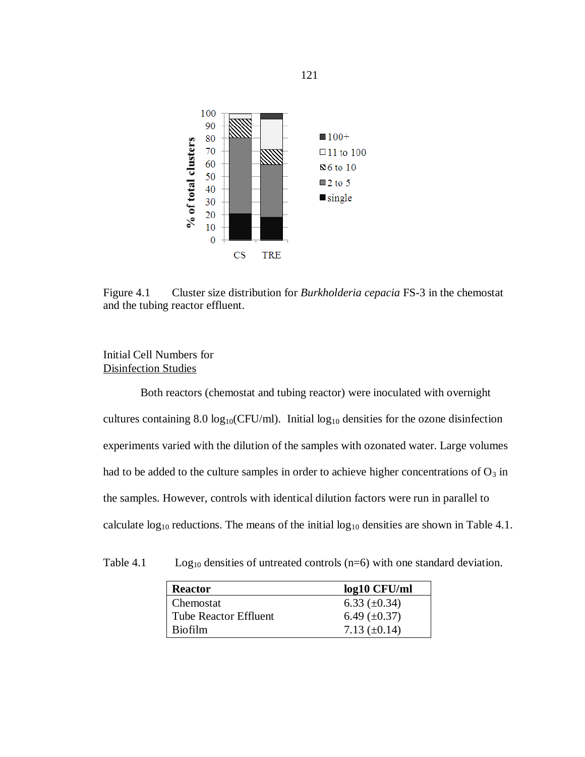

Figure 4.1 Cluster size distribution for *Burkholderia cepacia* FS-3 in the chemostat and the tubing reactor effluent.

# Initial Cell Numbers for Disinfection Studies

Both reactors (chemostat and tubing reactor) were inoculated with overnight cultures containing 8.0  $log_{10}(CFU/ml)$ . Initial  $log_{10}$  densities for the ozone disinfection experiments varied with the dilution of the samples with ozonated water. Large volumes had to be added to the culture samples in order to achieve higher concentrations of  $O_3$  in the samples. However, controls with identical dilution factors were run in parallel to calculate  $log_{10}$  reductions. The means of the initial  $log_{10}$  densities are shown in Table 4.1.

| Table 4.1 |  |  |  |  | $Log_{10}$ densities of untreated controls (n=6) with one standard deviation. |
|-----------|--|--|--|--|-------------------------------------------------------------------------------|
|-----------|--|--|--|--|-------------------------------------------------------------------------------|

| <b>Reactor</b>               | $log10$ CFU/ml    |
|------------------------------|-------------------|
| Chemostat                    | 6.33 $(\pm 0.34)$ |
| <b>Tube Reactor Effluent</b> | 6.49 $(\pm 0.37)$ |
| <b>Biofilm</b>               | 7.13 $(\pm 0.14)$ |

121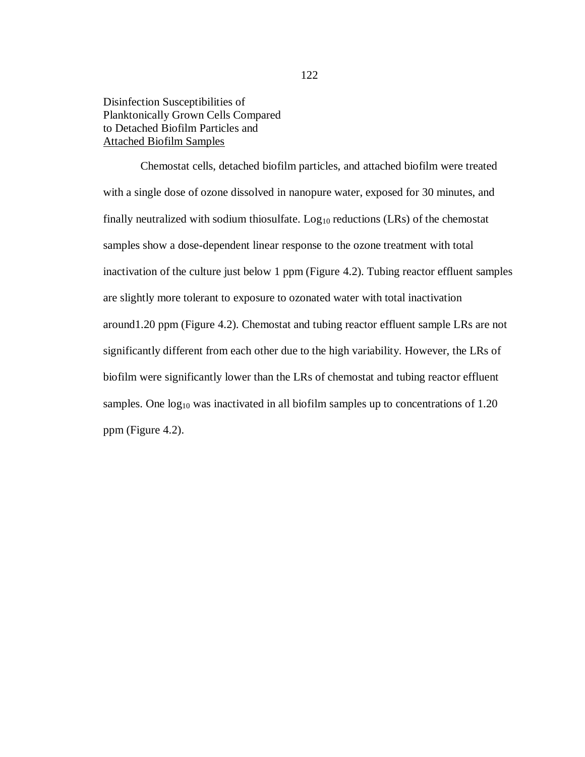Disinfection Susceptibilities of Planktonically Grown Cells Compared to Detached Biofilm Particles and Attached Biofilm Samples

Chemostat cells, detached biofilm particles, and attached biofilm were treated with a single dose of ozone dissolved in nanopure water, exposed for 30 minutes, and finally neutralized with sodium thiosulfate.  $Log_{10}$  reductions (LRs) of the chemostat samples show a dose-dependent linear response to the ozone treatment with total inactivation of the culture just below 1 ppm (Figure 4.2). Tubing reactor effluent samples are slightly more tolerant to exposure to ozonated water with total inactivation around1.20 ppm (Figure 4.2). Chemostat and tubing reactor effluent sample LRs are not significantly different from each other due to the high variability. However, the LRs of biofilm were significantly lower than the LRs of chemostat and tubing reactor effluent samples. One  $log_{10}$  was inactivated in all biofilm samples up to concentrations of 1.20 ppm (Figure 4.2).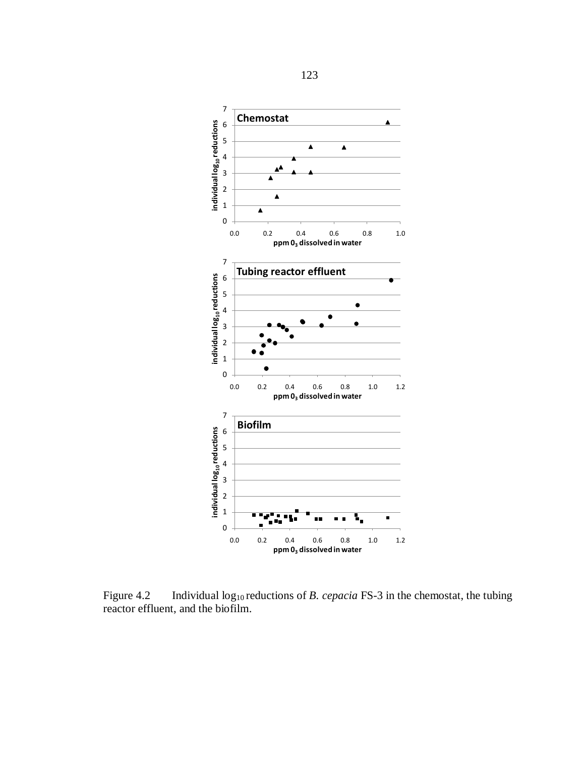

Figure 4.2 Individual log<sub>10</sub> reductions of *B. cepacia* FS-3 in the chemostat, the tubing reactor effluent, and the biofilm.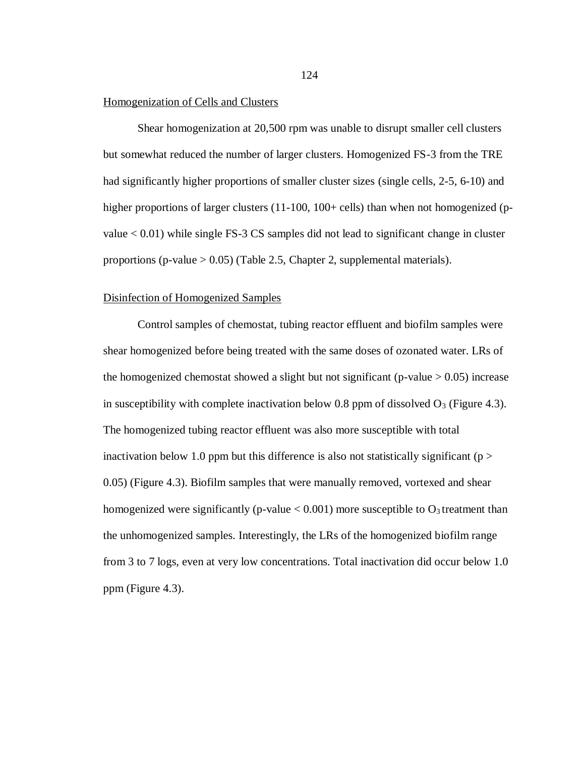#### Homogenization of Cells and Clusters

Shear homogenization at 20,500 rpm was unable to disrupt smaller cell clusters but somewhat reduced the number of larger clusters. Homogenized FS-3 from the TRE had significantly higher proportions of smaller cluster sizes (single cells, 2-5, 6-10) and higher proportions of larger clusters (11-100, 100+ cells) than when not homogenized (pvalue < 0.01) while single FS-3 CS samples did not lead to significant change in cluster proportions (p-value  $> 0.05$ ) (Table 2.5, Chapter 2, supplemental materials).

#### Disinfection of Homogenized Samples

Control samples of chemostat, tubing reactor effluent and biofilm samples were shear homogenized before being treated with the same doses of ozonated water. LRs of the homogenized chemostat showed a slight but not significant (p-value  $> 0.05$ ) increase in susceptibility with complete inactivation below 0.8 ppm of dissolved  $O_3$  (Figure 4.3). The homogenized tubing reactor effluent was also more susceptible with total inactivation below 1.0 ppm but this difference is also not statistically significant ( $p >$ 0.05) (Figure 4.3). Biofilm samples that were manually removed, vortexed and shear homogenized were significantly (p-value  $< 0.001$ ) more susceptible to  $O_3$  treatment than the unhomogenized samples. Interestingly, the LRs of the homogenized biofilm range from 3 to 7 logs, even at very low concentrations. Total inactivation did occur below 1.0 ppm (Figure 4.3).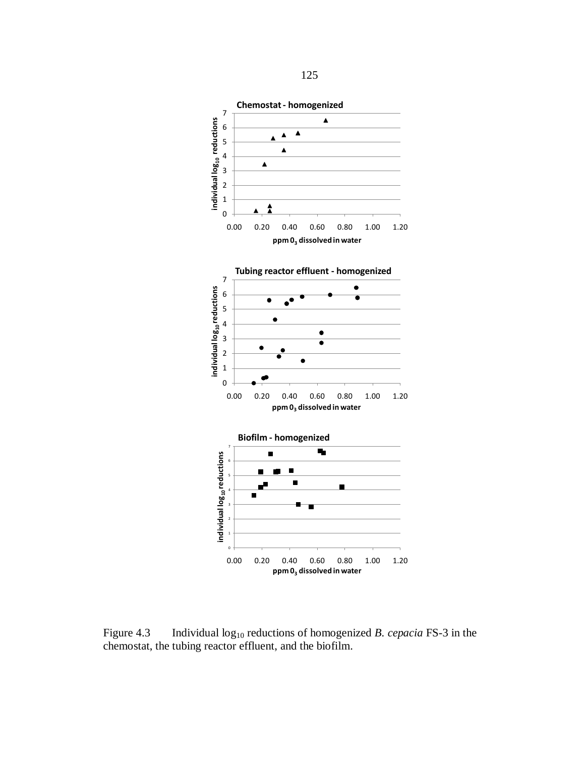

Figure 4.3 Individual log<sub>10</sub> reductions of homogenized *B. cepacia* FS-3 in the chemostat, the tubing reactor effluent, and the biofilm.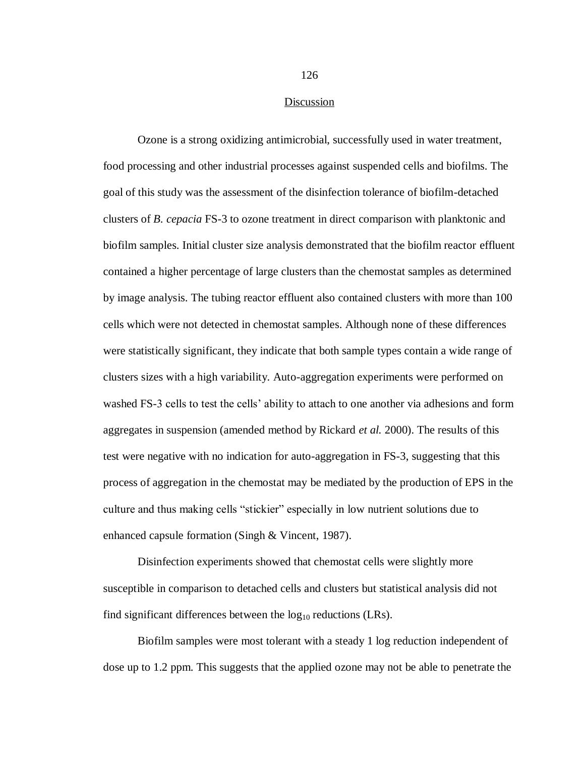#### Discussion

Ozone is a strong oxidizing antimicrobial, successfully used in water treatment, food processing and other industrial processes against suspended cells and biofilms. The goal of this study was the assessment of the disinfection tolerance of biofilm-detached clusters of *B. cepacia* FS-3 to ozone treatment in direct comparison with planktonic and biofilm samples. Initial cluster size analysis demonstrated that the biofilm reactor effluent contained a higher percentage of large clusters than the chemostat samples as determined by image analysis. The tubing reactor effluent also contained clusters with more than 100 cells which were not detected in chemostat samples. Although none of these differences were statistically significant, they indicate that both sample types contain a wide range of clusters sizes with a high variability. Auto-aggregation experiments were performed on washed FS-3 cells to test the cells' ability to attach to one another via adhesions and form aggregates in suspension (amended method by Rickard *et al.* 2000). The results of this test were negative with no indication for auto-aggregation in FS-3, suggesting that this process of aggregation in the chemostat may be mediated by the production of EPS in the culture and thus making cells "stickier" especially in low nutrient solutions due to enhanced capsule formation (Singh & Vincent, 1987).

Disinfection experiments showed that chemostat cells were slightly more susceptible in comparison to detached cells and clusters but statistical analysis did not find significant differences between the  $log_{10}$  reductions (LRs).

Biofilm samples were most tolerant with a steady 1 log reduction independent of dose up to 1.2 ppm. This suggests that the applied ozone may not be able to penetrate the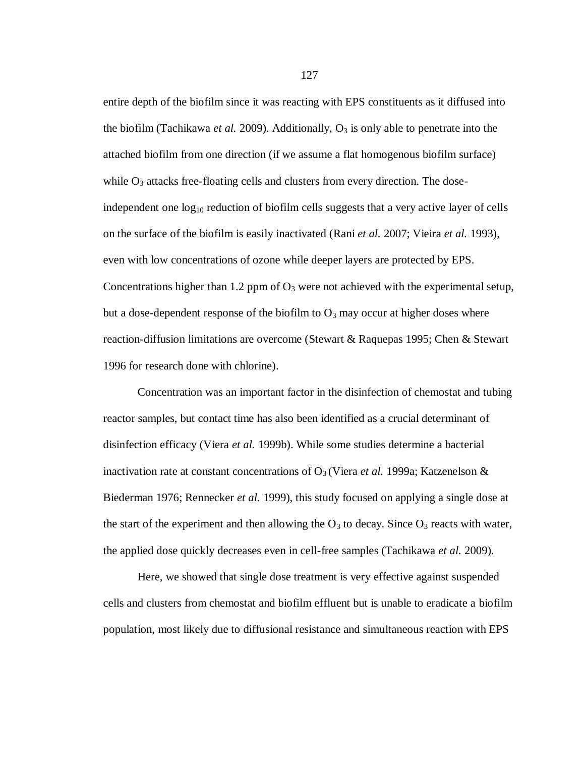entire depth of the biofilm since it was reacting with EPS constituents as it diffused into the biofilm (Tachikawa *et al.* 2009). Additionally,  $O_3$  is only able to penetrate into the attached biofilm from one direction (if we assume a flat homogenous biofilm surface) while  $O_3$  attacks free-floating cells and clusters from every direction. The doseindependent one  $\log_{10}$  reduction of biofilm cells suggests that a very active layer of cells on the surface of the biofilm is easily inactivated (Rani *et al.* 2007; Vieira *et al.* 1993), even with low concentrations of ozone while deeper layers are protected by EPS. Concentrations higher than 1.2 ppm of  $O_3$  were not achieved with the experimental setup, but a dose-dependent response of the biofilm to  $O_3$  may occur at higher doses where reaction-diffusion limitations are overcome (Stewart & Raquepas 1995; Chen & Stewart 1996 for research done with chlorine).

Concentration was an important factor in the disinfection of chemostat and tubing reactor samples, but contact time has also been identified as a crucial determinant of disinfection efficacy (Viera *et al.* 1999b). While some studies determine a bacterial inactivation rate at constant concentrations of  $O_3$  (Viera *et al.* 1999a; Katzenelson & Biederman 1976; Rennecker *et al.* 1999), this study focused on applying a single dose at the start of the experiment and then allowing the  $O_3$  to decay. Since  $O_3$  reacts with water, the applied dose quickly decreases even in cell-free samples (Tachikawa *et al.* 2009).

Here, we showed that single dose treatment is very effective against suspended cells and clusters from chemostat and biofilm effluent but is unable to eradicate a biofilm population, most likely due to diffusional resistance and simultaneous reaction with EPS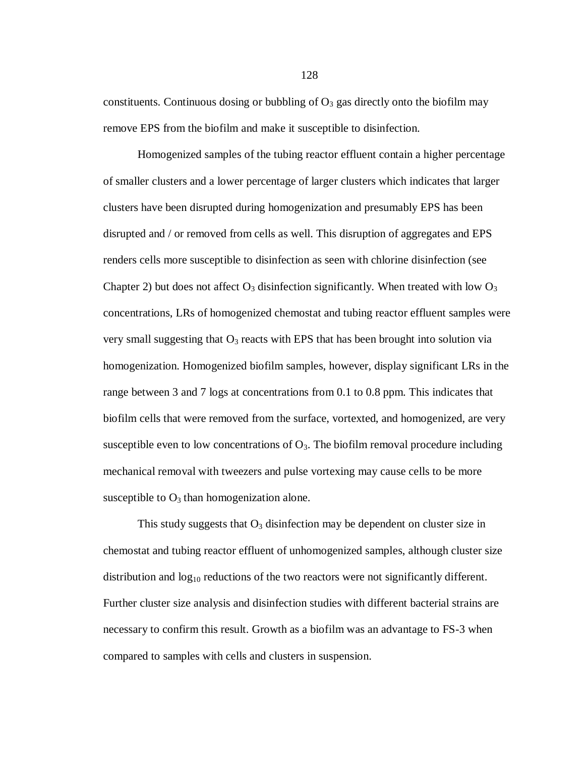constituents. Continuous dosing or bubbling of  $O_3$  gas directly onto the biofilm may remove EPS from the biofilm and make it susceptible to disinfection.

Homogenized samples of the tubing reactor effluent contain a higher percentage of smaller clusters and a lower percentage of larger clusters which indicates that larger clusters have been disrupted during homogenization and presumably EPS has been disrupted and / or removed from cells as well. This disruption of aggregates and EPS renders cells more susceptible to disinfection as seen with chlorine disinfection (see Chapter 2) but does not affect  $O_3$  disinfection significantly. When treated with low  $O_3$ concentrations, LRs of homogenized chemostat and tubing reactor effluent samples were very small suggesting that  $O_3$  reacts with EPS that has been brought into solution via homogenization. Homogenized biofilm samples, however, display significant LRs in the range between 3 and 7 logs at concentrations from 0.1 to 0.8 ppm. This indicates that biofilm cells that were removed from the surface, vortexted, and homogenized, are very susceptible even to low concentrations of  $O_3$ . The biofilm removal procedure including mechanical removal with tweezers and pulse vortexing may cause cells to be more susceptible to  $O_3$  than homogenization alone.

This study suggests that  $O_3$  disinfection may be dependent on cluster size in chemostat and tubing reactor effluent of unhomogenized samples, although cluster size distribution and  $log_{10}$  reductions of the two reactors were not significantly different. Further cluster size analysis and disinfection studies with different bacterial strains are necessary to confirm this result. Growth as a biofilm was an advantage to FS-3 when compared to samples with cells and clusters in suspension.

128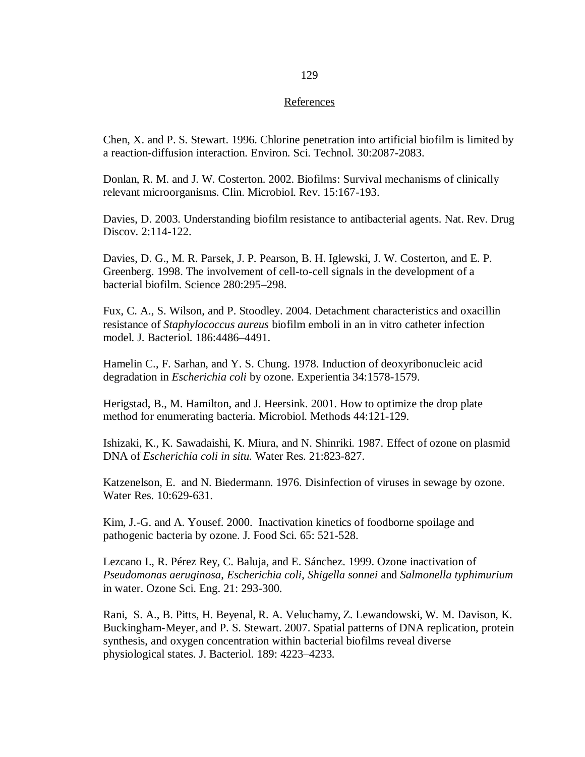#### References

Chen, X. and P. S. Stewart. 1996. Chlorine penetration into artificial biofilm is limited by a reaction-diffusion interaction. Environ. Sci. Technol. 30:2087-2083.

Donlan, R. M. and J. W. Costerton. 2002. Biofilms: Survival mechanisms of clinically relevant microorganisms. Clin. Microbiol. Rev. 15:167-193.

Davies, D. 2003. Understanding biofilm resistance to antibacterial agents. Nat. Rev. Drug Discov. 2:114-122.

Davies, D. G., M. R. Parsek, J. P. Pearson, B. H. Iglewski, J. W. Costerton, and E. P. Greenberg. 1998. The involvement of cell-to-cell signals in the development of a bacterial biofilm. Science 280:295–298.

Fux, C. A., S. Wilson, and P. Stoodley. 2004. Detachment characteristics and oxacillin resistance of *Staphylococcus aureus* biofilm emboli in an in vitro catheter infection model. J. Bacteriol. 186:4486–4491.

Hamelin C., F. Sarhan, and Y. S. Chung. 1978. Induction of deoxyribonucleic acid degradation in *Escherichia coli* by ozone. Experientia 34:1578-1579.

Herigstad, B., M. Hamilton, and J. Heersink. 2001. How to optimize the drop plate method for enumerating bacteria. Microbiol. Methods 44:121-129.

Ishizaki, K., K. Sawadaishi, K. Miura, and N. Shinriki. 1987. Effect of ozone on plasmid DNA of *Escherichia coli in situ.* Water Res. 21:823-827.

Katzenelson, E. and N. Biedermann. 1976. Disinfection of viruses in sewage by ozone. Water Res. 10:629-631.

Kim, J.-G. and A. Yousef. 2000. Inactivation kinetics of foodborne spoilage and pathogenic bacteria by ozone. J. Food Sci. 65: 521-528.

Lezcano I., R. Pérez Rey, C. Baluja, and E. Sánchez. 1999. Ozone inactivation of *Pseudomonas aeruginosa*, *Escherichia coli*, *Shigella sonnei* and *Salmonella typhimurium* in water. Ozone Sci. Eng. 21: 293-300.

Rani, S. A., B. Pitts, H. Beyenal, R. A. Veluchamy, Z. Lewandowski, W. M. Davison, K. Buckingham-Meyer, and P. S. Stewart. 2007. Spatial patterns of DNA replication, protein synthesis, and oxygen concentration within bacterial biofilms reveal diverse physiological states. J. Bacteriol. 189: 4223–4233.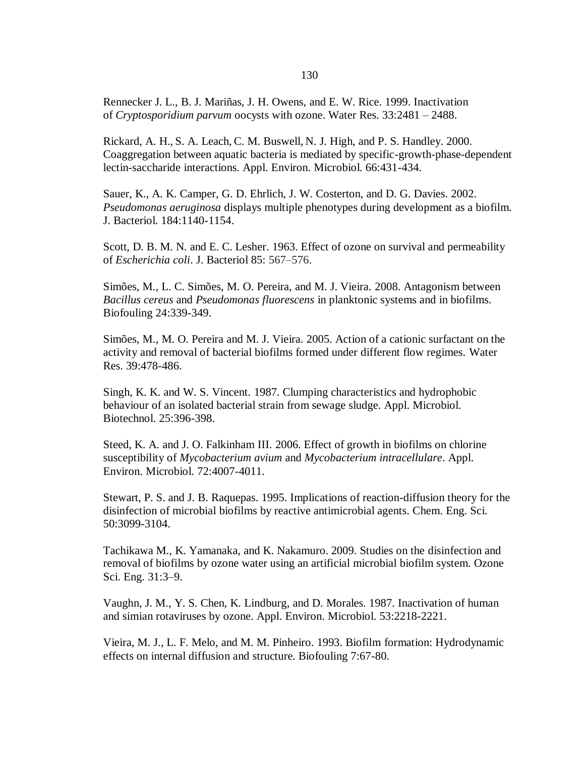Rennecker J. L., B. J. Mariñas, J. H. Owens, and E. W. Rice. 1999. Inactivation of *Cryptosporidium parvum* oocysts with ozone. Water Res. 33:2481 – 2488.

Rickard, A. H., S. A. Leach, C. M. Buswell, N. J. High, and P. S. Handley. 2000. Coaggregation between aquatic bacteria is mediated by specific-growth-phase-dependent lectin-saccharide interactions. Appl. Environ. Microbiol. 66:431-434.

Sauer, K., A. K. Camper, G. D. Ehrlich, J. W. Costerton, and D. G. Davies. 2002. *Pseudomonas aeruginosa* displays multiple phenotypes during development as a biofilm. J. Bacteriol. 184:1140-1154.

Scott, D. B. M. N. and E. C. Lesher. 1963. Effect of ozone on survival and permeability of *Escherichia coli*. J. Bacteriol 85: 567–576.

Simões, M., L. C. Simões, M. O. Pereira, and M. J. Vieira. 2008. Antagonism between *Bacillus cereus* and *Pseudomonas fluorescens* in planktonic systems and in biofilms. Biofouling 24:339-349.

Simões, M., M. O. Pereira and M. J. Vieira. 2005. Action of a cationic surfactant on the activity and removal of bacterial biofilms formed under different flow regimes. Water Res. 39:478-486.

Singh, K. K. and W. S. Vincent. 1987. Clumping characteristics and hydrophobic behaviour of an isolated bacterial strain from sewage sludge. Appl. Microbiol. Biotechnol. 25:396-398.

Steed, K. A. and J. O. Falkinham III. 2006. Effect of growth in biofilms on chlorine susceptibility of *Mycobacterium avium* and *Mycobacterium intracellulare*. Appl. Environ. Microbiol. 72:4007-4011.

Stewart, P. S. and J. B. Raquepas. 1995. Implications of reaction-diffusion theory for the disinfection of microbial biofilms by reactive antimicrobial agents. Chem. Eng. Sci. 50:3099-3104.

Tachikawa M., K. Yamanaka, and K. Nakamuro. 2009. Studies on the disinfection and removal of biofilms by ozone water using an artificial microbial biofilm system. Ozone Sci. Eng. 31:3–9.

Vaughn, J. M., Y. S. Chen, K. Lindburg, and D. Morales. 1987. Inactivation of human and simian rotaviruses by ozone. Appl. Environ. Microbiol. 53:2218-2221.

Vieira, M. J., L. F. Melo, and M. M. Pinheiro. 1993. Biofilm formation: Hydrodynamic effects on internal diffusion and structure. Biofouling 7:67-80.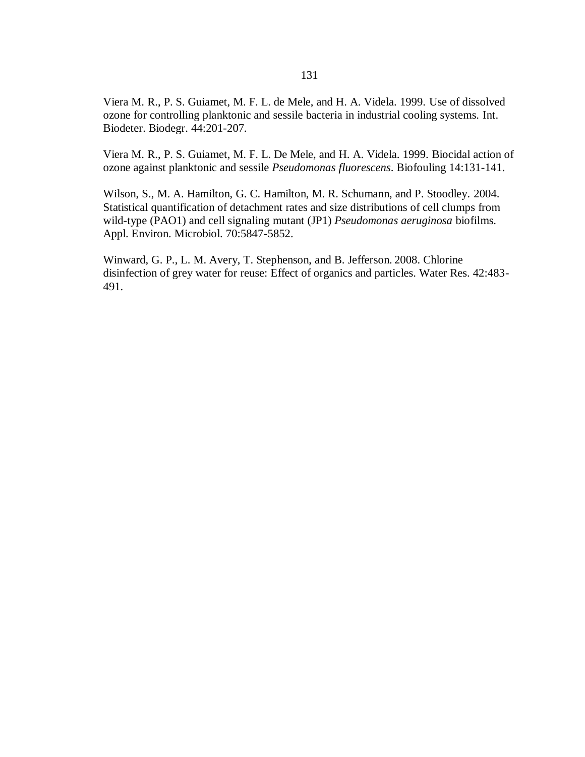Viera M. R., P. S. Guiamet, M. F. L. de Mele, and H. A. Videla. 1999. Use of dissolved ozone for controlling planktonic and sessile bacteria in industrial cooling systems. Int. Biodeter. Biodegr. 44:201-207.

Viera M. R., P. S. Guiamet, M. F. L. De Mele, and H. A. Videla. 1999. Biocidal action of ozone against planktonic and sessile *Pseudomonas fluorescens*. Biofouling 14:131-141.

Wilson, S., M. A. Hamilton, G. C. Hamilton, M. R. Schumann, and P. Stoodley. 2004. Statistical quantification of detachment rates and size distributions of cell clumps from wild-type (PAO1) and cell signaling mutant (JP1) *Pseudomonas aeruginosa* biofilms. Appl. Environ. Microbiol. 70:5847-5852.

Winward, G. P., L. M. Avery, T. Stephenson, and B. Jefferson. 2008. Chlorine disinfection of grey water for reuse: Effect of organics and particles. Water Res. 42:483- 491.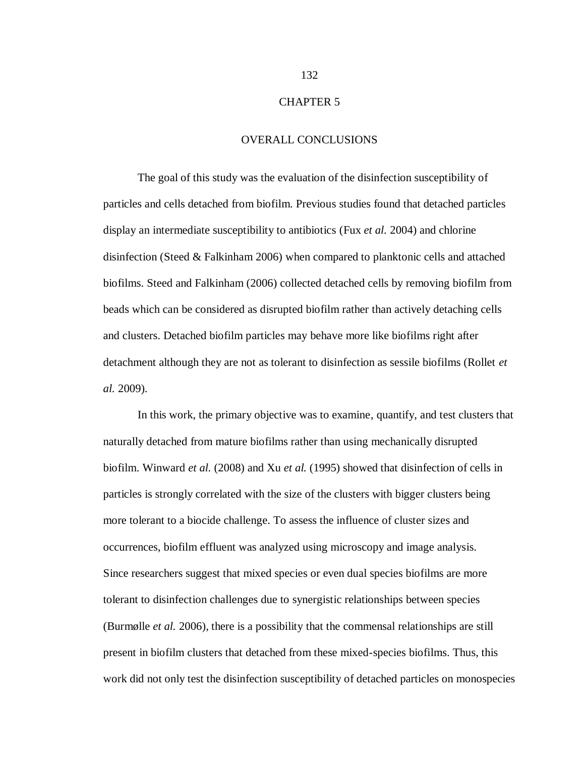#### CHAPTER 5

#### OVERALL CONCLUSIONS

The goal of this study was the evaluation of the disinfection susceptibility of particles and cells detached from biofilm. Previous studies found that detached particles display an intermediate susceptibility to antibiotics (Fux *et al.* 2004) and chlorine disinfection (Steed & Falkinham 2006) when compared to planktonic cells and attached biofilms. Steed and Falkinham (2006) collected detached cells by removing biofilm from beads which can be considered as disrupted biofilm rather than actively detaching cells and clusters. Detached biofilm particles may behave more like biofilms right after detachment although they are not as tolerant to disinfection as sessile biofilms (Rollet *et al.* 2009).

In this work, the primary objective was to examine, quantify, and test clusters that naturally detached from mature biofilms rather than using mechanically disrupted biofilm. Winward *et al.* (2008) and Xu *et al.* (1995) showed that disinfection of cells in particles is strongly correlated with the size of the clusters with bigger clusters being more tolerant to a biocide challenge. To assess the influence of cluster sizes and occurrences, biofilm effluent was analyzed using microscopy and image analysis. Since researchers suggest that mixed species or even dual species biofilms are more tolerant to disinfection challenges due to synergistic relationships between species (Burmølle *et al.* 2006), there is a possibility that the commensal relationships are still present in biofilm clusters that detached from these mixed-species biofilms. Thus, this work did not only test the disinfection susceptibility of detached particles on monospecies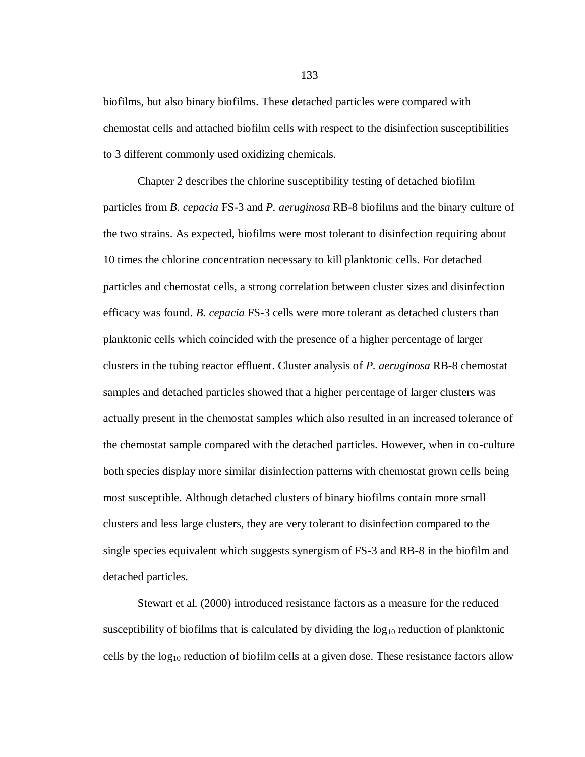biofilms, but also binary biofilms. These detached particles were compared with chemostat cells and attached biofilm cells with respect to the disinfection susceptibilities to 3 different commonly used oxidizing chemicals.

Chapter 2 describes the chlorine susceptibility testing of detached biofilm particles from *B. cepacia* FS-3 and *P. aeruginosa* RB-8 biofilms and the binary culture of the two strains. As expected, biofilms were most tolerant to disinfection requiring about 10 times the chlorine concentration necessary to kill planktonic cells. For detached particles and chemostat cells, a strong correlation between cluster sizes and disinfection efficacy was found. *B. cepacia* FS-3 cells were more tolerant as detached clusters than planktonic cells which coincided with the presence of a higher percentage of larger clusters in the tubing reactor effluent. Cluster analysis of *P. aeruginosa* RB-8 chemostat samples and detached particles showed that a higher percentage of larger clusters was actually present in the chemostat samples which also resulted in an increased tolerance of the chemostat sample compared with the detached particles. However, when in co-culture both species display more similar disinfection patterns with chemostat grown cells being most susceptible. Although detached clusters of binary biofilms contain more small clusters and less large clusters, they are very tolerant to disinfection compared to the single species equivalent which suggests synergism of FS-3 and RB-8 in the biofilm and detached particles.

Stewart et al. (2000) introduced resistance factors as a measure for the reduced susceptibility of biofilms that is calculated by dividing the  $log_{10}$  reduction of planktonic cells by the  $log_{10}$  reduction of biofilm cells at a given dose. These resistance factors allow

133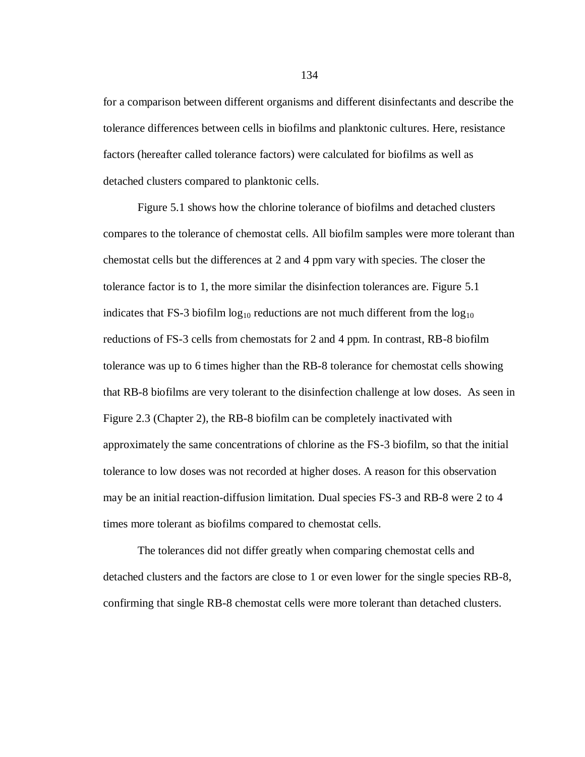for a comparison between different organisms and different disinfectants and describe the tolerance differences between cells in biofilms and planktonic cultures. Here, resistance factors (hereafter called tolerance factors) were calculated for biofilms as well as detached clusters compared to planktonic cells.

Figure 5.1 shows how the chlorine tolerance of biofilms and detached clusters compares to the tolerance of chemostat cells. All biofilm samples were more tolerant than chemostat cells but the differences at 2 and 4 ppm vary with species. The closer the tolerance factor is to 1, the more similar the disinfection tolerances are. Figure 5.1 indicates that FS-3 biofilm  $log_{10}$  reductions are not much different from the  $log_{10}$ reductions of FS-3 cells from chemostats for 2 and 4 ppm. In contrast, RB-8 biofilm tolerance was up to 6 times higher than the RB-8 tolerance for chemostat cells showing that RB-8 biofilms are very tolerant to the disinfection challenge at low doses. As seen in Figure 2.3 (Chapter 2), the RB-8 biofilm can be completely inactivated with approximately the same concentrations of chlorine as the FS-3 biofilm, so that the initial tolerance to low doses was not recorded at higher doses. A reason for this observation may be an initial reaction-diffusion limitation. Dual species FS-3 and RB-8 were 2 to 4 times more tolerant as biofilms compared to chemostat cells.

The tolerances did not differ greatly when comparing chemostat cells and detached clusters and the factors are close to 1 or even lower for the single species RB-8, confirming that single RB-8 chemostat cells were more tolerant than detached clusters.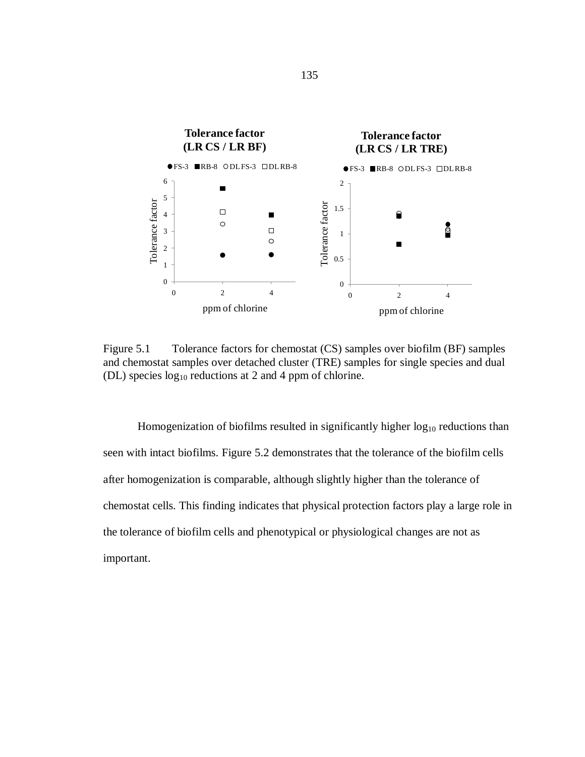

Figure 5.1 Tolerance factors for chemostat (CS) samples over biofilm (BF) samples and chemostat samples over detached cluster (TRE) samples for single species and dual (DL) species  $log_{10}$  reductions at 2 and 4 ppm of chlorine.

Homogenization of biofilms resulted in significantly higher  $log_{10}$  reductions than seen with intact biofilms. Figure 5.2 demonstrates that the tolerance of the biofilm cells after homogenization is comparable, although slightly higher than the tolerance of chemostat cells. This finding indicates that physical protection factors play a large role in the tolerance of biofilm cells and phenotypical or physiological changes are not as important.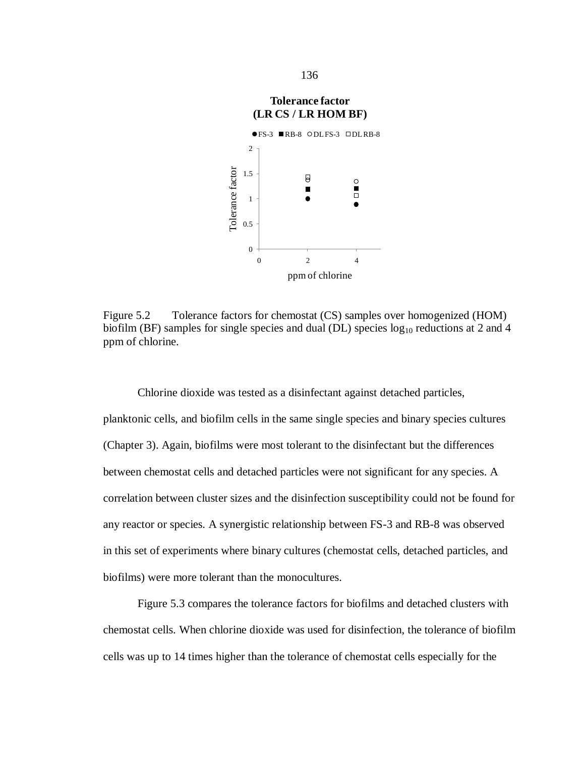



Figure 5.2 Tolerance factors for chemostat (CS) samples over homogenized (HOM) biofilm (BF) samples for single species and dual (DL) species  $log_{10}$  reductions at 2 and 4 ppm of chlorine.

Chlorine dioxide was tested as a disinfectant against detached particles, planktonic cells, and biofilm cells in the same single species and binary species cultures (Chapter 3). Again, biofilms were most tolerant to the disinfectant but the differences between chemostat cells and detached particles were not significant for any species. A correlation between cluster sizes and the disinfection susceptibility could not be found for any reactor or species. A synergistic relationship between FS-3 and RB-8 was observed in this set of experiments where binary cultures (chemostat cells, detached particles, and biofilms) were more tolerant than the monocultures.

Figure 5.3 compares the tolerance factors for biofilms and detached clusters with chemostat cells. When chlorine dioxide was used for disinfection, the tolerance of biofilm cells was up to 14 times higher than the tolerance of chemostat cells especially for the

136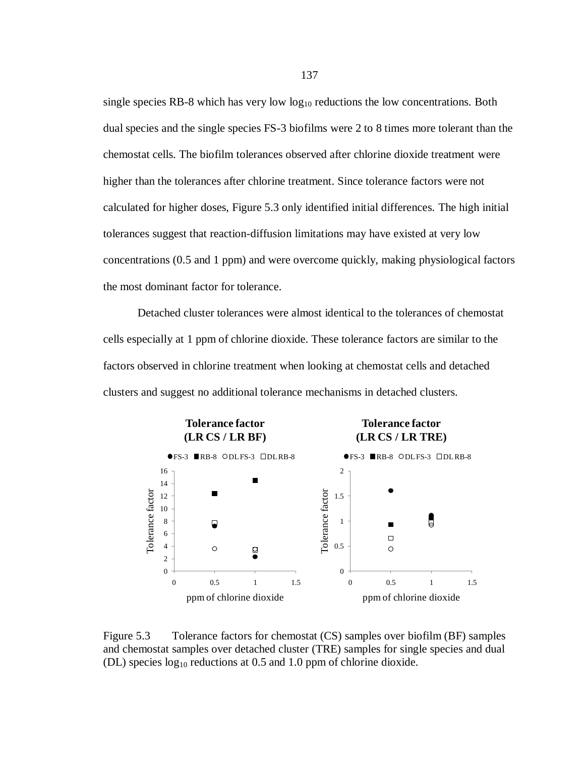single species RB-8 which has very low  $log_{10}$  reductions the low concentrations. Both dual species and the single species FS-3 biofilms were 2 to 8 times more tolerant than the chemostat cells. The biofilm tolerances observed after chlorine dioxide treatment were higher than the tolerances after chlorine treatment. Since tolerance factors were not calculated for higher doses, Figure 5.3 only identified initial differences. The high initial tolerances suggest that reaction-diffusion limitations may have existed at very low concentrations (0.5 and 1 ppm) and were overcome quickly, making physiological factors the most dominant factor for tolerance.

Detached cluster tolerances were almost identical to the tolerances of chemostat cells especially at 1 ppm of chlorine dioxide. These tolerance factors are similar to the factors observed in chlorine treatment when looking at chemostat cells and detached clusters and suggest no additional tolerance mechanisms in detached clusters.



Figure 5.3 Tolerance factors for chemostat (CS) samples over biofilm (BF) samples and chemostat samples over detached cluster (TRE) samples for single species and dual (DL) species  $log_{10}$  reductions at 0.5 and 1.0 ppm of chlorine dioxide.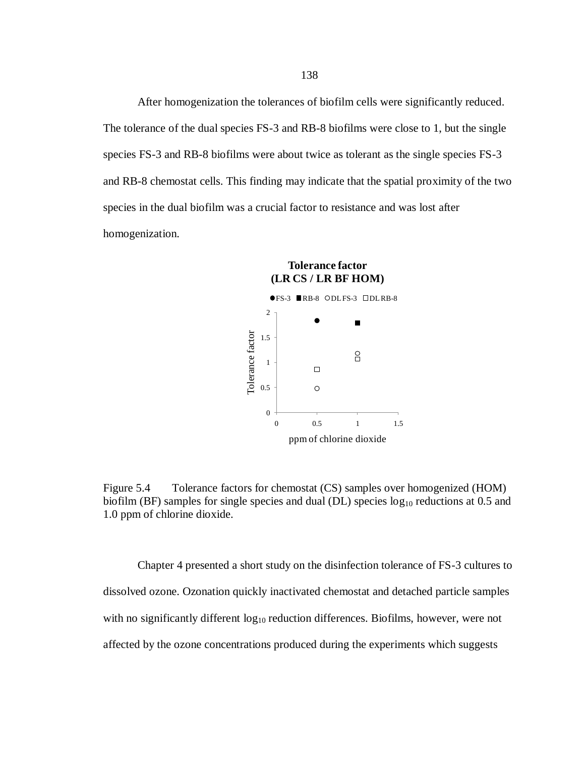After homogenization the tolerances of biofilm cells were significantly reduced. The tolerance of the dual species FS-3 and RB-8 biofilms were close to 1, but the single species FS-3 and RB-8 biofilms were about twice as tolerant as the single species FS-3 and RB-8 chemostat cells. This finding may indicate that the spatial proximity of the two species in the dual biofilm was a crucial factor to resistance and was lost after homogenization.



Figure 5.4 Tolerance factors for chemostat (CS) samples over homogenized (HOM) biofilm (BF) samples for single species and dual (DL) species  $log_{10}$  reductions at 0.5 and 1.0 ppm of chlorine dioxide.

Chapter 4 presented a short study on the disinfection tolerance of FS-3 cultures to dissolved ozone. Ozonation quickly inactivated chemostat and detached particle samples with no significantly different  $log_{10}$  reduction differences. Biofilms, however, were not affected by the ozone concentrations produced during the experiments which suggests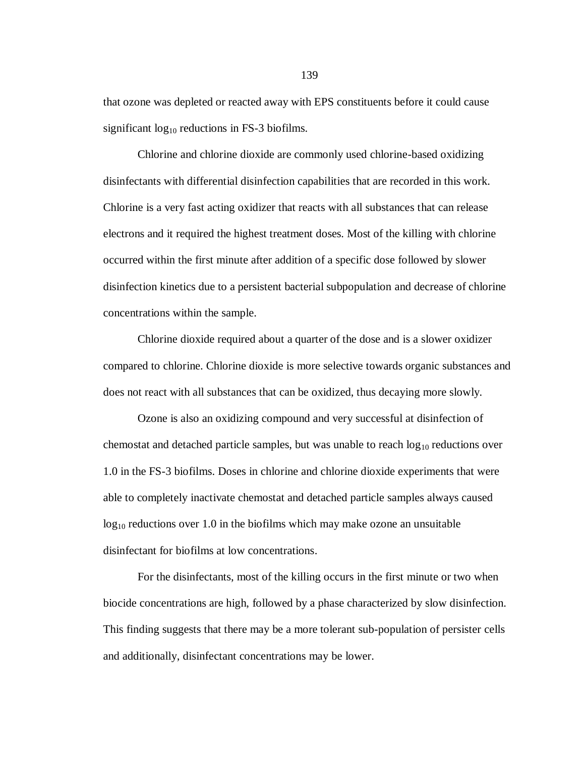that ozone was depleted or reacted away with EPS constituents before it could cause significant  $log_{10}$  reductions in FS-3 biofilms.

Chlorine and chlorine dioxide are commonly used chlorine-based oxidizing disinfectants with differential disinfection capabilities that are recorded in this work. Chlorine is a very fast acting oxidizer that reacts with all substances that can release electrons and it required the highest treatment doses. Most of the killing with chlorine occurred within the first minute after addition of a specific dose followed by slower disinfection kinetics due to a persistent bacterial subpopulation and decrease of chlorine concentrations within the sample.

Chlorine dioxide required about a quarter of the dose and is a slower oxidizer compared to chlorine. Chlorine dioxide is more selective towards organic substances and does not react with all substances that can be oxidized, thus decaying more slowly.

Ozone is also an oxidizing compound and very successful at disinfection of chemostat and detached particle samples, but was unable to reach  $log_{10}$  reductions over 1.0 in the FS-3 biofilms. Doses in chlorine and chlorine dioxide experiments that were able to completely inactivate chemostat and detached particle samples always caused  $log_{10}$  reductions over 1.0 in the biofilms which may make ozone an unsuitable disinfectant for biofilms at low concentrations.

For the disinfectants, most of the killing occurs in the first minute or two when biocide concentrations are high, followed by a phase characterized by slow disinfection. This finding suggests that there may be a more tolerant sub-population of persister cells and additionally, disinfectant concentrations may be lower.

139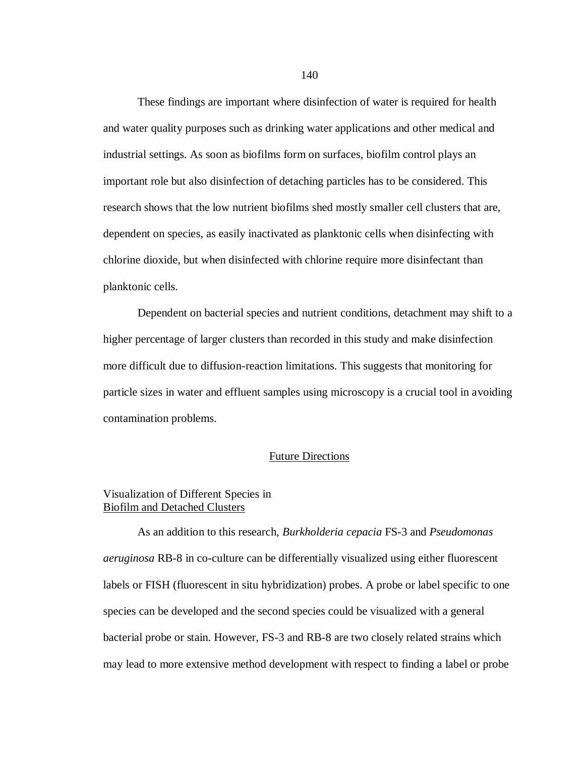These findings are important where disinfection of water is required for health and water quality purposes such as drinking water applications and other medical and industrial settings. As soon as biofilms form on surfaces, biofilm control plays an important role but also disinfection of detaching particles has to be considered. This research shows that the low nutrient biofilms shed mostly smaller cell clusters that are, dependent on species, as easily inactivated as planktonic cells when disinfecting with chlorine dioxide, but when disinfected with chlorine require more disinfectant than planktonic cells.

Dependent on bacterial species and nutrient conditions, detachment may shift to a higher percentage of larger clusters than recorded in this study and make disinfection more difficult due to diffusion-reaction limitations. This suggests that monitoring for particle sizes in water and effluent samples using microscopy is a crucial tool in avoiding contamination problems.

#### Future Directions

### Visualization of Different Species in Biofilm and Detached Clusters

As an addition to this research, *Burkholderia cepacia* FS-3 and *Pseudomonas aeruginosa* RB-8 in co-culture can be differentially visualized using either fluorescent labels or FISH (fluorescent in situ hybridization) probes. A probe or label specific to one species can be developed and the second species could be visualized with a general bacterial probe or stain. However, FS-3 and RB-8 are two closely related strains which may lead to more extensive method development with respect to finding a label or probe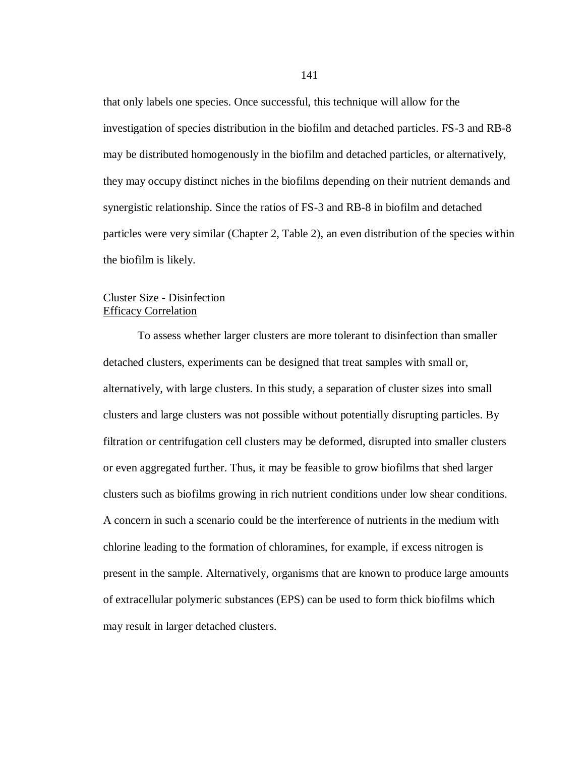that only labels one species. Once successful, this technique will allow for the investigation of species distribution in the biofilm and detached particles. FS-3 and RB-8 may be distributed homogenously in the biofilm and detached particles, or alternatively, they may occupy distinct niches in the biofilms depending on their nutrient demands and synergistic relationship. Since the ratios of FS-3 and RB-8 in biofilm and detached particles were very similar (Chapter 2, Table 2), an even distribution of the species within the biofilm is likely.

## Cluster Size - Disinfection Efficacy Correlation

To assess whether larger clusters are more tolerant to disinfection than smaller detached clusters, experiments can be designed that treat samples with small or, alternatively, with large clusters. In this study, a separation of cluster sizes into small clusters and large clusters was not possible without potentially disrupting particles. By filtration or centrifugation cell clusters may be deformed, disrupted into smaller clusters or even aggregated further. Thus, it may be feasible to grow biofilms that shed larger clusters such as biofilms growing in rich nutrient conditions under low shear conditions. A concern in such a scenario could be the interference of nutrients in the medium with chlorine leading to the formation of chloramines, for example, if excess nitrogen is present in the sample. Alternatively, organisms that are known to produce large amounts of extracellular polymeric substances (EPS) can be used to form thick biofilms which may result in larger detached clusters.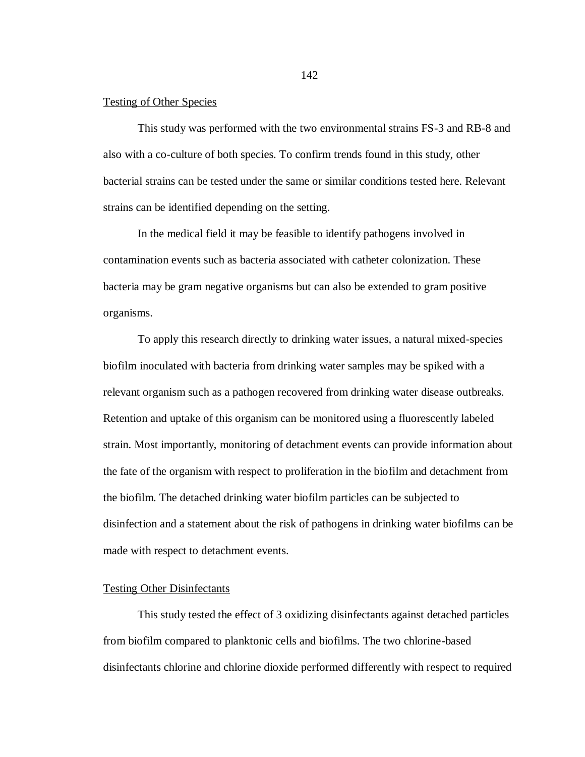#### Testing of Other Species

This study was performed with the two environmental strains FS-3 and RB-8 and also with a co-culture of both species. To confirm trends found in this study, other bacterial strains can be tested under the same or similar conditions tested here. Relevant strains can be identified depending on the setting.

In the medical field it may be feasible to identify pathogens involved in contamination events such as bacteria associated with catheter colonization. These bacteria may be gram negative organisms but can also be extended to gram positive organisms.

To apply this research directly to drinking water issues, a natural mixed-species biofilm inoculated with bacteria from drinking water samples may be spiked with a relevant organism such as a pathogen recovered from drinking water disease outbreaks. Retention and uptake of this organism can be monitored using a fluorescently labeled strain. Most importantly, monitoring of detachment events can provide information about the fate of the organism with respect to proliferation in the biofilm and detachment from the biofilm. The detached drinking water biofilm particles can be subjected to disinfection and a statement about the risk of pathogens in drinking water biofilms can be made with respect to detachment events.

#### Testing Other Disinfectants

This study tested the effect of 3 oxidizing disinfectants against detached particles from biofilm compared to planktonic cells and biofilms. The two chlorine-based disinfectants chlorine and chlorine dioxide performed differently with respect to required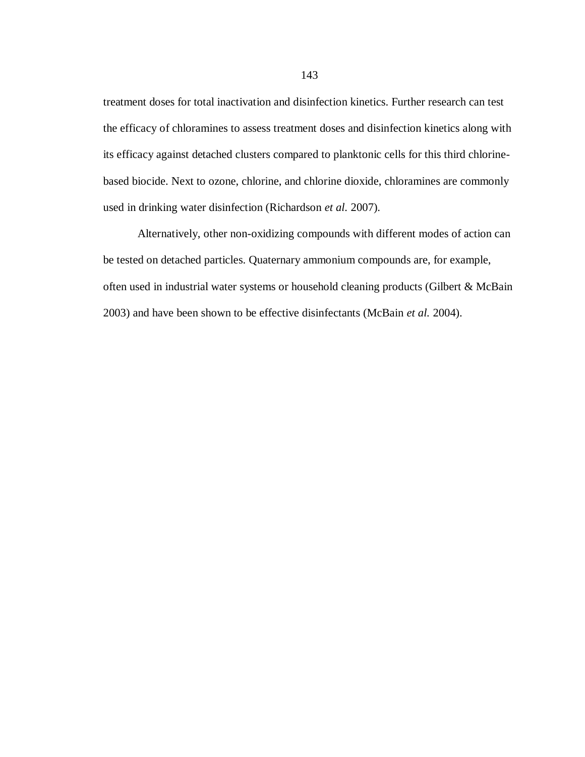treatment doses for total inactivation and disinfection kinetics. Further research can test the efficacy of chloramines to assess treatment doses and disinfection kinetics along with its efficacy against detached clusters compared to planktonic cells for this third chlorinebased biocide. Next to ozone, chlorine, and chlorine dioxide, chloramines are commonly used in drinking water disinfection (Richardson *et al.* 2007).

Alternatively, other non-oxidizing compounds with different modes of action can be tested on detached particles. Quaternary ammonium compounds are, for example, often used in industrial water systems or household cleaning products (Gilbert & McBain 2003) and have been shown to be effective disinfectants (McBain *et al.* 2004).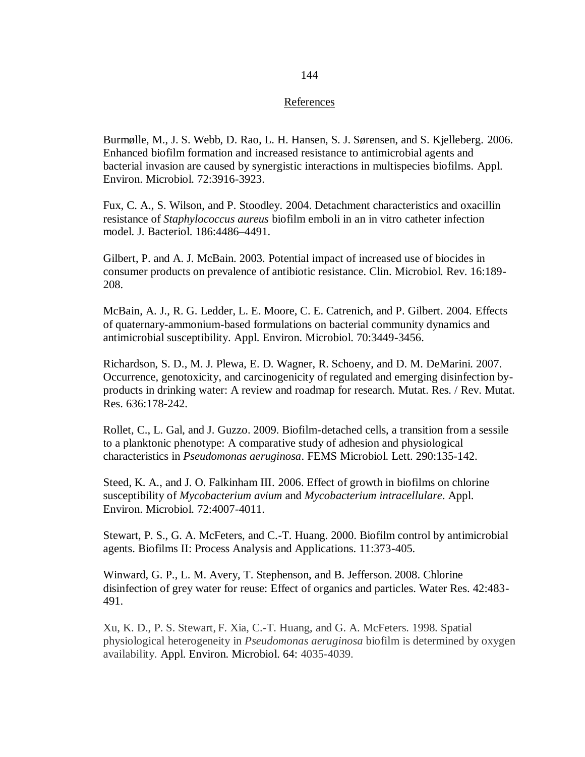#### References

Burmølle, M., J. S. Webb, D. Rao, L. H. Hansen, S. J. Sørensen, and S. Kjelleberg. 2006. Enhanced biofilm formation and increased resistance to antimicrobial agents and bacterial invasion are caused by synergistic interactions in multispecies biofilms. Appl. Environ. Microbiol. 72:3916-3923.

Fux, C. A., S. Wilson, and P. Stoodley. 2004. Detachment characteristics and oxacillin resistance of *Staphylococcus aureus* biofilm emboli in an in vitro catheter infection model. J. Bacteriol. 186:4486–4491.

Gilbert, P. and A. J. McBain. 2003. Potential impact of increased use of biocides in consumer products on prevalence of antibiotic resistance. Clin. Microbiol. Rev. 16:189- 208.

McBain, A. J., R. G. Ledder, L. E. Moore, C. E. Catrenich, and P. Gilbert. 2004. Effects of quaternary-ammonium-based formulations on bacterial community dynamics and antimicrobial susceptibility. Appl. Environ. Microbiol. 70:3449-3456.

Richardson, S. D., M. J. Plewa, E. D. Wagner, R. Schoeny, and D. M. DeMarini. 2007. Occurrence, genotoxicity, and carcinogenicity of regulated and emerging disinfection byproducts in drinking water: A review and roadmap for research. Mutat. Res. / Rev. Mutat. Res. 636:178-242.

Rollet, C., L. Gal, and J. Guzzo. 2009. Biofilm-detached cells, a transition from a sessile to a planktonic phenotype: A comparative study of adhesion and physiological characteristics in *Pseudomonas aeruginosa*. FEMS Microbiol. Lett. 290:135-142.

Steed, K. A., and J. O. Falkinham III. 2006. Effect of growth in biofilms on chlorine susceptibility of *Mycobacterium avium* and *Mycobacterium intracellulare*. Appl. Environ. Microbiol. 72:4007-4011.

Stewart, P. S., G. A. McFeters, and C.-T. Huang. 2000. Biofilm control by antimicrobial agents. Biofilms II: Process Analysis and Applications. 11:373-405.

Winward, G. P., L. M. Avery, T. Stephenson, and B. Jefferson. 2008. Chlorine disinfection of grey water for reuse: Effect of organics and particles. Water Res. 42:483- 491.

Xu, K. D., P. S. Stewart, F. Xia, C.-T. Huang, and G. A. McFeters. 1998. Spatial physiological heterogeneity in *Pseudomonas aeruginosa* biofilm is determined by oxygen availability. Appl. Environ. Microbiol. 64: 4035-4039.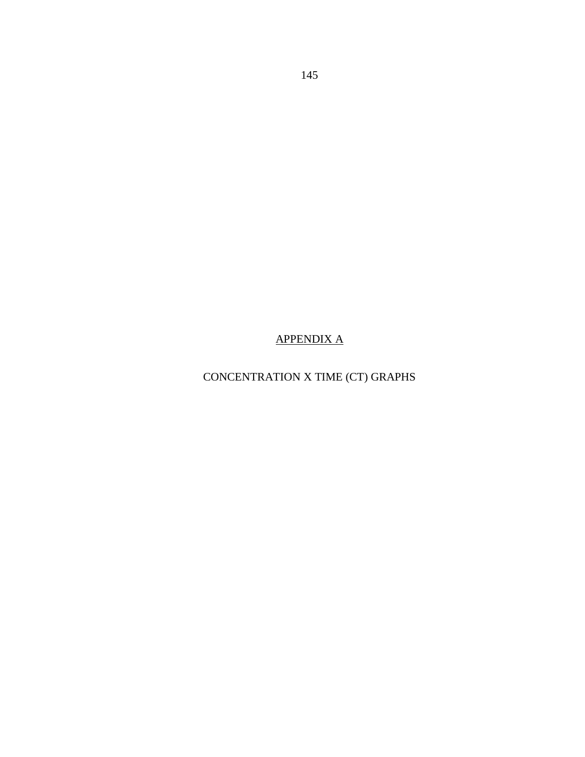# APPENDIX A

# CONCENTRATION X TIME (CT) GRAPHS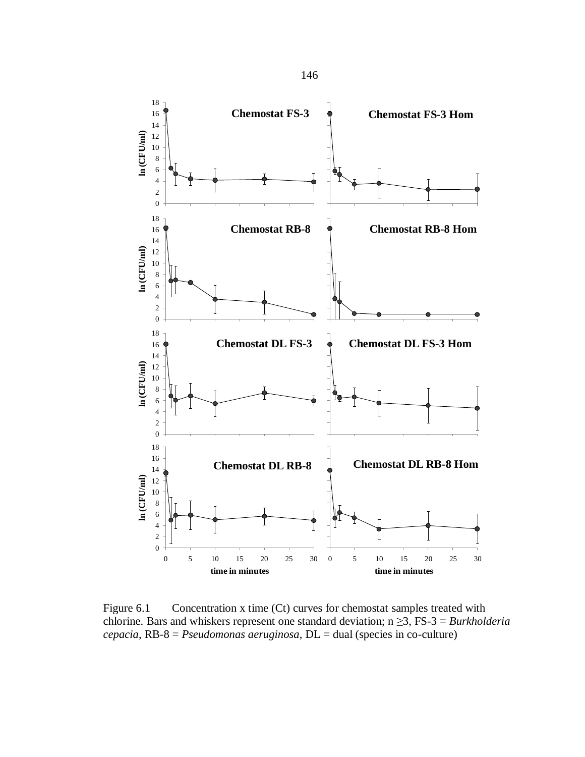

Figure 6.1 Concentration x time (Ct) curves for chemostat samples treated with chlorine. Bars and whiskers represent one standard deviation; n ≥3, FS-3 = *Burkholderia cepacia*, RB-8 = *Pseudomonas aeruginosa*, DL = dual (species in co-culture)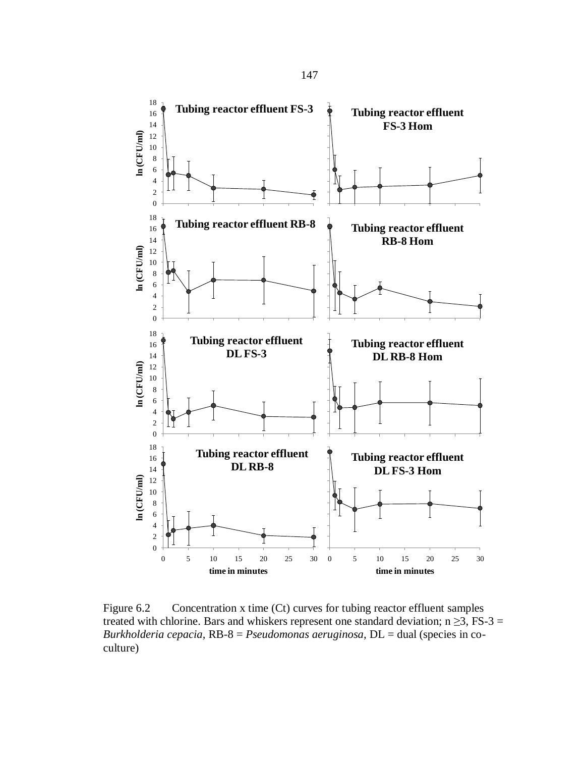

Figure 6.2 Concentration x time (Ct) curves for tubing reactor effluent samples treated with chlorine. Bars and whiskers represent one standard deviation;  $n \ge 3$ , FS-3 = *Burkholderia cepacia*, RB-8 = *Pseudomonas aeruginosa*, DL = dual (species in coculture)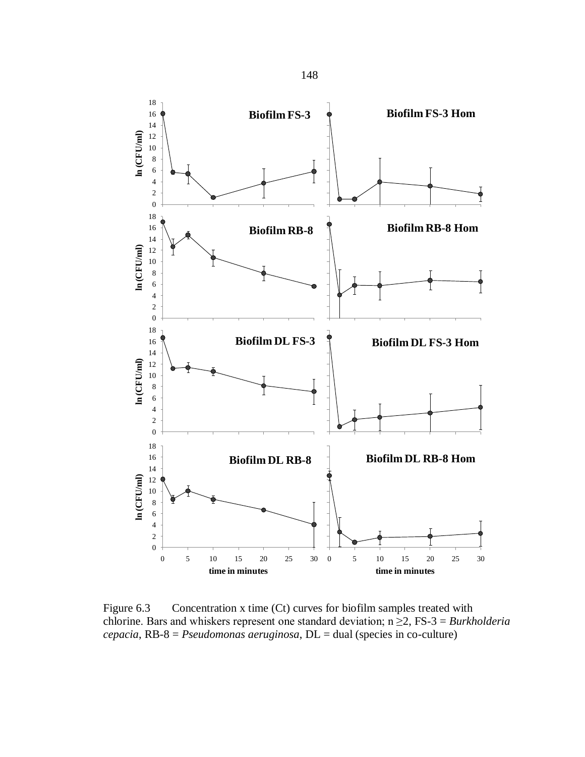

Figure 6.3 Concentration x time (Ct) curves for biofilm samples treated with chlorine. Bars and whiskers represent one standard deviation; n ≥2, FS-3 = *Burkholderia cepacia*, RB-8 = *Pseudomonas aeruginosa*, DL = dual (species in co-culture)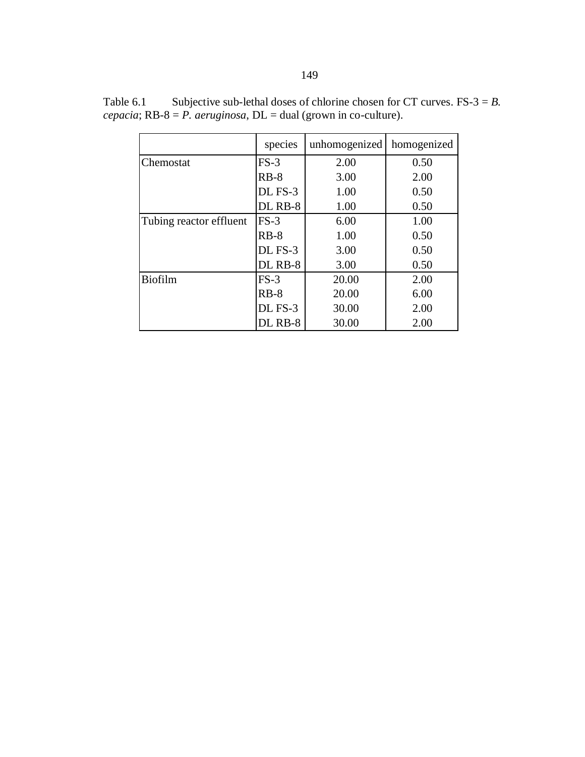|                         | species | unhomogenized | homogenized |
|-------------------------|---------|---------------|-------------|
| Chemostat               | $FS-3$  | 2.00          | 0.50        |
|                         | $RB-8$  | 3.00          | 2.00        |
|                         | DL FS-3 | 1.00          | 0.50        |
|                         | DL RB-8 | 1.00          | 0.50        |
| Tubing reactor effluent | $FS-3$  | 6.00          | 1.00        |
|                         | $RB-8$  | 1.00          | 0.50        |
|                         | DL FS-3 | 3.00          | 0.50        |
|                         | DL RB-8 | 3.00          | 0.50        |
| <b>Biofilm</b>          | $FS-3$  | 20.00         | 2.00        |
|                         | $RB-8$  | 20.00         | 6.00        |
|                         | DL FS-3 | 30.00         | 2.00        |
|                         | DL RB-8 | 30.00         | 2.00        |

Table 6.1 Subjective sub-lethal doses of chlorine chosen for CT curves. FS-3 = *B*. *cepacia*; RB-8 = *P. aeruginosa*, DL = dual (grown in co-culture).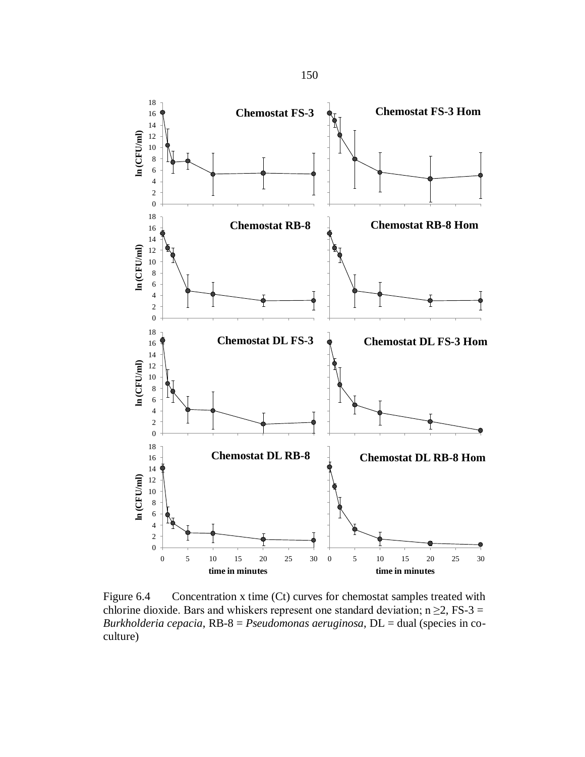

Figure 6.4 Concentration x time (Ct) curves for chemostat samples treated with chlorine dioxide. Bars and whiskers represent one standard deviation;  $n \ge 2$ , FS-3 = *Burkholderia cepacia*, RB-8 = *Pseudomonas aeruginosa*, DL = dual (species in coculture)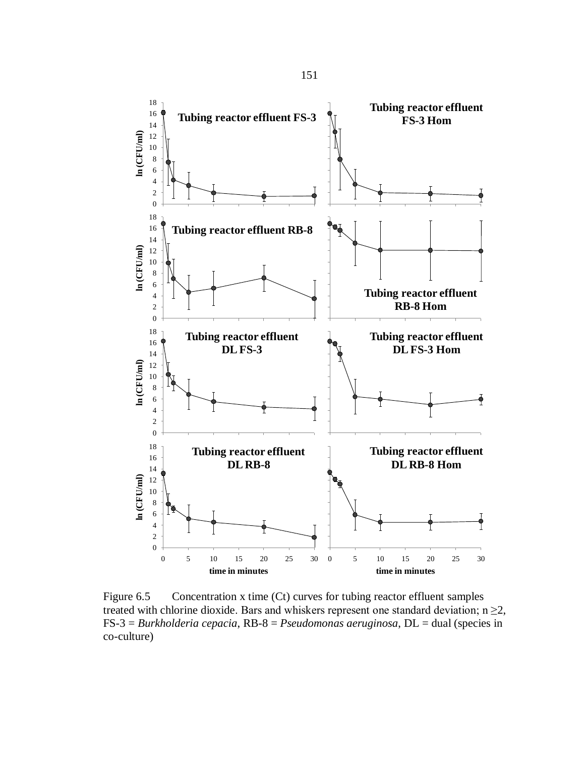

Figure 6.5 Concentration x time (Ct) curves for tubing reactor effluent samples treated with chlorine dioxide. Bars and whiskers represent one standard deviation;  $n \geq 2$ , FS-3 = *Burkholderia cepacia*, RB-8 = *Pseudomonas aeruginosa*, DL = dual (species in co-culture)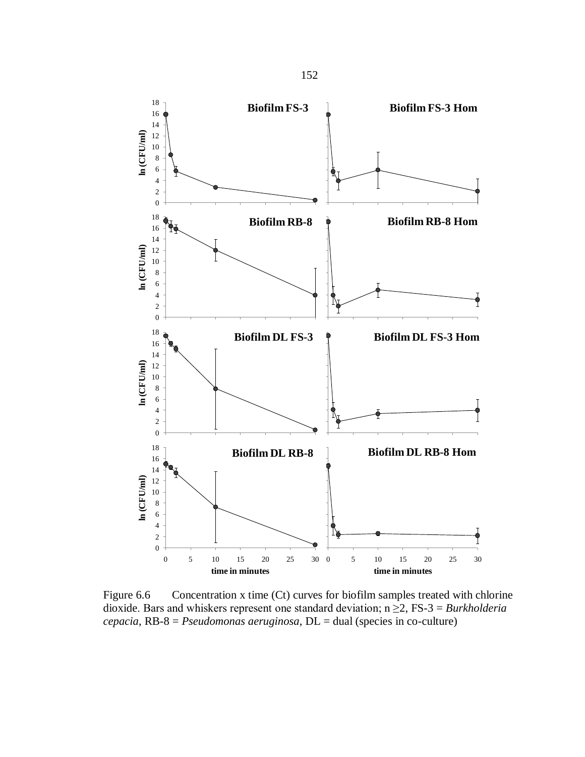

Figure 6.6 Concentration x time (Ct) curves for biofilm samples treated with chlorine dioxide. Bars and whiskers represent one standard deviation; n ≥2, FS-3 = *Burkholderia cepacia*, RB-8 = *Pseudomonas aeruginosa*, DL = dual (species in co-culture)